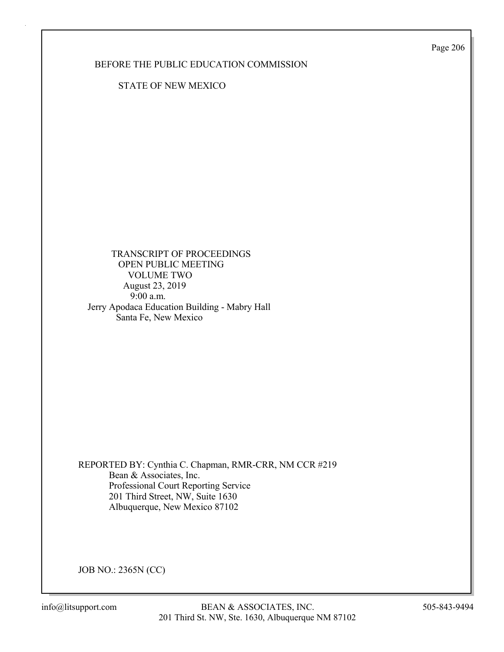Page 206

## BEFORE THE PUBLIC EDUCATION COMMISSION

STATE OF NEW MEXICO

 TRANSCRIPT OF PROCEEDINGS OPEN PUBLIC MEETING VOLUME TWO August 23, 2019 9:00 a.m. Jerry Apodaca Education Building - Mabry Hall Santa Fe, New Mexico

REPORTED BY: Cynthia C. Chapman, RMR-CRR, NM CCR #219 Bean & Associates, Inc. Professional Court Reporting Service 201 Third Street, NW, Suite 1630 Albuquerque, New Mexico 87102

JOB NO.: 2365N (CC)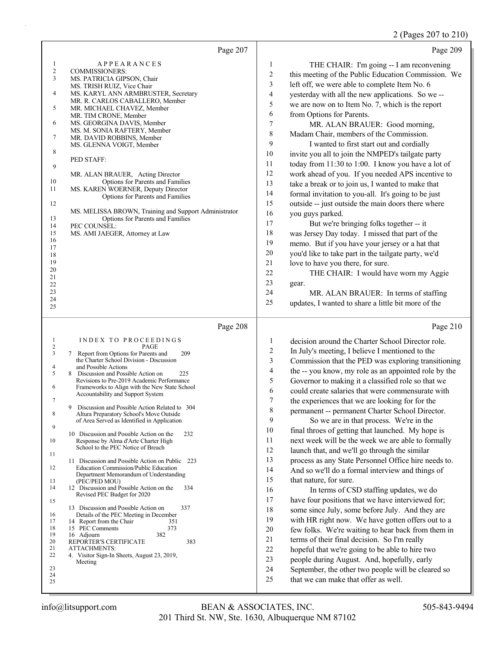# 2 (Pages 207 to 210)

| Page 207                                                                                                                                                                                                                                                                                                                                                                                                                                                                                                                                                                                                                                                                                                                                                                                                                                                                                                                                                                                                                                                                                                                                                                                                                                                                                                                    | Page 209                                                                                                                                                                                                                                                                                                                                                                                                                                                                                                                                                                                                                                                                                                                                                                                                                                                                                                                                                                                                                                                                                                                                                                                                                                                                                                                                                                                                                                                           |
|-----------------------------------------------------------------------------------------------------------------------------------------------------------------------------------------------------------------------------------------------------------------------------------------------------------------------------------------------------------------------------------------------------------------------------------------------------------------------------------------------------------------------------------------------------------------------------------------------------------------------------------------------------------------------------------------------------------------------------------------------------------------------------------------------------------------------------------------------------------------------------------------------------------------------------------------------------------------------------------------------------------------------------------------------------------------------------------------------------------------------------------------------------------------------------------------------------------------------------------------------------------------------------------------------------------------------------|--------------------------------------------------------------------------------------------------------------------------------------------------------------------------------------------------------------------------------------------------------------------------------------------------------------------------------------------------------------------------------------------------------------------------------------------------------------------------------------------------------------------------------------------------------------------------------------------------------------------------------------------------------------------------------------------------------------------------------------------------------------------------------------------------------------------------------------------------------------------------------------------------------------------------------------------------------------------------------------------------------------------------------------------------------------------------------------------------------------------------------------------------------------------------------------------------------------------------------------------------------------------------------------------------------------------------------------------------------------------------------------------------------------------------------------------------------------------|
| $\mathbf{1}$<br><b>APPEARANCES</b><br>$\sqrt{2}$<br><b>COMMISSIONERS:</b><br>3<br>MS. PATRICIA GIPSON, Chair<br>MS. TRISH RUIZ, Vice Chair<br>4<br>MS. KARYL ANN ARMBRUSTER, Secretary<br>MR. R. CARLOS CABALLERO, Member<br>5<br>MR. MICHAEL CHAVEZ, Member<br>MR. TIM CRONE, Member<br>6<br>MS. GEORGINA DAVIS, Member<br>MS. M. SONIA RAFTERY, Member<br>7<br>MR. DAVID ROBBINS, Member<br>MS. GLENNA VOIGT, Member<br>8<br>PED STAFF:<br>9<br>MR. ALAN BRAUER, Acting Director<br>10<br>Options for Parents and Families<br>11<br>MS. KAREN WOERNER, Deputy Director<br>Options for Parents and Families<br>12<br>MS. MELISSA BROWN, Training and Support Administrator<br>13<br>Options for Parents and Families<br>14<br>PEC COUNSEL:<br>15<br>MS. AMI JAEGER, Attorney at Law<br>16<br>17<br>18<br>19<br>20<br>21<br>22<br>23<br>24<br>25                                                                                                                                                                                                                                                                                                                                                                                                                                                                            | 1<br>THE CHAIR: I'm going -- I am reconvening<br>$\overline{c}$<br>this meeting of the Public Education Commission. We<br>3<br>left off, we were able to complete Item No. 6<br>4<br>yesterday with all the new applications. So we --<br>5<br>we are now on to Item No. 7, which is the report<br>6<br>from Options for Parents.<br>$\sqrt{ }$<br>MR. ALAN BRAUER: Good morning,<br>$\,$ $\,$<br>Madam Chair, members of the Commission.<br>9<br>I wanted to first start out and cordially<br>$10\,$<br>invite you all to join the NMPED's tailgate party<br>11<br>today from 11:30 to 1:00. I know you have a lot of<br>12<br>work ahead of you. If you needed APS incentive to<br>13<br>take a break or to join us, I wanted to make that<br>14<br>formal invitation to you-all. It's going to be just<br>15<br>outside -- just outside the main doors there where<br>16<br>you guys parked.<br>17<br>But we're bringing folks together -- it<br>18<br>was Jersey Day today. I missed that part of the<br>19<br>memo. But if you have your jersey or a hat that<br>20<br>you'd like to take part in the tailgate party, we'd<br>21<br>love to have you there, for sure.<br>22<br>THE CHAIR: I would have worn my Aggie<br>23<br>gear.<br>24<br>MR. ALAN BRAUER: In terms of staffing<br>25<br>updates, I wanted to share a little bit more of the                                                                                                               |
| Page 208                                                                                                                                                                                                                                                                                                                                                                                                                                                                                                                                                                                                                                                                                                                                                                                                                                                                                                                                                                                                                                                                                                                                                                                                                                                                                                                    | Page 210                                                                                                                                                                                                                                                                                                                                                                                                                                                                                                                                                                                                                                                                                                                                                                                                                                                                                                                                                                                                                                                                                                                                                                                                                                                                                                                                                                                                                                                           |
| INDEX TO PROCEEDINGS<br>$\mathbf{1}$<br>$\overline{c}$<br>PAGE<br>3<br>Report from Options for Parents and<br>209<br>7<br>the Charter School Division - Discussion<br>and Possible Actions<br>4<br>5<br>8<br>Discussion and Possible Action on<br>225<br>Revisions to Pre-2019 Academic Performance<br>6<br>Frameworks to Align with the New State School<br>Accountability and Support System<br>7<br>9 Discussion and Possible Action Related to 304<br>8<br>Altura Preparatory School's Move Outside<br>of Area Served as Identified in Application<br>9<br>10 Discussion and Possible Action on the<br>232<br>10<br>Response by Alma d'Arte Charter High<br>School to the PEC Notice of Breach<br>11<br>11 Discussion and Possible Action on Public 223<br>12<br>Education Commission/Public Education<br>Department Memorandum of Understanding<br>13<br>(PEC/PED MOU)<br>14<br>12 Discussion and Possible Action on the<br>334<br>Revised PEC Budget for 2020<br>15<br>337<br>13 Discussion and Possible Action on<br>16<br>Details of the PEC Meeting in December<br>17<br>14 Report from the Chair<br>351<br>18<br>15 PEC Comments<br>373<br>382<br>19<br>16 Adjourn<br>20<br>REPORTER'S CERTIFICATE<br>383<br>21<br>ATTACHMENTS:<br>22<br>4. Visitor Sign-In Sheets, August 23, 2019,<br>Meeting<br>23<br>24<br>25 | decision around the Charter School Director role.<br>1<br>2<br>In July's meeting, I believe I mentioned to the<br>3<br>Commission that the PED was exploring transitioning<br>$\overline{\mathbf{4}}$<br>the -- you know, my role as an appointed role by the<br>5<br>Governor to making it a classified role so that we<br>6<br>could create salaries that were commensurate with<br>7<br>the experiences that we are looking for for the<br>8<br>permanent -- permanent Charter School Director.<br>9<br>So we are in that process. We're in the<br>final throes of getting that launched. My hope is<br>10<br>11<br>next week will be the week we are able to formally<br>12<br>launch that, and we'll go through the similar<br>13<br>process as any State Personnel Office hire needs to.<br>14<br>And so we'll do a formal interview and things of<br>15<br>that nature, for sure.<br>16<br>In terms of CSD staffing updates, we do<br>17<br>have four positions that we have interviewed for;<br>18<br>some since July, some before July. And they are<br>19<br>with HR right now. We have gotten offers out to a<br>20<br>few folks. We're waiting to hear back from them in<br>21<br>terms of their final decision. So I'm really<br>22<br>hopeful that we're going to be able to hire two<br>23<br>people during August. And, hopefully, early<br>24<br>September, the other two people will be cleared so<br>25<br>that we can make that offer as well. |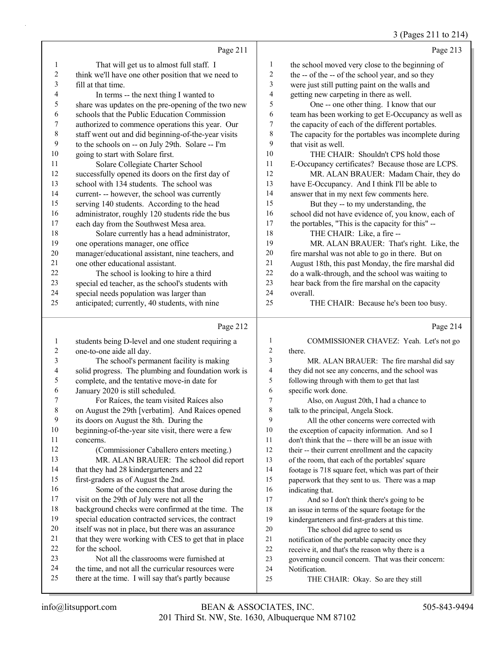# 3 (Pages 211 to 214)

|    | Page 211                                            |    | Page 213                                             |
|----|-----------------------------------------------------|----|------------------------------------------------------|
| -1 | That will get us to almost full staff. I            | 1  | the school moved very close to the beginning of      |
| 2  | think we'll have one other position that we need to | 2  | the -- of the -- of the school year, and so they     |
| 3  | fill at that time.                                  | 3  | were just still putting paint on the walls and       |
| 4  | In terms -- the next thing I wanted to              | 4  | getting new carpeting in there as well.              |
| 5  | share was updates on the pre-opening of the two new | 5  | One -- one other thing. I know that our              |
| 6  | schools that the Public Education Commission        | 6  | team has been working to get E-Occupancy as well as  |
| 7  | authorized to commence operations this year. Our    | 7  | the capacity of each of the different portables.     |
| 8  | staff went out and did beginning-of-the-year visits | 8  | The capacity for the portables was incomplete during |
| 9  | to the schools on -- on July 29th. Solare -- I'm    | 9  | that visit as well.                                  |
| 10 | going to start with Solare first.                   | 10 | THE CHAIR: Shouldn't CPS hold those                  |
| 11 | Solare Collegiate Charter School                    | 11 | E-Occupancy certificates? Because those are LCPS.    |
| 12 | successfully opened its doors on the first day of   | 12 | MR. ALAN BRAUER: Madam Chair, they do                |
| 13 | school with 134 students. The school was            | 13 | have E-Occupancy. And I think I'll be able to        |
| 14 | current--- however, the school was currently        | 14 | answer that in my next few comments here.            |
| 15 | serving 140 students. According to the head         | 15 | But they -- to my understanding, the                 |
| 16 | administrator, roughly 120 students ride the bus    | 16 | school did not have evidence of, you know, each of   |
| 17 | each day from the Southwest Mesa area.              | 17 | the portables, "This is the capacity for this" --    |
| 18 | Solare currently has a head administrator,          | 18 | THE CHAIR: Like, a fire --                           |
| 19 | one operations manager, one office                  | 19 | MR. ALAN BRAUER: That's right. Like, the             |
| 20 | manager/educational assistant, nine teachers, and   | 20 | fire marshal was not able to go in there. But on     |
| 21 | one other educational assistant.                    | 21 | August 18th, this past Monday, the fire marshal did  |
| 22 | The school is looking to hire a third               | 22 | do a walk-through, and the school was waiting to     |
| 23 | special ed teacher, as the school's students with   | 23 | hear back from the fire marshal on the capacity      |
| 24 | special needs population was larger than            | 24 | overall.                                             |
| 25 | anticipated; currently, 40 students, with nine      | 25 | THE CHAIR: Because he's been too busy.               |
|    |                                                     |    |                                                      |

## Page 212  $\parallel$

|    | Page 212                                             |                | Page 214                                            |
|----|------------------------------------------------------|----------------|-----------------------------------------------------|
| 1  | students being D-level and one student requiring a   | 1              | COMMISSIONER CHAVEZ: Yeah. Let's not go             |
| 2  | one-to-one aide all day.                             | $\overline{2}$ | there.                                              |
| 3  | The school's permanent facility is making            | 3              | MR. ALAN BRAUER: The fire marshal did say           |
| 4  | solid progress. The plumbing and foundation work is  | 4              | they did not see any concerns, and the school was   |
| 5  | complete, and the tentative move-in date for         | 5              | following through with them to get that last        |
| 6  | January 2020 is still scheduled.                     | 6              | specific work done.                                 |
| 7  | For Raíces, the team visited Raíces also             | 7              | Also, on August 20th, I had a chance to             |
| 8  | on August the 29th [verbatim]. And Raíces opened     | 8              | talk to the principal, Angela Stock.                |
| 9  | its doors on August the 8th. During the              | 9              | All the other concerns were corrected with          |
| 10 | beginning-of-the-year site visit, there were a few   | 10             | the exception of capacity information. And so I     |
| 11 | concerns.                                            | 11             | don't think that the -- there will be an issue with |
| 12 | (Commissioner Caballero enters meeting.)             | 12             | their -- their current enrollment and the capacity  |
| 13 | MR. ALAN BRAUER: The school did report               | 13             | of the room, that each of the portables' square     |
| 14 | that they had 28 kindergarteners and 22              | 14             | footage is 718 square feet, which was part of their |
| 15 | first-graders as of August the 2nd.                  | 15             | paperwork that they sent to us. There was a map     |
| 16 | Some of the concerns that arose during the           | 16             | indicating that.                                    |
| 17 | visit on the 29th of July were not all the           | 17             | And so I don't think there's going to be            |
| 18 | background checks were confirmed at the time. The    | 18             | an issue in terms of the square footage for the     |
| 19 | special education contracted services, the contract  | 19             | kindergarteners and first-graders at this time.     |
| 20 | itself was not in place, but there was an assurance  | 20             | The school did agree to send us                     |
| 21 | that they were working with CES to get that in place | 21             | notification of the portable capacity once they     |
| 22 | for the school.                                      | 22             | receive it, and that's the reason why there is a    |
| 23 | Not all the classrooms were furnished at             | 23             | governing council concern. That was their concern:  |
| 24 | the time, and not all the curricular resources were  | 24             | Notification.                                       |
| 25 | there at the time. I will say that's partly because  | 25             | THE CHAIR: Okay. So are they still                  |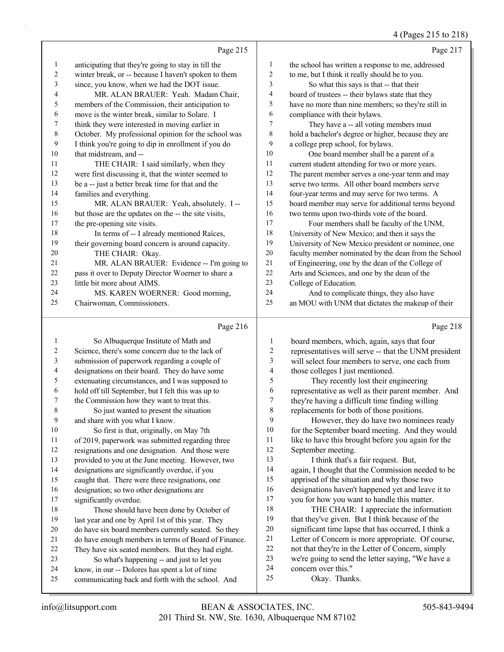## 4 (Pages 215 to 218)

|              | Page 215                                             |                  | Page 217                                             |
|--------------|------------------------------------------------------|------------------|------------------------------------------------------|
| $\mathbf{1}$ | anticipating that they're going to stay in till the  | 1                | the school has written a response to me, addressed   |
| 2            | winter break, or -- because I haven't spoken to them | $\overline{2}$   | to me, but I think it really should be to you.       |
| 3            | since, you know, when we had the DOT issue.          | 3                | So what this says is that -- that their              |
| 4            | MR. ALAN BRAUER: Yeah. Madam Chair,                  | 4                | board of trustees -- their bylaws state that they    |
| 5            | members of the Commission, their anticipation to     | 5                | have no more than nine members; so they're still in  |
| 6            | move is the winter break, similar to Solare. I       | 6                | compliance with their bylaws.                        |
| 7            | think they were interested in moving earlier in      | 7                | They have a -- all voting members must               |
| 8            | October. My professional opinion for the school was  | 8                | hold a bachelor's degree or higher, because they are |
| 9            | I think you're going to dip in enrollment if you do  | 9                | a college prep school, for bylaws.                   |
| 10           | that midstream, and --                               | 10 <sup>10</sup> | One board member shall be a parent of a              |
| 11           | THE CHAIR: I said similarly, when they               | 11               | current student attending for two or more years.     |
| 12           | were first discussing it, that the winter seemed to  | 12               | The parent member serves a one-year term and may     |
| 13           | be a -- just a better break time for that and the    | 13               | serve two terms. All other board members serve       |
| 14           | families and everything.                             | 14               | four-year terms and may serve for two terms. A       |
| 15           | MR. ALAN BRAUER: Yeah, absolutely. I--               | 15               | board member may serve for additional terms beyond   |
| 16           | but those are the updates on the -- the site visits, | 16               | two terms upon two-thirds vote of the board.         |
| 17           | the pre-opening site visits.                         | 17               | Four members shall be faculty of the UNM,            |
| 18           | In terms of -- I already mentioned Raíces,           | 18               | University of New Mexico; and then it says the       |
| 19           | their governing board concern is around capacity.    | 19               | University of New Mexico president or nominee, one   |
| 20           | THE CHAIR: Okay.                                     | 20               | faculty member nominated by the dean from the School |
| 21           | MR. ALAN BRAUER: Evidence -- I'm going to            | 21               | of Engineering, one by the dean of the College of    |
| 22           | pass it over to Deputy Director Woerner to share a   | 22               | Arts and Sciences, and one by the dean of the        |
| 23           | little bit more about AIMS.                          | 23               | College of Education.                                |
| 24           | MS. KAREN WOERNER: Good morning,                     | 24               | And to complicate things, they also have             |
| 25           | Chairwoman, Commissioners.                           | 25               | an MOU with UNM that dictates the makeup of their    |
|              | Page 216                                             |                  | Page 218                                             |

## Page 216 |

|    | So Albuquerque Institute of Math and                 | 1      | board members, which, again, says that four          |
|----|------------------------------------------------------|--------|------------------------------------------------------|
| 2  | Science, there's some concern due to the lack of     | 2      | representatives will serve -- that the UNM president |
| 3  | submission of paperwork regarding a couple of        | 3      | will select four members to serve, one each from     |
| 4  | designations on their board. They do have some       | 4      | those colleges I just mentioned.                     |
| 5  | extenuating circumstances, and I was supposed to     | 5      | They recently lost their engineering                 |
| 6  | hold off till September, but I felt this was up to   | 6      | representative as well as their parent member. And   |
| 7  | the Commission how they want to treat this.          | $\tau$ | they're having a difficult time finding willing      |
| 8  | So just wanted to present the situation              | 8      | replacements for both of those positions.            |
| 9  | and share with you what I know.                      | 9      | However, they do have two nominees ready             |
| 10 | So first is that, originally, on May 7th             | 10     | for the September board meeting. And they would      |
| 11 | of 2019, paperwork was submitted regarding three     | 11     | like to have this brought before you again for the   |
| 12 | resignations and one designation. And those were     | 12     | September meeting.                                   |
| 13 | provided to you at the June meeting. However, two    | 13     | I think that's a fair request. But,                  |
| 14 | designations are significantly overdue, if you       | 14     | again, I thought that the Commission needed to be    |
| 15 | caught that. There were three resignations, one      | 15     | apprised of the situation and why those two          |
| 16 | designation; so two other designations are           | 16     | designations haven't happened yet and leave it to    |
| 17 | significantly overdue.                               | 17     | you for how you want to handle this matter.          |
| 18 | Those should have been done by October of            | 18     | THE CHAIR: I appreciate the information              |
| 19 | last year and one by April 1st of this year. They    | 19     | that they've given. But I think because of the       |
| 20 | do have six board members currently seated. So they  | 20     | significant time lapse that has occurred, I think a  |
| 21 | do have enough members in terms of Board of Finance. | 21     | Letter of Concern is more appropriate. Of course,    |
| 22 | They have six seated members. But they had eight.    | 22     | not that they're in the Letter of Concern, simply    |
| 23 | So what's happening -- and just to let you           | 23     | we're going to send the letter saying, "We have a    |
| 24 | know, in our -- Dolores has spent a lot of time      | 24     | concern over this."                                  |
| 25 | communicating back and forth with the school. And    | 25     | Okay. Thanks.                                        |
|    |                                                      |        |                                                      |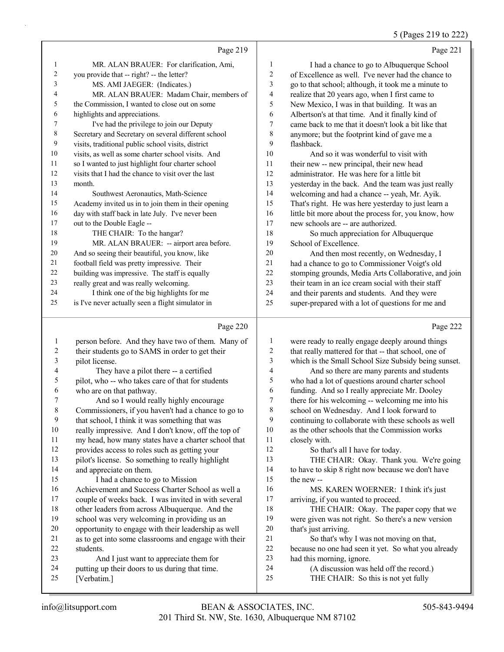5 (Pages 219 to 222)

|                          | Page 219                                            |                         | Page 221                                             |
|--------------------------|-----------------------------------------------------|-------------------------|------------------------------------------------------|
| $\mathbf{1}$             | MR. ALAN BRAUER: For clarification, Ami,            | $\mathbf{1}$            | I had a chance to go to Albuquerque School           |
| $\overline{\mathbf{c}}$  | you provide that -- right? -- the letter?           | $\overline{\mathbf{c}}$ | of Excellence as well. I've never had the chance to  |
| 3                        | MS. AMI JAEGER: (Indicates.)                        | 3                       | go to that school; although, it took me a minute to  |
| 4                        | MR. ALAN BRAUER: Madam Chair, members of            | 4                       | realize that 20 years ago, when I first came to      |
| 5                        | the Commission, I wanted to close out on some       | 5                       | New Mexico, I was in that building. It was an        |
| 6                        | highlights and appreciations.                       | 6                       | Albertson's at that time. And it finally kind of     |
| 7                        | I've had the privilege to join our Deputy           | $\tau$                  | came back to me that it doesn't look a bit like that |
| $\,$ $\,$                | Secretary and Secretary on several different school | $\,$ $\,$               | anymore; but the footprint kind of gave me a         |
| 9                        | visits, traditional public school visits, district  | 9                       | flashback.                                           |
| $10\,$                   | visits, as well as some charter school visits. And  | 10                      | And so it was wonderful to visit with                |
| $11\,$                   | so I wanted to just highlight four charter school   | 11                      | their new -- new principal, their new head           |
| 12                       | visits that I had the chance to visit over the last | 12                      | administrator. He was here for a little bit          |
| 13                       | month.                                              | 13                      | yesterday in the back. And the team was just really  |
| 14                       | Southwest Aeronautics, Math-Science                 | 14                      | welcoming and had a chance -- yeah, Mr. Ayik.        |
| 15                       | Academy invited us in to join them in their opening | 15                      | That's right. He was here yesterday to just learn a  |
| 16                       | day with staff back in late July. I've never been   | 16                      | little bit more about the process for, you know, how |
| 17                       | out to the Double Eagle --                          | 17                      | new schools are -- are authorized.                   |
| 18                       | THE CHAIR: To the hangar?                           | 18                      | So much appreciation for Albuquerque                 |
| 19                       | MR. ALAN BRAUER: -- airport area before.            | 19                      | School of Excellence.                                |
| $20\,$                   | And so seeing their beautiful, you know, like       | $20\,$                  | And then most recently, on Wednesday, I              |
| 21                       | football field was pretty impressive. Their         | 21                      | had a chance to go to Commissioner Voigt's old       |
| 22                       | building was impressive. The staff is equally       | 22                      | stomping grounds, Media Arts Collaborative, and join |
| 23                       | really great and was really welcoming.              | 23                      | their team in an ice cream social with their staff   |
| 24                       | I think one of the big highlights for me            | 24                      | and their parents and students. And they were        |
| 25                       | is I've never actually seen a flight simulator in   | 25                      | super-prepared with a lot of questions for me and    |
|                          | Page 220                                            |                         | Page 222                                             |
| $\mathbf{1}$             | person before. And they have two of them. Many of   | $\mathbf{1}$            | were ready to really engage deeply around things     |
| $\overline{c}$           | their students go to SAMS in order to get their     | $\overline{c}$          | that really mattered for that -- that school, one of |
| $\mathfrak{Z}$           | pilot license.                                      | 3                       | which is the Small School Size Subsidy being sunset. |
| $\overline{\mathcal{L}}$ | They have a pilot there -- a certified              | 4                       | And so there are many parents and students           |
| 5                        | pilot, who -- who takes care of that for students   | 5                       | who had a lot of questions around charter school     |
| 6                        | who are on that pathway.                            | 6                       | funding. And so I really appreciate Mr. Dooley       |
| $\boldsymbol{7}$         | And so I would really highly encourage              | $\boldsymbol{7}$        | there for his welcoming -- welcoming me into his     |
| $\,$ 8 $\,$              | Commissioners, if you haven't had a chance to go to | $\,$ $\,$               | school on Wednesday. And I look forward to           |
| 9                        | that school, I think it was something that was      | 9                       | continuing to collaborate with these schools as well |
|                          |                                                     |                         |                                                      |

#### 

| 1       | person before. And they have two of them. Many of    | 1  | were ready to really engage deeply around things     |
|---------|------------------------------------------------------|----|------------------------------------------------------|
| 2       | their students go to SAMS in order to get their      | 2  | that really mattered for that -- that school, one of |
| 3       | pilot license.                                       | 3  | which is the Small School Size Subsidy being sunset. |
| 4       | They have a pilot there -- a certified               | 4  | And so there are many parents and students           |
| 5       | pilot, who -- who takes care of that for students    | 5  | who had a lot of questions around charter school     |
| 6       | who are on that pathway.                             | 6  | funding. And so I really appreciate Mr. Dooley       |
| 7       | And so I would really highly encourage               | 7  | there for his welcoming -- welcoming me into his     |
| $\,8\,$ | Commissioners, if you haven't had a chance to go to  | 8  | school on Wednesday. And I look forward to           |
| 9       | that school, I think it was something that was       | 9  | continuing to collaborate with these schools as well |
| 10      | really impressive. And I don't know, off the top of  | 10 | as the other schools that the Commission works       |
| 11      | my head, how many states have a charter school that  | 11 | closely with.                                        |
| 12      | provides access to roles such as getting your        | 12 | So that's all I have for today.                      |
| 13      | pilot's license. So something to really highlight    | 13 | THE CHAIR: Okay. Thank you. We're going              |
| 14      | and appreciate on them.                              | 14 | to have to skip 8 right now because we don't have    |
| 15      | I had a chance to go to Mission                      | 15 | the new-                                             |
| 16      | Achievement and Success Charter School as well a     | 16 | MS. KAREN WOERNER: I think it's just                 |
| 17      | couple of weeks back. I was invited in with several  | 17 | arriving, if you wanted to proceed.                  |
| 18      | other leaders from across Albuquerque. And the       | 18 | THE CHAIR: Okay. The paper copy that we              |
| 19      | school was very welcoming in providing us an         | 19 | were given was not right. So there's a new version   |
| 20      | opportunity to engage with their leadership as well  | 20 | that's just arriving.                                |
| 21      | as to get into some classrooms and engage with their | 21 | So that's why I was not moving on that,              |
| 22      | students.                                            | 22 | because no one had seen it yet. So what you already  |
| 23      | And I just want to appreciate them for               | 23 | had this morning, ignore.                            |
| 24      | putting up their doors to us during that time.       | 24 | (A discussion was held off the record.)              |
| 25      | [Verbatim.]                                          | 25 | THE CHAIR: So this is not yet fully                  |
|         |                                                      |    |                                                      |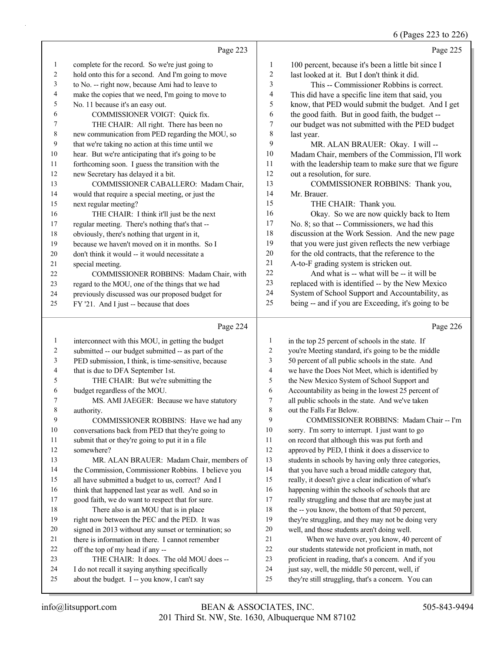6 (Pages 223 to 226)

|                |                                                     |                | 6 (Pages 223 to 226)                                 |
|----------------|-----------------------------------------------------|----------------|------------------------------------------------------|
|                | Page 223                                            |                | Page 225                                             |
| 1              | complete for the record. So we're just going to     | 1              | 100 percent, because it's been a little bit since I  |
| $\overline{c}$ | hold onto this for a second. And I'm going to move  | $\overline{2}$ | last looked at it. But I don't think it did.         |
| 3              | to No. -- right now, because Ami had to leave to    | 3              | This -- Commissioner Robbins is correct.             |
| 4              | make the copies that we need, I'm going to move to  | 4              | This did have a specific line item that said, you    |
| 5              | No. 11 because it's an easy out.                    | 5              | know, that PED would submit the budget. And I get    |
| 6              | COMMISSIONER VOIGT: Quick fix.                      | 6              | the good faith. But in good faith, the budget --     |
| 7              | THE CHAIR: All right. There has been no             | 7              | our budget was not submitted with the PED budget     |
| 8              | new communication from PED regarding the MOU, so    | 8              | last year.                                           |
| 9              | that we're taking no action at this time until we   | 9              | MR. ALAN BRAUER: Okay. I will --                     |
| 10             | hear. But we're anticipating that it's going to be  | 10             | Madam Chair, members of the Commission, I'll work    |
| 11             | forthcoming soon. I guess the transition with the   | 11             | with the leadership team to make sure that we figure |
| 12             | new Secretary has delayed it a bit.                 | 12             | out a resolution, for sure.                          |
| 13             | COMMISSIONER CABALLERO: Madam Chair,                | 13             | COMMISSIONER ROBBINS: Thank you,                     |
| 14             | would that require a special meeting, or just the   | 14             | Mr. Brauer.                                          |
| 15             | next regular meeting?                               | 15             | THE CHAIR: Thank you.                                |
| 16             | THE CHAIR: I think it'll just be the next           | 16             | Okay. So we are now quickly back to Item             |
| 17             | regular meeting. There's nothing that's that --     | 17             | No. 8; so that -- Commissioners, we had this         |
| 18             | obviously, there's nothing that urgent in it,       | 18             | discussion at the Work Session. And the new page     |
| 19             | because we haven't moved on it in months. So I      | 19             | that you were just given reflects the new verbiage   |
| 20             | don't think it would -- it would necessitate a      | 20             | for the old contracts, that the reference to the     |
| 21             | special meeting.                                    | 21             | A-to-F grading system is stricken out.               |
| 22             | COMMISSIONER ROBBINS: Madam Chair, with             | 22             | And what is -- what will be -- it will be            |
| 23             | regard to the MOU, one of the things that we had    | 23             | replaced with is identified -- by the New Mexico     |
| 24             | previously discussed was our proposed budget for    | 24             | System of School Support and Accountability, as      |
| 25             | FY '21. And I just -- because that does             | 25             | being -- and if you are Exceeding, it's going to be  |
|                | Page 224                                            |                | Page 226                                             |
| 1              | interconnect with this MOU, in getting the budget   | 1              | in the top 25 percent of schools in the state. If    |
| 2              | submitted -- our budget submitted -- as part of the | $\mathfrak{2}$ | you're Meeting standard, it's going to be the middle |
| 3              | PED submission, I think, is time-sensitive, because | 3              | 50 percent of all public schools in the state. And   |
| 4              | that is due to DFA September 1st.                   | $\overline{4}$ | we have the Does Not Meet, which is identified by    |

- 5 THE CHAIR: But we're submitting the
- budget regardless of the MOU. 7 MS. AMI JAEGER: Because we have statutory authority.
- 9 COMMISSIONER ROBBINS: Have we had any conversations back from PED that they're going to
- submit that or they're going to put it in a file
- somewhere?
- 13 MR. ALAN BRAUER: Madam Chair, members of the Commission, Commissioner Robbins. I believe you
- all have submitted a budget to us, correct? And I
- 16 think that happened last year as well. And so in
- good faith, we do want to respect that for sure.
- 18 There also is an MOU that is in place right now between the PEC and the PED. It was
- signed in 2013 without any sunset or termination; so
- there is information in there. I cannot remember
- off the top of my head if any --
- 23 THE CHAIR: It does. The old MOU does --
- I do not recall it saying anything specifically
- about the budget. I -- you know, I can't say
- we have the Does Not Meet, which is identified by the New Mexico System of School Support and
- Accountability as being in the lowest 25 percent of all public schools in the state. And we've taken
- out the Falls Far Below.
- 9 COMMISSIONER ROBBINS: Madam Chair -- I'm sorry. I'm sorry to interrupt. I just want to go on record that although this was put forth and
- approved by PED, I think it does a disservice to
- students in schools by having only three categories,
- that you have such a broad middle category that,
- really, it doesn't give a clear indication of what's
- happening within the schools of schools that are
- really struggling and those that are maybe just at
- 18 the -- you know, the bottom of that 50 percent,
- they're struggling, and they may not be doing very well, and those students aren't doing well.
- 21 When we have over, you know, 40 percent of
- our students statewide not proficient in math, not
- proficient in reading, that's a concern. And if you
- just say, well, the middle 50 percent, well, if
- they're still struggling, that's a concern. You can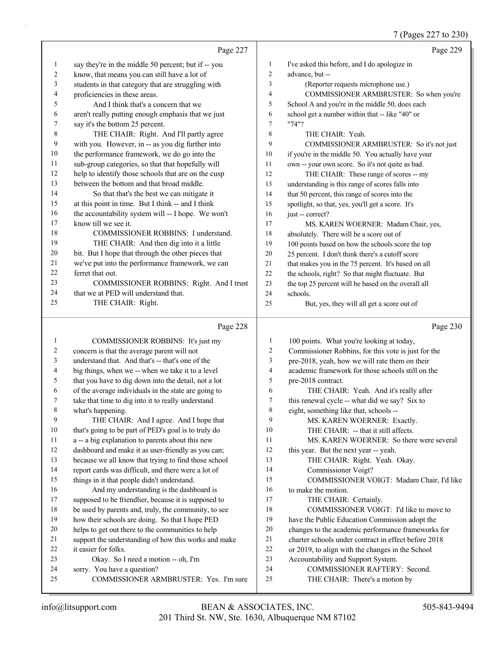7 (Pages 227 to 230)

|              | Page 227                                                                                        |                  | Page 229                                                            |
|--------------|-------------------------------------------------------------------------------------------------|------------------|---------------------------------------------------------------------|
| $\mathbf{1}$ | say they're in the middle 50 percent; but if -- you                                             | $\mathbf{1}$     | I've asked this before, and I do apologize in                       |
| 2            | know, that means you can still have a lot of                                                    | $\boldsymbol{2}$ | advance, but --                                                     |
| 3            | students in that category that are struggling with                                              | 3                | (Reporter requests microphone use.)                                 |
| 4            | proficiencies in these areas.                                                                   | 4                | COMMISSIONER ARMBRUSTER: So when you're                             |
| 5            | And I think that's a concern that we                                                            | 5                | School A and you're in the middle 50, does each                     |
| 6            | aren't really putting enough emphasis that we just                                              | 6                | school get a number within that -- like "40" or                     |
| 7            | say it's the bottom 25 percent.                                                                 | 7                | "74"?                                                               |
| 8            | THE CHAIR: Right. And I'll partly agree                                                         | 8                | THE CHAIR: Yeah.                                                    |
| 9            | with you. However, in -- as you dig further into                                                | 9                | COMMISSIONER ARMBRUSTER: So it's not just                           |
| 10           | the performance framework, we do go into the                                                    | 10               | if you're in the middle 50. You actually have your                  |
| 11           | sub-group categories, so that that hopefully will                                               | 11               | own -- your own score. So it's not quite as bad.                    |
| 12           | help to identify those schools that are on the cusp                                             | 12               | THE CHAIR: These range of scores -- my                              |
| 13           | between the bottom and that broad middle.                                                       | 13               | understanding is this range of scores falls into                    |
| 14           | So that that's the best we can mitigate it                                                      | 14               | that 50 percent, this range of scores into the                      |
| 15           | at this point in time. But I think -- and I think                                               | 15               | spotlight, so that, yes, you'll get a score. It's                   |
| 16           | the accountability system will -- I hope. We won't                                              | 16               | just -- correct?                                                    |
| 17           | know till we see it.                                                                            | 17               | MS. KAREN WOERNER: Madam Chair, yes,                                |
| 18           | COMMISSIONER ROBBINS: I understand.                                                             | 18               | absolutely. There will be a score out of                            |
| 19           | THE CHAIR: And then dig into it a little                                                        | 19               | 100 points based on how the schools score the top                   |
| 20           | bit. But I hope that through the other pieces that                                              | $20\,$           | 25 percent. I don't think there's a cutoff score                    |
| 21           | we've put into the performance framework, we can                                                | 21               | that makes you in the 75 percent. It's based on all                 |
| 22           | ferret that out.                                                                                | 22               | the schools, right? So that might fluctuate. But                    |
| 23           | COMMISSIONER ROBBINS: Right. And I trust                                                        | 23               | the top 25 percent will be based on the overall all                 |
| 24           | that we at PED will understand that.                                                            | 24               | schools.                                                            |
| 25           | THE CHAIR: Right.                                                                               | 25               | But, yes, they will all get a score out of                          |
|              | Page 228                                                                                        |                  | Page 230                                                            |
| 1            | COMMISSIONER ROBBINS: It's just my                                                              | 1                | 100 points. What you're looking at today,                           |
| 2            | concern is that the average parent will not                                                     | 2                | Commissioner Robbins, for this vote is just for the                 |
| 3            | understand that. And that's -- that's one of the                                                | 3                | pre-2018, yeah, how we will rate them on their                      |
| 4            | big things, when we -- when we take it to a level                                               | 4                | academic framework for those schools still on the                   |
| 5            | that you have to dig down into the detail, not a lot                                            | 5                | pre-2018 contract.                                                  |
| 6            | of the average individuals in the state are going to                                            | 6                | THE CHAIR: Yeah. And it's really after                              |
| 7            | take that time to dig into it to really understand                                              | 7                | this renewal cycle -- what did we say? Six to                       |
| 8<br>9       | what's happening.                                                                               | $\,$ $\,$<br>9   | eight, something like that, schools --                              |
| 10           | THE CHAIR: And I agree. And I hope that<br>that's going to be part of PED's goal is to truly do | 10               | MS. KAREN WOERNER: Exactly.<br>THE CHAIR: -- that it still affects. |
| 11           | a -- a big explanation to parents about this new                                                | 11               | MS. KAREN WOERNER: So there were several                            |
| 12           | dashboard and make it as user-friendly as you can;                                              | 12               | this year. But the next year -- yeah.                               |
| 13           | because we all know that trying to find those school                                            | 13               | THE CHAIR: Right. Yeah. Okay.                                       |
| 14           | report cards was difficult, and there were a lot of                                             | 14               | Commissioner Voigt?                                                 |
| 15           | things in it that people didn't understand.                                                     | 15               | COMMISSIONER VOIGT: Madam Chair, I'd like                           |
| 16           | And my understanding is the dashboard is                                                        | 16               | to make the motion.                                                 |
| 17           | supposed to be friendlier, because it is supposed to                                            | 17               | THE CHAIR: Certainly.                                               |
| 18           | be used by parents and, truly, the community, to see                                            | 18               | COMMISSIONER VOIGT: I'd like to move to                             |
| 19           | how their schools are doing. So that I hope PED                                                 | 19               | have the Public Education Commission adopt the                      |
| 20           | helps to get out there to the communities to help                                               | 20               | changes to the academic performance frameworks for                  |
| 21           | support the understanding of how this works and make                                            | 21               | charter schools under contract in effect before 2018                |
| 22           | it easier for folks.                                                                            | 22               | or 2019, to align with the changes in the School                    |
| 23           | Okay. So I need a motion -- oh, I'm                                                             | 23               | Accountability and Support System.                                  |
| 24           | sorry. You have a question?                                                                     | 24               | COMMISSIONER RAFTERY: Second.                                       |
| 25           | COMMISSIONER ARMBRUSTER: Yes. I'm sure                                                          | 25               | THE CHAIR: There's a motion by                                      |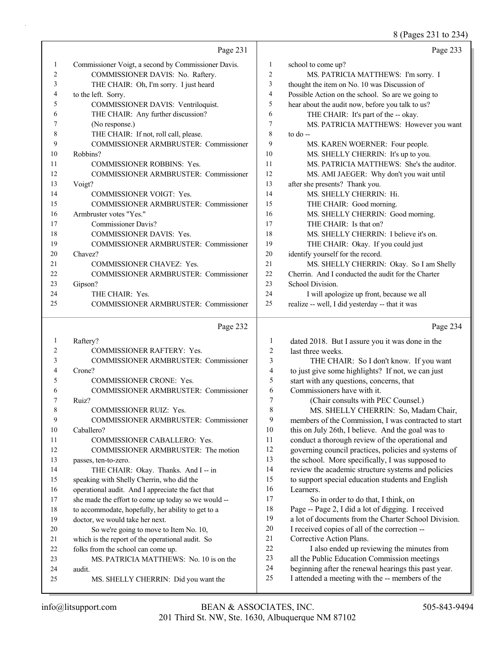8 (Pages 231 to 234)

|              |                                                                               |                | o                                                                                          |
|--------------|-------------------------------------------------------------------------------|----------------|--------------------------------------------------------------------------------------------|
|              | Page 231                                                                      |                | Page 233                                                                                   |
| $\mathbf{1}$ | Commissioner Voigt, a second by Commissioner Davis.                           | $\mathbf{1}$   | school to come up?                                                                         |
| 2            | COMMISSIONER DAVIS: No. Raftery.                                              | $\overline{c}$ | MS. PATRICIA MATTHEWS: I'm sorry. I                                                        |
| 3            | THE CHAIR: Oh, I'm sorry. I just heard                                        | 3              | thought the item on No. 10 was Discussion of                                               |
| 4            | to the left. Sorry.                                                           | 4              | Possible Action on the school. So are we going to                                          |
| 5            | COMMISSIONER DAVIS: Ventriloquist.                                            | 5              | hear about the audit now, before you talk to us?                                           |
| 6            | THE CHAIR: Any further discussion?                                            | 6              | THE CHAIR: It's part of the -- okay.                                                       |
| 7            | (No response.)                                                                | 7              | MS. PATRICIA MATTHEWS: However you want                                                    |
| 8            | THE CHAIR: If not, roll call, please.                                         | 8              | to $d_{0}$ --                                                                              |
| 9            | COMMISSIONER ARMBRUSTER: Commissioner                                         | 9              | MS. KAREN WOERNER: Four people.                                                            |
| 10           | Robbins?                                                                      | 10             | MS. SHELLY CHERRIN: It's up to you.                                                        |
| 11           | <b>COMMISSIONER ROBBINS: Yes.</b>                                             | 11             | MS. PATRICIA MATTHEWS: She's the auditor.                                                  |
| 12           | COMMISSIONER ARMBRUSTER: Commissioner                                         | 12             | MS. AMI JAEGER: Why don't you wait until                                                   |
| 13           | Voigt?                                                                        | 13             | after she presents? Thank you.                                                             |
| 14           | <b>COMMISSIONER VOIGT: Yes.</b>                                               | 14             | MS. SHELLY CHERRIN: Hi.                                                                    |
| 15           | COMMISSIONER ARMBRUSTER: Commissioner                                         | 15             | THE CHAIR: Good morning.                                                                   |
| 16           | Armbruster votes "Yes."                                                       | 16             | MS. SHELLY CHERRIN: Good morning.                                                          |
| 17           | <b>Commissioner Davis?</b>                                                    | 17             | THE CHAIR: Is that on?                                                                     |
| 18           | COMMISSIONER DAVIS: Yes.                                                      | 18             | MS. SHELLY CHERRIN: I believe it's on.                                                     |
| 19           | COMMISSIONER ARMBRUSTER: Commissioner                                         | 19             | THE CHAIR: Okay. If you could just                                                         |
| 20           | Chavez?                                                                       | 20             | identify yourself for the record.                                                          |
| 21           | <b>COMMISSIONER CHAVEZ: Yes.</b>                                              | 21             | MS. SHELLY CHERRIN: Okay. So I am Shelly                                                   |
| 22           | COMMISSIONER ARMBRUSTER: Commissioner                                         | 22             | Cherrin. And I conducted the audit for the Charter                                         |
| 23           | Gipson?                                                                       | 23             | School Division.                                                                           |
| 24           | THE CHAIR: Yes.                                                               | 24             | I will apologize up front, because we all                                                  |
| 25           | COMMISSIONER ARMBRUSTER: Commissioner                                         | 25             | realize -- well, I did yesterday -- that it was                                            |
|              |                                                                               |                |                                                                                            |
|              | Page 232                                                                      |                | Page 234                                                                                   |
| $\mathbf{1}$ | Raftery?                                                                      | 1              | dated 2018. But I assure you it was done in the                                            |
| 2            | COMMISSIONER RAFTERY: Yes.                                                    | $\overline{c}$ | last three weeks.                                                                          |
| 3            | COMMISSIONER ARMBRUSTER: Commissioner                                         | 3              | THE CHAIR: So I don't know. If you want                                                    |
| 4            | Crone?                                                                        | 4              | to just give some highlights? If not, we can just                                          |
| 5            | <b>COMMISSIONER CRONE: Yes.</b>                                               | 5              | start with any questions, concerns, that                                                   |
| 6            | <b>COMMISSIONER ARMBRUSTER: Commissioner</b>                                  | 6              | Commissioners have with it.                                                                |
| 7            | Ruiz?                                                                         | 7              | (Chair consults with PEC Counsel.)                                                         |
| 8            | COMMISSIONER RUIZ: Yes.                                                       | 8              | MS. SHELLY CHERRIN: So, Madam Chair,                                                       |
| 9            | COMMISSIONER ARMBRUSTER: Commissioner                                         | 9              | members of the Commission, I was contracted to start                                       |
| 10           | Caballero?                                                                    | 10             | this on July 26th, I believe. And the goal was to                                          |
| 11           | COMMISSIONER CABALLERO: Yes.                                                  | 11             | conduct a thorough review of the operational and                                           |
| 12           | COMMISSIONER ARMBRUSTER: The motion                                           | 12             | governing council practices, policies and systems of                                       |
| 13           | passes, ten-to-zero.                                                          | 13             | the school. More specifically, I was supposed to                                           |
| 14           | THE CHAIR: Okay. Thanks. And I -- in                                          | 14             | review the academic structure systems and policies                                         |
| 15           | speaking with Shelly Cherrin, who did the                                     | 15             | to support special education students and English                                          |
| 16           | operational audit. And I appreciate the fact that                             | 16             | Learners.                                                                                  |
| 17           | she made the effort to come up today so we would --                           | 17             | So in order to do that, I think, on                                                        |
| 18           | to accommodate, hopefully, her ability to get to a                            | 18             | Page -- Page 2, I did a lot of digging. I received                                         |
| 19           | doctor, we would take her next.                                               | 19             | a lot of documents from the Charter School Division.                                       |
| 20           | So we're going to move to Item No. 10,                                        | 20<br>21       | I received copies of all of the correction --                                              |
| 21<br>22     | which is the report of the operational audit. So                              | 22             | Corrective Action Plans.                                                                   |
| 23           | folks from the school can come up.<br>MS. PATRICIA MATTHEWS: No. 10 is on the | 23             | I also ended up reviewing the minutes from<br>all the Public Education Commission meetings |
| 24           | audit.                                                                        | 24             | beginning after the renewal hearings this past year.                                       |
| 25           | MS. SHELLY CHERRIN: Did you want the                                          | 25             | I attended a meeting with the -- members of the                                            |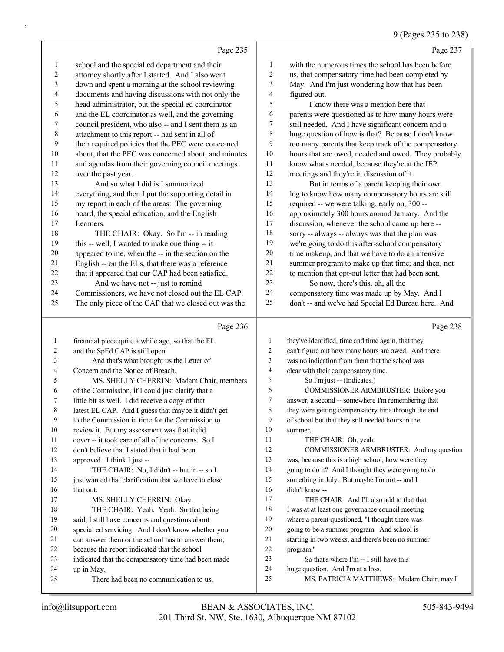#### 9 (Pages 235 to 238)

|                | Page 235                                             |                | Page 237                                             |
|----------------|------------------------------------------------------|----------------|------------------------------------------------------|
| $\mathbf{1}$   | school and the special ed department and their       | $\mathbf{1}$   | with the numerous times the school has been before   |
| $\overline{c}$ | attorney shortly after I started. And I also went    | 2              | us, that compensatory time had been completed by     |
| 3              | down and spent a morning at the school reviewing     | 3              | May. And I'm just wondering how that has been        |
| 4              | documents and having discussions with not only the   | 4              | figured out.                                         |
| 5              | head administrator, but the special ed coordinator   | 5              | I know there was a mention here that                 |
| 6              | and the EL coordinator as well, and the governing    | 6              | parents were questioned as to how many hours were    |
| 7              | council president, who also -- and I sent them as an | 7              | still needed. And I have significant concern and a   |
| $\,$ 8 $\,$    | attachment to this report -- had sent in all of      | 8              | huge question of how is that? Because I don't know   |
| 9              | their required policies that the PEC were concerned  | 9              | too many parents that keep track of the compensatory |
| 10             | about, that the PEC was concerned about, and minutes | 10             | hours that are owed, needed and owed. They probably  |
| 11             | and agendas from their governing council meetings    | 11             | know what's needed, because they're at the IEP       |
| 12             | over the past year.                                  | 12             | meetings and they're in discussion of it.            |
| 13             | And so what I did is I summarized                    | 13             | But in terms of a parent keeping their own           |
| 14             | everything, and then I put the supporting detail in  | 14             | log to know how many compensatory hours are still    |
| 15             | my report in each of the areas: The governing        | 15             | required -- we were talking, early on, 300 --        |
| 16             | board, the special education, and the English        | 16             | approximately 300 hours around January. And the      |
| 17             | Learners.                                            | 17             | discussion, whenever the school came up here --      |
| 18             | THE CHAIR: Okay. So I'm -- in reading                | 18             | sorry -- always -- always was that the plan was      |
| 19             | this -- well, I wanted to make one thing -- it       | 19             | we're going to do this after-school compensatory     |
| 20             | appeared to me, when the -- in the section on the    | 20             | time makeup, and that we have to do an intensive     |
| 21             | English -- on the ELs, that there was a reference    | 21             | summer program to make up that time; and then, not   |
| 22             | that it appeared that our CAP had been satisfied.    | 22             | to mention that opt-out letter that had been sent.   |
| 23             | And we have not -- just to remind                    | 23             | So now, there's this, oh, all the                    |
| 24             | Commissioners, we have not closed out the EL CAP.    | 24             | compensatory time was made up by May. And I          |
| 25             | The only piece of the CAP that we closed out was the | 25             | don't -- and we've had Special Ed Bureau here. And   |
|                | Page 236                                             |                | Page 238                                             |
| $\mathbf{1}$   | financial piece quite a while ago, so that the EL    | $\mathbf{1}$   | they've identified, time and time again, that they   |
| $\overline{c}$ | and the SpEd CAP is still open.                      | $\overline{c}$ | can't figure out how many hours are owed. And there  |
| 3              | And that's what brought us the Letter of             | 3              | was no indication from them that the school was      |
| 4              | Concern and the Notice of Breach.                    | $\overline{4}$ | clear with their compensatory time.                  |
| 5              | MS. SHELLY CHERRIN: Madam Chair, members             | 5              | So I'm just -- (Indicates.)                          |
| 6              | of the Commission, if I could just clarify that a    | 6              | COMMISSIONER ARMBRUSTER: Before you                  |
| 7              | little bit as well. I did receive a copy of that     | 7              | answer, a second -- somewhere I'm remembering that   |
| 8              | latest EL CAP. And I guess that maybe it didn't get  | 8              | they were getting compensatory time through the end  |
| 9              | to the Commission in time for the Commission to      | 9              | of school but that they still needed hours in the    |
| 10             | review it. But my assessment was that it did         | 10             | summer.                                              |
| 11             | cover -- it took care of all of the concerns. So I   | 11             | THE CHAIR: Oh, yeah.                                 |
| 12             | don't believe that I stated that it had been         | 12             | COMMISSIONER ARMBRUSTER: And my question             |
| 13             | approved. I think I just --                          | 13             | was, because this is a high school, how were they    |
| 14             | THE CHAIR: No, I didn't -- but in -- so I            | 14             | going to do it? And I thought they were going to do  |
| 15             | just wanted that clarification that we have to close | 15             | something in July. But maybe I'm not -- and I        |
| 16             | that out.                                            | $16\,$         | didn't know --                                       |

- that out. 17 MS. SHELLY CHERRIN: Okay.
- 18 THE CHAIR: Yeah. Yeah. So that being said, I still have concerns and questions about special ed servicing. And I don't know whether you can answer them or the school has to answer them; because the report indicated that the school
- indicated that the compensatory time had been made
- up in May.
- 25 There had been no communication to us,
- 201 Third St. NW, Ste. 1630, Albuquerque NM 87102 info@litsupport.com BEAN & ASSOCIATES, INC. 505-843-9494

program."

17 THE CHAIR: And I'll also add to that that I was at at least one governance council meeting where a parent questioned, "I thought there was going to be a summer program. And school is starting in two weeks, and there's been no summer

23 So that's where I'm -- I still have this

25 MS. PATRICIA MATTHEWS: Madam Chair, may I

huge question. And I'm at a loss.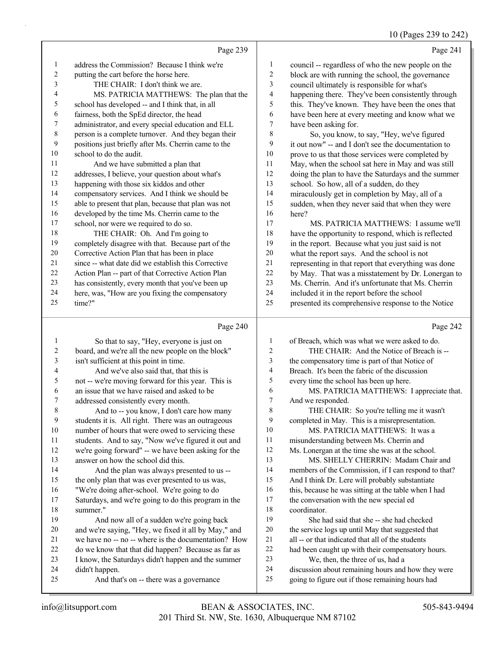10 (Pages 239 to 242)

|    |                                                      |    | $10 \text{ (}1 \text{ u}$ gos 200 to 212             |
|----|------------------------------------------------------|----|------------------------------------------------------|
|    | Page 239                                             |    | Page 241                                             |
| 1  | address the Commission? Because I think we're        | 1  | council -- regardless of who the new people on the   |
| 2  | putting the cart before the horse here.              | 2  | block are with running the school, the governance    |
| 3  | THE CHAIR: I don't think we are.                     | 3  | council ultimately is responsible for what's         |
| 4  | MS. PATRICIA MATTHEWS: The plan that the             | 4  | happening there. They've been consistently through   |
| 5  | school has developed -- and I think that, in all     | 5  | this. They've known. They have been the ones that    |
| 6  | fairness, both the SpEd director, the head           | 6  | have been here at every meeting and know what we     |
| 7  | administrator, and every special education and ELL   | 7  | have been asking for.                                |
| 8  | person is a complete turnover. And they began their  | 8  | So, you know, to say, "Hey, we've figured            |
| 9  | positions just briefly after Ms. Cherrin came to the | 9  | it out now" -- and I don't see the documentation to  |
| 10 | school to do the audit.                              | 10 | prove to us that those services were completed by    |
| 11 | And we have submitted a plan that                    | 11 | May, when the school sat here in May and was still   |
| 12 | addresses, I believe, your question about what's     | 12 | doing the plan to have the Saturdays and the summer  |
| 13 | happening with those six kiddos and other            | 13 | school. So how, all of a sudden, do they             |
| 14 | compensatory services. And I think we should be      | 14 | miraculously get in completion by May, all of a      |
| 15 | able to present that plan, because that plan was not | 15 | sudden, when they never said that when they were     |
| 16 | developed by the time Ms. Cherrin came to the        | 16 | here?                                                |
| 17 | school, nor were we required to do so.               | 17 | MS. PATRICIA MATTHEWS: I assume we'll                |
| 18 | THE CHAIR: Oh. And I'm going to                      | 18 | have the opportunity to respond, which is reflected  |
| 19 | completely disagree with that. Because part of the   | 19 | in the report. Because what you just said is not     |
| 20 | Corrective Action Plan that has been in place        | 20 | what the report says. And the school is not          |
| 21 | since -- what date did we establish this Corrective  | 21 | representing in that report that everything was done |
| 22 | Action Plan -- part of that Corrective Action Plan   | 22 | by May. That was a misstatement by Dr. Lonergan to   |
| 23 | has consistently, every month that you've been up    | 23 | Ms. Cherrin. And it's unfortunate that Ms. Cherrin   |
| 24 | here, was, "How are you fixing the compensatory      | 24 | included it in the report before the school          |
| 25 | time?"                                               | 25 | presented its comprehensive response to the Notice   |
|    | Page 240                                             |    | Page 242                                             |
|    | HTT<br>$\alpha$ $\alpha$                             |    | $2D - 1 - 1$                                         |

|    | So that to say, "Hey, everyone is just on            | 1              | of Breach, which was what we were asked to do.       |
|----|------------------------------------------------------|----------------|------------------------------------------------------|
| 2  | board, and we're all the new people on the block"    | $\overline{2}$ | THE CHAIR: And the Notice of Breach is --            |
| 3  | isn't sufficient at this point in time.              | 3              | the compensatory time is part of that Notice of      |
| 4  | And we've also said that, that this is               | 4              | Breach. It's been the fabric of the discussion       |
| 5  | not -- we're moving forward for this year. This is   | 5              | every time the school has been up here.              |
| 6  | an issue that we have raised and asked to be         | 6              | MS. PATRICIA MATTHEWS: I appreciate that.            |
| 7  | addressed consistently every month.                  | 7              | And we responded.                                    |
| 8  | And to -- you know, I don't care how many            | 8              | THE CHAIR: So you're telling me it wasn't            |
| 9  | students it is. All right. There was an outrageous   | 9              | completed in May. This is a misrepresentation.       |
| 10 | number of hours that were owed to servicing these    | 10             | MS. PATRICIA MATTHEWS: It was a                      |
| 11 | students. And to say, "Now we've figured it out and  | 11             | misunderstanding between Ms. Cherrin and             |
| 12 | we're going forward" -- we have been asking for the  | 12             | Ms. Lonergan at the time she was at the school.      |
| 13 | answer on how the school did this.                   | 13             | MS. SHELLY CHERRIN: Madam Chair and                  |
| 14 | And the plan was always presented to us --           | 14             | members of the Commission, if I can respond to that? |
| 15 | the only plan that was ever presented to us was,     | 15             | And I think Dr. Lere will probably substantiate      |
| 16 | "We're doing after-school. We're going to do         | 16             | this, because he was sitting at the table when I had |
| 17 | Saturdays, and we're going to do this program in the | 17             | the conversation with the new special ed             |
| 18 | summer."                                             | 18             | coordinator.                                         |
| 19 | And now all of a sudden we're going back             | 19             | She had said that she -- she had checked             |
| 20 | and we're saying, "Hey, we fixed it all by May," and | 20             | the service logs up until May that suggested that    |
| 21 | we have no -- no -- where is the documentation? How  | 21             | all -- or that indicated that all of the students    |
| 22 | do we know that that did happen? Because as far as   | 22             | had been caught up with their compensatory hours.    |
| 23 | I know, the Saturdays didn't happen and the summer   | 23             | We, then, the three of us, had a                     |
| 24 | didn't happen.                                       | 24             | discussion about remaining hours and how they were   |
| 25 | And that's on -- there was a governance              | 25             | going to figure out if those remaining hours had     |
|    |                                                      |                |                                                      |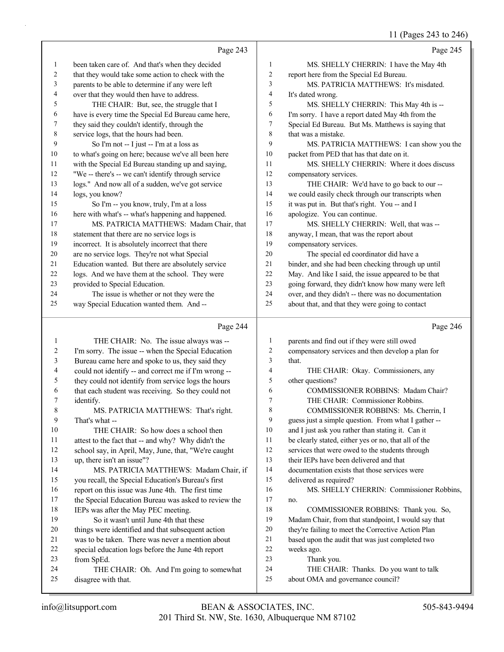11 (Pages 243 to 246)

|                          |                                                      |                | 11 (Fages $243$ to $240$ )                          |
|--------------------------|------------------------------------------------------|----------------|-----------------------------------------------------|
|                          | Page 243                                             |                | Page 245                                            |
| 1                        | been taken care of. And that's when they decided     | 1              | MS. SHELLY CHERRIN: I have the May 4th              |
| 2                        | that they would take some action to check with the   | $\overline{2}$ | report here from the Special Ed Bureau.             |
| 3                        | parents to be able to determine if any were left     | 3              | MS. PATRICIA MATTHEWS: It's misdated.               |
| 4                        | over that they would then have to address.           | $\overline{4}$ | It's dated wrong.                                   |
| 5                        | THE CHAIR: But, see, the struggle that I             | 5              | MS. SHELLY CHERRIN: This May 4th is --              |
| 6                        | have is every time the Special Ed Bureau came here,  | 6              | I'm sorry. I have a report dated May 4th from the   |
| 7                        | they said they couldn't identify, through the        | 7              | Special Ed Bureau. But Ms. Matthews is saying that  |
| 8                        | service logs, that the hours had been.               | 8              | that was a mistake.                                 |
| 9                        | So I'm not -- I just -- I'm at a loss as             | 9              | MS. PATRICIA MATTHEWS: I can show you the           |
| 10                       | to what's going on here; because we've all been here | 10             | packet from PED that has that date on it.           |
| 11                       | with the Special Ed Bureau standing up and saying,   | 11             | MS. SHELLY CHERRIN: Where it does discuss           |
| 12                       | "We -- there's -- we can't identify through service  | 12             | compensatory services.                              |
| 13                       | logs." And now all of a sudden, we've got service    | 13             | THE CHAIR: We'd have to go back to our --           |
| 14                       | logs, you know?                                      | 14             | we could easily check through our transcripts when  |
| 15                       | So I'm -- you know, truly, I'm at a loss             | 15             | it was put in. But that's right. You -- and I       |
| 16                       | here with what's -- what's happening and happened.   | 16             | apologize. You can continue.                        |
| 17                       | MS. PATRICIA MATTHEWS: Madam Chair, that             | 17             | MS. SHELLY CHERRIN: Well, that was --               |
| 18                       | statement that there are no service logs is          | 18             | anyway, I mean, that was the report about           |
| 19                       | incorrect. It is absolutely incorrect that there     | 19             | compensatory services.                              |
| 20                       | are no service logs. They're not what Special        | 20             | The special ed coordinator did have a               |
| 21                       | Education wanted. But there are absolutely service   | 21             | binder, and she had been checking through up until  |
| 22                       | logs. And we have them at the school. They were      | 22             | May. And like I said, the issue appeared to be that |
| 23                       | provided to Special Education.                       | 23             | going forward, they didn't know how many were left  |
| 24                       | The issue is whether or not they were the            | 24             | over, and they didn't -- there was no documentation |
| 25                       | way Special Education wanted them. And --            | 25             | about that, and that they were going to contact     |
|                          | Page 244                                             |                | Page 246                                            |
| $\mathbf{1}$             | THE CHAIR: No. The issue always was --               | $\mathbf{1}$   | parents and find out if they were still owed        |
| 2                        | I'm sorry. The issue -- when the Special Education   | $\mathbf{2}$   | compensatory services and then develop a plan for   |
| 3                        | Bureau came here and spoke to us, they said they     | 3              | that.                                               |
| $\overline{\mathcal{A}}$ | could not identify -- and correct me if I'm wrong -- | 4              | THE CHAIR: Okay. Commissioners, any                 |
| 5                        | they could not identify from service logs the hours  | 5              | other questions?                                    |
| 6                        | that each student was receiving. So they could not   | 6              | COMMISSIONER ROBBINS: Madam Chair?                  |

- identify. 8 MS. PATRICIA MATTHEWS: That's right.
- That's what --
- 10 THE CHAIR: So how does a school then
- attest to the fact that -- and why? Why didn't the
- school say, in April, May, June, that, "We're caught up, there isn't an issue"?
- 14 MS. PATRICIA MATTHEWS: Madam Chair, if
- you recall, the Special Education's Bureau's first
- report on this issue was June 4th. The first time
- the Special Education Bureau was asked to review the IEPs was after the May PEC meeting.
- 19 So it wasn't until June 4th that these
- things were identified and that subsequent action
- was to be taken. There was never a mention about
- special education logs before the June 4th report
- from SpEd. 24 THE CHAIR: Oh. And I'm going to somewhat disagree with that.
- 8 COMMISSIONER ROBBINS: Ms. Cherrin, I guess just a simple question. From what I gather --
- and I just ask you rather than stating it. Can it
- be clearly stated, either yes or no, that all of the

7 THE CHAIR: Commissioner Robbins.

- services that were owed to the students through
- their IEPs have been delivered and that
- documentation exists that those services were
- delivered as required?

16 MS. SHELLY CHERRIN: Commissioner Robbins, no.

- 18 COMMISSIONER ROBBINS: Thank you. So,
- Madam Chair, from that standpoint, I would say that
- they're failing to meet the Corrective Action Plan
- based upon the audit that was just completed two
- weeks ago.
- 23 Thank you.
- 24 THE CHAIR: Thanks. Do you want to talk
- about OMA and governance council?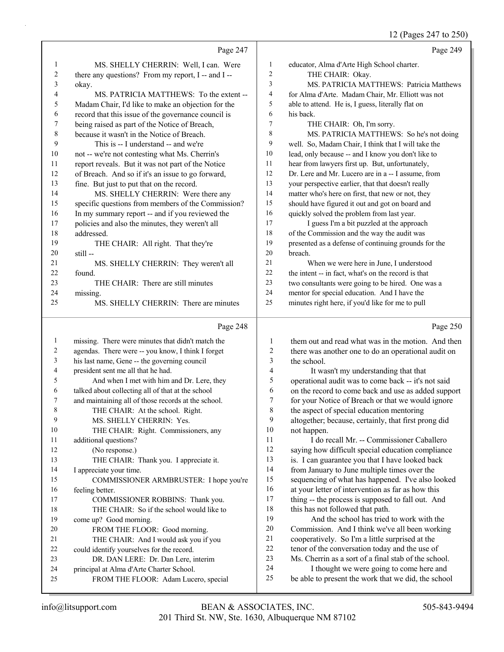#### 12 (Pages 247 to 250)

|          |                                                                                 |                  | $12$ (Pages 24 / to 250                                                                          |
|----------|---------------------------------------------------------------------------------|------------------|--------------------------------------------------------------------------------------------------|
|          | Page 247                                                                        |                  | Page 249                                                                                         |
| 1        | MS. SHELLY CHERRIN: Well, I can. Were                                           | 1                | educator, Alma d'Arte High School charter.                                                       |
| 2        | there any questions? From my report, I -- and I --                              | $\boldsymbol{2}$ | THE CHAIR: Okay.                                                                                 |
| 3        | okay.                                                                           | 3                | MS. PATRICIA MATTHEWS: Patricia Matthews                                                         |
| 4        | MS. PATRICIA MATTHEWS: To the extent --                                         | 4                | for Alma d'Arte. Madam Chair, Mr. Elliott was not                                                |
| 5        | Madam Chair, I'd like to make an objection for the                              | 5                | able to attend. He is, I guess, literally flat on                                                |
| 6        | record that this issue of the governance council is                             | 6                | his back.                                                                                        |
| 7        | being raised as part of the Notice of Breach,                                   | 7                | THE CHAIR: Oh, I'm sorry.                                                                        |
| 8        | because it wasn't in the Notice of Breach.                                      | 8                | MS. PATRICIA MATTHEWS: So he's not doing                                                         |
| 9        | This is -- I understand -- and we're                                            | 9                | well. So, Madam Chair, I think that I will take the                                              |
| 10       | not -- we're not contesting what Ms. Cherrin's                                  | 10               | lead, only because -- and I know you don't like to                                               |
| 11       | report reveals. But it was not part of the Notice                               | 11               | hear from lawyers first up. But, unfortunately,                                                  |
| 12       | of Breach. And so if it's an issue to go forward,                               | 12               | Dr. Lere and Mr. Lucero are in a -- I assume, from                                               |
| 13       | fine. But just to put that on the record.                                       | 13               | your perspective earlier, that that doesn't really                                               |
| 14       | MS. SHELLY CHERRIN: Were there any                                              | 14               | matter who's here on first, that new or not, they                                                |
| 15       | specific questions from members of the Commission?                              | 15               | should have figured it out and got on board and                                                  |
| 16       | In my summary report -- and if you reviewed the                                 | 16               | quickly solved the problem from last year.                                                       |
| 17       | policies and also the minutes, they weren't all                                 | 17               | I guess I'm a bit puzzled at the approach                                                        |
| 18       | addressed.                                                                      | 18               | of the Commission and the way the audit was                                                      |
| 19       | THE CHAIR: All right. That they're                                              | 19               | presented as a defense of continuing grounds for the                                             |
| 20       | still-                                                                          | 20               | breach.                                                                                          |
| 21       | MS. SHELLY CHERRIN: They weren't all                                            | 21               | When we were here in June, I understood                                                          |
| 22       | found.                                                                          | 22               | the intent -- in fact, what's on the record is that                                              |
| 23       | THE CHAIR: There are still minutes                                              | 23               | two consultants were going to be hired. One was a                                                |
| 24       | missing.                                                                        | 24               | mentor for special education. And I have the                                                     |
| 25       | MS. SHELLY CHERRIN: There are minutes                                           | 25               | minutes right here, if you'd like for me to pull                                                 |
|          | Page 248                                                                        |                  | Page 250                                                                                         |
| 1        | missing. There were minutes that didn't match the                               | 1                | them out and read what was in the motion. And then                                               |
| 2        | agendas. There were -- you know, I think I forget                               | 2                | there was another one to do an operational audit on                                              |
| 3        | his last name, Gene -- the governing council                                    | $\mathfrak{Z}$   | the school.                                                                                      |
| 4        | president sent me all that he had.                                              | $\overline{4}$   | It wasn't my understanding that that                                                             |
| 5        | And when I met with him and Dr. Lere, they                                      | 5                | operational audit was to come back -- it's not said                                              |
| 6        | talked about collecting all of that at the school                               | 6                | on the record to come back and use as added support                                              |
| 7        | and maintaining all of those records at the school.                             | 7                | for your Notice of Breach or that we would ignore                                                |
| 8        | THE CHAIR: At the school. Right.                                                | 8                | the aspect of special education mentoring                                                        |
| 9        | MS. SHELLY CHERRIN: Yes.                                                        | 9                | altogether; because, certainly, that first prong did                                             |
| 10       | THE CHAIR: Right. Commissioners, any                                            | $10\,$           | not happen.                                                                                      |
| 11       | additional questions?                                                           | 11               | I do recall Mr. -- Commissioner Caballero                                                        |
| 12       | (No response.)                                                                  | 12               | saying how difficult special education compliance                                                |
| 13       | THE CHAIR: Thank you. I appreciate it.                                          | 13               | is. I can guarantee you that I have looked back                                                  |
| 14       | I appreciate your time.                                                         | 14               | from January to June multiple times over the                                                     |
| 15       | COMMISSIONER ARMBRUSTER: I hope you're                                          | 15               | sequencing of what has happened. I've also looked                                                |
| 16       | feeling better.                                                                 | 16               | at your letter of intervention as far as how this                                                |
| 17       | COMMISSIONER ROBBINS: Thank you.                                                | 17               | thing -- the process is supposed to fall out. And                                                |
| 18       | THE CHAIR: So if the school would like to                                       | 18               | this has not followed that path.                                                                 |
| 19       | come up? Good morning.                                                          | 19               | And the school has tried to work with the                                                        |
| 20       | FROM THE FLOOR: Good morning.                                                   | $20\,$           | Commission. And I think we've all been working                                                   |
|          |                                                                                 |                  |                                                                                                  |
| 21       | THE CHAIR: And I would ask you if you                                           | $21\,$           | cooperatively. So I'm a little surprised at the                                                  |
| 22       | could identify yourselves for the record.                                       | 22               | tenor of the conversation today and the use of                                                   |
| 23<br>24 | DR. DAN LERE: Dr. Dan Lere, interim<br>principal at Alma d'Arte Charter School. | 23<br>24         | Ms. Cherrin as a sort of a final stab of the school.<br>I thought we were going to come here and |

24 I thought we were going to come here and<br>25 be able to present the work that we did, the school be able to present the work that we did, the school

25 FROM THE FLOOR: Adam Lucero, special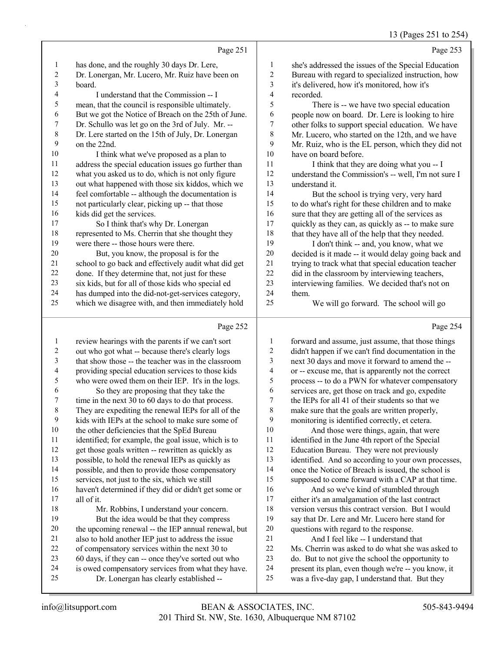13 (Pages 251 to 254)

| Page 253                                                  | Page 251                                             |                 |
|-----------------------------------------------------------|------------------------------------------------------|-----------------|
| 1<br>she's addressed the issues of the Special Education  | has done, and the roughly 30 days Dr. Lere,          | -1              |
| Bureau with regard to specialized instruction, how<br>2   | Dr. Lonergan, Mr. Lucero, Mr. Ruiz have been on      | 2               |
| 3<br>it's delivered, how it's monitored, how it's         | board.                                               | 3               |
| 4<br>recorded.                                            | I understand that the Commission -- I                | 4               |
| 5<br>There is -- we have two special education            | mean, that the council is responsible ultimately.    | 5               |
| people now on board. Dr. Lere is looking to hire<br>6     | But we got the Notice of Breach on the 25th of June. | 6               |
| 7<br>other folks to support special education. We have    | Dr. Schullo was let go on the 3rd of July. Mr. --    | 7               |
| 8<br>Mr. Lucero, who started on the 12th, and we have     | Dr. Lere started on the 15th of July, Dr. Lonergan   | $8\phantom{.0}$ |
| 9<br>Mr. Ruiz, who is the EL person, which they did not   | on the 22nd.                                         | 9               |
| 10<br>have on board before.                               | I think what we've proposed as a plan to             | 10              |
| 11<br>I think that they are doing what you -- I           | address the special education issues go further than | 11              |
| 12<br>understand the Commission's -- well, I'm not sure I | what you asked us to do, which is not only figure    | 12              |
| 13<br>understand it.                                      | out what happened with those six kiddos, which we    | 13              |
| 14<br>But the school is trying very, very hard            | feel comfortable -- although the documentation is    | 14              |
| 15<br>to do what's right for these children and to make   | not particularly clear, picking up -- that those     | 15              |
| 16<br>sure that they are getting all of the services as   | kids did get the services.                           | 16              |
| 17<br>quickly as they can, as quickly as -- to make sure  | So I think that's why Dr. Lonergan                   | 17              |
| 18<br>that they have all of the help that they needed.    | represented to Ms. Cherrin that she thought they     | 18              |
| 19<br>I don't think -- and, you know, what we             | were there -- those hours were there.                | 19              |
| 20<br>decided is it made -- it would delay going back and | But, you know, the proposal is for the               | 20              |
| 21<br>trying to track what that special education teacher | school to go back and effectively audit what did get | 21              |
| 22<br>did in the classroom by interviewing teachers,      | done. If they determine that, not just for these     | 22              |
| 23<br>interviewing families. We decided that's not on     | six kids, but for all of those kids who special ed   | 23              |
| 24<br>them.                                               | has dumped into the did-not-get-services category,   | 24              |
| 25<br>We will go forward. The school will go              | which we disagree with, and then immediately hold    | 25              |
| Page 254                                                  | Page 252                                             |                 |

#### Page 252

|    | $1$ agu $2J2$                                        |    | $1$ agu $2J7$                                       |
|----|------------------------------------------------------|----|-----------------------------------------------------|
|    | review hearings with the parents if we can't sort    | 1  | forward and assume, just assume, that those things  |
| 2  | out who got what -- because there's clearly logs     | 2  | didn't happen if we can't find documentation in the |
| 3  | that show those -- the teacher was in the classroom  | 3  | next 30 days and move it forward to amend the --    |
| 4  | providing special education services to those kids   | 4  | or -- excuse me, that is apparently not the correct |
| 5  | who were owed them on their IEP. It's in the logs.   | 5  | process -- to do a PWN for whatever compensatory    |
| 6  | So they are proposing that they take the             | 6  | services are, get those on track and go, expedite   |
| 7  | time in the next 30 to 60 days to do that process.   | 7  | the IEPs for all 41 of their students so that we    |
| 8  | They are expediting the renewal IEPs for all of the  | 8  | make sure that the goals are written properly,      |
| 9  | kids with IEPs at the school to make sure some of    | 9  | monitoring is identified correctly, et cetera.      |
| 10 | the other deficiencies that the SpEd Bureau          | 10 | And those were things, again, that were             |
| 11 | identified; for example, the goal issue, which is to | 11 | identified in the June 4th report of the Special    |
| 12 | get those goals written -- rewritten as quickly as   | 12 | Education Bureau. They were not previously          |
| 13 | possible, to hold the renewal IEPs as quickly as     | 13 | identified. And so according to your own processes, |
| 14 | possible, and then to provide those compensatory     | 14 | once the Notice of Breach is issued, the school is  |
| 15 | services, not just to the six, which we still        | 15 | supposed to come forward with a CAP at that time.   |
| 16 | haven't determined if they did or didn't get some or | 16 | And so we've kind of stumbled through               |
| 17 | all of it.                                           | 17 | either it's an amalgamation of the last contract    |
| 18 | Mr. Robbins, I understand your concern.              | 18 | version versus this contract version. But I would   |
| 19 | But the idea would be that they compress             | 19 | say that Dr. Lere and Mr. Lucero here stand for     |
| 20 | the upcoming renewal -- the IEP annual renewal, but  | 20 | questions with regard to the response.              |
| 21 | also to hold another IEP just to address the issue   | 21 | And I feel like -- I understand that                |
| 22 | of compensatory services within the next 30 to       | 22 | Ms. Cherrin was asked to do what she was asked to   |
| 23 | 60 days, if they can -- once they've sorted out who  | 23 | do. But to not give the school the opportunity to   |
| 24 | is owed compensatory services from what they have.   | 24 | present its plan, even though we're -- you know, it |
| 25 | Dr. Lonergan has clearly established --              | 25 | was a five-day gap, I understand that. But they     |
|    |                                                      |    |                                                     |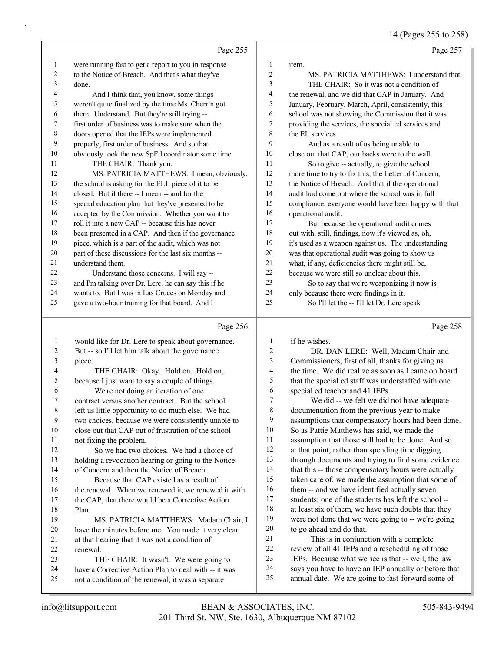14 (Pages 255 to 258)

|                |                                                      |                          | 14 (Pages 255 to 258)                                |
|----------------|------------------------------------------------------|--------------------------|------------------------------------------------------|
|                | Page 255                                             |                          | Page 257                                             |
| $\mathbf{1}$   | were running fast to get a report to you in response | $\mathbf{1}$             | item.                                                |
| $\sqrt{2}$     | to the Notice of Breach. And that's what they've     | $\overline{2}$           | MS. PATRICIA MATTHEWS: I understand that.            |
| 3              | done.                                                | $\mathfrak{Z}$           | THE CHAIR: So it was not a condition of              |
| $\overline{4}$ | And I think that, you know, some things              | $\overline{\mathcal{L}}$ | the renewal, and we did that CAP in January. And     |
| 5              | weren't quite finalized by the time Ms. Cherrin got  | 5                        | January, February, March, April, consistently, this  |
| 6              | there. Understand. But they're still trying --       | 6                        | school was not showing the Commission that it was    |
| $\tau$         | first order of business was to make sure when the    | $\boldsymbol{7}$         | providing the services, the special ed services and  |
| $\,$ 8 $\,$    | doors opened that the IEPs were implemented          | 8                        | the EL services.                                     |
| 9              | properly, first order of business. And so that       | 9                        | And as a result of us being unable to                |
| 10             | obviously took the new SpEd coordinator some time.   | 10                       | close out that CAP, our backs were to the wall.      |
| 11             | THE CHAIR: Thank you.                                | 11                       | So to give -- actually, to give the school           |
| 12             | MS. PATRICIA MATTHEWS: I mean, obviously,            | 12                       | more time to try to fix this, the Letter of Concern, |
| 13             | the school is asking for the ELL piece of it to be   | 13                       | the Notice of Breach. And that if the operational    |
| 14             | closed. But if there -- I mean -- and for the        | 14                       | audit had come out where the school was in full      |
| 15             | special education plan that they've presented to be  | 15                       | compliance, everyone would have been happy with that |
| 16             | accepted by the Commission. Whether you want to      | 16                       | operational audit.                                   |
| 17             | roll it into a new CAP -- because this has never     | 17                       | But because the operational audit comes              |
| 18             | been presented in a CAP. And then if the governance  | 18                       | out with, still, findings, now it's viewed as, oh,   |
| 19             | piece, which is a part of the audit, which was not   | 19                       | it's used as a weapon against us. The understanding  |
| 20             | part of these discussions for the last six months -- | 20                       | was that operational audit was going to show us      |
| 21             | understand them.                                     | 21                       | what, if any, deficiencies there might still be,     |
| 22             | Understand those concerns. I will say --             | 22                       | because we were still so unclear about this.         |
| 23             | and I'm talking over Dr. Lere; he can say this if he | 23                       | So to say that we're weaponizing it now is           |
| 24             | wants to. But I was in Las Cruces on Monday and      | 24                       | only because there were findings in it.              |
| 25             | gave a two-hour training for that board. And I       | 25                       | So I'll let the -- I'll let Dr. Lere speak           |
|                | Page 256                                             |                          | Page 258                                             |
| $\mathbf{1}$   | would like for Dr. Lere to speak about governance.   | 1                        | if he wishes.                                        |
| $\overline{c}$ | But -- so I'll let him talk about the governance     | $\overline{2}$           | DR. DAN LERE: Well, Madam Chair and                  |
| $\mathfrak{Z}$ | piece.                                               | $\overline{3}$           | Commissioners, first of all, thanks for giving us    |
| 4              | THE CHAIR: Okay. Hold on. Hold on,                   | $\overline{4}$           | the time. We did realize as soon as I came on board  |
| 5              | because I just want to say a couple of things.       | 5                        | that the special ed staff was understaffed with one  |
| 6              | We're not doing an iteration of one                  | 6                        | special ed teacher and 41 IEPs.                      |
| 7              | contract versus another contract. But the school     | $\boldsymbol{7}$         | We did -- we felt we did not have adequate           |
| 8              | left us little opportunity to do much else. We had   | 8                        | documentation from the previous year to make         |

|    | would like for Dr. Lere to speak about governance.   |                | if he wishes.                                        |
|----|------------------------------------------------------|----------------|------------------------------------------------------|
| 2  | But -- so I'll let him talk about the governance     | 2              | DR. DAN LERE: Well, Madam Chair and                  |
| 3  | piece.                                               | 3              | Commissioners, first of all, thanks for giving us    |
| 4  | THE CHAIR: Okay. Hold on. Hold on,                   | $\overline{4}$ | the time. We did realize as soon as I came on board  |
| 5  | because I just want to say a couple of things.       | 5              | that the special ed staff was understaffed with one  |
| 6  | We're not doing an iteration of one                  | 6              | special ed teacher and 41 IEPs.                      |
| 7  | contract versus another contract. But the school     | $\tau$         | We did -- we felt we did not have adequate           |
| 8  | left us little opportunity to do much else. We had   | 8              | documentation from the previous year to make         |
| 9  | two choices, because we were consistently unable to  | 9              | assumptions that compensatory hours had been done.   |
| 10 | close out that CAP out of frustration of the school  | 10             | So as Pattie Matthews has said, we made the          |
| 11 | not fixing the problem.                              | 11             | assumption that those still had to be done. And so   |
| 12 | So we had two choices. We had a choice of            | 12             | at that point, rather than spending time digging     |
| 13 | holding a revocation hearing or going to the Notice  | 13             | through documents and trying to find some evidence   |
| 14 | of Concern and then the Notice of Breach.            | 14             | that this -- those compensatory hours were actually  |
| 15 | Because that CAP existed as a result of              | 15             | taken care of, we made the assumption that some of   |
| 16 | the renewal. When we renewed it, we renewed it with  | 16             | them -- and we have identified actually seven        |
| 17 | the CAP, that there would be a Corrective Action     | 17             | students; one of the students has left the school -- |
| 18 | Plan.                                                | 18             | at least six of them, we have such doubts that they  |
| 19 | MS. PATRICIA MATTHEWS: Madam Chair, I                | 19             | were not done that we were going to -- we're going   |
| 20 | have the minutes before me. You made it very clear   | 20             | to go ahead and do that.                             |
| 21 | at that hearing that it was not a condition of       | 21             | This is in conjunction with a complete               |
| 22 | renewal.                                             | 22             | review of all 41 IEPs and a rescheduling of those    |
| 23 | THE CHAIR: It wasn't. We were going to               | 23             | IEPs. Because what we see is that -- well, the law   |
| 24 | have a Corrective Action Plan to deal with -- it was | 24             | says you have to have an IEP annually or before that |
| 25 | not a condition of the renewal; it was a separate    | 25             | annual date. We are going to fast-forward some of    |
|    |                                                      |                |                                                      |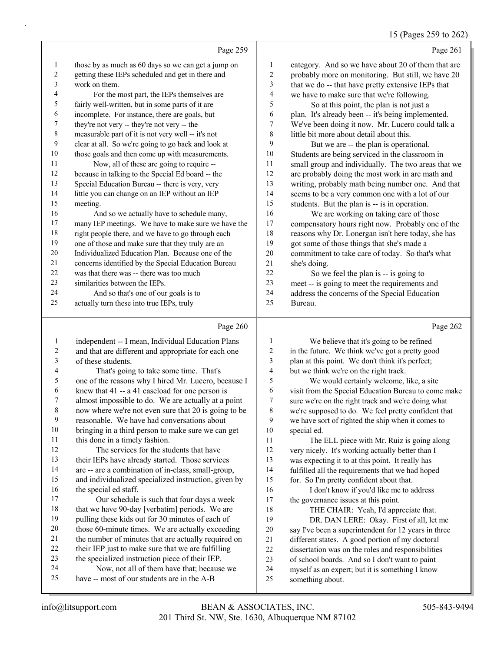15 (Pages 259 to 262)

|              | Page 259                                            |                | Page 261                                            |
|--------------|-----------------------------------------------------|----------------|-----------------------------------------------------|
| $\mathbf{1}$ | those by as much as 60 days so we can get a jump on | 1              | category. And so we have about 20 of them that are  |
| 2            | getting these IEPs scheduled and get in there and   | 2              | probably more on monitoring. But still, we have 20  |
| 3            | work on them.                                       | 3              | that we do -- that have pretty extensive IEPs that  |
| 4            | For the most part, the IEPs themselves are          | $\overline{4}$ | we have to make sure that we're following.          |
| 5            | fairly well-written, but in some parts of it are    | 5              | So at this point, the plan is not just a            |
| 6            | incomplete. For instance, there are goals, but      | 6              | plan. It's already been -- it's being implemented.  |
| $\tau$       | they're not very -- they're not very -- the         | 7              | We've been doing it now. Mr. Lucero could talk a    |
| $\,8\,$      | measurable part of it is not very well -- it's not  | 8              | little bit more about detail about this.            |
| 9            | clear at all. So we're going to go back and look at | 9              | But we are -- the plan is operational.              |
| 10           | those goals and then come up with measurements.     | 10             | Students are being serviced in the classroom in     |
| 11           | Now, all of these are going to require --           | 11             | small group and individually. The two areas that we |
| 12           | because in talking to the Special Ed board -- the   | 12             | are probably doing the most work in are math and    |
| 13           | Special Education Bureau -- there is very, very     | 13             | writing, probably math being number one. And that   |
| 14           | little you can change on an IEP without an IEP      | 14             | seems to be a very common one with a lot of our     |
| 15           | meeting.                                            | 15             | students. But the plan is -- is in operation.       |
| 16           | And so we actually have to schedule many,           | 16             | We are working on taking care of those              |
| 17           | many IEP meetings. We have to make sure we have the | 17             | compensatory hours right now. Probably one of the   |
| 18           | right people there, and we have to go through each  | 18             | reasons why Dr. Lonergan isn't here today, she has  |
| 19           | one of those and make sure that they truly are an   | 19             | got some of those things that she's made a          |
| 20           | Individualized Education Plan. Because one of the   | 20             | commitment to take care of today. So that's what    |
| 21           | concerns identified by the Special Education Bureau | 21             | she's doing.                                        |
| 22           | was that there was -- there was too much            | 22             | So we feel the plan is -- is going to               |
| 23           | similarities between the IEPs.                      | 23             | meet -- is going to meet the requirements and       |
| 24           | And so that's one of our goals is to                | 24             | address the concerns of the Special Education       |
| 25           | actually turn these into true IEPs, truly           | 25             | Bureau.                                             |
|              | Page 260                                            |                | Page 262                                            |

#### $\sim$  260

|        | Page 200                                             |    | Page 262                                             |
|--------|------------------------------------------------------|----|------------------------------------------------------|
| 1      | independent -- I mean, Individual Education Plans    |    | We believe that it's going to be refined             |
| 2      | and that are different and appropriate for each one  | 2  | in the future. We think we've got a pretty good      |
| 3      | of these students.                                   | 3  | plan at this point. We don't think it's perfect;     |
| 4      | That's going to take some time. That's               | 4  | but we think we're on the right track.               |
| 5      | one of the reasons why I hired Mr. Lucero, because I | 5  | We would certainly welcome, like, a site             |
| 6      | knew that 41 -- a 41 caseload for one person is      | 6  | visit from the Special Education Bureau to come make |
| 7      | almost impossible to do. We are actually at a point  | 7  | sure we're on the right track and we're doing what   |
| 8      | now where we're not even sure that 20 is going to be | 8  | we're supposed to do. We feel pretty confident that  |
| 9      | reasonable. We have had conversations about          | 9  | we have sort of righted the ship when it comes to    |
| 10     | bringing in a third person to make sure we can get   | 10 | special ed.                                          |
| 11     | this done in a timely fashion.                       | 11 | The ELL piece with Mr. Ruiz is going along           |
| 12     | The services for the students that have              | 12 | very nicely. It's working actually better than I     |
| 13     | their IEPs have already started. Those services      | 13 | was expecting it to at this point. It really has     |
| 14     | are -- are a combination of in-class, small-group,   | 14 | fulfilled all the requirements that we had hoped     |
| 15     | and individualized specialized instruction, given by | 15 | for. So I'm pretty confident about that.             |
| 16     | the special ed staff.                                | 16 | I don't know if you'd like me to address             |
| 17     | Our schedule is such that four days a week           | 17 | the governance issues at this point.                 |
| $18\,$ | that we have 90-day [verbatim] periods. We are       | 18 | THE CHAIR: Yeah, I'd appreciate that.                |
| 19     | pulling these kids out for 30 minutes of each of     | 19 | DR. DAN LERE: Okay. First of all, let me             |
| 20     | those 60-minute times. We are actually exceeding     | 20 | say I've been a superintendent for 12 years in three |
| 21     | the number of minutes that are actually required on  | 21 | different states. A good portion of my doctoral      |
| 22     | their IEP just to make sure that we are fulfilling   | 22 | dissertation was on the roles and responsibilities   |
| 23     | the specialized instruction piece of their IEP.      | 23 | of school boards. And so I don't want to paint       |
| 24     | Now, not all of them have that; because we           | 24 | myself as an expert; but it is something I know      |
| 25     | have -- most of our students are in the A-B          | 25 | something about.                                     |
|        |                                                      |    |                                                      |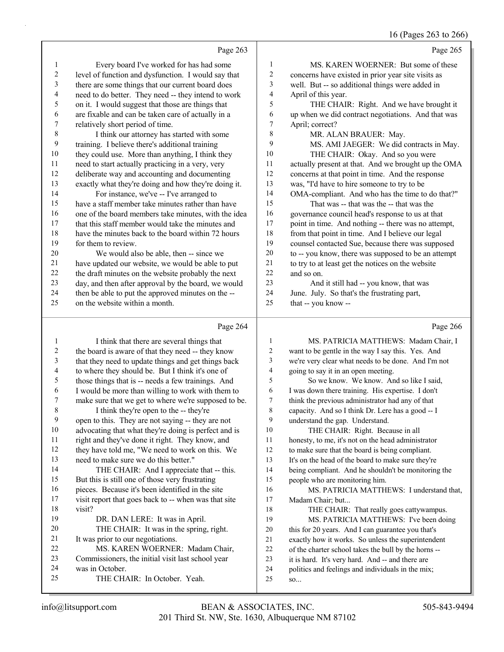16 (Pages 263 to 266)

|                          |                                                      |                  | $10 \text{ (1 ages } 203 \text{ to } 200$           |
|--------------------------|------------------------------------------------------|------------------|-----------------------------------------------------|
|                          | Page 263                                             |                  | Page 265                                            |
| 1                        | Every board I've worked for has had some             | $\mathbf{1}$     | MS. KAREN WOERNER: But some of these                |
| $\mathbf{2}$             | level of function and dysfunction. I would say that  | $\overline{c}$   | concerns have existed in prior year site visits as  |
| 3                        | there are some things that our current board does    | 3                | well. But -- so additional things were added in     |
| $\overline{\mathcal{A}}$ | need to do better. They need -- they intend to work  | 4                | April of this year.                                 |
| 5                        | on it. I would suggest that those are things that    | 5                | THE CHAIR: Right. And we have brought it            |
| 6                        | are fixable and can be taken care of actually in a   | 6                | up when we did contract negotiations. And that was  |
| $\boldsymbol{7}$         | relatively short period of time.                     | $\boldsymbol{7}$ | April; correct?                                     |
| $\,8\,$                  | I think our attorney has started with some           | 8                | MR. ALAN BRAUER: May.                               |
| 9                        | training. I believe there's additional training      | 9                | MS. AMI JAEGER: We did contracts in May.            |
| 10                       | they could use. More than anything, I think they     | 10               | THE CHAIR: Okay. And so you were                    |
| 11                       | need to start actually practicing in a very, very    | 11               | actually present at that. And we brought up the OMA |
| 12                       | deliberate way and accounting and documenting        | 12               | concerns at that point in time. And the response    |
| 13                       | exactly what they're doing and how they're doing it. | 13               | was, "I'd have to hire someone to try to be         |
| 14                       | For instance, we've -- I've arranged to              | 14               | OMA-compliant. And who has the time to do that?"    |
| 15                       | have a staff member take minutes rather than have    | 15               | That was -- that was the -- that was the            |
| 16                       | one of the board members take minutes, with the idea | 16               | governance council head's response to us at that    |
| 17                       | that this staff member would take the minutes and    | 17               | point in time. And nothing -- there was no attempt, |
| 18                       | have the minutes back to the board within 72 hours   | 18               | from that point in time. And I believe our legal    |
| 19                       | for them to review.                                  | 19               | counsel contacted Sue, because there was supposed   |
| $20\,$                   | We would also be able, then -- since we              | $20\,$           | to -- you know, there was supposed to be an attempt |
| 21                       | have updated our website, we would be able to put    | $21\,$           | to try to at least get the notices on the website   |
| $22\,$                   | the draft minutes on the website probably the next   | 22               | and so on.                                          |
| 23                       | day, and then after approval by the board, we would  | 23               | And it still had -- you know, that was              |
| 24                       | then be able to put the approved minutes on the --   | 24               | June. July. So that's the frustrating part,         |
| 25                       | on the website within a month.                       | 25               | that -- you know --                                 |
|                          | Page 264                                             |                  | Page 266                                            |
| 1                        | I think that there are several things that           | 1                | MS. PATRICIA MATTHEWS: Madam Chair, I               |
| $\overline{c}$           | the board is aware of that they need -- they know    | 2                | want to be gentle in the way I say this. Yes. And   |
| 3                        | that they need to update things and get things back  | 3                | we're very clear what needs to be done. And I'm not |
| 4                        | to where they should be. But I think it's one of     | 4                | going to say it in an open meeting.                 |
| 5                        | those things that is -- needs a few trainings. And   | 5                | So we know. We know. And so like I said,            |
| 6                        | I would be more than willing to work with them to    | 6                | I was down there training. His expertise. I don't   |
| 7                        | make sure that we get to where we're supposed to be. | 7                | think the previous administrator had any of that    |
| 8                        | I think they're open to the -- they're               | 8                | capacity. And so I think Dr. Lere has a good -- I   |
| 9                        | open to this. They are not saying -- they are not    | 9                | understand the gap. Understand.                     |
| $10\,$                   | advocating that what they're doing is perfect and is | 10               | THE CHAIR: Right. Because in all                    |
| 11                       | right and they've done it right. They know, and      | 11               | honesty, to me, it's not on the head administrator  |
| $12\,$                   | they have told me, "We need to work on this. We      | 12               | to make sure that the board is being compliant.     |
| 13                       | need to make sure we do this better."                | 13               | It's on the head of the board to make sure they're  |
| 14                       | THE CHAIR: And I appreciate that -- this.            | 14               | being compliant. And he shouldn't be monitoring the |
| 15                       | But this is still one of those very frustrating      | 15               | people who are monitoring him.                      |
| 16                       | pieces. Because it's been identified in the site     | 16               | MS. PATRICIA MATTHEWS: I understand that,           |
| 17                       | visit report that goes back to -- when was that site | 17               | Madam Chair; but                                    |

was in October.

visit?

19 DR. DAN LERE: It was in April. 20 THE CHAIR: It was in the spring, right.

25 THE CHAIR: In October. Yeah.

22 MS. KAREN WOERNER: Madam Chair, Commissioners, the initial visit last school year

21 It was prior to our negotiations.

so...

18 THE CHAIR: That really goes cattywampus. 19 MS. PATRICIA MATTHEWS: I've been doing<br>20 this for 20 years. And I can guarantee you that's this for 20 years. And I can guarantee you that's exactly how it works. So unless the superintendent of the charter school takes the bull by the horns -- it is hard. It's very hard. And -- and there are politics and feelings and individuals in the mix;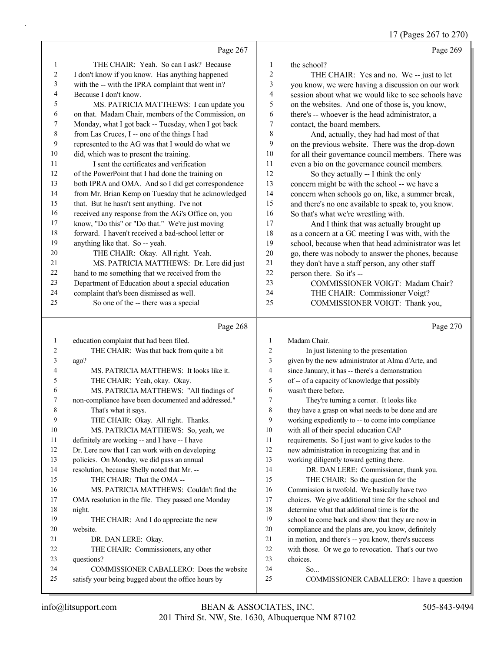17 (Pages 267 to 270)

|                  |                                                     |                | 1/(1 ages 20/ to 2/0)                                |
|------------------|-----------------------------------------------------|----------------|------------------------------------------------------|
|                  | Page 267                                            |                | Page 269                                             |
| 1                | THE CHAIR: Yeah. So can I ask? Because              | $\mathbf{1}$   | the school?                                          |
| $\sqrt{2}$       | I don't know if you know. Has anything happened     | $\overline{c}$ | THE CHAIR: Yes and no. We -- just to let             |
| 3                | with the -- with the IPRA complaint that went in?   | 3              | you know, we were having a discussion on our work    |
| $\overline{4}$   | Because I don't know.                               | $\overline{4}$ | session about what we would like to see schools have |
| 5                | MS. PATRICIA MATTHEWS: I can update you             | 5              | on the websites. And one of those is, you know,      |
| 6                | on that. Madam Chair, members of the Commission, on | 6              | there's -- whoever is the head administrator, a      |
| $\boldsymbol{7}$ | Monday, what I got back -- Tuesday, when I got back | $\tau$         | contact, the board members.                          |
| $\,$ $\,$        | from Las Cruces, I -- one of the things I had       | 8              | And, actually, they had had most of that             |
| 9                | represented to the AG was that I would do what we   | 9              | on the previous website. There was the drop-down     |
| 10               | did, which was to present the training.             | $10\,$         | for all their governance council members. There was  |
| 11               | I sent the certificates and verification            | 11             | even a bio on the governance council members.        |
| 12               | of the PowerPoint that I had done the training on   | 12             | So they actually -- I think the only                 |
| 13               | both IPRA and OMA. And so I did get correspondence  | 13             | concern might be with the school -- we have a        |
| 14               | from Mr. Brian Kemp on Tuesday that he acknowledged | 14             | concern when schools go on, like, a summer break,    |
| 15               | that. But he hasn't sent anything. I've not         | 15             | and there's no one available to speak to, you know.  |
| 16               | received any response from the AG's Office on, you  | 16             | So that's what we're wrestling with.                 |
| 17               | know, "Do this" or "Do that." We're just moving     | 17             | And I think that was actually brought up             |
| 18               | forward. I haven't received a bad-school letter or  | 18             | as a concern at a GC meeting I was with, with the    |
| 19               | anything like that. So -- yeah.                     | 19             | school, because when that head administrator was let |
| 20               | THE CHAIR: Okay. All right. Yeah.                   | 20             | go, there was nobody to answer the phones, because   |
| 21               | MS. PATRICIA MATTHEWS: Dr. Lere did just            | 21             | they don't have a staff person, any other staff      |
| 22               | hand to me something that we received from the      | 22             | person there. So it's --                             |
| 23               | Department of Education about a special education   | 23             | COMMISSIONER VOIGT: Madam Chair?                     |
| 24               | complaint that's been dismissed as well.            | 24             | THE CHAIR: Commissioner Voigt?                       |
| 25               | So one of the -- there was a special                | 25             | COMMISSIONER VOIGT: Thank you,                       |
|                  | Page 268                                            |                | Page 270                                             |
| $\mathbf{1}$     | education complaint that had been filed.            | $\mathbf{1}$   | Madam Chair.                                         |
| 2                | THE CHAIR: Was that back from quite a bit           | $\overline{c}$ | In just listening to the presentation                |
| 3                | ago?                                                | 3              | given by the new administrator at Alma d'Arte, and   |
| 4                | MS. PATRICIA MATTHEWS: It looks like it.            | $\overline{4}$ | since January, it has -- there's a demonstration     |
| 5                | THE CHAIR: Yeah, okay. Okay.                        | 5              | of -- of a capacity of knowledge that possibly       |
| 6                | MS. PATRICIA MATTHEWS: "All findings of             | 6              | wasn't there before.                                 |
| 7                | non-compliance have been documented and addressed." | $\overline{7}$ | They're turning a corner. It looks like              |
| 8                | That's what it says.                                | 8              | they have a grasp on what needs to be done and are   |
|                  |                                                     |                |                                                      |

| 1   | education complaint that had been filed.            | 1  | Madam Chair.                                        |
|-----|-----------------------------------------------------|----|-----------------------------------------------------|
| 2   | THE CHAIR: Was that back from quite a bit           | 2  | In just listening to the presentation               |
| 3   | ago?                                                | 3  | given by the new administrator at Alma d'Arte, and  |
| 4   | MS. PATRICIA MATTHEWS: It looks like it.            | 4  | since January, it has -- there's a demonstration    |
| 5   | THE CHAIR: Yeah, okay. Okay.                        | 5  | of -- of a capacity of knowledge that possibly      |
| 6   | MS. PATRICIA MATTHEWS: "All findings of             | 6  | wasn't there before.                                |
| 7   | non-compliance have been documented and addressed." | 7  | They're turning a corner. It looks like             |
| 8   | That's what it says.                                | 8  | they have a grasp on what needs to be done and are  |
| 9   | THE CHAIR: Okay. All right. Thanks.                 | 9  | working expediently to -- to come into compliance   |
| 10  | MS. PATRICIA MATTHEWS: So, yeah, we                 | 10 | with all of their special education CAP             |
| 11  | definitely are working -- and I have -- I have      | 11 | requirements. So I just want to give kudos to the   |
| 12  | Dr. Lere now that I can work with on developing     | 12 | new administration in recognizing that and in       |
| 13  | policies. On Monday, we did pass an annual          | 13 | working diligently toward getting there.            |
| 14  | resolution, because Shelly noted that Mr. --        | 14 | DR. DAN LERE: Commissioner, thank you.              |
| 15  | THE CHAIR: That the OMA --                          | 15 | THE CHAIR: So the question for the                  |
| 16  | MS. PATRICIA MATTHEWS: Couldn't find the            | 16 | Commission is twofold. We basically have two        |
| 17  | OMA resolution in the file. They passed one Monday  | 17 | choices. We give additional time for the school and |
| 18  | night.                                              | 18 | determine what that additional time is for the      |
| 19  | THE CHAIR: And I do appreciate the new              | 19 | school to come back and show that they are now in   |
| 20  | website.                                            | 20 | compliance and the plans are, you know, definitely  |
| 2.1 | DR. DAN LERE: Okay.                                 | 21 | in motion, and there's -- you know, there's success |
| 22  | THE CHAIR: Commissioners, any other                 | 22 | with those. Or we go to revocation. That's our two  |
| 23  | questions?                                          | 23 | choices.                                            |
| 24  | COMMISSIONER CABALLERO: Does the website            | 24 | So                                                  |
| 25  | satisfy your being bugged about the office hours by | 25 | COMMISSIONER CABALLERO: I have a question           |
|     |                                                     |    |                                                     |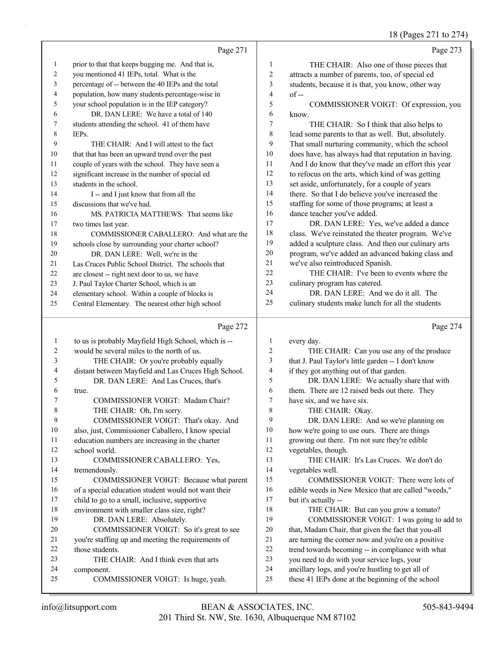|              |                                                      |                | 18 (Pages 271 to 274)                                |
|--------------|------------------------------------------------------|----------------|------------------------------------------------------|
|              | Page 271                                             |                | Page 273                                             |
| $\mathbf{1}$ | prior to that that keeps bugging me. And that is,    | 1              | THE CHAIR: Also one of those pieces that             |
| 2            | you mentioned 41 IEPs, total. What is the            | $\overline{2}$ | attracts a number of parents, too, of special ed     |
| 3            | percentage of -- between the 40 IEPs and the total   | $\overline{3}$ | students, because it is that, you know, other way    |
| 4            | population, how many students percentage-wise in     | $\overline{4}$ | $of -$                                               |
| 5            | your school population is in the IEP category?       | 5              | COMMISSIONER VOIGT: Of expression, you               |
| 6            | DR. DAN LERE: We have a total of 140                 | 6              | know.                                                |
| 7            | students attending the school. 41 of them have       | $\tau$         | THE CHAIR: So I think that also helps to             |
| 8            | IEPs.                                                | 8              | lead some parents to that as well. But, absolutely.  |
| 9            | THE CHAIR: And I will attest to the fact             | 9              | That small nurturing community, which the school     |
| 10           | that that has been an upward trend over the past     | 10             | does have, has always had that reputation in having. |
| 11           | couple of years with the school. They have seen a    | 11             | And I do know that they've made an effort this year  |
| 12           | significant increase in the number of special ed     | 12             | to refocus on the arts, which kind of was getting    |
| 13           | students in the school.                              | 13             | set aside, unfortunately, for a couple of years      |
| 14           | I -- and I just know that from all the               | 14             | there. So that I do believe you've increased the     |
| 15           | discussions that we've had.                          | 15             | staffing for some of those programs; at least a      |
| 16           | MS. PATRICIA MATTHEWS: That seems like               | 16             | dance teacher you've added.                          |
| 17           | two times last year.                                 | 17             | DR. DAN LERE: Yes, we've added a dance               |
| 18           | COMMISSIONER CABALLERO: And what are the             | 18             | class. We've reinstated the theater program. We've   |
| 19           | schools close by surrounding your charter school?    | 19             | added a sculpture class. And then our culinary arts  |
| 20           | DR. DAN LERE: Well, we're in the                     | 20             | program, we've added an advanced baking class and    |
| 21           | Las Cruces Public School District. The schools that  | 21             | we've also reintroduced Spanish.                     |
| 22           | are closest -- right next door to us, we have        | 22             | THE CHAIR: I've been to events where the             |
| 23           | J. Paul Taylor Charter School, which is an           | 23             | culinary program has catered.                        |
| 24           | elementary school. Within a couple of blocks is      | 24             | DR. DAN LERE: And we do it all. The                  |
| 25           | Central Elementary. The nearest other high school    | 25             | culinary students make lunch for all the students    |
|              | Page 272                                             |                | Page 274                                             |
| $\mathbf{1}$ | to us is probably Mayfield High School, which is --  | 1              | every day.                                           |
| 2            | would be several miles to the north of us.           | $\overline{2}$ | THE CHAIR: Can you use any of the produce            |
| 3            | THE CHAIR: Or you're probably equally                | 3              | that J. Paul Taylor's little garden -- I don't know  |
| 4            | distant between Mayfield and Las Cruces High School. | $\overline{4}$ | if they got anything out of that garden.             |
| 5            | DR. DAN LERE: And Las Cruces, that's                 | 5              | DR. DAN LERE: We actually share that with            |
| 6            | true.                                                | 6              | them. There are 12 raised beds out there. They       |
| 7            | COMMISSIONER VOIGT: Madam Chair?                     | 7              | have six, and we have six.                           |
| $\,8\,$      | THE CHAIR: Oh, I'm sorry.                            | 8              | THE CHAIR: Okay.                                     |
| 9            | COMMISSIONER VOIGT: That's okay. And                 | 9              | DR. DAN LERE: And so we're planning on               |
| 10           | also, just, Commissioner Caballero, I know special   | 10             | how we're going to use ours. There are things        |
| 11           | education numbers are increasing in the charter      | 11             | growing out there. I'm not sure they're edible       |
| 12           | school world.                                        | 12             | vegetables, though.                                  |
| 13           | COMMISSIONER CABALLERO: Yes,                         | 13             | THE CHAIR: It's Las Cruces. We don't do              |
| 14           | tremendously.                                        | 14             | vegetables well.                                     |
| 15           | COMMISSIONER VOIGT: Because what parent              | 15             | COMMISSIONER VOIGT: There were lots of               |

15 COMMISSIONER VOIGT: There were lots of edible weeds in New Mexico that are called "weeds," but it's actually --

18 THE CHAIR: But can you grow a tomato? 19 COMMISSIONER VOIGT: I was going to add to that, Madam Chair, that given the fact that you-all are turning the corner now and you're on a positive trend towards becoming -- in compliance with what 23 you need to do with your service logs, your<br>24 ancillary logs, and you're hustling to get all ancillary logs, and you're hustling to get all of these 41 IEPs done at the beginning of the school

22 those students.

component.

 of a special education student would not want their child to go to a small, inclusive, supportive environment with smaller class size, right? 19 DR. DAN LERE: Absolutely.

20 COMMISSIONER VOIGT: So it's great to see you're staffing up and meeting the requirements of

23 THE CHAIR: And I think even that arts

25 COMMISSIONER VOIGT: Is huge, yeah.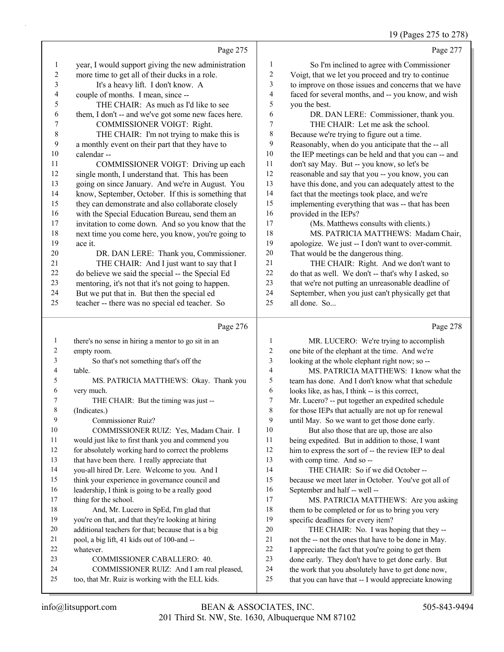19 (Pages 275 to 278)

|                          |                                                     |                         | 17 (1 agus 277 to 270                                                                                      |
|--------------------------|-----------------------------------------------------|-------------------------|------------------------------------------------------------------------------------------------------------|
|                          | Page 275                                            |                         | Page 277                                                                                                   |
| 1                        | year, I would support giving the new administration | $\mathbf{1}$            | So I'm inclined to agree with Commissioner                                                                 |
| $\overline{c}$           | more time to get all of their ducks in a role.      | $\overline{c}$          | Voigt, that we let you proceed and try to continue                                                         |
| 3                        | It's a heavy lift. I don't know. A                  | 3                       | to improve on those issues and concerns that we have                                                       |
| $\overline{\mathcal{L}}$ | couple of months. I mean, since --                  | 4                       | faced for several months, and -- you know, and wish                                                        |
| 5                        | THE CHAIR: As much as I'd like to see               | 5                       | you the best.                                                                                              |
| 6                        | them, I don't -- and we've got some new faces here. | 6                       | DR. DAN LERE: Commissioner, thank you.                                                                     |
| 7                        | COMMISSIONER VOIGT: Right.                          | $\boldsymbol{7}$        | THE CHAIR: Let me ask the school.                                                                          |
| 8                        | THE CHAIR: I'm not trying to make this is           | 8                       | Because we're trying to figure out a time.                                                                 |
| 9                        | a monthly event on their part that they have to     | 9                       | Reasonably, when do you anticipate that the -- all                                                         |
| $10\,$                   | calendar--                                          | 10                      | the IEP meetings can be held and that you can -- and                                                       |
| 11                       | COMMISSIONER VOIGT: Driving up each                 | 11                      | don't say May. But -- you know, so let's be                                                                |
| 12                       | single month, I understand that. This has been      | 12                      | reasonable and say that you -- you know, you can                                                           |
| 13                       | going on since January. And we're in August. You    | 13                      | have this done, and you can adequately attest to the                                                       |
| 14                       | know, September, October. If this is something that | 14                      | fact that the meetings took place, and we're                                                               |
| 15                       | they can demonstrate and also collaborate closely   | 15                      | implementing everything that was -- that has been                                                          |
| 16                       | with the Special Education Bureau, send them an     | 16                      | provided in the IEPs?                                                                                      |
| $17\,$                   | invitation to come down. And so you know that the   | 17                      | (Ms. Matthews consults with clients.)                                                                      |
| $18\,$                   | next time you come here, you know, you're going to  | 18                      | MS. PATRICIA MATTHEWS: Madam Chair,                                                                        |
| 19                       | ace it.                                             | 19                      | apologize. We just -- I don't want to over-commit.                                                         |
| 20                       | DR. DAN LERE: Thank you, Commissioner.              | 20                      | That would be the dangerous thing.                                                                         |
| 21                       | THE CHAIR: And I just want to say that I            | 21                      | THE CHAIR: Right. And we don't want to                                                                     |
| $22\,$                   | do believe we said the special -- the Special Ed    | $22\,$                  | do that as well. We don't -- that's why I asked, so                                                        |
| 23                       | mentoring, it's not that it's not going to happen.  | 23                      | that we're not putting an unreasonable deadline of                                                         |
| 24<br>25                 | But we put that in. But then the special ed         | 24<br>25                | September, when you just can't physically get that                                                         |
|                          | teacher -- there was no special ed teacher. So      |                         | all done. So                                                                                               |
|                          | Page 276                                            |                         | Page 278                                                                                                   |
| 1                        | there's no sense in hiring a mentor to go sit in an | 1                       | MR. LUCERO: We're trying to accomplish                                                                     |
| $\overline{2}$           | empty room.                                         | $\overline{c}$          | one bite of the elephant at the time. And we're                                                            |
| 3                        | So that's not something that's off the              | 3                       | looking at the whole elephant right now; so --                                                             |
| 4                        | table.                                              | $\overline{\mathbf{4}}$ | MS. PATRICIA MATTHEWS: I know what the                                                                     |
| 5                        | MS. PATRICIA MATTHEWS: Okay. Thank you              | 5                       | team has done. And I don't know what that schedule                                                         |
| 6                        | very much.                                          | 6                       | looks like, as has, I think -- is this correct,                                                            |
| 7                        | THE CHAIR: But the timing was just --               | $\tau$                  | Mr. Lucero? -- put together an expedited schedule                                                          |
| 8                        | (Indicates.)                                        | 8                       | for those IEPs that actually are not up for renewal                                                        |
| 9                        | Commissioner Ruiz?                                  | $\mathbf{9}$            | until May. So we want to get those done early.                                                             |
| 10                       | COMMISSIONER RUIZ: Yes, Madam Chair. I              | $10\,$                  | But also those that are up, those are also                                                                 |
| 11                       | would just like to first thank you and commend you  | 11                      | being expedited. But in addition to those, I want                                                          |
| 12                       | for absolutely working hard to correct the problems | 12<br>13                | him to express the sort of -- the review IEP to deal<br>with comp time. And so --                          |
| 13                       | that have been there. I really appreciate that      |                         |                                                                                                            |
| 14                       |                                                     |                         |                                                                                                            |
|                          | you-all hired Dr. Lere. Welcome to you. And I       | 14                      | THE CHAIR: So if we did October --                                                                         |
| 15                       | think your experience in governance council and     | 15                      | because we meet later in October. You've got all of                                                        |
| 16                       | leadership, I think is going to be a really good    | 16                      | September and half -- well --                                                                              |
| 17                       | thing for the school.                               | 17                      | MS. PATRICIA MATTHEWS: Are you asking                                                                      |
| 18                       | And, Mr. Lucero in SpEd, I'm glad that              | 18                      | them to be completed or for us to bring you very                                                           |
| 19                       | you're on that, and that they're looking at hiring  | 19                      | specific deadlines for every item?                                                                         |
| 20                       | additional teachers for that; because that is a big | 20                      | THE CHAIR: No. I was hoping that they --                                                                   |
| 21                       | pool, a big lift, 41 kids out of 100-and --         | 21                      | not the -- not the ones that have to be done in May.                                                       |
| 22<br>23                 | whatever.<br>COMMISSIONER CABALLERO: 40.            | $22\,$<br>23            | I appreciate the fact that you're going to get them                                                        |
| 24                       | COMMISSIONER RUIZ: And I am real pleased,           | 24                      | done early. They don't have to get done early. But                                                         |
| 25                       | too, that Mr. Ruiz is working with the ELL kids.    | 25                      | the work that you absolutely have to get done now,<br>that you can have that -- I would appreciate knowing |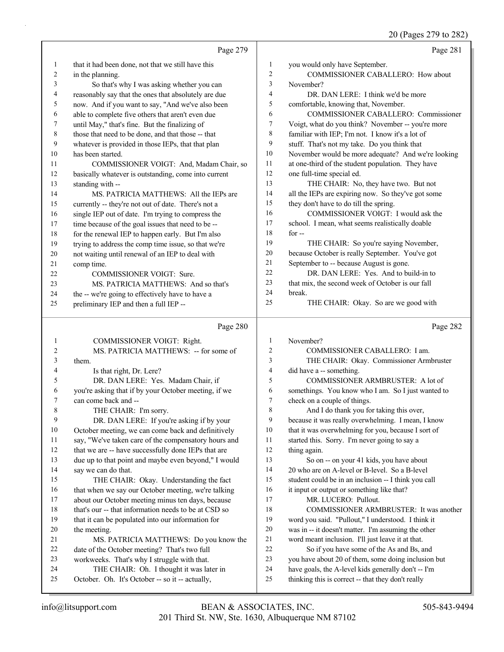20 (Pages 279 to 282)

|                |                                                                                                 |              | $20$ (F ages $212$ to $202$                                                                               |
|----------------|-------------------------------------------------------------------------------------------------|--------------|-----------------------------------------------------------------------------------------------------------|
|                | Page 279                                                                                        |              | Page 281                                                                                                  |
| $\mathbf{1}$   | that it had been done, not that we still have this                                              | $\mathbf{1}$ | you would only have September.                                                                            |
| $\overline{c}$ | in the planning.                                                                                | $\mathbf{2}$ | COMMISSIONER CABALLERO: How about                                                                         |
| 3              | So that's why I was asking whether you can                                                      | 3            | November?                                                                                                 |
| 4              | reasonably say that the ones that absolutely are due                                            | 4            | DR. DAN LERE: I think we'd be more                                                                        |
| 5              | now. And if you want to say, "And we've also been                                               | 5            | comfortable, knowing that, November.                                                                      |
| 6              | able to complete five others that aren't even due                                               | 6            | COMMISSIONER CABALLERO: Commissioner                                                                      |
| 7              | until May," that's fine. But the finalizing of                                                  | 7            | Voigt, what do you think? November -- you're more                                                         |
| $\,$ 8 $\,$    | those that need to be done, and that those -- that                                              | 8            | familiar with IEP; I'm not. I know it's a lot of                                                          |
| 9              | whatever is provided in those IEPs, that that plan                                              | 9            | stuff. That's not my take. Do you think that                                                              |
| 10             | has been started.                                                                               | 10           | November would be more adequate? And we're looking                                                        |
| 11             | COMMISSIONER VOIGT: And, Madam Chair, so                                                        | 11           | at one-third of the student population. They have                                                         |
| 12             | basically whatever is outstanding, come into current                                            | 12           | one full-time special ed.                                                                                 |
| 13             | standing with --                                                                                | 13           | THE CHAIR: No, they have two. But not                                                                     |
| 14             | MS. PATRICIA MATTHEWS: All the IEPs are                                                         | 14           | all the IEPs are expiring now. So they've got some                                                        |
| 15             | currently -- they're not out of date. There's not a                                             | 15           | they don't have to do till the spring.                                                                    |
| 16             | single IEP out of date. I'm trying to compress the                                              | 16           | COMMISSIONER VOIGT: I would ask the                                                                       |
| 17             | time because of the goal issues that need to be --                                              | 17           | school. I mean, what seems realistically doable                                                           |
| 18             | for the renewal IEP to happen early. But I'm also                                               | 18           | for-                                                                                                      |
| 19             | trying to address the comp time issue, so that we're                                            | 19           | THE CHAIR: So you're saying November,                                                                     |
| 20             | not waiting until renewal of an IEP to deal with                                                | 20           | because October is really September. You've got                                                           |
| 21             | comp time.                                                                                      | 21           | September to -- because August is gone.                                                                   |
| 22             | COMMISSIONER VOIGT: Sure.                                                                       | 22           | DR. DAN LERE: Yes. And to build-in to                                                                     |
| 23             | MS. PATRICIA MATTHEWS: And so that's                                                            | 23           | that mix, the second week of October is our fall                                                          |
| 24             | the -- we're going to effectively have to have a                                                | 24<br>25     | break.                                                                                                    |
| 25             | preliminary IEP and then a full IEP --                                                          |              | THE CHAIR: Okay. So are we good with                                                                      |
|                |                                                                                                 |              |                                                                                                           |
|                | Page 280                                                                                        |              | Page 282                                                                                                  |
|                |                                                                                                 |              |                                                                                                           |
| $\mathbf{1}$   | COMMISSIONER VOIGT: Right.                                                                      | 1            | November?                                                                                                 |
| $\overline{c}$ | MS. PATRICIA MATTHEWS: -- for some of                                                           | 2            | COMMISSIONER CABALLERO: I am.                                                                             |
| 3              | them.                                                                                           | 3            | THE CHAIR: Okay. Commissioner Armbruster                                                                  |
| 4              | Is that right, Dr. Lere?                                                                        | 4            | did have a -- something.                                                                                  |
| 5              | DR. DAN LERE: Yes. Madam Chair, if                                                              | 5            | COMMISSIONER ARMBRUSTER: A lot of                                                                         |
| 6<br>7         | you're asking that if by your October meeting, if we<br>can come back and --                    | 6<br>7       | somethings. You know who I am. So I just wanted to                                                        |
| 8              |                                                                                                 | 8            | check on a couple of things.                                                                              |
| 9              | THE CHAIR: I'm sorry.                                                                           | 9            | And I do thank you for taking this over,<br>because it was really overwhelming. I mean, I know            |
| $10\,$         | DR. DAN LERE: If you're asking if by your<br>October meeting, we can come back and definitively | 10           | that it was overwhelming for you, because I sort of                                                       |
| 11             | say, "We've taken care of the compensatory hours and                                            | 11           | started this. Sorry. I'm never going to say a                                                             |
| 12             | that we are -- have successfully done IEPs that are                                             | 12           | thing again.                                                                                              |
| 13             | due up to that point and maybe even beyond," I would                                            | 13           | So on -- on your 41 kids, you have about                                                                  |
| 14             | say we can do that.                                                                             | 14           | 20 who are on A-level or B-level. So a B-level                                                            |
| 15             | THE CHAIR: Okay. Understanding the fact                                                         | 15           | student could be in an inclusion -- I think you call                                                      |
| 16             | that when we say our October meeting, we're talking                                             | 16           | it input or output or something like that?                                                                |
| 17             | about our October meeting minus ten days, because                                               | 17           | MR. LUCERO: Pullout.                                                                                      |
| 18             | that's our -- that information needs to be at CSD so                                            | 18           | COMMISSIONER ARMBRUSTER: It was another                                                                   |
| 19             | that it can be populated into our information for                                               | 19           | word you said. "Pullout," I understood. I think it                                                        |
| $20\,$         | the meeting.                                                                                    | $20\,$       | was in -- it doesn't matter. I'm assuming the other                                                       |
| 21             | MS. PATRICIA MATTHEWS: Do you know the                                                          | $21\,$       | word meant inclusion. I'll just leave it at that.                                                         |
| 22             | date of the October meeting? That's two full                                                    | $22\,$       | So if you have some of the As and Bs, and                                                                 |
| 23             | workweeks. That's why I struggle with that.                                                     | 23           | you have about 20 of them, some doing inclusion but                                                       |
| 24<br>25       | THE CHAIR: Oh. I thought it was later in<br>October. Oh. It's October -- so it -- actually,     | 24<br>25     | have goals, the A-level kids generally don't -- I'm<br>thinking this is correct -- that they don't really |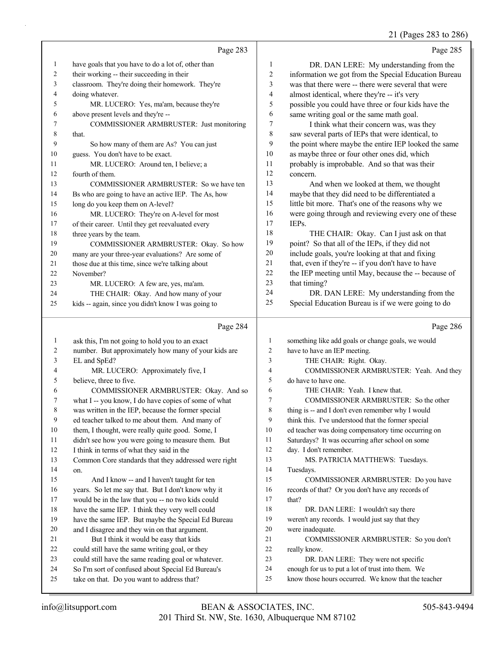### 21 (Pages 283 to 286)

|              | Page 283                                                                                  |                | Page 285                                                                                             |
|--------------|-------------------------------------------------------------------------------------------|----------------|------------------------------------------------------------------------------------------------------|
| $\mathbf{1}$ | have goals that you have to do a lot of, other than                                       | 1              | DR. DAN LERE: My understanding from the                                                              |
| 2            | their working -- their succeeding in their                                                | $\overline{c}$ | information we got from the Special Education Bureau                                                 |
| 3            | classroom. They're doing their homework. They're                                          | 3              | was that there were -- there were several that were                                                  |
| 4            | doing whatever.                                                                           | 4              | almost identical, where they're -- it's very                                                         |
| 5            | MR. LUCERO: Yes, ma'am, because they're                                                   | 5              | possible you could have three or four kids have the                                                  |
| 6            | above present levels and they're --                                                       | 6              | same writing goal or the same math goal.                                                             |
| 7            | COMMISSIONER ARMBRUSTER: Just monitoring                                                  | 7              | I think what their concern was, was they                                                             |
| 8            | that.                                                                                     | 8              | saw several parts of IEPs that were identical, to                                                    |
| 9            | So how many of them are As? You can just                                                  | 9              | the point where maybe the entire IEP looked the same                                                 |
| 10           | guess. You don't have to be exact.                                                        | 10             | as maybe three or four other ones did, which                                                         |
| 11           | MR. LUCERO: Around ten, I believe; a                                                      | 11<br>12       | probably is improbable. And so that was their                                                        |
| 12           | fourth of them.                                                                           | 13             | concern.                                                                                             |
| 13<br>14     | COMMISSIONER ARMBRUSTER: So we have ten                                                   | 14             | And when we looked at them, we thought                                                               |
| 15           | Bs who are going to have an active IEP. The As, how                                       | 15             | maybe that they did need to be differentiated a<br>little bit more. That's one of the reasons why we |
| 16           | long do you keep them on A-level?<br>MR. LUCERO: They're on A-level for most              | 16             | were going through and reviewing every one of these                                                  |
| 17           | of their career. Until they get reevaluated every                                         | 17             | IEPs.                                                                                                |
| 18           | three years by the team.                                                                  | 18             | THE CHAIR: Okay. Can I just ask on that                                                              |
| 19           | COMMISSIONER ARMBRUSTER: Okay. So how                                                     | 19             | point? So that all of the IEPs, if they did not                                                      |
| 20           | many are your three-year evaluations? Are some of                                         | 20             | include goals, you're looking at that and fixing                                                     |
| 21           | those due at this time, since we're talking about                                         | 21             | that, even if they're -- if you don't have to have                                                   |
| 22           | November?                                                                                 | 22             | the IEP meeting until May, because the -- because of                                                 |
| 23           | MR. LUCERO: A few are, yes, ma'am.                                                        | 23             | that timing?                                                                                         |
| 24           | THE CHAIR: Okay. And how many of your                                                     | 24             | DR. DAN LERE: My understanding from the                                                              |
| 25           | kids -- again, since you didn't know I was going to                                       | 25             | Special Education Bureau is if we were going to do                                                   |
|              |                                                                                           |                |                                                                                                      |
|              |                                                                                           |                |                                                                                                      |
|              | Page 284                                                                                  |                | Page 286                                                                                             |
| 1            | ask this, I'm not going to hold you to an exact                                           | 1              | something like add goals or change goals, we would                                                   |
| 2            | number. But approximately how many of your kids are                                       | $\overline{c}$ | have to have an IEP meeting.                                                                         |
| 3            | EL and SpEd?                                                                              | 3              | THE CHAIR: Right. Okay.                                                                              |
| 4            | MR. LUCERO: Approximately five, I                                                         | 4              | COMMISSIONER ARMBRUSTER: Yeah. And they                                                              |
| 5            | believe, three to five.                                                                   | 5              | do have to have one.                                                                                 |
| 6            | COMMISSIONER ARMBRUSTER: Okay. And so                                                     | 6              | THE CHAIR: Yeah. I knew that.                                                                        |
| 7            | what I -- you know, I do have copies of some of what                                      | 7              | COMMISSIONER ARMBRUSTER: So the other                                                                |
| 8            | was written in the IEP, because the former special                                        | 8              | thing is -- and I don't even remember why I would                                                    |
| 9            | ed teacher talked to me about them. And many of                                           | 9              | think this. I've understood that the former special                                                  |
| 10           | them, I thought, were really quite good. Some, I                                          | 10             | ed teacher was doing compensatory time occurring on                                                  |
| 11           | didn't see how you were going to measure them. But                                        | 11             | Saturdays? It was occurring after school on some                                                     |
| 12           | I think in terms of what they said in the                                                 | 12             | day. I don't remember.                                                                               |
| 13           | Common Core standards that they addressed were right                                      | 13             | MS. PATRICIA MATTHEWS: Tuesdays.                                                                     |
| 14           | on.                                                                                       | 14             | Tuesdays.                                                                                            |
| 15           | And I know -- and I haven't taught for ten                                                | 15             | COMMISSIONER ARMBRUSTER: Do you have                                                                 |
| 16           | years. So let me say that. But I don't know why it                                        | 16             | records of that? Or you don't have any records of                                                    |
| 17           | would be in the law that you -- no two kids could                                         | 17             | that?                                                                                                |
| 18           | have the same IEP. I think they very well could                                           | 18<br>19       | DR. DAN LERE: I wouldn't say there                                                                   |
| 19<br>20     | have the same IEP. But maybe the Special Ed Bureau                                        | 20             | weren't any records. I would just say that they                                                      |
| 21           | and I disagree and they win on that argument.                                             | 21             | were inadequate.<br>COMMISSIONER ARMBRUSTER: So you don't                                            |
| 22           | But I think it would be easy that kids<br>could still have the same writing goal, or they | 22             | really know.                                                                                         |
| 23           | could still have the same reading goal or whatever.                                       | 23             | DR. DAN LERE: They were not specific                                                                 |
| 24           | So I'm sort of confused about Special Ed Bureau's                                         | 24             | enough for us to put a lot of trust into them. We                                                    |
| 25           | take on that. Do you want to address that?                                                | 25             | know those hours occurred. We know that the teacher                                                  |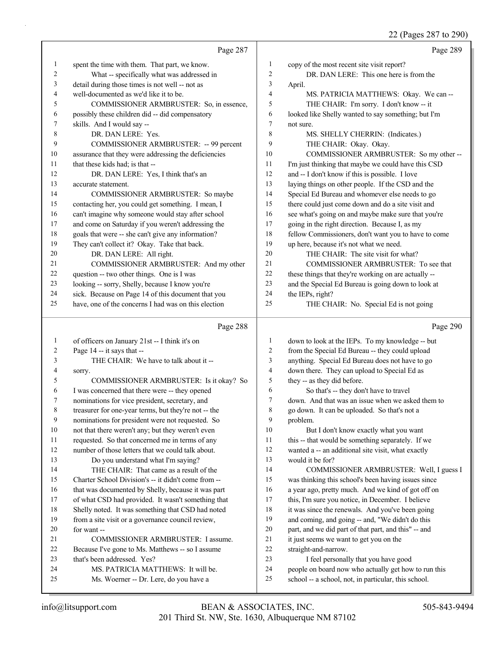22 (Pages 287 to 290)

|          | Page 287                                                                        |                         | Page 289                                                                                     |
|----------|---------------------------------------------------------------------------------|-------------------------|----------------------------------------------------------------------------------------------|
| 1        | spent the time with them. That part, we know.                                   | $\mathbf{1}$            | copy of the most recent site visit report?                                                   |
| 2        | What -- specifically what was addressed in                                      | $\overline{c}$          | DR. DAN LERE: This one here is from the                                                      |
| 3        | detail during those times is not well -- not as                                 | $\overline{\mathbf{3}}$ | April.                                                                                       |
| 4        | well-documented as we'd like it to be.                                          | $\overline{4}$          | MS. PATRICIA MATTHEWS: Okay. We can --                                                       |
| 5        | COMMISSIONER ARMBRUSTER: So, in essence,                                        | 5                       | THE CHAIR: I'm sorry. I don't know -- it                                                     |
| 6        | possibly these children did -- did compensatory                                 | 6                       | looked like Shelly wanted to say something; but I'm                                          |
| 7        | skills. And I would say --                                                      | 7                       | not sure.                                                                                    |
| 8        | DR. DAN LERE: Yes.                                                              | 8                       | MS. SHELLY CHERRIN: (Indicates.)                                                             |
| 9        | COMMISSIONER ARMBRUSTER: -- 99 percent                                          | 9                       | THE CHAIR: Okay. Okay.                                                                       |
| 10       | assurance that they were addressing the deficiencies                            | 10                      | COMMISSIONER ARMBRUSTER: So my other --                                                      |
| 11       | that these kids had; is that --                                                 | 11                      | I'm just thinking that maybe we could have this CSD                                          |
| 12       | DR. DAN LERE: Yes, I think that's an                                            | 12                      | and -- I don't know if this is possible. I love                                              |
| 13       | accurate statement.                                                             | 13                      | laying things on other people. If the CSD and the                                            |
| 14       | COMMISSIONER ARMBRUSTER: So maybe                                               | 14                      | Special Ed Bureau and whomever else needs to go                                              |
| 15       | contacting her, you could get something. I mean, I                              | 15                      | there could just come down and do a site visit and                                           |
| 16       | can't imagine why someone would stay after school                               | 16                      | see what's going on and maybe make sure that you're                                          |
| 17       | and come on Saturday if you weren't addressing the                              | 17                      | going in the right direction. Because I, as my                                               |
| 18       | goals that were -- she can't give any information?                              | 18                      | fellow Commissioners, don't want you to have to come                                         |
| 19       | They can't collect it? Okay. Take that back.                                    | 19                      | up here, because it's not what we need.                                                      |
| 20       | DR. DAN LERE: All right.                                                        | 20                      | THE CHAIR: The site visit for what?                                                          |
| 21       | COMMISSIONER ARMBRUSTER: And my other                                           | 21                      | COMMISSIONER ARMBRUSTER: To see that                                                         |
| 22       | question -- two other things. One is I was                                      | 22                      | these things that they're working on are actually --                                         |
| 23       | looking -- sorry, Shelly, because I know you're                                 | 23                      | and the Special Ed Bureau is going down to look at                                           |
| 24       | sick. Because on Page 14 of this document that you                              | 24                      | the IEPs, right?                                                                             |
| 25       | have, one of the concerns I had was on this election                            | 25                      | THE CHAIR: No. Special Ed is not going                                                       |
|          |                                                                                 |                         |                                                                                              |
|          | Page 288                                                                        |                         | Page 290                                                                                     |
| 1        | of officers on January 21st -- I think it's on                                  | 1                       | down to look at the IEPs. To my knowledge -- but                                             |
| 2        | Page 14 -- it says that --                                                      | $\overline{c}$          | from the Special Ed Bureau -- they could upload                                              |
| 3        | THE CHAIR: We have to talk about it --                                          | $\mathfrak{Z}$          | anything. Special Ed Bureau does not have to go                                              |
| 4        | sorry.                                                                          | $\overline{4}$          | down there. They can upload to Special Ed as                                                 |
| 5        | COMMISSIONER ARMBRUSTER: Is it okay? So                                         | 5                       | they -- as they did before.                                                                  |
| 6        | I was concerned that there were -- they opened                                  | 6                       | So that's -- they don't have to travel                                                       |
| 7        | nominations for vice president, secretary, and                                  | 7                       | down. And that was an issue when we asked them to                                            |
| 8        | treasurer for one-year terms, but they're not -- the                            | 8                       | go down. It can be uploaded. So that's not a                                                 |
| 9        | nominations for president were not requested. So                                | 9                       | problem.                                                                                     |
| 10       | not that there weren't any; but they weren't even                               | 10                      | But I don't know exactly what you want                                                       |
| 11       | requested. So that concerned me in terms of any                                 | 11                      | this -- that would be something separately. If we                                            |
| 12       | number of those letters that we could talk about.                               | 12                      | wanted a -- an additional site visit, what exactly                                           |
| 13       | Do you understand what I'm saying?                                              | 13                      | would it be for?                                                                             |
| 14       | THE CHAIR: That came as a result of the                                         | 14                      | COMMISSIONER ARMBRUSTER: Well, I guess I                                                     |
| 15       | Charter School Division's -- it didn't come from --                             | 15                      | was thinking this school's been having issues since                                          |
| 16       | that was documented by Shelly, because it was part                              | 16                      | a year ago, pretty much. And we kind of got off on                                           |
| 17       | of what CSD had provided. It wasn't something that                              | 17                      | this, I'm sure you notice, in December. I believe                                            |
| 18       | Shelly noted. It was something that CSD had noted                               | 18                      | it was since the renewals. And you've been going                                             |
| 19       | from a site visit or a governance council review,                               | 19                      | and coming, and going -- and, "We didn't do this                                             |
| 20       | for want --                                                                     | 20                      | part, and we did part of that part, and this" -- and                                         |
| 21       | COMMISSIONER ARMBRUSTER: I assume.                                              | 21                      | it just seems we want to get you on the                                                      |
| 22<br>23 | Because I've gone to Ms. Matthews -- so I assume<br>that's been addressed. Yes? | 22<br>23                | straight-and-narrow.                                                                         |
| 24       | MS. PATRICIA MATTHEWS: It will be.                                              | 24                      | I feel personally that you have good<br>people on board now who actually get how to run this |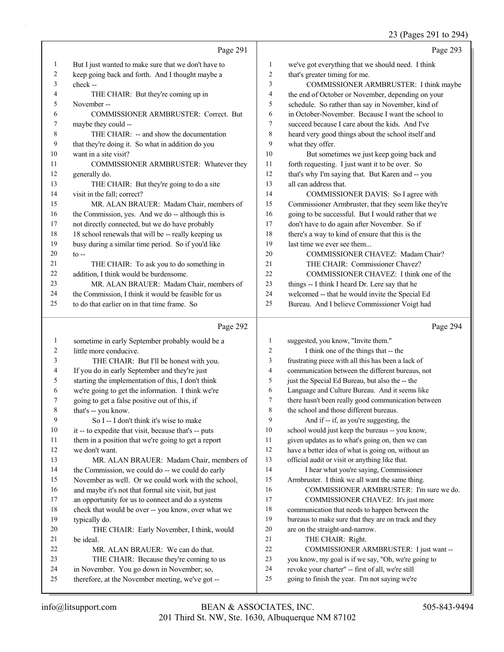# 23 (Pages 291 to 294)

|    | Page 291                                             |                | Page 293                                             |
|----|------------------------------------------------------|----------------|------------------------------------------------------|
| 1  | But I just wanted to make sure that we don't have to | 1              | we've got everything that we should need. I think    |
| 2  | keep going back and forth. And I thought maybe a     | $\overline{2}$ | that's greater timing for me.                        |
| 3  | check --                                             | 3              | COMMISSIONER ARMBRUSTER: I think maybe               |
| 4  | THE CHAIR: But they're coming up in                  | $\overline{4}$ | the end of October or November, depending on your    |
| 5  | November-                                            | 5              | schedule. So rather than say in November, kind of    |
| 6  | COMMISSIONER ARMBRUSTER: Correct. But                | 6              | in October-November. Because I want the school to    |
| 7  | maybe they could --                                  | $\tau$         | succeed because I care about the kids. And I've      |
| 8  | THE CHAIR: -- and show the documentation             | 8              | heard very good things about the school itself and   |
| 9  | that they're doing it. So what in addition do you    | 9              | what they offer.                                     |
| 10 | want in a site visit?                                | 10             | But sometimes we just keep going back and            |
| 11 | COMMISSIONER ARMBRUSTER: Whatever they               | 11             | forth requesting. I just want it to be over. So      |
| 12 | generally do.                                        | 12             | that's why I'm saying that. But Karen and -- you     |
| 13 | THE CHAIR: But they're going to do a site            | 13             | all can address that.                                |
| 14 | visit in the fall; correct?                          | 14             | COMMISSIONER DAVIS: So I agree with                  |
| 15 | MR. ALAN BRAUER: Madam Chair, members of             | 15             | Commissioner Armbruster, that they seem like they're |
| 16 | the Commission, yes. And we do -- although this is   | 16             | going to be successful. But I would rather that we   |
| 17 | not directly connected, but we do have probably      | 17             | don't have to do again after November. So if         |
| 18 | 18 school renewals that will be -- really keeping us | 18             | there's a way to kind of ensure that this is the     |
| 19 | busy during a similar time period. So if you'd like  | 19             | last time we ever see them                           |
| 20 | $to -$                                               | 20             | COMMISSIONER CHAVEZ: Madam Chair?                    |
| 21 | THE CHAIR: To ask you to do something in             | 21             | THE CHAIR: Commissioner Chavez?                      |
| 22 | addition, I think would be burdensome.               | 22             | COMMISSIONER CHAVEZ: I think one of the              |
| 23 | MR. ALAN BRAUER: Madam Chair, members of             | 23             | things -- I think I heard Dr. Lere say that he       |
| 24 | the Commission, I think it would be feasible for us  | 24             | welcomed -- that he would invite the Special Ed      |
| 25 | to do that earlier on in that time frame. So         | 25             | Bureau. And I believe Commissioner Voigt had         |
|    | Page 292                                             |                | Page 294                                             |

|    | $1 \text{ age}$ $272$                                |                | $1 \text{ g}$ $2 \text{ g}$                          |
|----|------------------------------------------------------|----------------|------------------------------------------------------|
| 1  | sometime in early September probably would be a      | 1              | suggested, you know, "Invite them."                  |
| 2  | little more conducive.                               | $\overline{c}$ | I think one of the things that -- the                |
| 3  | THE CHAIR: But I'll be honest with you.              | 3              | frustrating piece with all this has been a lack of   |
| 4  | If you do in early September and they're just        | 4              | communication between the different bureaus, not     |
| 5  | starting the implementation of this, I don't think   | 5              | just the Special Ed Bureau, but also the -- the      |
| 6  | we're going to get the information. I think we're    | 6              | Language and Culture Bureau. And it seems like       |
| 7  | going to get a false positive out of this, if        | $\tau$         | there hasn't been really good communication between  |
| 8  | that's -- you know.                                  | 8              | the school and those different bureaus.              |
| 9  | So I -- I don't think it's wise to make              | 9              | And if -- if, as you're suggesting, the              |
| 10 | it -- to expedite that visit, because that's -- puts | 10             | school would just keep the bureaus -- you know,      |
| 11 | them in a position that we're going to get a report  | 11             | given updates as to what's going on, then we can     |
| 12 | we don't want.                                       | 12             | have a better idea of what is going on, without an   |
| 13 | MR. ALAN BRAUER: Madam Chair, members of             | 13             | official audit or visit or anything like that.       |
| 14 | the Commission, we could do -- we could do early     | 14             | I hear what you're saying, Commissioner              |
| 15 | November as well. Or we could work with the school,  | 15             | Armbruster. I think we all want the same thing.      |
| 16 | and maybe it's not that formal site visit, but just  | 16             | COMMISSIONER ARMBRUSTER: I'm sure we do.             |
| 17 | an opportunity for us to connect and do a systems    | 17             | COMMISSIONER CHAVEZ: It's just more                  |
| 18 | check that would be over -- you know, over what we   | 18             | communication that needs to happen between the       |
| 19 | typically do.                                        | 19             | bureaus to make sure that they are on track and they |
| 20 | THE CHAIR: Early November, I think, would            | 20             | are on the straight-and-narrow.                      |
| 21 | be ideal.                                            | 21             | THE CHAIR: Right.                                    |
| 22 | MR. ALAN BRAUER: We can do that.                     | 22             | COMMISSIONER ARMBRUSTER: I just want --              |
| 23 | THE CHAIR: Because they're coming to us              | 23             | you know, my goal is if we say, "Oh, we're going to  |
| 24 | in November. You go down in November; so,            | 24             | revoke your charter" -- first of all, we're still    |
| 25 | therefore, at the November meeting, we've got --     | 25             | going to finish the year. I'm not saying we're       |
|    |                                                      |                |                                                      |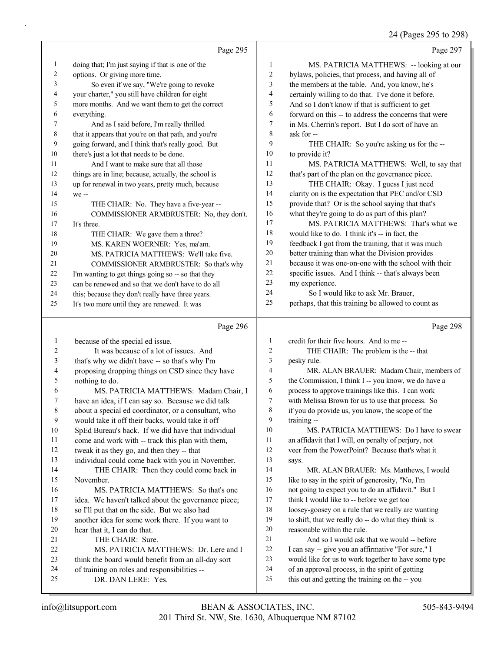|              |                                                                            |                  | 24 (Pages 295 to 298)                                                                               |
|--------------|----------------------------------------------------------------------------|------------------|-----------------------------------------------------------------------------------------------------|
|              | Page 295                                                                   |                  | Page 297                                                                                            |
| $\mathbf{1}$ | doing that; I'm just saying if that is one of the                          | 1                | MS. PATRICIA MATTHEWS: -- looking at our                                                            |
| 2            | options. Or giving more time.                                              | 2                | bylaws, policies, that process, and having all of                                                   |
| 3            | So even if we say, "We're going to revoke                                  | 3                | the members at the table. And, you know, he's                                                       |
| 4            | your charter," you still have children for eight                           | 4                | certainly willing to do that. I've done it before.                                                  |
| 5            | more months. And we want them to get the correct                           | 5                | And so I don't know if that is sufficient to get                                                    |
| 6            | everything.                                                                | 6                | forward on this -- to address the concerns that were                                                |
| 7            | And as I said before, I'm really thrilled                                  | 7                | in Ms. Cherrin's report. But I do sort of have an                                                   |
| 8            | that it appears that you're on that path, and you're                       | 8                | ask for --                                                                                          |
| 9            | going forward, and I think that's really good. But                         | 9                | THE CHAIR: So you're asking us for the --                                                           |
| 10           | there's just a lot that needs to be done.                                  | 10               | to provide it?                                                                                      |
| 11           | And I want to make sure that all those                                     | 11               | MS. PATRICIA MATTHEWS: Well, to say that                                                            |
| 12           | things are in line; because, actually, the school is                       | 12               | that's part of the plan on the governance piece.                                                    |
| 13           | up for renewal in two years, pretty much, because                          | 13               | THE CHAIR: Okay. I guess I just need                                                                |
| 14           | we --                                                                      | 14               | clarity on is the expectation that PEC and/or CSD                                                   |
| 15           | THE CHAIR: No. They have a five-year --                                    | 15               | provide that? Or is the school saying that that's                                                   |
| 16           | COMMISSIONER ARMBRUSTER: No, they don't.                                   | 16               | what they're going to do as part of this plan?                                                      |
| 17           | It's three.                                                                | 17               | MS. PATRICIA MATTHEWS: That's what we                                                               |
| 18           | THE CHAIR: We gave them a three?                                           | 18               | would like to do. I think it's -- in fact, the                                                      |
| 19           | MS. KAREN WOERNER: Yes, ma'am.                                             | 19               | feedback I got from the training, that it was much                                                  |
| 20           | MS. PATRICIA MATTHEWS: We'll take five.                                    | $20\,$           | better training than what the Division provides                                                     |
| 21           | COMMISSIONER ARMBRUSTER: So that's why                                     | $21\,$           | because it was one-on-one with the school with their                                                |
| 22           | I'm wanting to get things going so -- so that they                         | $22\,$           | specific issues. And I think -- that's always been                                                  |
| 23           | can be renewed and so that we don't have to do all                         | 23               | my experience.                                                                                      |
| 24           | this; because they don't really have three years.                          | 24               | So I would like to ask Mr. Brauer,                                                                  |
| 25           | It's two more until they are renewed. It was                               | 25               | perhaps, that this training be allowed to count as                                                  |
|              |                                                                            |                  |                                                                                                     |
|              | Page 296                                                                   |                  | Page 298                                                                                            |
| 1            |                                                                            | 1                | credit for their five hours. And to me --                                                           |
| 2            | because of the special ed issue.<br>It was because of a lot of issues. And | $\overline{c}$   |                                                                                                     |
| 3            | that's why we didn't have -- so that's why I'm                             | 3                | THE CHAIR: The problem is the -- that<br>pesky rule.                                                |
| 4            | proposing dropping things on CSD since they have                           | 4                | MR. ALAN BRAUER: Madam Chair, members of                                                            |
| 5            | nothing to do.                                                             | 5                | the Commission, I think I -- you know, we do have a                                                 |
| 6            | MS. PATRICIA MATTHEWS: Madam Chair, I                                      | 6                | process to approve trainings like this. I can work                                                  |
|              | have an idea, if I can say so. Because we did talk                         | $\boldsymbol{7}$ | with Melissa Brown for us to use that process. So                                                   |
| 8            | about a special ed coordinator, or a consultant, who                       | 8                | if you do provide us, you know, the scope of the                                                    |
| 9            | would take it off their backs, would take it off                           | 9                | training --                                                                                         |
| 10           | SpEd Bureau's back. If we did have that individual                         | 10               | MS. PATRICIA MATTHEWS: Do I have to swear                                                           |
| 11           | come and work with -- track this plan with them,                           | 11               | an affidavit that I will, on penalty of perjury, not                                                |
| 12           | tweak it as they go, and then they -- that                                 | 12               | veer from the PowerPoint? Because that's what it                                                    |
| 13           | individual could come back with you in November.                           | 13               | says.                                                                                               |
| 14           | THE CHAIR: Then they could come back in                                    | 14               | MR. ALAN BRAUER: Ms. Matthews, I would                                                              |
| 15           | November.                                                                  | 15               | like to say in the spirit of generosity, "No, I'm                                                   |
| 16           | MS. PATRICIA MATTHEWS: So that's one                                       | 16               | not going to expect you to do an affidavit." But I                                                  |
| 17           | idea. We haven't talked about the governance piece;                        | 17               | think I would like to -- before we get too                                                          |
| 18           | so I'll put that on the side. But we also had                              | 18               | loosey-goosey on a rule that we really are wanting                                                  |
| 19           | another idea for some work there. If you want to                           | 19               | to shift, that we really do -- do what they think is                                                |
| 20           | hear that it, I can do that.                                               | 20               | reasonable within the rule.                                                                         |
| 21           | THE CHAIR: Sure.                                                           | 21               | And so I would ask that we would -- before                                                          |
| 22           | MS. PATRICIA MATTHEWS: Dr. Lere and I                                      | 22               | I can say -- give you an affirmative "For sure," I                                                  |
| 23           | think the board would benefit from an all-day sort                         | 23               | would like for us to work together to have some type                                                |
| 24<br>25     | of training on roles and responsibilities --<br>DR. DAN LERE: Yes.         | 24<br>25         | of an approval process, in the spirit of getting<br>this out and getting the training on the -- you |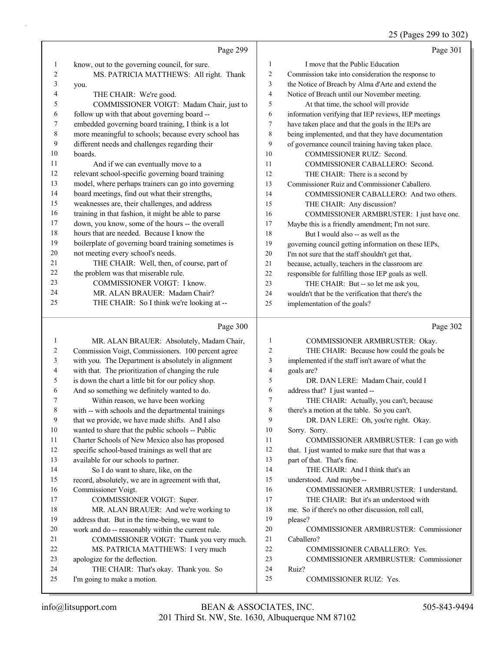25 (Pages 299 to 302)

|    | Page 299                                             |                | Page 301                                             |
|----|------------------------------------------------------|----------------|------------------------------------------------------|
| 1  | know, out to the governing council, for sure.        | 1              | I move that the Public Education                     |
| 2  | MS. PATRICIA MATTHEWS: All right. Thank              | $\overline{c}$ | Commission take into consideration the response to   |
| 3  | you.                                                 | 3              | the Notice of Breach by Alma d'Arte and extend the   |
| 4  | THE CHAIR: We're good.                               | $\overline{4}$ | Notice of Breach until our November meeting.         |
| 5  | COMMISSIONER VOIGT: Madam Chair, just to             | 5              | At that time, the school will provide                |
| 6  | follow up with that about governing board --         | 6              | information verifying that IEP reviews, IEP meetings |
| 7  | embedded governing board training, I think is a lot  | 7              | have taken place and that the goals in the IEPs are  |
| 8  | more meaningful to schools; because every school has | 8              | being implemented, and that they have documentation  |
| 9  | different needs and challenges regarding their       | 9              | of governance council training having taken place.   |
| 10 | boards.                                              | 10             | COMMISSIONER RUIZ: Second.                           |
| 11 | And if we can eventually move to a                   | 11             | COMMISSIONER CABALLERO: Second.                      |
| 12 | relevant school-specific governing board training    | 12             | THE CHAIR: There is a second by                      |
| 13 | model, where perhaps trainers can go into governing  | 13             | Commissioner Ruiz and Commissioner Caballero.        |
| 14 | board meetings, find out what their strengths,       | 14             | COMMISSIONER CABALLERO: And two others.              |
| 15 | weaknesses are, their challenges, and address        | 15             | THE CHAIR: Any discussion?                           |
| 16 | training in that fashion, it might be able to parse  | 16             | COMMISSIONER ARMBRUSTER: I just have one.            |
| 17 | down, you know, some of the hours -- the overall     | 17             | Maybe this is a friendly amendment; I'm not sure.    |
| 18 | hours that are needed. Because I know the            | 18             | But I would also -- as well as the                   |
| 19 | boilerplate of governing board training sometimes is | 19             | governing council getting information on these IEPs, |
| 20 | not meeting every school's needs.                    | 20             | I'm not sure that the staff shouldn't get that,      |
| 21 | THE CHAIR: Well, then, of course, part of            | 21             | because, actually, teachers in the classroom are     |
| 22 | the problem was that miserable rule.                 | 22             | responsible for fulfilling those IEP goals as well.  |
| 23 | <b>COMMISSIONER VOIGT: I know.</b>                   | 23             | THE CHAIR: But -- so let me ask you,                 |
| 24 | MR. ALAN BRAUER: Madam Chair?                        | 24             | wouldn't that be the verification that there's the   |
| 25 | THE CHAIR: So I think we're looking at --            | 25             | implementation of the goals?                         |
|    | Page 300                                             |                | Page 302                                             |

## Page 300 |

| 1  | MR. ALAN BRAUER: Absolutely, Madam Chair,           | 1  | COMMISSIONER ARMBRUSTER: Okay.                    |
|----|-----------------------------------------------------|----|---------------------------------------------------|
| 2  | Commission Voigt, Commissioners. 100 percent agree  | 2  | THE CHAIR: Because how could the goals be         |
| 3  | with you. The Department is absolutely in alignment | 3  | implemented if the staff isn't aware of what the  |
| 4  | with that. The prioritization of changing the rule  | 4  | goals are?                                        |
| 5  | is down the chart a little bit for our policy shop. | 5  | DR. DAN LERE: Madam Chair, could I                |
| 6  | And so something we definitely wanted to do.        | 6  | address that? I just wanted --                    |
| 7  | Within reason, we have been working                 | 7  | THE CHAIR: Actually, you can't, because           |
| 8  | with -- with schools and the departmental trainings | 8  | there's a motion at the table. So you can't.      |
| 9  | that we provide, we have made shifts. And I also    | 9  | DR. DAN LERE: Oh, you're right. Okay.             |
| 10 | wanted to share that the public schools -- Public   | 10 | Sorry. Sorry.                                     |
| 11 | Charter Schools of New Mexico also has proposed     | 11 | COMMISSIONER ARMBRUSTER: I can go with            |
| 12 | specific school-based trainings as well that are    | 12 | that. I just wanted to make sure that that was a  |
| 13 | available for our schools to partner.               | 13 | part of that. That's fine.                        |
| 14 | So I do want to share, like, on the                 | 14 | THE CHAIR: And I think that's an                  |
| 15 | record, absolutely, we are in agreement with that,  | 15 | understood. And maybe --                          |
| 16 | Commissioner Voigt.                                 | 16 | COMMISSIONER ARMBRUSTER: I understand.            |
| 17 | COMMISSIONER VOIGT: Super.                          | 17 | THE CHAIR: But it's an understood with            |
| 18 | MR. ALAN BRAUER: And we're working to               | 18 | me. So if there's no other discussion, roll call, |
| 19 | address that. But in the time-being, we want to     | 19 | please?                                           |
| 20 | work and do -- reasonably within the current rule.  | 20 | <b>COMMISSIONER ARMBRUSTER: Commissioner</b>      |
| 21 | COMMISSIONER VOIGT: Thank you very much.            | 21 | Caballero?                                        |
| 22 | MS. PATRICIA MATTHEWS: I very much                  | 22 | <b>COMMISSIONER CABALLERO: Yes.</b>               |
| 23 | apologize for the deflection.                       | 23 | <b>COMMISSIONER ARMBRUSTER: Commissioner</b>      |
| 24 | THE CHAIR: That's okay. Thank you. So               | 24 | Ruiz?                                             |
| 25 | I'm going to make a motion.                         | 25 | <b>COMMISSIONER RUIZ: Yes.</b>                    |
|    |                                                     |    |                                                   |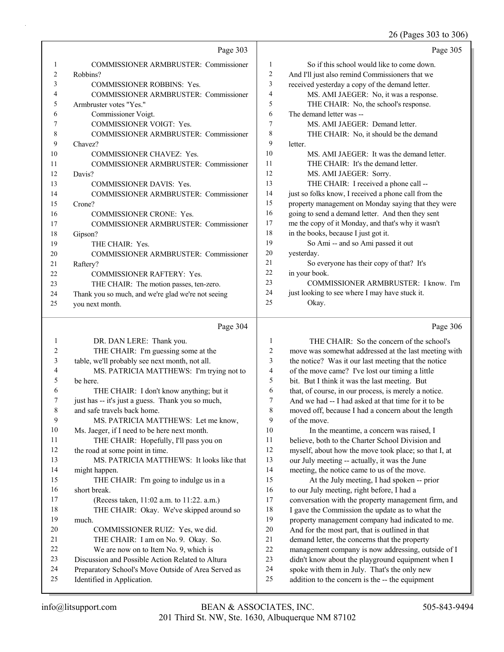#### 26 (Pages 303 to 306)

|    | Page 303                                           |     | Page 305                                             |
|----|----------------------------------------------------|-----|------------------------------------------------------|
| 1  | <b>COMMISSIONER ARMBRUSTER: Commissioner</b>       | 1   | So if this school would like to come down.           |
| 2  | Robbins?                                           | 2   | And I'll just also remind Commissioners that we      |
| 3  | <b>COMMISSIONER ROBBINS: Yes.</b>                  | 3   | received yesterday a copy of the demand letter.      |
| 4  | <b>COMMISSIONER ARMBRUSTER: Commissioner</b>       | 4   | MS. AMI JAEGER: No, it was a response.               |
| 5  | Armbruster votes "Yes."                            | 5   | THE CHAIR: No, the school's response.                |
| 6  | Commissioner Voigt.                                | 6   | The demand letter was --                             |
|    | <b>COMMISSIONER VOIGT: Yes.</b>                    | 7   | MS. AMI JAEGER: Demand letter.                       |
| 8  | <b>COMMISSIONER ARMBRUSTER: Commissioner</b>       | 8   | THE CHAIR: No, it should be the demand               |
| 9  | Chavez?                                            | 9   | letter.                                              |
| 10 | <b>COMMISSIONER CHAVEZ: Yes.</b>                   | 10  | MS. AMI JAEGER: It was the demand letter.            |
| 11 | <b>COMMISSIONER ARMBRUSTER: Commissioner</b>       | 11  | THE CHAIR: It's the demand letter.                   |
| 12 | Davis?                                             | 12  | MS. AMI JAEGER: Sorry.                               |
| 13 | <b>COMMISSIONER DAVIS: Yes.</b>                    | 13  | THE CHAIR: I received a phone call --                |
| 14 | COMMISSIONER ARMBRUSTER: Commissioner              | 14  | just so folks know, I received a phone call from the |
| 15 | Crone?                                             | 15  | property management on Monday saying that they were  |
| 16 | <b>COMMISSIONER CRONE: Yes.</b>                    | 16  | going to send a demand letter. And then they sent    |
| 17 | COMMISSIONER ARMBRUSTER: Commissioner              | 17  | me the copy of it Monday, and that's why it wasn't   |
| 18 | Gipson?                                            | 18  | in the books, because I just got it.                 |
| 19 | THE CHAIR: Yes.                                    | 19  | So Ami -- and so Ami passed it out                   |
| 20 | <b>COMMISSIONER ARMBRUSTER: Commissioner</b>       | 20  | yesterday.                                           |
| 21 | Raftery?                                           | 2.1 | So everyone has their copy of that? It's             |
| 22 | <b>COMMISSIONER RAFTERY: Yes.</b>                  | 22  | in your book.                                        |
| 23 | THE CHAIR: The motion passes, ten-zero.            | 23  | COMMISSIONER ARMBRUSTER: I know. I'm                 |
| 24 | Thank you so much, and we're glad we're not seeing | 24  | just looking to see where I may have stuck it.       |
| 25 | you next month.                                    | 25  | Okay.                                                |
|    |                                                    |     |                                                      |

# Page  $304$

|    | DR. DAN LERE: Thank you.                            | 1  | THE CHAIR: So the concern of the school's            |
|----|-----------------------------------------------------|----|------------------------------------------------------|
| 2  | THE CHAIR: I'm guessing some at the                 | 2  | move was somewhat addressed at the last meeting with |
| 3  | table, we'll probably see next month, not all.      | 3  | the notice? Was it our last meeting that the notice  |
| 4  | MS. PATRICIA MATTHEWS: I'm trying not to            | 4  | of the move came? I've lost our timing a little      |
| 5  | be here.                                            | 5  | bit. But I think it was the last meeting. But        |
| 6  | THE CHAIR: I don't know anything; but it            | 6  | that, of course, in our process, is merely a notice. |
| 7  | just has -- it's just a guess. Thank you so much,   | 7  | And we had -- I had asked at that time for it to be  |
| 8  | and safe travels back home.                         | 8  | moved off, because I had a concern about the length  |
| 9  | MS. PATRICIA MATTHEWS: Let me know,                 | 9  | of the move.                                         |
| 10 | Ms. Jaeger, if I need to be here next month.        | 10 | In the meantime, a concern was raised, I             |
| 11 | THE CHAIR: Hopefully, I'll pass you on              | 11 | believe, both to the Charter School Division and     |
| 12 | the road at some point in time.                     | 12 | myself, about how the move took place; so that I, at |
| 13 | MS. PATRICIA MATTHEWS: It looks like that           | 13 | our July meeting -- actually, it was the June        |
| 14 | might happen.                                       | 14 | meeting, the notice came to us of the move.          |
| 15 | THE CHAIR: I'm going to indulge us in a             | 15 | At the July meeting, I had spoken -- prior           |
| 16 | short break.                                        | 16 | to our July meeting, right before, I had a           |
| 17 | (Recess taken, 11:02 a.m. to 11:22. a.m.)           | 17 | conversation with the property management firm, and  |
| 18 | THE CHAIR: Okay. We've skipped around so            | 18 | I gave the Commission the update as to what the      |
| 19 | much.                                               | 19 | property management company had indicated to me.     |
| 20 | COMMISSIONER RUIZ: Yes, we did.                     | 20 | And for the most part, that is outlined in that      |
| 21 | THE CHAIR: I am on No. 9. Okay. So.                 | 21 | demand letter, the concerns that the property        |
| 22 | We are now on to Item No. 9, which is               | 22 | management company is now addressing, outside of I   |
| 23 | Discussion and Possible Action Related to Altura    | 23 | didn't know about the playground equipment when I    |
| 24 | Preparatory School's Move Outside of Area Served as | 24 | spoke with them in July. That's the only new         |
| 25 | Identified in Application.                          | 25 | addition to the concern is the -- the equipment      |
|    |                                                     |    |                                                      |

Page 306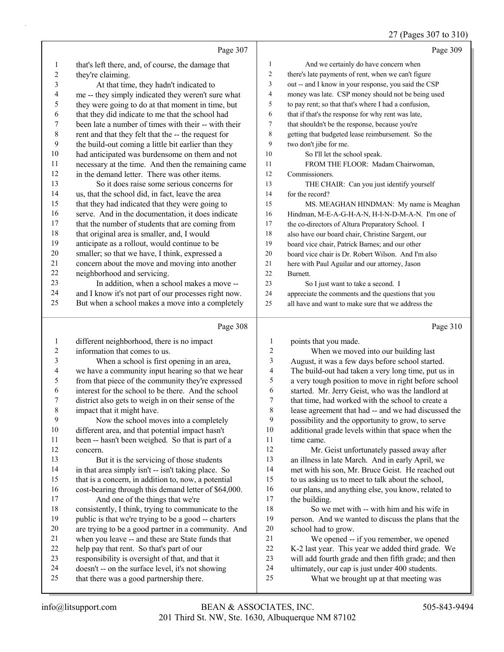# 27 (Pages 307 to 310)

|                          | Page 307                                                                                      |                | Page 309                                                                                  |
|--------------------------|-----------------------------------------------------------------------------------------------|----------------|-------------------------------------------------------------------------------------------|
| $\mathbf{1}$             | that's left there, and, of course, the damage that                                            | $\mathbf{1}$   | And we certainly do have concern when                                                     |
| $\overline{\mathbf{c}}$  | they're claiming.                                                                             | $\sqrt{2}$     | there's late payments of rent, when we can't figure                                       |
| 3                        | At that time, they hadn't indicated to                                                        | $\mathfrak{Z}$ | out -- and I know in your response, you said the CSP                                      |
| $\overline{\mathcal{A}}$ | me -- they simply indicated they weren't sure what                                            | 4              | money was late. CSP money should not be being used                                        |
| 5                        | they were going to do at that moment in time, but                                             | 5              | to pay rent; so that that's where I had a confusion,                                      |
| 6                        | that they did indicate to me that the school had                                              | 6              | that if that's the response for why rent was late,                                        |
| 7                        | been late a number of times with their -- with their                                          | 7              | that shouldn't be the response, because you're                                            |
| $\,$ $\,$                | rent and that they felt that the -- the request for                                           | 8              | getting that budgeted lease reimbursement. So the                                         |
| 9                        | the build-out coming a little bit earlier than they                                           | 9              | two don't jibe for me.                                                                    |
| $10\,$                   | had anticipated was burdensome on them and not                                                | 10             | So I'll let the school speak.                                                             |
| 11                       | necessary at the time. And then the remaining came                                            | 11             | FROM THE FLOOR: Madam Chairwoman,                                                         |
| 12                       | in the demand letter. There was other items.                                                  | 12             | Commissioners.                                                                            |
| 13                       | So it does raise some serious concerns for                                                    | 13             | THE CHAIR: Can you just identify yourself                                                 |
| 14                       | us, that the school did, in fact, leave the area                                              | 14             | for the record?                                                                           |
| 15                       | that they had indicated that they were going to                                               | 15             | MS. MEAGHAN HINDMAN: My name is Meaghan                                                   |
| 16                       | serve. And in the documentation, it does indicate                                             | 16             | Hindman, M-E-A-G-H-A-N, H-I-N-D-M-A-N. I'm one of                                         |
| 17                       | that the number of students that are coming from                                              | 17             | the co-directors of Altura Preparatory School. I                                          |
| 18                       | that original area is smaller, and, I would                                                   | 18             | also have our board chair, Christine Sargent, our                                         |
| 19                       | anticipate as a rollout, would continue to be                                                 | 19             | board vice chair, Patrick Barnes; and our other                                           |
| $20\,$                   | smaller; so that we have, I think, expressed a                                                | 20             | board vice chair is Dr. Robert Wilson. And I'm also                                       |
| 21                       | concern about the move and moving into another                                                | 21             | here with Paul Aguilar and our attorney, Jason                                            |
| 22                       | neighborhood and servicing.                                                                   | 22             | Burnett.                                                                                  |
| 23                       | In addition, when a school makes a move --                                                    | 23             | So I just want to take a second. I                                                        |
| 24                       | and I know it's not part of our processes right now.                                          | 24             | appreciate the comments and the questions that you                                        |
| 25                       | But when a school makes a move into a completely                                              | 25             | all have and want to make sure that we address the                                        |
|                          |                                                                                               |                |                                                                                           |
|                          | Page 308                                                                                      |                | Page 310                                                                                  |
| $\mathbf{1}$             | different neighborhood, there is no impact                                                    | $\mathbf{1}$   | points that you made.                                                                     |
| $\overline{\mathbf{c}}$  | information that comes to us.                                                                 | $\overline{c}$ | When we moved into our building last                                                      |
| 3                        | When a school is first opening in an area,                                                    | $\mathfrak{Z}$ | August, it was a few days before school started.                                          |
| 4                        | we have a community input hearing so that we hear                                             | 4              | The build-out had taken a very long time, put us in                                       |
| 5                        | from that piece of the community they're expressed                                            | 5              | a very tough position to move in right before school                                      |
| 6                        | interest for the school to be there. And the school                                           | 6              | started. Mr. Jerry Geist, who was the landlord at                                         |
| 7                        | district also gets to weigh in on their sense of the                                          | 7              | that time, had worked with the school to create a                                         |
| 8                        | impact that it might have.                                                                    | $\,$ $\,$      | lease agreement that had -- and we had discussed the                                      |
| 9                        | Now the school moves into a completely                                                        | 9              | possibility and the opportunity to grow, to serve                                         |
| $10\,$                   | different area, and that potential impact hasn't                                              | 10             | additional grade levels within that space when the                                        |
| 11                       | been -- hasn't been weighed. So that is part of a                                             | 11             | time came.                                                                                |
| 12                       | concern.                                                                                      | 12             | Mr. Geist unfortunately passed away after                                                 |
| 13                       | But it is the servicing of those students                                                     | 13             | an illness in late March. And in early April, we                                          |
| 14                       | in that area simply isn't -- isn't taking place. So                                           | 14             | met with his son, Mr. Bruce Geist. He reached out                                         |
| 15                       | that is a concern, in addition to, now, a potential                                           | 15             | to us asking us to meet to talk about the school,                                         |
| 16                       | cost-bearing through this demand letter of \$64,000.                                          | 16             | our plans, and anything else, you know, related to                                        |
| 17                       | And one of the things that we're                                                              | $17\,$         | the building.                                                                             |
| 18                       | consistently, I think, trying to communicate to the                                           | $18\,$         | So we met with -- with him and his wife in                                                |
| 19                       | public is that we're trying to be a good -- charters                                          | 19             | person. And we wanted to discuss the plans that the                                       |
| 20                       | are trying to be a good partner in a community. And                                           | 20             | school had to grow.                                                                       |
| 21                       | when you leave -- and these are State funds that                                              | 21             | We opened -- if you remember, we opened                                                   |
| 22                       | help pay that rent. So that's part of our                                                     | $22\,$         | K-2 last year. This year we added third grade. We                                         |
| 23                       | responsibility is oversight of that, and that it                                              | 23             | will add fourth grade and then fifth grade; and then                                      |
| 24<br>25                 | doesn't -- on the surface level, it's not showing<br>that there was a good partnership there. | 24<br>25       | ultimately, our cap is just under 400 students.<br>What we brought up at that meeting was |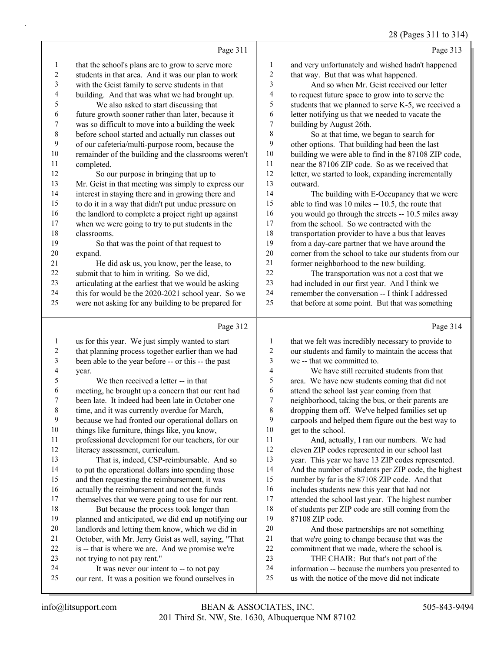28 (Pages 311 to 314)

|    |                                                      |                          | $\circ$                                              |
|----|------------------------------------------------------|--------------------------|------------------------------------------------------|
|    | Page 311                                             |                          | Page 313                                             |
| 1  | that the school's plans are to grow to serve more    | 1                        | and very unfortunately and wished hadn't happened    |
| 2  | students in that area. And it was our plan to work   | 2                        | that way. But that was what happened.                |
| 3  | with the Geist family to serve students in that      | 3                        | And so when Mr. Geist received our letter            |
| 4  | building. And that was what we had brought up.       | $\overline{\mathcal{L}}$ | to request future space to grow into to serve the    |
| 5  | We also asked to start discussing that               | 5                        | students that we planned to serve K-5, we received a |
| 6  | future growth sooner rather than later, because it   | 6                        | letter notifying us that we needed to vacate the     |
| 7  | was so difficult to move into a building the week    | 7                        | building by August 26th.                             |
| 8  | before school started and actually run classes out   | 8                        | So at that time, we began to search for              |
| 9  | of our cafeteria/multi-purpose room, because the     | 9                        | other options. That building had been the last       |
| 10 | remainder of the building and the classrooms weren't | 10                       | building we were able to find in the 87108 ZIP code, |
| 11 | completed.                                           | 11                       | near the 87106 ZIP code. So as we received that      |
| 12 | So our purpose in bringing that up to                | 12                       | letter, we started to look, expanding incrementally  |
| 13 | Mr. Geist in that meeting was simply to express our  | 13                       | outward.                                             |
| 14 | interest in staying there and in growing there and   | 14                       | The building with E-Occupancy that we were           |
| 15 | to do it in a way that didn't put undue pressure on  | 15                       | able to find was $10$ miles $-10.5$ , the route that |
| 16 | the landlord to complete a project right up against  | 16                       | you would go through the streets -- 10.5 miles away  |
| 17 | when we were going to try to put students in the     | 17                       | from the school. So we contracted with the           |
| 18 | classrooms.                                          | 18                       | transportation provider to have a bus that leaves    |
| 19 | So that was the point of that request to             | 19                       | from a day-care partner that we have around the      |
| 20 | expand.                                              | 20                       | corner from the school to take our students from our |
| 21 | He did ask us, you know, per the lease, to           | 21                       | former neighborhood to the new building.             |
| 22 | submit that to him in writing. So we did,            | 22                       | The transportation was not a cost that we            |
| 23 | articulating at the earliest that we would be asking | 23                       | had included in our first year. And I think we       |
| 24 | this for would be the 2020-2021 school year. So we   | 24                       | remember the conversation -- I think I addressed     |
| 25 | were not asking for any building to be prepared for  | 25                       | that before at some point. But that was something    |
|    |                                                      |                          |                                                      |
|    | Page 312                                             |                          | Page 314                                             |
| 1  | us for this year. We just simply wanted to start     | 1                        |                                                      |
|    |                                                      |                          | that we felt was incredibly necessary to provide to  |
| 2  | that planning process together earlier than we had   | $\overline{\mathbf{c}}$  | our students and family to maintain the access that  |
| 3  | been able to the year before -- or this -- the past  | 3                        | we -- that we committed to.                          |
| 4  | year.                                                | 4                        | We have still recruited students from that           |
| 5  | We then received a letter -- in that                 | 5                        | area. We have new students coming that did not       |
| 6  | meeting, he brought up a concern that our rent had   | 6                        | attend the school last year coming from that         |
| 7  | been late. It indeed had been late in October one    | 7                        | neighborhood, taking the bus, or their parents are   |
| 8  | time, and it was currently overdue for March,        | 8                        | dropping them off. We've helped families set up      |
| 9  | because we had fronted our operational dollars on    | 9                        | carpools and helped them figure out the best way to  |
| 10 | things like furniture, things like, you know,        | 10                       | get to the school.                                   |
| 11 | professional development for our teachers, for our   | 11                       | And, actually, I ran our numbers. We had             |
| 12 | literacy assessment, curriculum.                     | 12                       | eleven ZIP codes represented in our school last      |
| 13 | That is, indeed, CSP-reimbursable. And so            | 13                       | year. This year we have 13 ZIP codes represented.    |
| 14 | to put the operational dollars into spending those   | 14                       | And the number of students per ZIP code, the highest |
| 15 | and then requesting the reimbursement, it was        | 15                       | number by far is the 87108 ZIP code. And that        |
| 16 | actually the reimbursement and not the funds         | 16                       | includes students new this year that had not         |
| 17 | themselves that we were going to use for our rent.   | 17                       | attended the school last year. The highest number    |
| 18 | But because the process took longer than             | 18                       | of students per ZIP code are still coming from the   |
| 19 | planned and anticipated, we did end up notifying our | 19                       | 87108 ZIP code.                                      |
| 20 | landlords and letting them know, which we did in     | 20                       | And those partnerships are not something             |
| 21 | October, with Mr. Jerry Geist as well, saying, "That | 21                       | that we're going to change because that was the      |
| 22 | is -- that is where we are. And we promise we're     | $22\,$                   | commitment that we made, where the school is.        |
| 23 | not trying to not pay rent."                         | 23                       | THE CHAIR: But that's not part of the                |
| 24 | It was never our intent to -- to not pay             | 24                       | information -- because the numbers you presented to  |
| 25 | our rent. It was a position we found ourselves in    | 25                       | us with the notice of the move did not indicate      |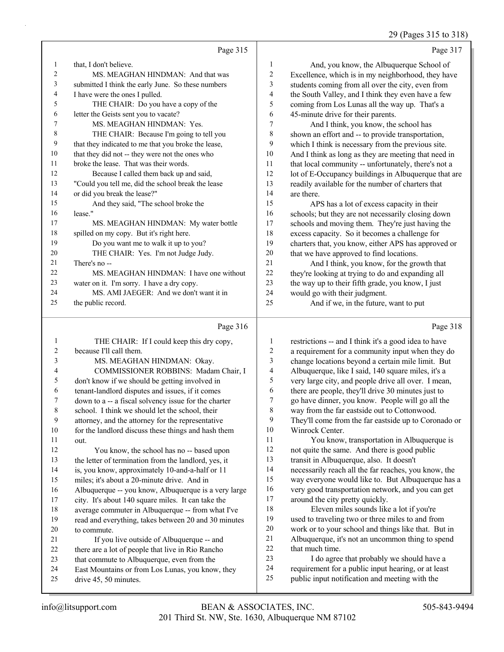# 29 (Pages 315 to 318)

|                | Page 315                                            |    | Page 317                                             |
|----------------|-----------------------------------------------------|----|------------------------------------------------------|
| 1              | that, I don't believe.                              | 1  | And, you know, the Albuquerque School of             |
| $\overline{c}$ | MS. MEAGHAN HINDMAN: And that was                   | 2  | Excellence, which is in my neighborhood, they have   |
| 3              | submitted I think the early June. So these numbers  | 3  | students coming from all over the city, even from    |
| 4              | I have were the ones I pulled.                      | 4  | the South Valley, and I think they even have a few   |
| 5              | THE CHAIR: Do you have a copy of the                | 5  | coming from Los Lunas all the way up. That's a       |
| 6              | letter the Geists sent you to vacate?               | 6  | 45-minute drive for their parents.                   |
| 7              | MS. MEAGHAN HINDMAN: Yes.                           | 7  | And I think, you know, the school has                |
| 8              | THE CHAIR: Because I'm going to tell you            | 8  | shown an effort and -- to provide transportation,    |
| 9              | that they indicated to me that you broke the lease, | 9  | which I think is necessary from the previous site.   |
| 10             | that they did not -- they were not the ones who     | 10 | And I think as long as they are meeting that need in |
| 11             | broke the lease. That was their words.              | 11 | that local community -- unfortunately, there's not a |
| 12             | Because I called them back up and said,             | 12 | lot of E-Occupancy buildings in Albuquerque that are |
| 13             | "Could you tell me, did the school break the lease  | 13 | readily available for the number of charters that    |
| 14             | or did you break the lease?"                        | 14 | are there.                                           |
| 15             | And they said, "The school broke the                | 15 | APS has a lot of excess capacity in their            |
| 16             | lease."                                             | 16 | schools; but they are not necessarily closing down   |
| 17             | MS. MEAGHAN HINDMAN: My water bottle                | 17 | schools and moving them. They're just having the     |
| 18             | spilled on my copy. But it's right here.            | 18 | excess capacity. So it becomes a challenge for       |
| 19             | Do you want me to walk it up to you?                | 19 | charters that, you know, either APS has approved or  |
| 20             | THE CHAIR: Yes. I'm not Judge Judy.                 | 20 | that we have approved to find locations.             |
| 21             | There's no --                                       | 21 | And I think, you know, for the growth that           |
| 22             | MS. MEAGHAN HINDMAN: I have one without             | 22 | they're looking at trying to do and expanding all    |
| 23             | water on it. I'm sorry. I have a dry copy.          | 23 | the way up to their fifth grade, you know, I just    |
| 24             | MS. AMI JAEGER: And we don't want it in             | 24 | would go with their judgment.                        |
| 25             | the public record.                                  | 25 | And if we, in the future, want to put                |
|                |                                                     |    |                                                      |

## Page 316 |

| $\mathbf{1}$ | THE CHAIR: If I could keep this dry copy,            | 1  | restrictions |
|--------------|------------------------------------------------------|----|--------------|
| 2            | because I'll call them.                              | 2  | a requireme  |
| 3            | MS. MEAGHAN HINDMAN: Okay.                           | 3  | change loca  |
| 4            | COMMISSIONER ROBBINS: Madam Chair, I                 | 4  | Albuquerqu   |
| 5            | don't know if we should be getting involved in       | 5  | very large c |
| 6            | tenant-landlord disputes and issues, if it comes     | 6  | there are pe |
| 7            | down to a -- a fiscal solvency issue for the charter | 7  | go have din  |
| 8            | school. I think we should let the school, their      | 8  | way from th  |
| 9            | attorney, and the attorney for the representative    | 9  | They'll com  |
| 10           | for the landlord discuss these things and hash them  | 10 | Winrock Co   |
| 11           | out.                                                 | 11 | You l        |
| 12           | You know, the school has no -- based upon            | 12 | not quite th |
| 13           | the letter of termination from the landlord, yes, it | 13 | transit in A |
| 14           | is, you know, approximately 10-and-a-half or 11      | 14 | necessarily  |
| 15           | miles; it's about a 20-minute drive. And in          | 15 | way everyo   |
| 16           | Albuquerque -- you know, Albuquerque is a very large | 16 | very good t  |
| 17           | city. It's about 140 square miles. It can take the   | 17 | around the   |
| 18           | average commuter in Albuquerque -- from what I've    | 18 | Eleve        |
| 19           | read and everything, takes between 20 and 30 minutes | 19 | used to trav |
| 20           | to commute.                                          | 20 | work or to   |
| 21           | If you live outside of Albuquerque -- and            | 21 | Albuquerqu   |
| 22           | there are a lot of people that live in Rio Rancho    | 22 | that much ti |
| 23           | that commute to Albuquerque, even from the           | 23 | I do a       |
| 24           | East Mountains or from Los Lunas, you know, they     | 24 | requiremen   |
| 25           | drive 45, 50 minutes.                                | 25 | public inpu  |
|              |                                                      |    |              |

Page 318

| 1              | restrictions -- and I think it's a good idea to have |
|----------------|------------------------------------------------------|
| 2              | a requirement for a community input when they do     |
| 3              | change locations beyond a certain mile limit. But    |
| $\overline{4}$ | Albuquerque, like I said, 140 square miles, it's a   |
| 5              | very large city, and people drive all over. I mean,  |
| 6              | there are people, they'll drive 30 minutes just to   |
| $\overline{7}$ | go have dinner, you know. People will go all the     |
| 8              | way from the far eastside out to Cottonwood.         |
| 9              | They'll come from the far eastside up to Coronado or |
| 10             | Winrock Center.                                      |
| 11             | You know, transportation in Albuquerque is           |
| 12             | not quite the same. And there is good public         |
| 13             | transit in Albuquerque, also. It doesn't             |
| 14             | necessarily reach all the far reaches, you know, the |
| 15             | way everyone would like to. But Albuquerque has a    |
| 16             | very good transportation network, and you can get    |
| 17             | around the city pretty quickly.                      |
| 18             | Eleven miles sounds like a lot if you're             |
| 19             | used to traveling two or three miles to and from     |
| 20             | work or to your school and things like that. But in  |
| 21             | Albuquerque, it's not an uncommon thing to spend     |
| 22             | that much time.                                      |
| 23             | I do agree that probably we should have a            |
| 24             | requirement for a public input hearing, or at least  |
| 25             | public input notification and meeting with the       |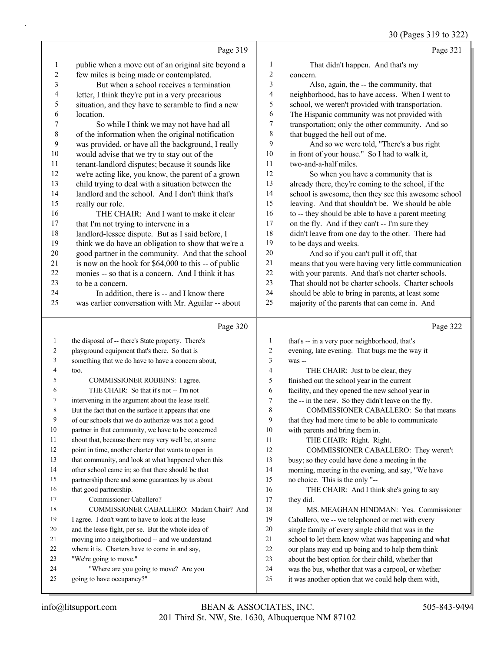|  |  | 505-843-9494 |  |  |
|--|--|--------------|--|--|
|  |  |              |  |  |
|  |  |              |  |  |

|                          | Page 319                                                           |                          | Page 321                                                                                                   |
|--------------------------|--------------------------------------------------------------------|--------------------------|------------------------------------------------------------------------------------------------------------|
| $\mathbf{1}$             | public when a move out of an original site beyond a                | $\mathbf{1}$             | That didn't happen. And that's my                                                                          |
| $\overline{\mathbf{c}}$  | few miles is being made or contemplated.                           | $\overline{c}$           | concern.                                                                                                   |
| 3                        | But when a school receives a termination                           | 3                        | Also, again, the -- the community, that                                                                    |
| $\overline{\mathcal{A}}$ | letter, I think they're put in a very precarious                   | $\overline{\mathcal{A}}$ | neighborhood, has to have access. When I went to                                                           |
| 5                        | situation, and they have to scramble to find a new                 | 5                        | school, we weren't provided with transportation.                                                           |
| 6                        | location.                                                          | $\sqrt{6}$               | The Hispanic community was not provided with                                                               |
| 7                        | So while I think we may not have had all                           | 7                        | transportation; only the other community. And so                                                           |
| $\,$ $\,$                | of the information when the original notification                  | 8                        | that bugged the hell out of me.                                                                            |
| 9                        | was provided, or have all the background, I really                 | 9                        | And so we were told, "There's a bus right                                                                  |
| 10                       | would advise that we try to stay out of the                        | $10\,$                   | in front of your house." So I had to walk it,                                                              |
| 11                       | tenant-landlord disputes; because it sounds like                   | 11                       | two-and-a-half miles.                                                                                      |
| 12                       | we're acting like, you know, the parent of a grown                 | 12                       | So when you have a community that is                                                                       |
| 13                       | child trying to deal with a situation between the                  | 13                       | already there, they're coming to the school, if the                                                        |
| 14                       | landlord and the school. And I don't think that's                  | 14                       | school is awesome, then they see this awesome school                                                       |
| 15                       | really our role.                                                   | 15                       | leaving. And that shouldn't be. We should be able                                                          |
| 16                       | THE CHAIR: And I want to make it clear                             | 16                       | to -- they should be able to have a parent meeting                                                         |
| 17                       | that I'm not trying to intervene in a                              | 17                       | on the fly. And if they can't -- I'm sure they                                                             |
| 18                       | landlord-lessee dispute. But as I said before, I                   | $18\,$                   | didn't leave from one day to the other. There had                                                          |
| 19                       | think we do have an obligation to show that we're a                | 19                       | to be days and weeks.                                                                                      |
| 20                       | good partner in the community. And that the school                 | $20\,$                   | And so if you can't pull it off, that                                                                      |
| 21                       | is now on the hook for \$64,000 to this -- of public               | 21                       | means that you were having very little communication                                                       |
| 22                       | monies -- so that is a concern. And I think it has                 | 22                       | with your parents. And that's not charter schools.                                                         |
| 23                       | to be a concern.                                                   | 23                       | That should not be charter schools. Charter schools                                                        |
| 24                       | In addition, there is -- and I know there                          | 24                       | should be able to bring in parents, at least some                                                          |
| 25                       | was earlier conversation with Mr. Aguilar -- about                 | 25                       | majority of the parents that can come in. And                                                              |
|                          | Page 320                                                           |                          | Page 322                                                                                                   |
| $\mathbf{1}$             | the disposal of -- there's State property. There's                 | 1                        | that's -- in a very poor neighborhood, that's                                                              |
| 2                        | playground equipment that's there. So that is                      | 2                        | evening, late evening. That bugs me the way it                                                             |
| 3                        | something that we do have to have a concern about,                 | 3                        | was --                                                                                                     |
| 4                        | too.                                                               |                          |                                                                                                            |
| 5                        |                                                                    | $\overline{\mathbf{4}}$  | THE CHAIR: Just to be clear, they                                                                          |
|                          | COMMISSIONER ROBBINS: I agree.                                     | 5                        | finished out the school year in the current                                                                |
| 6                        | THE CHAIR: So that it's not -- I'm not                             | 6                        | facility, and they opened the new school year in                                                           |
| 7                        | intervening in the argument about the lease itself.                | 7                        | the -- in the new. So they didn't leave on the fly.                                                        |
| 8                        | But the fact that on the surface it appears that one               | 8                        | COMMISSIONER CABALLERO: So that means                                                                      |
| 9                        | of our schools that we do authorize was not a good                 | 9                        | that they had more time to be able to communicate                                                          |
| 10                       | partner in that community, we have to be concerned                 | 10                       | with parents and bring them in.                                                                            |
| 11                       | about that, because there may very well be, at some                | 11                       | THE CHAIR: Right. Right.                                                                                   |
| 12                       | point in time, another charter that wants to open in               | 12                       | COMMISSIONER CABALLERO: They weren't                                                                       |
| 13                       | that community, and look at what happened when this                | 13                       | busy; so they could have done a meeting in the                                                             |
| 14                       | other school came in; so that there should be that                 | 14                       | morning, meeting in the evening, and say, "We have                                                         |
| 15                       | partnership there and some guarantees by us about                  | 15                       | no choice. This is the only "--                                                                            |
| 16                       | that good partnership.                                             | 16                       | THE CHAIR: And I think she's going to say                                                                  |
| 17                       | Commissioner Caballero?                                            | 17                       | they did.                                                                                                  |
| 18                       | COMMISSIONER CABALLERO: Madam Chair? And                           | 18                       | MS. MEAGHAN HINDMAN: Yes. Commissioner                                                                     |
| 19                       | I agree. I don't want to have to look at the lease                 | 19                       | Caballero, we -- we telephoned or met with every                                                           |
| 20                       | and the lease fight, per se. But the whole idea of                 | 20                       | single family of every single child that was in the                                                        |
| 21                       | moving into a neighborhood -- and we understand                    | 21                       | school to let them know what was happening and what                                                        |
| 22                       | where it is. Charters have to come in and say,                     | 22                       | our plans may end up being and to help them think                                                          |
| 23                       | "We're going to move."                                             | 23                       | about the best option for their child, whether that                                                        |
| 24<br>25                 | "Where are you going to move? Are you<br>going to have occupancy?" | 24<br>$25\,$             | was the bus, whether that was a carpool, or whether<br>it was another option that we could help them with, |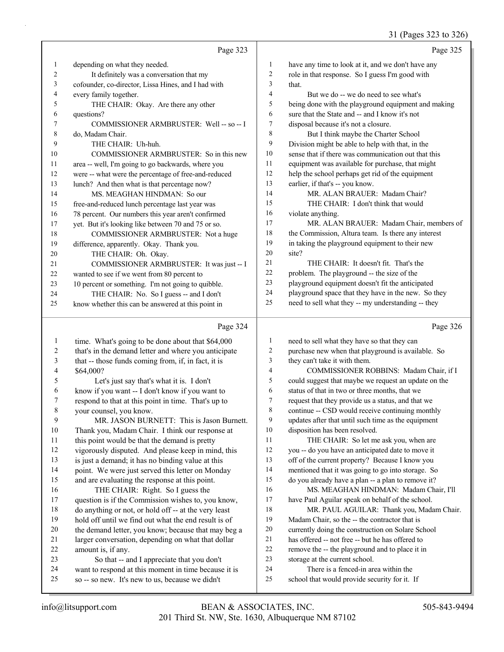### 31 (Pages 323 to 326)

|                         |                                                      |                  | 31 (Fages 323 to 320)                                |
|-------------------------|------------------------------------------------------|------------------|------------------------------------------------------|
|                         | Page 323                                             |                  | Page 325                                             |
| $\mathbf{1}$            | depending on what they needed.                       | $\mathbf{1}$     | have any time to look at it, and we don't have any   |
| 2                       | It definitely was a conversation that my             | $\sqrt{2}$       | role in that response. So I guess I'm good with      |
| 3                       | cofounder, co-director, Lissa Hines, and I had with  | 3                | that.                                                |
| 4                       | every family together.                               | $\overline{4}$   | But we do -- we do need to see what's                |
| 5                       | THE CHAIR: Okay. Are there any other                 | $\mathfrak s$    | being done with the playground equipment and making  |
| 6                       | questions?                                           | 6                | sure that the State and -- and I know it's not       |
| 7                       | COMMISSIONER ARMBRUSTER: Well -- so -- I             | $\boldsymbol{7}$ | disposal because it's not a closure.                 |
| 8                       | do, Madam Chair.                                     | $\,$ 8 $\,$      | But I think maybe the Charter School                 |
| 9                       | THE CHAIR: Uh-huh.                                   | 9                | Division might be able to help with that, in the     |
| 10                      | COMMISSIONER ARMBRUSTER: So in this new              | 10               | sense that if there was communication out that this  |
| 11                      | area -- well, I'm going to go backwards, where you   | $11\,$           | equipment was available for purchase, that might     |
| 12                      | were -- what were the percentage of free-and-reduced | 12               | help the school perhaps get rid of the equipment     |
| 13                      | lunch? And then what is that percentage now?         | 13               | earlier, if that's -- you know.                      |
| 14                      | MS. MEAGHAN HINDMAN: So our                          | 14               | MR. ALAN BRAUER: Madam Chair?                        |
| 15                      | free-and-reduced lunch percentage last year was      | 15               | THE CHAIR: I don't think that would                  |
| 16                      | 78 percent. Our numbers this year aren't confirmed   | 16               | violate anything.                                    |
| 17                      | yet. But it's looking like between 70 and 75 or so.  | 17               | MR. ALAN BRAUER: Madam Chair, members of             |
| 18                      | COMMISSIONER ARMBRUSTER: Not a huge                  | 18               | the Commission, Altura team. Is there any interest   |
| 19                      | difference, apparently. Okay. Thank you.             | 19               | in taking the playground equipment to their new      |
| 20                      | THE CHAIR: Oh. Okay.                                 | 20               | site?                                                |
| 21                      | COMMISSIONER ARMBRUSTER: It was just -- I            | 21               | THE CHAIR: It doesn't fit. That's the                |
| 22                      | wanted to see if we went from 80 percent to          | 22               | problem. The playground -- the size of the           |
| 23                      | 10 percent or something. I'm not going to quibble.   | 23               | playground equipment doesn't fit the anticipated     |
| 24                      | THE CHAIR: No. So I guess -- and I don't             | 24               | playground space that they have in the new. So they  |
| 25                      | know whether this can be answered at this point in   | 25               | need to sell what they -- my understanding -- they   |
|                         | Page 324                                             |                  | Page 326                                             |
| $\mathbf{1}$            | time. What's going to be done about that \$64,000    | $\mathbf{1}$     | need to sell what they have so that they can         |
| $\overline{\mathbf{c}}$ | that's in the demand letter and where you anticipate | $\sqrt{2}$       | purchase new when that playground is available. So   |
| 3                       | that -- those funds coming from, if, in fact, it is  | $\mathfrak{Z}$   | they can't take it with them.                        |
| 4                       | \$64,000?                                            | $\overline{4}$   | COMMISSIONER ROBBINS: Madam Chair, if I              |
| 5                       | Let's just say that's what it is. I don't            | $\sqrt{5}$       | could suggest that maybe we request an update on the |
| 6                       | know if you want -- I don't know if you want to      | 6                | status of that in two or three months, that we       |
| 7                       | respond to that at this point in time. That's up to  | $\tau$           | request that they provide us a status, and that we   |
| 8                       | your counsel, you know.                              | $\,$ 8 $\,$      | continue -- CSD would receive continuing monthly     |
| 9                       | MR. JASON BURNETT: This is Jason Burnett.            | 9                | updates after that until such time as the equipment  |
| $10\,$                  | Thank you, Madam Chair. I think our response at      | 10               | disposition has been resolved.                       |
| 11                      | this point would be that the demand is pretty        | 11               | THE CHAIR: So let me ask you, when are               |
| $12\,$                  | vigorously disputed. And please keep in mind, this   | 12               | you -- do you have an anticipated date to move it    |
| 13                      | is just a demand; it has no binding value at this    | 13               | off of the current property? Because I know you      |
| 14                      | point. We were just served this letter on Monday     | 14               | mentioned that it was going to go into storage. So   |
| 15                      | and are evaluating the response at this point.       | 15               | do you already have a plan -- a plan to remove it?   |
| 16                      | THE CHAIR: Right. So I guess the                     | 16               | MS. MEAGHAN HINDMAN: Madam Chair, I'll               |
| 17                      | question is if the Commission wishes to, you know,   | 17               | have Paul Aguilar speak on behalf of the school.     |
| $18\,$                  | do anything or not, or hold off -- at the very least | 18               | MR. PAUL AGUILAR: Thank you, Madam Chair.            |
| 19                      | hold off until we find out what the end result is of | 19               | Madam Chair, so the -- the contractor that is        |
| $20\,$                  | the demand letter, you know; because that may beg a  | 20               | currently doing the construction on Solare School    |

- 
- 21 has offered -- not free -- but he has offered to<br>22 remove the -- the playeround and to place it in remove the -- the playground and to place it in
- storage at the current school.
- 24 There is a fenced-in area within the
- school that would provide security for it. If

amount is, if any.

larger conversation, depending on what that dollar

23 So that -- and I appreciate that you don't want to respond at this moment in time because it is so -- so new. It's new to us, because we didn't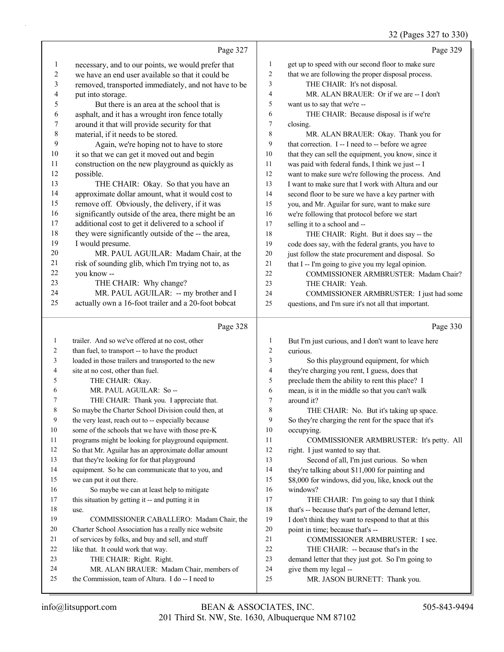#### 32 (Pages 327 to 330)

|              | Page 327                                                                                      |                | Page 329                                                                                                  |
|--------------|-----------------------------------------------------------------------------------------------|----------------|-----------------------------------------------------------------------------------------------------------|
| 1            | necessary, and to our points, we would prefer that                                            | $\mathbf{1}$   | get up to speed with our second floor to make sure                                                        |
| 2            | we have an end user available so that it could be                                             | $\overline{c}$ | that we are following the proper disposal process.                                                        |
| 3            | removed, transported immediately, and not have to be                                          | 3              | THE CHAIR: It's not disposal.                                                                             |
| 4            | put into storage.                                                                             | $\overline{4}$ | MR. ALAN BRAUER: Or if we are -- I don't                                                                  |
| 5            | But there is an area at the school that is                                                    | 5              | want us to say that we're --                                                                              |
| 6            | asphalt, and it has a wrought iron fence totally                                              | 6              | THE CHAIR: Because disposal is if we're                                                                   |
| 7            | around it that will provide security for that                                                 | 7              | closing.                                                                                                  |
| $\,$ $\,$    | material, if it needs to be stored.                                                           | 8              | MR. ALAN BRAUER: Okay. Thank you for                                                                      |
| 9            | Again, we're hoping not to have to store                                                      | 9              | that correction. I -- I need to -- before we agree                                                        |
| 10<br>11     | it so that we can get it moved out and begin                                                  | 10             | that they can sell the equipment, you know, since it                                                      |
| 12           | construction on the new playground as quickly as                                              | 11<br>12       | was paid with federal funds, I think we just -- I                                                         |
| 13           | possible.                                                                                     | 13             | want to make sure we're following the process. And<br>I want to make sure that I work with Altura and our |
| 14           | THE CHAIR: Okay. So that you have an<br>approximate dollar amount, what it would cost to      | 14             | second floor to be sure we have a key partner with                                                        |
| 15           | remove off. Obviously, the delivery, if it was                                                | 15             | you, and Mr. Aguilar for sure, want to make sure                                                          |
| 16           | significantly outside of the area, there might be an                                          | 16             | we're following that protocol before we start                                                             |
| 17           | additional cost to get it delivered to a school if                                            | 17             | selling it to a school and --                                                                             |
| 18           | they were significantly outside of the -- the area,                                           | 18             | THE CHAIR: Right. But it does say -- the                                                                  |
| 19           | I would presume.                                                                              | 19             | code does say, with the federal grants, you have to                                                       |
| 20           | MR. PAUL AGUILAR: Madam Chair, at the                                                         | 20             | just follow the state procurement and disposal. So                                                        |
| 21           | risk of sounding glib, which I'm trying not to, as                                            | 21             | that I -- I'm going to give you my legal opinion.                                                         |
| $22\,$       | you know --                                                                                   | 22             | COMMISSIONER ARMBRUSTER: Madam Chair?                                                                     |
| 23           | THE CHAIR: Why change?                                                                        | 23             | THE CHAIR: Yeah.                                                                                          |
| 24           | MR. PAUL AGUILAR: -- my brother and I                                                         | 24             | COMMISSIONER ARMBRUSTER: I just had some                                                                  |
| 25           | actually own a 16-foot trailer and a 20-foot bobcat                                           | 25             | questions, and I'm sure it's not all that important.                                                      |
|              |                                                                                               |                |                                                                                                           |
|              | Page 328                                                                                      |                | Page 330                                                                                                  |
| $\mathbf{1}$ | trailer. And so we've offered at no cost, other                                               | $\mathbf{1}$   | But I'm just curious, and I don't want to leave here                                                      |
| 2            | than fuel, to transport -- to have the product                                                | $\mathfrak{2}$ | curious.                                                                                                  |
| 3            | loaded in those trailers and transported to the new                                           | 3              | So this playground equipment, for which                                                                   |
| 4            | site at no cost, other than fuel.                                                             | 4              | they're charging you rent, I guess, does that                                                             |
| 5            | THE CHAIR: Okay.                                                                              | 5              | preclude them the ability to rent this place? I                                                           |
| 6            | MR. PAUL AGUILAR: So --                                                                       | 6              | mean, is it in the middle so that you can't walk                                                          |
| 7            | THE CHAIR: Thank you. I appreciate that.                                                      | 7              | around it?                                                                                                |
| 8            | So maybe the Charter School Division could then, at                                           | 8              | THE CHAIR: No. But it's taking up space.                                                                  |
| 9            | the very least, reach out to -- especially because                                            | 9              | So they're charging the rent for the space that it's                                                      |
| 10           | some of the schools that we have with those pre-K                                             | 10             | occupying.                                                                                                |
| 11           | programs might be looking for playground equipment.                                           | 11             | COMMISSIONER ARMBRUSTER: It's petty. All                                                                  |
| 12<br>13     | So that Mr. Aguilar has an approximate dollar amount                                          | 12<br>13       | right. I just wanted to say that.                                                                         |
| 14           | that they're looking for for that playground                                                  | 14             | Second of all, I'm just curious. So when                                                                  |
| 15           | equipment. So he can communicate that to you, and<br>we can put it out there.                 | 15             | they're talking about \$11,000 for painting and<br>\$8,000 for windows, did you, like, knock out the      |
| 16           | So maybe we can at least help to mitigate                                                     | 16             | windows?                                                                                                  |
| 17           | this situation by getting it -- and putting it in                                             | 17             | THE CHAIR: I'm going to say that I think                                                                  |
| 18           | use.                                                                                          | 18             | that's -- because that's part of the demand letter,                                                       |
| 19           | COMMISSIONER CABALLERO: Madam Chair, the                                                      | 19             | I don't think they want to respond to that at this                                                        |
| 20           | Charter School Association has a really nice website                                          | 20             | point in time; because that's --                                                                          |
| 21           | of services by folks, and buy and sell, and stuff                                             | 21             | COMMISSIONER ARMBRUSTER: I see.                                                                           |
| 22           | like that. It could work that way.                                                            | 22             | THE CHAIR: -- because that's in the                                                                       |
| 23           | THE CHAIR: Right. Right.                                                                      | 23             | demand letter that they just got. So I'm going to                                                         |
| 24<br>25     | MR. ALAN BRAUER: Madam Chair, members of<br>the Commission, team of Altura. I do -- I need to | 24<br>25       | give them my legal --<br>MR. JASON BURNETT: Thank you.                                                    |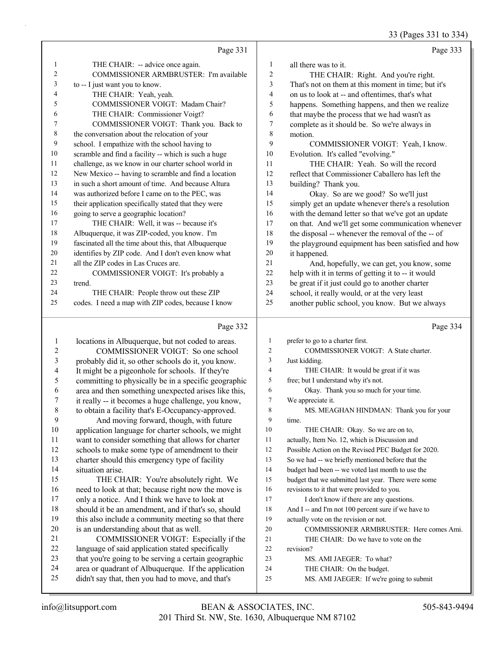33 (Pages 331 to 334)

|                         |                                                                                           |                | $33$ (1 ages $331$ to $337$                           |
|-------------------------|-------------------------------------------------------------------------------------------|----------------|-------------------------------------------------------|
|                         | Page 331                                                                                  |                | Page 333                                              |
| 1                       | THE CHAIR: -- advice once again.                                                          | 1              | all there was to it.                                  |
| 2                       | COMMISSIONER ARMBRUSTER: I'm available                                                    | $\overline{c}$ | THE CHAIR: Right. And you're right.                   |
| 3                       | to -- I just want you to know.                                                            | 3              | That's not on them at this moment in time; but it's   |
| 4                       | THE CHAIR: Yeah, yeah.                                                                    | $\overline{4}$ | on us to look at -- and oftentimes, that's what       |
| 5                       | COMMISSIONER VOIGT: Madam Chair?                                                          | 5              | happens. Something happens, and then we realize       |
| 6                       | THE CHAIR: Commissioner Voigt?                                                            | 6              | that maybe the process that we had wasn't as          |
| 7                       | COMMISSIONER VOIGT: Thank you. Back to                                                    | 7              | complete as it should be. So we're always in          |
| 8                       | the conversation about the relocation of your                                             | $\,$ 8 $\,$    | motion.                                               |
| 9                       | school. I empathize with the school having to                                             | 9              | COMMISSIONER VOIGT: Yeah, I know.                     |
| 10                      | scramble and find a facility -- which is such a huge                                      | 10             | Evolution. It's called "evolving."                    |
| 11                      | challenge, as we know in our charter school world in                                      | 11             | THE CHAIR: Yeah. So will the record                   |
| 12                      | New Mexico -- having to scramble and find a location                                      | 12             | reflect that Commissioner Caballero has left the      |
| 13                      | in such a short amount of time. And because Altura                                        | 13             | building? Thank you.                                  |
| 14                      | was authorized before I came on to the PEC, was                                           | 14             | Okay. So are we good? So we'll just                   |
| 15                      | their application specifically stated that they were                                      | 15             | simply get an update whenever there's a resolution    |
| 16                      | going to serve a geographic location?                                                     | 16             | with the demand letter so that we've got an update    |
| 17                      | THE CHAIR: Well, it was -- because it's                                                   | 17             | on that. And we'll get some communication whenever    |
| 18                      | Albuquerque, it was ZIP-coded, you know. I'm                                              | 18             | the disposal -- whenever the removal of the -- of     |
| 19                      | fascinated all the time about this, that Albuquerque                                      | 19             | the playground equipment has been satisfied and how   |
| 20                      | identifies by ZIP code. And I don't even know what                                        | $20\,$         | it happened.                                          |
| 21                      | all the ZIP codes in Las Cruces are.                                                      | 21             | And, hopefully, we can get, you know, some            |
| 22                      | COMMISSIONER VOIGT: It's probably a                                                       | $22\,$         | help with it in terms of getting it to -- it would    |
| 23                      | trend.                                                                                    | 23             | be great if it just could go to another charter       |
| 24                      | THE CHAIR: People throw out these ZIP                                                     | 24             | school, it really would, or at the very least         |
| 25                      | codes. I need a map with ZIP codes, because I know                                        | 25             | another public school, you know. But we always        |
|                         | Page 332                                                                                  |                | Page 334                                              |
|                         |                                                                                           |                |                                                       |
| 1                       | locations in Albuquerque, but not coded to areas.                                         | 1              | prefer to go to a charter first.                      |
| $\overline{\mathbf{c}}$ | COMMISSIONER VOIGT: So one school                                                         | $\overline{c}$ | COMMISSIONER VOIGT: A State charter.                  |
| 3                       | probably did it, so other schools do it, you know.                                        | 3              | Just kidding.                                         |
| 4                       | It might be a pigeonhole for schools. If they're                                          | $\overline{4}$ | THE CHAIR: It would be great if it was                |
| 5                       | committing to physically be in a specific geographic                                      | 5              | free; but I understand why it's not.                  |
| 6                       | area and then something unexpected arises like this,                                      | 6              | Okay. Thank you so much for your time.                |
| 7                       | it really -- it becomes a huge challenge, you know,                                       | 7              | We appreciate it.                                     |
| 8                       | to obtain a facility that's E-Occupancy-approved.                                         | 8              | MS. MEAGHAN HINDMAN: Thank you for your               |
| 9                       | And moving forward, though, with future                                                   | 9              | time.                                                 |
| $10\,$                  | application language for charter schools, we might                                        | 10             | THE CHAIR: Okay. So we are on to,                     |
| 11                      | want to consider something that allows for charter                                        | 11             | actually, Item No. 12, which is Discussion and        |
| 12                      | schools to make some type of amendment to their                                           | 12             | Possible Action on the Revised PEC Budget for 2020.   |
| 13                      | charter should this emergency type of facility                                            | 13             | So we had -- we briefly mentioned before that the     |
| 14                      | situation arise.                                                                          | 14             | budget had been -- we voted last month to use the     |
| 15                      | THE CHAIR: You're absolutely right. We                                                    | 15             | budget that we submitted last year. There were some   |
| $16\,$                  | need to look at that; because right now the move is                                       | 16             | revisions to it that were provided to you.            |
| 17                      | only a notice. And I think we have to look at                                             | 17             | I don't know if there are any questions.              |
| 18<br>19                | should it be an amendment, and if that's so, should                                       | 18             | And I -- and I'm not 100 percent sure if we have to   |
| $20\,$                  | this also include a community meeting so that there                                       | 19<br>20       | actually vote on the revision or not.                 |
| 21                      | is an understanding about that as well.                                                   | 21             | COMMISSIONER ARMBRUSTER: Here comes Ami.              |
| 22                      | COMMISSIONER VOIGT: Especially if the<br>language of said application stated specifically | $22\,$         | THE CHAIR: Do we have to vote on the<br>revision?     |
| 23                      | that you're going to be serving a certain geographic                                      | 23             |                                                       |
| 24                      | area or quadrant of Albuquerque. If the application                                       | 24             | MS. AMI JAEGER: To what?<br>THE CHAIR: On the budget. |
|                         |                                                                                           |                |                                                       |

didn't say that, then you had to move, and that's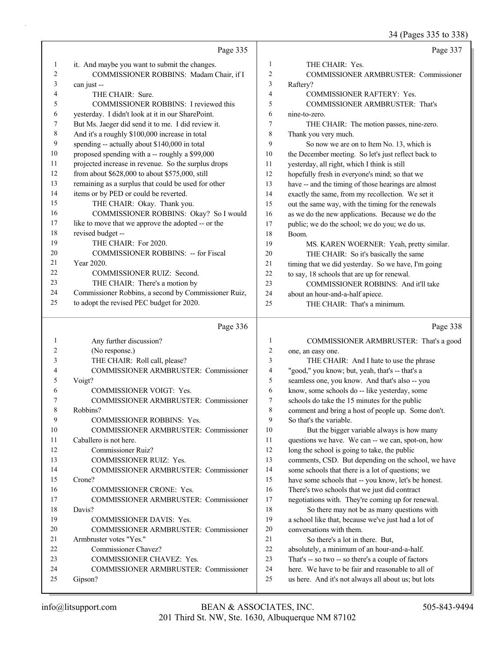34 (Pages 335 to 338)

|    |                                                      |    | 34 (Pages 335 to 338)                                |
|----|------------------------------------------------------|----|------------------------------------------------------|
|    | Page 335                                             |    | Page 337                                             |
| 1  | it. And maybe you want to submit the changes.        | 1  | THE CHAIR: Yes.                                      |
| 2  | COMMISSIONER ROBBINS: Madam Chair, if I              | 2  | COMMISSIONER ARMBRUSTER: Commissioner                |
| 3  | can just --                                          | 3  | Raftery?                                             |
| 4  | THE CHAIR: Sure.                                     | 4  | COMMISSIONER RAFTERY: Yes.                           |
| 5  | COMMISSIONER ROBBINS: I reviewed this                | 5  | COMMISSIONER ARMBRUSTER: That's                      |
| 6  | yesterday. I didn't look at it in our SharePoint.    | 6  | nine-to-zero.                                        |
| 7  | But Ms. Jaeger did send it to me. I did review it.   | 7  | THE CHAIR: The motion passes, nine-zero.             |
| 8  | And it's a roughly \$100,000 increase in total       | 8  | Thank you very much.                                 |
| 9  | spending -- actually about \$140,000 in total        | 9  | So now we are on to Item No. 13, which is            |
| 10 | proposed spending with a -- roughly a \$99,000       | 10 | the December meeting. So let's just reflect back to  |
| 11 | projected increase in revenue. So the surplus drops  | 11 | yesterday, all right, which I think is still         |
| 12 | from about \$628,000 to about \$575,000, still       | 12 | hopefully fresh in everyone's mind; so that we       |
| 13 | remaining as a surplus that could be used for other  | 13 | have -- and the timing of those hearings are almost  |
| 14 | items or by PED or could be reverted.                | 14 | exactly the same, from my recollection. We set it    |
| 15 | THE CHAIR: Okay. Thank you.                          | 15 | out the same way, with the timing for the renewals   |
| 16 | COMMISSIONER ROBBINS: Okay? So I would               | 16 | as we do the new applications. Because we do the     |
| 17 | like to move that we approve the adopted -- or the   | 17 | public; we do the school; we do you; we do us.       |
| 18 | revised budget --                                    | 18 | Boom.                                                |
| 19 | THE CHAIR: For 2020.                                 | 19 | MS. KAREN WOERNER: Yeah, pretty similar.             |
| 20 | <b>COMMISSIONER ROBBINS: -- for Fiscal</b>           | 20 | THE CHAIR: So it's basically the same                |
| 21 | Year 2020.                                           | 21 | timing that we did yesterday. So we have, I'm going  |
| 22 | COMMISSIONER RUIZ: Second.                           | 22 | to say, 18 schools that are up for renewal.          |
| 23 | THE CHAIR: There's a motion by                       | 23 | COMMISSIONER ROBBINS: And it'll take                 |
| 24 | Commissioner Robbins, a second by Commissioner Ruiz, | 24 | about an hour-and-a-half apiece.                     |
| 25 | to adopt the revised PEC budget for 2020.            | 25 | THE CHAIR: That's a minimum.                         |
|    | Page 336                                             |    | Page 338                                             |
| 1  | Any further discussion?                              | 1  | COMMISSIONER ARMBRUSTER: That's a good               |
| 2  | (No response.)                                       | 2  | one, an easy one.                                    |
| 3  | THE CHAIR: Roll call, please?                        | 3  | THE CHAIR: And I hate to use the phrase              |
| 4  | COMMISSIONER ARMBRUSTER: Commissioner                | 4  | "good," you know; but, yeah, that's -- that's a      |
| 5  | Voigt?                                               | 5  | seamless one, you know. And that's also -- you       |
| 6  | COMMISSIONER VOIGT: Yes.                             | 6  | know, some schools do -- like yesterday, some        |
| 7  | COMMISSIONER ARMBRUSTER: Commissioner                | 7  | schools do take the 15 minutes for the public        |
| 8  | Robbins?                                             | 8  | comment and bring a host of people up. Some don't.   |
| 9  | COMMISSIONER ROBBINS: Yes.                           | 9  | So that's the variable.                              |
| 10 | COMMISSIONER ARMBRUSTER: Commissioner                | 10 | But the bigger variable always is how many           |
| 11 | Caballero is not here.                               | 11 | questions we have. We can -- we can, spot-on, how    |
| 12 | <b>Commissioner Ruiz?</b>                            | 12 | long the school is going to take, the public         |
| 13 | COMMISSIONER RUIZ: Yes.                              | 13 | comments, CSD. But depending on the school, we have  |
| 14 | COMMISSIONER ARMBRUSTER: Commissioner                | 14 | some schools that there is a lot of questions; we    |
| 15 | Crone?                                               | 15 | have some schools that -- you know, let's be honest. |
| 16 | COMMISSIONER CRONE: Yes.                             | 16 | There's two schools that we just did contract        |
| 17 | COMMISSIONER ARMBRUSTER: Commissioner                | 17 | negotiations with. They're coming up for renewal.    |
| 18 | Davis?                                               | 18 | So there may not be as many questions with           |
| 19 | COMMISSIONER DAVIS: Yes.                             | 19 | a school like that, because we've just had a lot of  |
| 20 | COMMISSIONER ARMBRUSTER: Commissioner                | 20 | conversations with them.                             |
| 21 | Armbruster votes "Yes."                              | 21 | So there's a lot in there. But,                      |
| 22 | Commissioner Chavez?                                 | 22 | absolutely, a minimum of an hour-and-a-half.         |
| 23 | COMMISSIONER CHAVEZ: Yes.                            | 23 | That's -- so two -- so there's a couple of factors   |
| 24 | COMMISSIONER ARMBRUSTER: Commissioner                | 24 | here. We have to be fair and reasonable to all of    |
| 25 | Gipson?                                              | 25 | us here. And it's not always all about us; but lots  |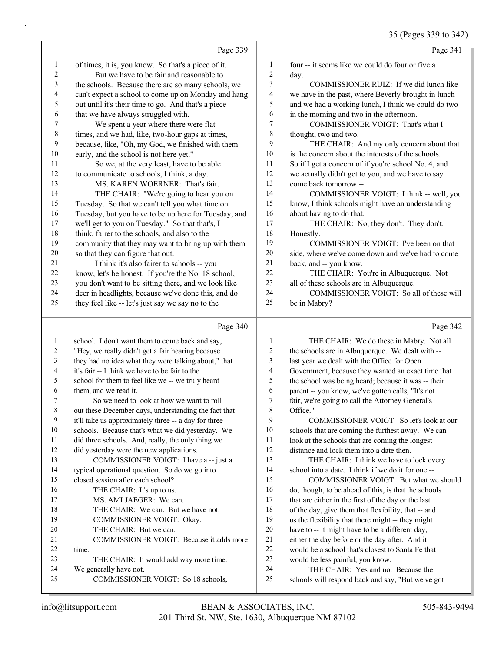|                |                                                                                                        |                  | $55 \text{ (1466535)}$ to $512$                                                         |
|----------------|--------------------------------------------------------------------------------------------------------|------------------|-----------------------------------------------------------------------------------------|
|                | Page 339                                                                                               |                  | Page 341                                                                                |
| 1              | of times, it is, you know. So that's a piece of it.                                                    | 1                | four -- it seems like we could do four or five a                                        |
| $\overline{c}$ | But we have to be fair and reasonable to                                                               | 2                | day.                                                                                    |
| 3              | the schools. Because there are so many schools, we                                                     | 3                | COMMISSIONER RUIZ: If we did lunch like                                                 |
| 4              | can't expect a school to come up on Monday and hang                                                    | 4                | we have in the past, where Beverly brought in lunch                                     |
| 5              | out until it's their time to go. And that's a piece                                                    | 5                | and we had a working lunch, I think we could do two                                     |
| 6              | that we have always struggled with.                                                                    | 6                | in the morning and two in the afternoon.                                                |
| 7              | We spent a year where there were flat                                                                  | 7                | COMMISSIONER VOIGT: That's what I                                                       |
| $\,$ $\,$      | times, and we had, like, two-hour gaps at times,                                                       | 8                | thought, two and two.                                                                   |
| 9              | because, like, "Oh, my God, we finished with them                                                      | 9                | THE CHAIR: And my only concern about that                                               |
| 10             | early, and the school is not here yet."                                                                | 10               | is the concern about the interests of the schools.                                      |
| 11             | So we, at the very least, have to be able                                                              | 11               | So if I get a concern of if you're school No. 4, and                                    |
| 12             | to communicate to schools, I think, a day.                                                             | 12               | we actually didn't get to you, and we have to say                                       |
| 13             | MS. KAREN WOERNER: That's fair.                                                                        | 13               | come back tomorrow --                                                                   |
| 14             | THE CHAIR: "We're going to hear you on                                                                 | 14               | COMMISSIONER VOIGT: I think -- well, you                                                |
| 15             | Tuesday. So that we can't tell you what time on                                                        | 15               | know, I think schools might have an understanding                                       |
| 16             | Tuesday, but you have to be up here for Tuesday, and                                                   | 16               | about having to do that.                                                                |
| 17             | we'll get to you on Tuesday." So that that's, I                                                        | 17               | THE CHAIR: No, they don't. They don't.                                                  |
| $18\,$         | think, fairer to the schools, and also to the                                                          | 18               | Honestly.                                                                               |
| 19             | community that they may want to bring up with them                                                     | 19               | COMMISSIONER VOIGT: I've been on that                                                   |
| $20\,$         | so that they can figure that out.                                                                      | $20\,$           | side, where we've come down and we've had to come                                       |
| 21             | I think it's also fairer to schools -- you                                                             | 21               | back, and -- you know.                                                                  |
| 22             | know, let's be honest. If you're the No. 18 school,                                                    | 22               | THE CHAIR: You're in Albuquerque. Not                                                   |
| 23             | you don't want to be sitting there, and we look like                                                   | 23               | all of these schools are in Albuquerque.                                                |
| 24             | deer in headlights, because we've done this, and do                                                    | 24               | COMMISSIONER VOIGT: So all of these will                                                |
| 25             | they feel like -- let's just say we say no to the                                                      | 25               | be in Mabry?                                                                            |
|                |                                                                                                        |                  |                                                                                         |
|                |                                                                                                        |                  |                                                                                         |
|                | Page 340                                                                                               |                  | Page 342                                                                                |
| $\mathbf{1}$   | school. I don't want them to come back and say,                                                        | 1                | THE CHAIR: We do these in Mabry. Not all                                                |
| 2              | "Hey, we really didn't get a fair hearing because                                                      | $\boldsymbol{2}$ | the schools are in Albuquerque. We dealt with --                                        |
| 3              | they had no idea what they were talking about," that                                                   | 3                | last year we dealt with the Office for Open                                             |
| 4              | it's fair -- I think we have to be fair to the                                                         | 4                | Government, because they wanted an exact time that                                      |
| 5              | school for them to feel like we -- we truly heard                                                      | 5<br>6           | the school was being heard; because it was -- their                                     |
| 6<br>7         | them, and we read it.                                                                                  | 7                | parent -- you know, we've gotten calls, "It's not                                       |
| 8              | So we need to look at how we want to roll                                                              |                  | fair, we're going to call the Attorney General's                                        |
| 9              | out these December days, understanding the fact that                                                   | 8<br>9           | Office."<br>COMMISSIONER VOIGT: So let's look at our                                    |
| 10             | it'll take us approximately three -- a day for three                                                   | 10               | schools that are coming the furthest away. We can                                       |
| 11             | schools. Because that's what we did yesterday. We<br>did three schools. And, really, the only thing we | 11               | look at the schools that are coming the longest                                         |
| 12             | did yesterday were the new applications.                                                               | 12               | distance and lock them into a date then.                                                |
| 13             | COMMISSIONER VOIGT: I have a -- just a                                                                 | 13               | THE CHAIR: I think we have to lock every                                                |
| 14             | typical operational question. So do we go into                                                         | 14               | school into a date. I think if we do it for one --                                      |
| 15             | closed session after each school?                                                                      | 15               | COMMISSIONER VOIGT: But what we should                                                  |
| 16             | THE CHAIR: It's up to us.                                                                              | 16               | do, though, to be ahead of this, is that the schools                                    |
| 17             | MS. AMI JAEGER: We can.                                                                                | 17               | that are either in the first of the day or the last                                     |
| 18             | THE CHAIR: We can. But we have not.                                                                    | 18               | of the day, give them that flexibility, that -- and                                     |
| 19             | COMMISSIONER VOIGT: Okay.                                                                              | 19               | us the flexibility that there might -- they might                                       |
| 20             | THE CHAIR: But we can.                                                                                 | 20               | have to -- it might have to be a different day,                                         |
| 21             | COMMISSIONER VOIGT: Because it adds more                                                               | $21\,$           | either the day before or the day after. And it                                          |
| 22             | time.                                                                                                  | $22\,$           | would be a school that's closest to Santa Fe that                                       |
| 23             | THE CHAIR: It would add way more time.                                                                 | 23               | would be less painful, you know.                                                        |
| 24<br>25       | We generally have not.<br>COMMISSIONER VOIGT: So 18 schools,                                           | 24<br>25         | THE CHAIR: Yes and no. Because the<br>schools will respond back and say, "But we've got |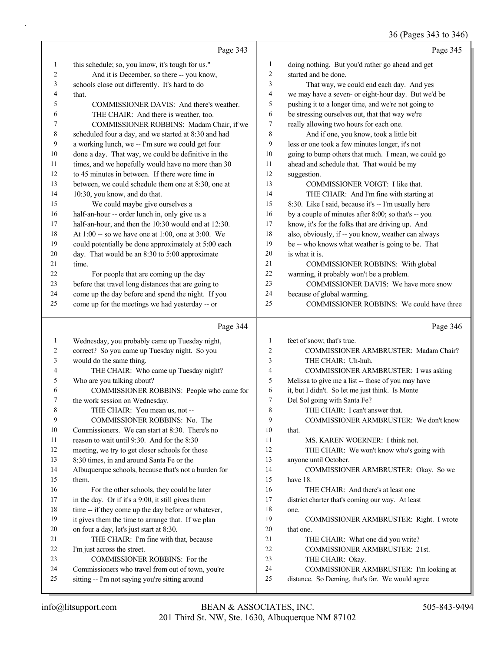# 36 (Pages 343 to 346)

|          | Page 343                                                                                             |                | Page 345                                                                                   |
|----------|------------------------------------------------------------------------------------------------------|----------------|--------------------------------------------------------------------------------------------|
| 1        | this schedule; so, you know, it's tough for us."                                                     | $\mathbf{1}$   | doing nothing. But you'd rather go ahead and get                                           |
| 2        | And it is December, so there -- you know,                                                            | $\overline{c}$ | started and be done.                                                                       |
| 3        | schools close out differently. It's hard to do                                                       | 3              | That way, we could end each day. And yes                                                   |
| 4        | that.                                                                                                | 4              | we may have a seven- or eight-hour day. But we'd be                                        |
| 5        | COMMISSIONER DAVIS: And there's weather.                                                             | 5              | pushing it to a longer time, and we're not going to                                        |
| 6        | THE CHAIR: And there is weather, too.                                                                | 6              | be stressing ourselves out, that that way we're                                            |
| 7        | COMMISSIONER ROBBINS: Madam Chair, if we                                                             | 7              | really allowing two hours for each one.                                                    |
| 8        | scheduled four a day, and we started at 8:30 and had                                                 | 8              | And if one, you know, took a little bit                                                    |
| 9        | a working lunch, we -- I'm sure we could get four                                                    | 9              | less or one took a few minutes longer, it's not                                            |
| 10       | done a day. That way, we could be definitive in the                                                  | 10             | going to bump others that much. I mean, we could go                                        |
| 11       | times, and we hopefully would have no more than 30                                                   | 11             | ahead and schedule that. That would be my                                                  |
| 12       | to 45 minutes in between. If there were time in                                                      | 12             | suggestion.                                                                                |
| 13       | between, we could schedule them one at 8:30, one at                                                  | 13             | COMMISSIONER VOIGT: I like that.                                                           |
| 14       | 10:30, you know, and do that.                                                                        | 14             | THE CHAIR: And I'm fine with starting at                                                   |
| 15       | We could maybe give ourselves a                                                                      | 15             | 8:30. Like I said, because it's -- I'm usually here                                        |
| 16       | half-an-hour -- order lunch in, only give us a                                                       | 16             | by a couple of minutes after 8:00; so that's -- you                                        |
| 17       | half-an-hour, and then the 10:30 would end at 12:30.                                                 | 17             | know, it's for the folks that are driving up. And                                          |
| 18       | At $1:00$ -- so we have one at $1:00$ , one at $3:00$ . We                                           | 18             | also, obviously, if -- you know, weather can always                                        |
| 19       | could potentially be done approximately at 5:00 each                                                 | 19             | be -- who knows what weather is going to be. That                                          |
| 20       | day. That would be an 8:30 to 5:00 approximate                                                       | 20             | is what it is.                                                                             |
| 21       | time.                                                                                                | $21\,$         | COMMISSIONER ROBBINS: With global                                                          |
| $22\,$   | For people that are coming up the day                                                                | 22             | warming, it probably won't be a problem.                                                   |
| 23       | before that travel long distances that are going to                                                  | 23             | COMMISSIONER DAVIS: We have more snow                                                      |
| 24       | come up the day before and spend the night. If you                                                   | 24             | because of global warming.                                                                 |
| 25       | come up for the meetings we had yesterday -- or                                                      | 25             | COMMISSIONER ROBBINS: We could have three                                                  |
|          |                                                                                                      |                |                                                                                            |
|          | Page 344                                                                                             |                | Page 346                                                                                   |
|          |                                                                                                      | $\mathbf{1}$   |                                                                                            |
| 1<br>2   | Wednesday, you probably came up Tuesday night,                                                       | 2              | feet of snow; that's true.<br>COMMISSIONER ARMBRUSTER: Madam Chair?                        |
| 3        | correct? So you came up Tuesday night. So you                                                        | 3              | THE CHAIR: Uh-huh.                                                                         |
| 4        | would do the same thing.                                                                             | 4              | COMMISSIONER ARMBRUSTER: I was asking                                                      |
| 5        | THE CHAIR: Who came up Tuesday night?                                                                | 5              | Melissa to give me a list -- those of you may have                                         |
| 6        | Who are you talking about?<br>COMMISSIONER ROBBINS: People who came for                              | 6              | it, but I didn't. So let me just think. Is Monte                                           |
| 7        | the work session on Wednesday.                                                                       | 7              | Del Sol going with Santa Fe?                                                               |
| 8        | THE CHAIR: You mean us, not --                                                                       | 8              | THE CHAIR: I can't answer that.                                                            |
| 9        | COMMISSIONER ROBBINS: No. The                                                                        | 9              | COMMISSIONER ARMBRUSTER: We don't know                                                     |
| 10       | Commissioners. We can start at 8:30. There's no                                                      | 10             | that.                                                                                      |
| 11       | reason to wait until 9:30. And for the 8:30                                                          | 11             | MS. KAREN WOERNER: I think not.                                                            |
| 12       | meeting, we try to get closer schools for those                                                      | 12             | THE CHAIR: We won't know who's going with                                                  |
| 13       | 8:30 times, in and around Santa Fe or the                                                            | 13             | anyone until October.                                                                      |
| 14       | Albuquerque schools, because that's not a burden for                                                 | 14             | COMMISSIONER ARMBRUSTER: Okay. So we                                                       |
| 15       | them.                                                                                                | 15             | have 18.                                                                                   |
| 16       | For the other schools, they could be later                                                           | 16             | THE CHAIR: And there's at least one                                                        |
| 17       | in the day. Or if it's a 9:00, it still gives them                                                   | 17             | district charter that's coming our way. At least                                           |
| 18       | time -- if they come up the day before or whatever,                                                  | 18             | one.                                                                                       |
| 19       | it gives them the time to arrange that. If we plan                                                   | 19             | COMMISSIONER ARMBRUSTER: Right. I wrote                                                    |
| 20       | on four a day, let's just start at 8:30.                                                             | 20             | that one.                                                                                  |
| 21       | THE CHAIR: I'm fine with that, because                                                               | 21             | THE CHAIR: What one did you write?                                                         |
| 22       | I'm just across the street.                                                                          | 22             | <b>COMMISSIONER ARMBRUSTER: 21st.</b>                                                      |
| 23       | COMMISSIONER ROBBINS: For the                                                                        | 23             | THE CHAIR: Okay.                                                                           |
| 24<br>25 | Commissioners who travel from out of town, you're<br>sitting -- I'm not saying you're sitting around | 24<br>25       | COMMISSIONER ARMBRUSTER: I'm looking at<br>distance. So Deming, that's far. We would agree |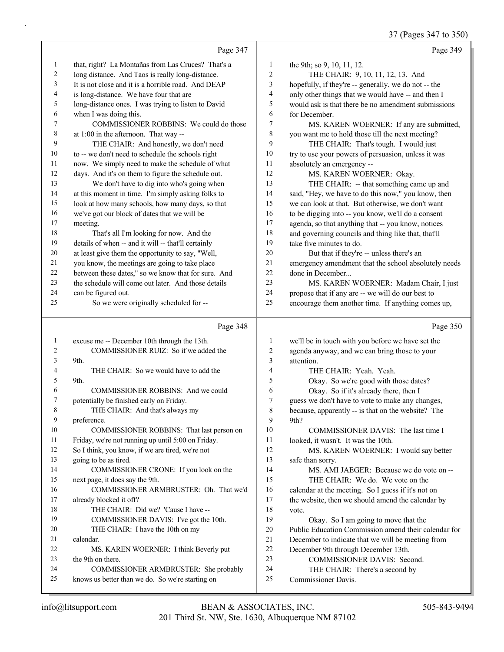37 (Pages 347 to 350)

|                | Page 347                                                                                  |                          | Page 349                                                    |
|----------------|-------------------------------------------------------------------------------------------|--------------------------|-------------------------------------------------------------|
| 1              | that, right? La Montañas from Las Cruces? That's a                                        | $\mathbf{1}$             | the 9th; so 9, 10, 11, 12.                                  |
| 2              | long distance. And Taos is really long-distance.                                          | $\sqrt{2}$               | THE CHAIR: 9, 10, 11, 12, 13. And                           |
| 3              | It is not close and it is a horrible road. And DEAP                                       | 3                        | hopefully, if they're -- generally, we do not -- the        |
| 4              | is long-distance. We have four that are                                                   | $\overline{\mathcal{A}}$ | only other things that we would have -- and then I          |
| 5              | long-distance ones. I was trying to listen to David                                       | 5                        | would ask is that there be no amendment submissions         |
| 6              | when I was doing this.                                                                    | 6                        | for December.                                               |
| 7              | COMMISSIONER ROBBINS: We could do those                                                   | 7                        | MS. KAREN WOERNER: If any are submitted,                    |
| 8              | at 1:00 in the afternoon. That way --                                                     | 8                        | you want me to hold those till the next meeting?            |
| 9              | THE CHAIR: And honestly, we don't need                                                    | 9                        | THE CHAIR: That's tough. I would just                       |
| 10             | to -- we don't need to schedule the schools right                                         | 10                       | try to use your powers of persuasion, unless it was         |
| 11             | now. We simply need to make the schedule of what                                          | 11                       | absolutely an emergency --                                  |
| 12             | days. And it's on them to figure the schedule out.                                        | 12                       | MS. KAREN WOERNER: Okay.                                    |
| 13             | We don't have to dig into who's going when                                                | 13                       | THE CHAIR: -- that something came up and                    |
| 14             | at this moment in time. I'm simply asking folks to                                        | 14                       | said, "Hey, we have to do this now," you know, then         |
| 15             | look at how many schools, how many days, so that                                          | 15                       | we can look at that. But otherwise, we don't want           |
| 16             | we've got our block of dates that we will be                                              | 16                       | to be digging into -- you know, we'll do a consent          |
| 17             | meeting.                                                                                  | 17                       | agenda, so that anything that -- you know, notices          |
| 18             | That's all I'm looking for now. And the                                                   | 18                       | and governing councils and thing like that, that'll         |
| 19             | details of when -- and it will -- that'll certainly                                       | 19                       | take five minutes to do.                                    |
| 20             | at least give them the opportunity to say, "Well,                                         | 20                       | But that if they're -- unless there's an                    |
| 21             | you know, the meetings are going to take place                                            | 21                       | emergency amendment that the school absolutely needs        |
| 22             | between these dates," so we know that for sure. And                                       | 22                       | done in December                                            |
| 23             | the schedule will come out later. And those details                                       | 23                       | MS. KAREN WOERNER: Madam Chair, I just                      |
| 24             | can be figured out.                                                                       | 24                       | propose that if any are -- we will do our best to           |
| 25             | So we were originally scheduled for --                                                    | 25                       | encourage them another time. If anything comes up,          |
|                | Page 348                                                                                  |                          |                                                             |
|                |                                                                                           |                          | Page 350                                                    |
| 1              |                                                                                           | $\mathbf{1}$             |                                                             |
| $\overline{c}$ | excuse me -- December 10th through the 13th.<br>COMMISSIONER RUIZ: So if we added the     | $\sqrt{2}$               | we'll be in touch with you before we have set the           |
| 3              | 9th.                                                                                      | 3                        | agenda anyway, and we can bring those to your<br>attention. |
| 4              | THE CHAIR: So we would have to add the                                                    | $\overline{4}$           | THE CHAIR: Yeah. Yeah.                                      |
| 5              | 9th.                                                                                      | 5                        | Okay. So we're good with those dates?                       |
| 6              | COMMISSIONER ROBBINS: And we could                                                        | 6                        | Okay. So if it's already there, then I                      |
| 7              | potentially be finished early on Friday.                                                  | $\boldsymbol{7}$         | guess we don't have to vote to make any changes,            |
| 8              | THE CHAIR: And that's always my                                                           | $\,8\,$                  | because, apparently -- is that on the website? The          |
| 9              | preference.                                                                               | 9                        | 9th?                                                        |
| 10             | COMMISSIONER ROBBINS: That last person on                                                 | 10                       | COMMISSIONER DAVIS: The last time I                         |
| 11             | Friday, we're not running up until 5:00 on Friday.                                        | 11                       | looked, it wasn't. It was the 10th.                         |
| 12             | So I think, you know, if we are tired, we're not                                          | 12                       | MS. KAREN WOERNER: I would say better                       |
| 13             | going to be as tired.                                                                     | 13                       | safe than sorry.                                            |
| 14             | COMMISSIONER CRONE: If you look on the                                                    | 14                       | MS. AMI JAEGER: Because we do vote on --                    |
| 15             | next page, it does say the 9th.                                                           | 15                       | THE CHAIR: We do. We vote on the                            |
| 16             | COMMISSIONER ARMBRUSTER: Oh. That we'd                                                    | 16                       | calendar at the meeting. So I guess if it's not on          |
| 17             | already blocked it off?                                                                   | 17                       | the website, then we should amend the calendar by           |
| 18             | THE CHAIR: Did we? 'Cause I have --                                                       | 18                       | vote.                                                       |
| 19             | COMMISSIONER DAVIS: I've got the 10th.                                                    | 19                       | Okay. So I am going to move that the                        |
| 20             | THE CHAIR: I have the 10th on my                                                          | $20\,$                   | Public Education Commission amend their calendar for        |
| 21             | calendar.                                                                                 | 21                       | December to indicate that we will be meeting from           |
| 22             | MS. KAREN WOERNER: I think Beverly put                                                    | 22                       | December 9th through December 13th.                         |
| 23             | the 9th on there.                                                                         | 23                       | COMMISSIONER DAVIS: Second.                                 |
| 24<br>25       | COMMISSIONER ARMBRUSTER: She probably<br>knows us better than we do. So we're starting on | 24<br>25                 | THE CHAIR: There's a second by<br>Commissioner Davis.       |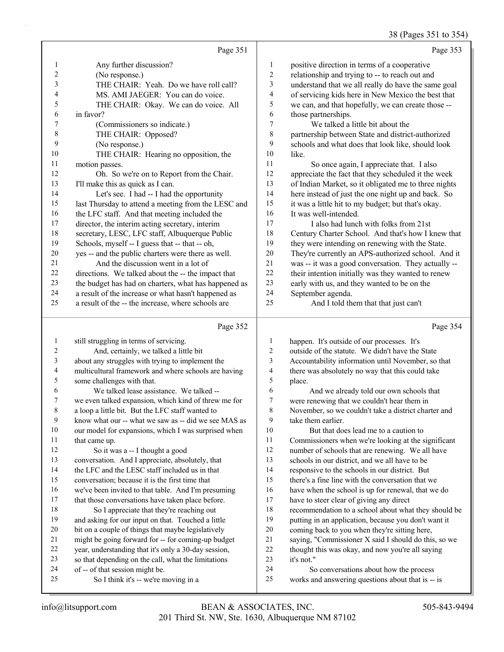#### 38 (Pages 351 to 354)

|                | Page 351                                             |                         | Page 353                                             |
|----------------|------------------------------------------------------|-------------------------|------------------------------------------------------|
| 1              | Any further discussion?                              | $\mathbf{1}$            | positive direction in terms of a cooperative         |
| $\overline{c}$ | (No response.)                                       | $\overline{c}$          | relationship and trying to -- to reach out and       |
| 3              | THE CHAIR: Yeah. Do we have roll call?               | 3                       | understand that we all really do have the same goal  |
| 4              | MS. AMI JAEGER: You can do voice.                    | 4                       | of servicing kids here in New Mexico the best that   |
| 5              | THE CHAIR: Okay. We can do voice. All                | 5                       | we can, and that hopefully, we can create those --   |
| 6              | in favor?                                            | 6                       | those partnerships.                                  |
| 7              | (Commissioners so indicate.)                         | $\overline{7}$          | We talked a little bit about the                     |
| 8              | THE CHAIR: Opposed?                                  | 8                       | partnership between State and district-authorized    |
| 9              | (No response.)                                       | 9                       | schools and what does that look like, should look    |
| 10             | THE CHAIR: Hearing no opposition, the                | 10                      | like.                                                |
| 11             | motion passes.                                       | 11                      | So once again, I appreciate that. I also             |
| 12             | Oh. So we're on to Report from the Chair.            | 12                      | appreciate the fact that they scheduled it the week  |
| 13             | I'll make this as quick as I can.                    | 13                      | of Indian Market, so it obligated me to three nights |
| 14             | Let's see. I had -- I had the opportunity            | 14                      | here instead of just the one night up and back. So   |
| 15             | last Thursday to attend a meeting from the LESC and  | 15                      | it was a little hit to my budget; but that's okay.   |
| 16             | the LFC staff. And that meeting included the         | 16                      | It was well-intended.                                |
| 17             | director, the interim acting secretary, interim      | 17                      | I also had lunch with folks from 21st                |
| 18             | secretary, LESC, LFC staff, Albuquerque Public       | 18                      | Century Charter School. And that's how I knew that   |
| 19             | Schools, myself -- I guess that -- that -- oh,       | 19                      | they were intending on renewing with the State.      |
| $20\,$         | yes -- and the public charters were there as well.   | 20                      | They're currently an APS-authorized school. And it   |
| 21             | And the discussion went in a lot of                  | 21                      | was -- it was a good conversation. They actually --  |
| 22             | directions. We talked about the -- the impact that   | 22                      | their intention initially was they wanted to renew   |
| 23             | the budget has had on charters, what has happened as | 23                      | early with us, and they wanted to be on the          |
| 24             | a result of the increase or what hasn't happened as  | 24                      | September agenda.                                    |
| 25             | a result of the -- the increase, where schools are   | 25                      | And I told them that that just can't                 |
|                | Page 352                                             |                         | Page 354                                             |
| $\mathbf{1}$   | still struggling in terms of servicing.              | $\mathbf{1}$            | happen. It's outside of our processes. It's          |
| 2              | And, certainly, we talked a little bit               | $\overline{c}$          | outside of the statute. We didn't have the State     |
| 3              | about any struggles with trying to implement the     | 3                       | Accountability information until November, so that   |
| 4              | multicultural framework and where schools are having | $\overline{\mathbf{4}}$ | there was absolutely no way that this could take     |
| 5              | some challenges with that.                           | 5                       | place.                                               |
| 6              | We talked lease assistance. We talked --             | 6                       | And we already told our own schools that             |
| 7              | we even talked expansion, which kind of threw me for | 7                       | were renewing that we couldn't hear them in          |
|                |                                                      |                         |                                                      |

 we even talked expansion, which kind of threw me for a loop a little bit. But the LFC staff wanted to

- know what our -- what we saw as -- did we see MAS as
- our model for expansions, which I was surprised when 11 that came up.
- 12 So it was a -- I thought a good conversation. And I appreciate, absolutely, that
- 14 the LFC and the LESC staff included us in that
- conversation; because it is the first time that
- we've been invited to that table. And I'm presuming
- 17 that those conversations have taken place before.
- 18 So I appreciate that they're reaching out and asking for our input on that. Touched a little
- bit on a couple of things that maybe legislatively might be going forward for -- for coming-up budget
- year, understanding that it's only a 30-day session,
- so that depending on the call, what the limitations
- of -- of that session might be.
- 25 So I think it's -- we're moving in a
- Commissioners when we're looking at the significant number of schools that are renewing. We all have schools in our district, and we all have to be responsive to the schools in our district. But there's a fine line with the conversation that we have when the school is up for renewal, that we do have to steer clear of giving any direct recommendation to a school about what they should be putting in an application, because you don't want it coming back to you when they're sitting here, saying, "Commissioner X said I should do this, so we thought this was okay, and now you're all saying it's not." 24 So conversations about how the process

November, so we couldn't take a district charter and

10 But that does lead me to a caution to

take them earlier.

works and answering questions about that is -- is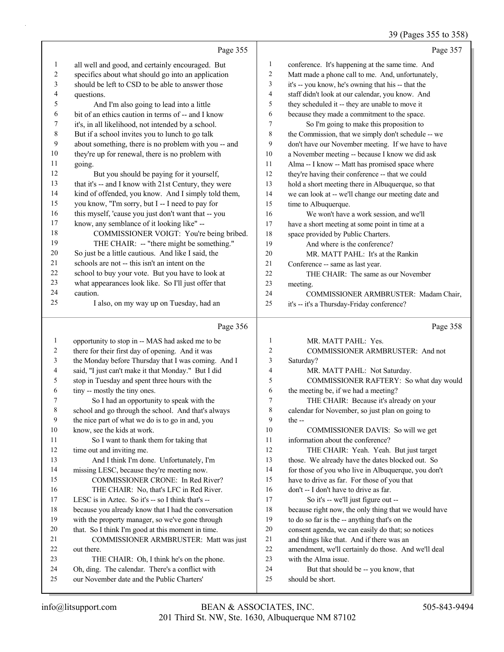# 39 (Pages 355 to 358)

|          | Page 355                                                                                      |          | Page 357                                                   |
|----------|-----------------------------------------------------------------------------------------------|----------|------------------------------------------------------------|
| 1        | all well and good, and certainly encouraged. But                                              | 1        | conference. It's happening at the same time. And           |
| 2        | specifics about what should go into an application                                            | 2        | Matt made a phone call to me. And, unfortunately,          |
| 3        | should be left to CSD to be able to answer those                                              | 3        | it's -- you know, he's owning that his -- that the         |
| 4        | questions.                                                                                    | 4        | staff didn't look at our calendar, you know. And           |
| 5        | And I'm also going to lead into a little                                                      | 5        | they scheduled it -- they are unable to move it            |
| 6        | bit of an ethics caution in terms of -- and I know                                            | 6        | because they made a commitment to the space.               |
| 7        | it's, in all likelihood, not intended by a school.                                            | 7        | So I'm going to make this proposition to                   |
| 8        | But if a school invites you to lunch to go talk                                               | 8        | the Commission, that we simply don't schedule -- we        |
| 9        | about something, there is no problem with you -- and                                          | 9        | don't have our November meeting. If we have to have        |
| 10       | they're up for renewal, there is no problem with                                              | 10       | a November meeting -- because I know we did ask            |
| 11       | going.                                                                                        | 11       | Alma -- I know -- Matt has promised space where            |
| 12       | But you should be paying for it yourself,                                                     | 12       | they're having their conference -- that we could           |
| 13       | that it's -- and I know with 21st Century, they were                                          | 13       | hold a short meeting there in Albuquerque, so that         |
| 14       | kind of offended, you know. And I simply told them,                                           | 14       | we can look at -- we'll change our meeting date and        |
| 15       | you know, "I'm sorry, but I -- I need to pay for                                              | 15       | time to Albuquerque.                                       |
| 16       | this myself, 'cause you just don't want that -- you                                           | 16       | We won't have a work session, and we'll                    |
| 17       | know, any semblance of it looking like" --                                                    | 17       | have a short meeting at some point in time at a            |
| 18       | COMMISSIONER VOIGT: You're being bribed.                                                      |          |                                                            |
| 19       | THE CHAIR: -- "there might be something."                                                     | 18<br>19 | space provided by Public Charters.                         |
| 20       | So just be a little cautious. And like I said, the                                            |          | And where is the conference?                               |
| 21       | schools are not -- this isn't an intent on the                                                | 20       | MR. MATT PAHL: It's at the Rankin                          |
| 22       |                                                                                               | 21       | Conference -- same as last year.                           |
|          | school to buy your vote. But you have to look at                                              | $22\,$   | THE CHAIR: The same as our November                        |
| 23       | what appearances look like. So I'll just offer that                                           | 23       | meeting.                                                   |
| 24       | caution.                                                                                      | 24       | COMMISSIONER ARMBRUSTER: Madam Chair,                      |
| 25       | I also, on my way up on Tuesday, had an                                                       | 25       | it's -- it's a Thursday-Friday conference?                 |
|          |                                                                                               |          |                                                            |
|          | Page 356                                                                                      |          | Page 358                                                   |
| 1        |                                                                                               | 1        | MR. MATT PAHL: Yes.                                        |
| 2        | opportunity to stop in -- MAS had asked me to be                                              | 2        |                                                            |
| 3        | there for their first day of opening. And it was                                              | 3        | COMMISSIONER ARMBRUSTER: And not                           |
| 4        | the Monday before Thursday that I was coming. And I                                           | 4        | Saturday?                                                  |
| 5        | said, "I just can't make it that Monday." But I did                                           | 5        | MR. MATT PAHL: Not Saturday.                               |
| 6        | stop in Tuesday and spent three hours with the                                                | 6        | COMMISSIONER RAFTERY: So what day would                    |
| 7        | tiny -- mostly the tiny ones.                                                                 | 7        | the meeting be, if we had a meeting?                       |
|          | So I had an opportunity to speak with the                                                     | 8        | THE CHAIR: Because it's already on your                    |
| 8<br>9   | school and go through the school. And that's always                                           | 9        | calendar for November, so just plan on going to<br>the $-$ |
| 10       | the nice part of what we do is to go in and, you                                              | 10       |                                                            |
| 11       | know, see the kids at work.                                                                   | 11       | COMMISSIONER DAVIS: So will we get                         |
|          | So I want to thank them for taking that                                                       |          | information about the conference?                          |
| 12       | time out and inviting me.                                                                     | 12       | THE CHAIR: Yeah. Yeah. But just target                     |
| 13       | And I think I'm done. Unfortunately, I'm                                                      | 13       | those. We already have the dates blocked out. So           |
| 14       | missing LESC, because they're meeting now.                                                    | 14       | for those of you who live in Albuquerque, you don't        |
| 15       | COMMISSIONER CRONE: In Red River?                                                             | 15       | have to drive as far. For those of you that                |
| 16       | THE CHAIR: No, that's LFC in Red River.                                                       | 16       | don't -- I don't have to drive as far.                     |
| 17       | LESC is in Aztec. So it's -- so I think that's --                                             | 17       | So it's -- we'll just figure out --                        |
| 18       | because you already know that I had the conversation                                          | 18       | because right now, the only thing that we would have       |
| 19       | with the property manager, so we've gone through                                              | 19       | to do so far is the -- anything that's on the              |
| 20       | that. So I think I'm good at this moment in time.                                             | 20       | consent agenda, we can easily do that; so notices          |
| 21       | COMMISSIONER ARMBRUSTER: Matt was just                                                        | 21       | and things like that. And if there was an                  |
| 22       | out there.                                                                                    | $22\,$   | amendment, we'll certainly do those. And we'll deal        |
| 23       | THE CHAIR: Oh, I think he's on the phone.                                                     | $23\,$   | with the Alma issue.                                       |
| 24<br>25 | Oh, ding. The calendar. There's a conflict with<br>our November date and the Public Charters' | 24<br>25 | But that should be -- you know, that<br>should be short.   |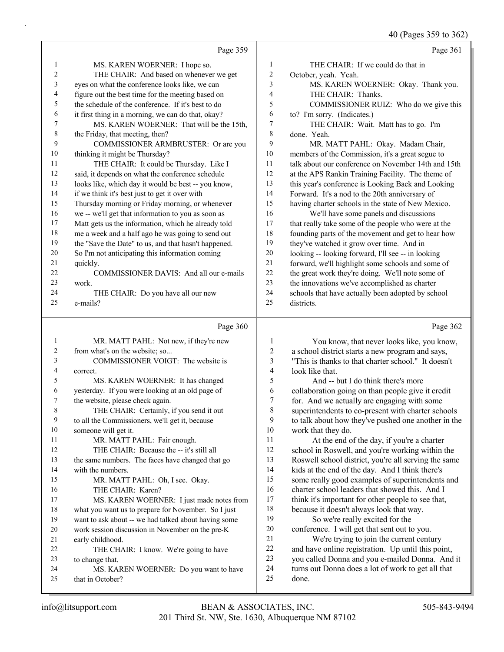$(40 \text{ (Page 359 to 362)}$ 

|                |                                                                                                           |                | 40 (Pages 359 to 362)                                                                                     |
|----------------|-----------------------------------------------------------------------------------------------------------|----------------|-----------------------------------------------------------------------------------------------------------|
|                | Page 359                                                                                                  |                | Page 361                                                                                                  |
| $\mathbf{1}$   | MS. KAREN WOERNER: I hope so.                                                                             | $\mathbf{1}$   | THE CHAIR: If we could do that in                                                                         |
| 2              | THE CHAIR: And based on whenever we get                                                                   | $\overline{c}$ | October, yeah. Yeah.                                                                                      |
| 3              | eyes on what the conference looks like, we can                                                            | 3              | MS. KAREN WOERNER: Okay. Thank you.                                                                       |
| 4              | figure out the best time for the meeting based on                                                         | $\overline{4}$ | THE CHAIR: Thanks.                                                                                        |
| 5              | the schedule of the conference. If it's best to do                                                        | 5              | COMMISSIONER RUIZ: Who do we give this                                                                    |
| 6              | it first thing in a morning, we can do that, okay?                                                        | 6              | to? I'm sorry. (Indicates.)                                                                               |
| 7              | MS. KAREN WOERNER: That will be the 15th,                                                                 | 7              | THE CHAIR: Wait. Matt has to go. I'm                                                                      |
| $\,$ 8 $\,$    | the Friday, that meeting, then?                                                                           | $\,8\,$        | done. Yeah.                                                                                               |
| 9              | COMMISSIONER ARMBRUSTER: Or are you                                                                       | 9              | MR. MATT PAHL: Okay. Madam Chair,                                                                         |
| $10\,$         | thinking it might be Thursday?                                                                            | 10             | members of the Commission, it's a great segue to                                                          |
| 11             | THE CHAIR: It could be Thursday. Like I                                                                   | 11             | talk about our conference on November 14th and 15th                                                       |
| 12             | said, it depends on what the conference schedule                                                          | 12             | at the APS Rankin Training Facility. The theme of                                                         |
| 13             | looks like, which day it would be best -- you know,                                                       | 13             | this year's conference is Looking Back and Looking                                                        |
| 14             | if we think it's best just to get it over with                                                            | 14             | Forward. It's a nod to the 20th anniversary of                                                            |
| 15<br>16       | Thursday morning or Friday morning, or whenever                                                           | 15             | having charter schools in the state of New Mexico.                                                        |
| 17             | we -- we'll get that information to you as soon as<br>Matt gets us the information, which he already told | 16<br>17       | We'll have some panels and discussions                                                                    |
| 18             | me a week and a half ago he was going to send out                                                         | 18             | that really take some of the people who were at the<br>founding parts of the movement and get to hear how |
| 19             | the "Save the Date" to us, and that hasn't happened.                                                      | 19             | they've watched it grow over time. And in                                                                 |
| 20             | So I'm not anticipating this information coming                                                           | $20\,$         | looking -- looking forward, I'll see -- in looking                                                        |
| 21             | quickly.                                                                                                  | 21             | forward, we'll highlight some schools and some of                                                         |
| 22             | COMMISSIONER DAVIS: And all our e-mails                                                                   | 22             | the great work they're doing. We'll note some of                                                          |
| 23             | work.                                                                                                     | 23             | the innovations we've accomplished as charter                                                             |
| 24             | THE CHAIR: Do you have all our new                                                                        | 24             | schools that have actually been adopted by school                                                         |
| 25             | e-mails?                                                                                                  | 25             | districts.                                                                                                |
|                |                                                                                                           |                |                                                                                                           |
|                |                                                                                                           |                |                                                                                                           |
|                | Page 360                                                                                                  |                | Page 362                                                                                                  |
| $\mathbf{1}$   | MR. MATT PAHL: Not new, if they're new                                                                    | 1              | You know, that never looks like, you know,                                                                |
| $\overline{c}$ | from what's on the website; so                                                                            | 2              | a school district starts a new program and says,                                                          |
| 3              | COMMISSIONER VOIGT: The website is                                                                        | 3              | "This is thanks to that charter school." It doesn't                                                       |
| 4              | correct.                                                                                                  | 4              | look like that.                                                                                           |
| 5              | MS. KAREN WOERNER: It has changed                                                                         | 5              | And -- but I do think there's more                                                                        |
| 6              | yesterday. If you were looking at an old page of                                                          | 6              | collaboration going on than people give it credit                                                         |
| 7              | the website, please check again.                                                                          | 7              | for. And we actually are engaging with some                                                               |
| 8              | THE CHAIR: Certainly, if you send it out                                                                  | 8              | superintendents to co-present with charter schools                                                        |
| 9              | to all the Commissioners, we'll get it, because                                                           | 9              | to talk about how they've pushed one another in the                                                       |
| 10             | someone will get it.                                                                                      | 10             | work that they do.                                                                                        |
| 11             | MR. MATT PAHL: Fair enough.                                                                               | 11             | At the end of the day, if you're a charter                                                                |
| 12<br>13       | THE CHAIR: Because the -- it's still all                                                                  | 12<br>13       | school in Roswell, and you're working within the                                                          |
| 14             | the same numbers. The faces have changed that go<br>with the numbers.                                     | 14             | Roswell school district, you're all serving the same<br>kids at the end of the day. And I think there's   |
| 15             |                                                                                                           | 15             |                                                                                                           |
| 16             | MR. MATT PAHL: Oh, I see. Okay.<br>THE CHAIR: Karen?                                                      | 16             | some really good examples of superintendents and<br>charter school leaders that showed this. And I        |
| 17             | MS. KAREN WOERNER: I just made notes from                                                                 | 17             | think it's important for other people to see that,                                                        |
| 18             | what you want us to prepare for November. So I just                                                       | 18             | because it doesn't always look that way.                                                                  |
| 19             | want to ask about -- we had talked about having some                                                      | 19             | So we're really excited for the                                                                           |
| 20             | work session discussion in November on the pre-K                                                          | $20\,$         | conference. I will get that sent out to you.                                                              |
| 21             | early childhood.                                                                                          | 21             | We're trying to join the current century                                                                  |
| 22             | THE CHAIR: I know. We're going to have                                                                    | $22\,$         | and have online registration. Up until this point,                                                        |
| 23             | to change that.                                                                                           | 23             | you called Donna and you e-mailed Donna. And it                                                           |
| 24<br>25       | MS. KAREN WOERNER: Do you want to have<br>that in October?                                                | 24<br>25       | turns out Donna does a lot of work to get all that<br>done.                                               |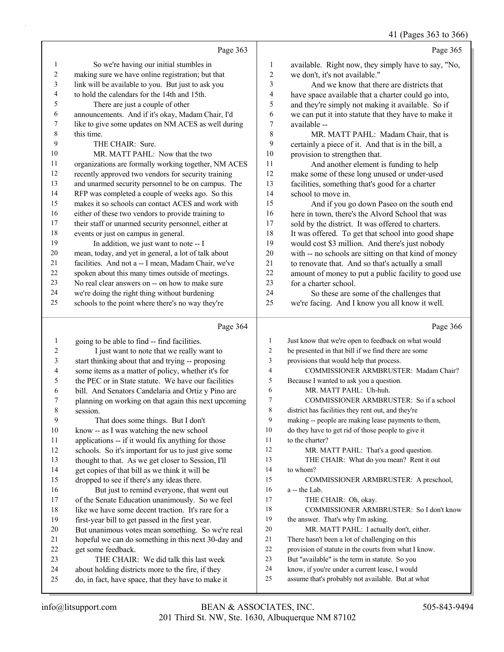41 (Pages 363 to 366)

|                  |                                                      |                  | 41 (Pages 505 to 500                                 |
|------------------|------------------------------------------------------|------------------|------------------------------------------------------|
|                  | Page 363                                             |                  | Page 365                                             |
| $\mathbf{1}$     | So we're having our initial stumbles in              | 1                | available. Right now, they simply have to say, "No,  |
| 2                | making sure we have online registration; but that    | $\boldsymbol{2}$ | we don't, it's not available."                       |
| 3                | link will be available to you. But just to ask you   | 3                | And we know that there are districts that            |
| 4                | to hold the calendars for the 14th and 15th.         | 4                | have space available that a charter could go into,   |
| 5                | There are just a couple of other                     | 5                | and they're simply not making it available. So if    |
| 6                | announcements. And if it's okay, Madam Chair, I'd    | 6                | we can put it into statute that they have to make it |
| 7                | like to give some updates on NM ACES as well during  | $\boldsymbol{7}$ | available --                                         |
| 8                | this time.                                           | 8                | MR. MATT PAHL: Madam Chair, that is                  |
| 9                | THE CHAIR: Sure.                                     | 9                | certainly a piece of it. And that is in the bill, a  |
| 10               | MR. MATT PAHL: Now that the two                      | 10               | provision to strengthen that.                        |
| 11               | organizations are formally working together, NM ACES | 11               | And another element is funding to help               |
| 12               | recently approved two vendors for security training  | 12               | make some of these long unused or under-used         |
| 13               | and unarmed security personnel to be on campus. The  | 13               | facilities, something that's good for a charter      |
| 14               | RFP was completed a couple of weeks ago. So this     | 14               | school to move in.                                   |
| 15               | makes it so schools can contact ACES and work with   | 15               | And if you go down Paseo on the south end            |
| 16               | either of these two vendors to provide training to   | 16               | here in town, there's the Alvord School that was     |
| 17               | their staff or unarmed security personnel, either at | 17               | sold by the district. It was offered to charters.    |
| 18               | events or just on campus in general.                 | 18               | It was offered. To get that school into good shape   |
| 19               | In addition, we just want to note -- I               | 19               | would cost \$3 million. And there's just nobody      |
| 20               | mean, today, and yet in general, a lot of talk about | 20               | with -- no schools are sitting on that kind of money |
| 21               | facilities. And not a -- I mean, Madam Chair, we've  | 21               | to renovate that. And so that's actually a small     |
| 22               | spoken about this many times outside of meetings.    | 22               | amount of money to put a public facility to good use |
| 23               | No real clear answers on -- on how to make sure      | 23               | for a charter school.                                |
| 24               | we're doing the right thing without burdening        | 24               | So these are some of the challenges that             |
| 25               | schools to the point where there's no way they're    | 25               | we're facing. And I know you all know it well.       |
|                  | Page 364                                             |                  | Page 366                                             |
| 1                | going to be able to find -- find facilities.         | 1                | Just know that we're open to feedback on what would  |
| $\overline{c}$   | I just want to note that we really want to           | $\overline{c}$   | be presented in that bill if we find there are some  |
| 3                | start thinking about that and trying -- proposing    | 3                | provisions that would help that process.             |
| 4                | some items as a matter of policy, whether it's for   | $\overline{4}$   | COMMISSIONER ARMBRUSTER: Madam Chair?                |
| 5                | the PEC or in State statute. We have our facilities  | 5                | Because I wanted to ask you a question.              |
| 6                | bill. And Senators Candelaria and Ortiz y Pino are   | 6                | MR. MATT PAHL: Uh-huh.                               |
| $\boldsymbol{7}$ | planning on working on that again this next upcoming | 7                | COMMISSIONER ARMBRUSTER: So if a school              |
| 8                | session.                                             | 8                | district has facilities they rent out, and they're   |

- 9 That does some things. But I don't
- know -- as I was watching the new school
- applications -- if it would fix anything for those
- schools. So it's important for us to just give some
- thought to that. As we get closer to Session, I'll
- get copies of that bill as we think it will be
- dropped to see if there's any ideas there.
- 16 But just to remind everyone, that went out of the Senate Education unanimously. So we feel 18 like we have some decent traction. It's rare for a
- first-year bill to get passed in the first year.
- But unanimous votes mean something. So we're real
- hopeful we can do something in this next 30-day and
- get some feedback. 23 THE CHAIR: We did talk this last week
- about holding districts more to the fire, if they
- do, in fact, have space, that they have to make it
- facilities they rent out, and they're
- making -- people are making lease payments to them,
- do they have to get rid of those people to give it
- 11 to the charter?
- 12 MR. MATT PAHL: That's a good question.
- 13 THE CHAIR: What do you mean? Rent it out
- to whom?
- 15 COMMISSIONER ARMBRUSTER: A preschool, a -- the Lab.
- 17 THE CHAIR: Oh, okay.
- 18 COMMISSIONER ARMBRUSTER: So I don't know
- the answer. That's why I'm asking.
- 20 MR. MATT PAHL: I actually don't, either.
- There hasn't been a lot of challenging on this
- provision of statute in the courts from what I know.
- But "available" is the term in statute. So you
- know, if you're under a current lease, I would
- assume that's probably not available. But at what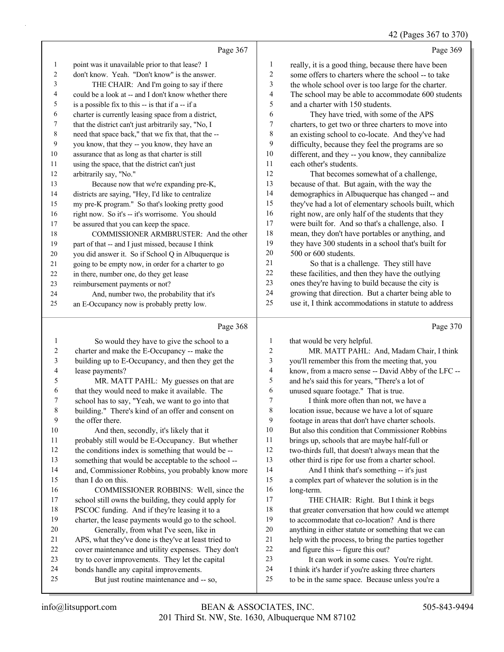#### 42 (Pages 367 to 370)

|                | Page 367                                             |                | Page 369                                             |
|----------------|------------------------------------------------------|----------------|------------------------------------------------------|
| 1              | point was it unavailable prior to that lease? I      | 1              | really, it is a good thing, because there have been  |
| $\overline{2}$ | don't know. Yeah. "Don't know" is the answer.        | $\overline{c}$ | some offers to charters where the school -- to take  |
| 3              | THE CHAIR: And I'm going to say if there             | 3              | the whole school over is too large for the charter.  |
| 4              | could be a look at -- and I don't know whether there | $\overline{4}$ | The school may be able to accommodate 600 students   |
| 5              | is a possible fix to this -- is that if a -- if a    | 5              | and a charter with 150 students.                     |
| 6              | charter is currently leasing space from a district,  | 6              | They have tried, with some of the APS                |
| 7              | that the district can't just arbitrarily say, "No, I | 7              | charters, to get two or three charters to move into  |
| 8              | need that space back," that we fix that, that the -- | 8              | an existing school to co-locate. And they've had     |
| 9              | you know, that they -- you know, they have an        | 9              | difficulty, because they feel the programs are so    |
| 10             | assurance that as long as that charter is still      | 10             | different, and they -- you know, they cannibalize    |
| 11             | using the space, that the district can't just        | 11             | each other's students.                               |
| 12             | arbitrarily say, "No."                               | 12             | That becomes somewhat of a challenge,                |
| 13             | Because now that we're expanding pre-K,              | 13             | because of that. But again, with the way the         |
| 14             | districts are saying, "Hey, I'd like to centralize   | 14             | demographics in Albuquerque has changed -- and       |
| 15             | my pre-K program." So that's looking pretty good     | 15             | they've had a lot of elementary schools built, which |
| 16             | right now. So it's -- it's worrisome. You should     | 16             | right now, are only half of the students that they   |
| 17             | be assured that you can keep the space.              | 17             | were built for. And so that's a challenge, also. I   |
| 18             | COMMISSIONER ARMBRUSTER: And the other               | 18             | mean, they don't have portables or anything, and     |
| 19             | part of that -- and I just missed, because I think   | 19             | they have 300 students in a school that's built for  |
| 20             | you did answer it. So if School Q in Albuquerque is  | 20             | 500 or 600 students.                                 |
| 21             | going to be empty now, in order for a charter to go  | 21             | So that is a challenge. They still have              |
| 22             | in there, number one, do they get lease              | 22             | these facilities, and then they have the outlying    |
| 23             | reimbursement payments or not?                       | 23             | ones they're having to build because the city is     |
| 24             | And, number two, the probability that it's           | 24             | growing that direction. But a charter being able to  |
| 25             | an E-Occupancy now is probably pretty low.           | 25             | use it, I think accommodations in statute to address |
|                | Page 368                                             |                | Page 370                                             |

#### Page 368

1 So would they have to give the school to a charter and make the E-Occupancy -- make the building up to E-Occupancy, and then they get the lease payments? 5 MR. MATT PAHL: My guesses on that are that they would need to make it available. The school has to say, "Yeah, we want to go into that building." There's kind of an offer and consent on the offer there. 10 And then, secondly, it's likely that it probably still would be E-Occupancy. But whether 12 the conditions index is something that would be -- something that would be acceptable to the school -- and, Commissioner Robbins, you probably know more than I do on this. 16 COMMISSIONER ROBBINS: Well, since the school still owns the building, they could apply for PSCOC funding. And if they're leasing it to a charter, the lease payments would go to the school. 20 Generally, from what I've seen, like in APS, what they've done is they've at least tried to cover maintenance and utility expenses. They don't try to cover improvements. They let the capital bonds handle any capital improvements. 25 But just routine maintenance and -- so, 1 that would be very helpful. 2 MR. MATT PAHL: And, Madam Chair, I think you'll remember this from the meeting that, you know, from a macro sense -- David Abby of the LFC -- and he's said this for years, "There's a lot of unused square footage." That is true. 7 I think more often than not, we have a location issue, because we have a lot of square footage in areas that don't have charter schools. But also this condition that Commissioner Robbins brings up, schools that are maybe half-full or two-thirds full, that doesn't always mean that the other third is ripe for use from a charter school. 14 And I think that's something -- it's just a complex part of whatever the solution is in the long-term. 17 THE CHAIR: Right. But I think it begs 18 that greater conversation that how could we attempt to accommodate that co-location? And is there anything in either statute or something that we can help with the process, to bring the parties together and figure this -- figure this out? 23 It can work in some cases. You're right. I think it's harder if you're asking three charters to be in the same space. Because unless you're a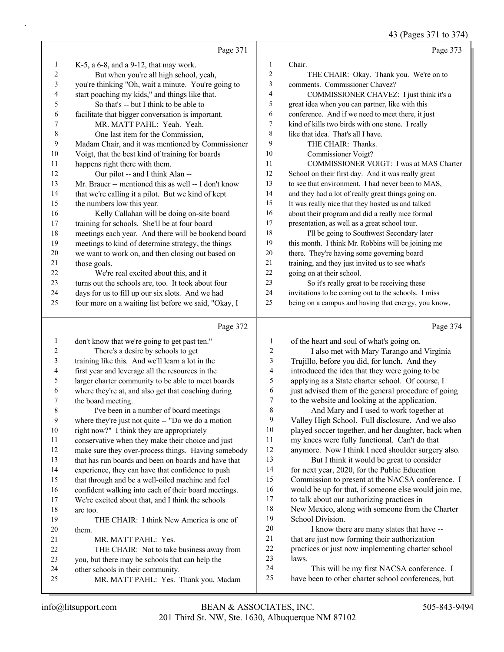43 (Pages 371 to 374)

|              |                                                                                      |                  | 43 (Pages 371 to 374)                                      |
|--------------|--------------------------------------------------------------------------------------|------------------|------------------------------------------------------------|
|              | Page 371                                                                             |                  | Page 373                                                   |
| 1            | K-5, a 6-8, and a 9-12, that may work.                                               | 1                | Chair.                                                     |
| 2            | But when you're all high school, yeah,                                               | 2                | THE CHAIR: Okay. Thank you. We're on to                    |
| 3            | you're thinking "Oh, wait a minute. You're going to                                  | 3                | comments. Commissioner Chavez?                             |
| 4            | start poaching my kids," and things like that.                                       | 4                | COMMISSIONER CHAVEZ: I just think it's a                   |
| 5            | So that's -- but I think to be able to                                               | 5                | great idea when you can partner, like with this            |
| 6            | facilitate that bigger conversation is important.                                    | 6                | conference. And if we need to meet there, it just          |
| 7            | MR. MATT PAHL: Yeah. Yeah.                                                           | $\boldsymbol{7}$ | kind of kills two birds with one stone. I really           |
| 8            | One last item for the Commission,                                                    | 8                | like that idea. That's all I have.                         |
| 9            | Madam Chair, and it was mentioned by Commissioner                                    | 9                | THE CHAIR: Thanks.                                         |
| 10           | Voigt, that the best kind of training for boards                                     | 10               | Commissioner Voigt?                                        |
| 11           | happens right there with them.                                                       | 11               | COMMISSIONER VOIGT: I was at MAS Charter                   |
| 12           | Our pilot -- and I think Alan --                                                     | 12               | School on their first day. And it was really great         |
| 13           | Mr. Brauer -- mentioned this as well -- I don't know                                 | 13               | to see that environment. I had never been to MAS,          |
| 14           | that we're calling it a pilot. But we kind of kept                                   | 14               | and they had a lot of really great things going on.        |
| 15           | the numbers low this year.                                                           | 15               | It was really nice that they hosted us and talked          |
| 16           | Kelly Callahan will be doing on-site board                                           | 16               | about their program and did a really nice formal           |
| 17           | training for schools. She'll be at four board                                        | 17               | presentation, as well as a great school tour.              |
| 18           | meetings each year. And there will be bookend board                                  | 18               | I'll be going to Southwest Secondary later                 |
| 19           | meetings to kind of determine strategy, the things                                   | 19               | this month. I think Mr. Robbins will be joining me         |
| 20           | we want to work on, and then closing out based on                                    | 20               | there. They're having some governing board                 |
| 21           | those goals.                                                                         | 21               | training, and they just invited us to see what's           |
| 22           | We're real excited about this, and it                                                | 22               | going on at their school.                                  |
| 23           | turns out the schools are, too. It took about four                                   | 23               | So it's really great to be receiving these                 |
| 24           | days for us to fill up our six slots. And we had                                     | 24               | invitations to be coming out to the schools. I miss        |
| 25           | four more on a waiting list before we said, "Okay, I                                 | 25               | being on a campus and having that energy, you know,        |
|              | Page 372                                                                             |                  | Page 374                                                   |
| $\mathbf{1}$ | don't know that we're going to get past ten."                                        | 1                | of the heart and soul of what's going on.                  |
| 2            | There's a desire by schools to get                                                   | $\boldsymbol{2}$ | I also met with Mary Tarango and Virginia                  |
| 3            | training like this. And we'll learn a lot in the                                     | 3                | Trujillo, before you did, for lunch. And they              |
| 4            | first year and leverage all the resources in the                                     | $\overline{4}$   | introduced the idea that they were going to be             |
| 5            | larger charter community to be able to meet boards                                   | 5                | applying as a State charter school. Of course, I           |
| 6            | where they're at, and also get that coaching during                                  | 6                | just advised them of the general procedure of going        |
| 7            | the board meeting.                                                                   | 7                | to the website and looking at the application.             |
| 8            | I've been in a number of board meetings                                              | 8                | And Mary and I used to work together at                    |
| 9            | where they're just not quite -- "Do we do a motion                                   | 9                | Valley High School. Full disclosure. And we also           |
| 10           | right now?" I think they are appropriately                                           | 10               | played soccer together, and her daughter, back when        |
| 11           | conservative when they make their choice and just                                    | 11               | my knees were fully functional. Can't do that              |
| 12           | make sure they over-process things. Having somebody                                  | 12               | anymore. Now I think I need shoulder surgery also.         |
| 13           | that has run boards and been on boards and have that                                 | 13               | But I think it would be great to consider                  |
| 14           | experience, they can have that confidence to push                                    | 14               | for next year, 2020, for the Public Education              |
| 15           | that through and be a well-oiled machine and feel                                    | 15               | Commission to present at the NACSA conference. I           |
| 16           | confident walking into each of their board meetings.                                 | 16               | would be up for that, if someone else would join me,       |
| 17           | We're excited about that, and I think the schools                                    | 17               | to talk about our authorizing practices in                 |
| 18           | are too.                                                                             | 18               | New Mexico, along with someone from the Charter            |
| 19           | THE CHAIR: I think New America is one of                                             | 19<br>$20\,$     | School Division.                                           |
| 20           | them.                                                                                | 21               | I know there are many states that have --                  |
| 21           | MR. MATT PAHL: Yes.                                                                  | 22               | that are just now forming their authorization              |
| 22<br>23     | THE CHAIR: Not to take business away from                                            | 23               | practices or just now implementing charter school<br>laws. |
| 24           | you, but there may be schools that can help the<br>other schools in their community. | 24               | This will be my first NACSA conference. I                  |
| 25           | MR. MATT PAHL: Yes. Thank you, Madam                                                 | 25               | have been to other charter school conferences, but         |
|              |                                                                                      |                  |                                                            |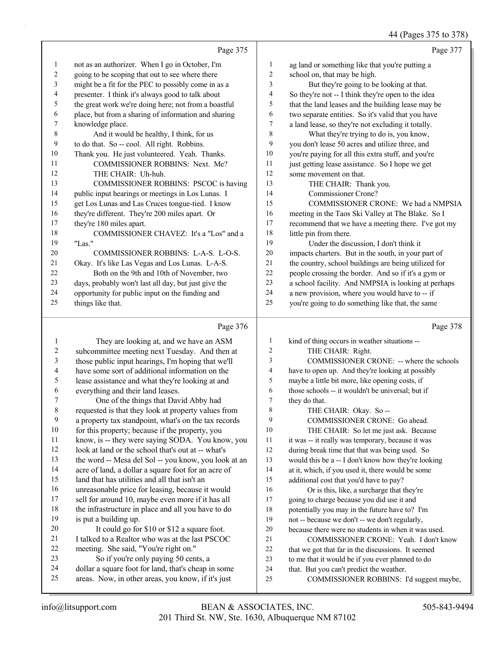# 44 (Pages 375 to 378)

|    | Page 375                                             |    | Page 377                                             |
|----|------------------------------------------------------|----|------------------------------------------------------|
| 1  | not as an authorizer. When I go in October, I'm      | 1  | ag land or something like that you're putting a      |
| 2  | going to be scoping that out to see where there      | 2  | school on, that may be high.                         |
| 3  | might be a fit for the PEC to possibly come in as a  | 3  | But they're going to be looking at that.             |
| 4  | presenter. I think it's always good to talk about    | 4  | So they're not -- I think they're open to the idea   |
| 5  | the great work we're doing here; not from a boastful | 5  | that the land leases and the building lease may be   |
| 6  | place, but from a sharing of information and sharing | 6  | two separate entities. So it's valid that you have   |
| 7  | knowledge place.                                     | 7  | a land lease, so they're not excluding it totally.   |
| 8  | And it would be healthy, I think, for us             | 8  | What they're trying to do is, you know,              |
| 9  | to do that. So -- cool. All right. Robbins.          | 9  | you don't lease 50 acres and utilize three, and      |
| 10 | Thank you. He just volunteered. Yeah. Thanks.        | 10 | you're paying for all this extra stuff, and you're   |
| 11 | <b>COMMISSIONER ROBBINS: Next. Me?</b>               | 11 | just getting lease assistance. So I hope we get      |
| 12 | THE CHAIR: Uh-huh.                                   | 12 | some movement on that.                               |
| 13 | COMMISSIONER ROBBINS: PSCOC is having                | 13 | THE CHAIR: Thank you.                                |
| 14 | public input hearings or meetings in Los Lunas. I    | 14 | Commissioner Crone?                                  |
| 15 | get Los Lunas and Las Cruces tongue-tied. I know     | 15 | COMMISSIONER CRONE: We had a NMPSIA                  |
| 16 | they're different. They're 200 miles apart. Or       | 16 | meeting in the Taos Ski Valley at The Blake. So I    |
| 17 | they're 180 miles apart.                             | 17 | recommend that we have a meeting there. I've got my  |
| 18 | COMMISSIONER CHAVEZ: It's a "Los" and a              | 18 | little pin from there.                               |
| 19 | "Las."                                               | 19 | Under the discussion, I don't think it               |
| 20 | COMMISSIONER ROBBINS: L-A-S. L-O-S.                  | 20 | impacts charters. But in the south, in your part of  |
| 21 | Okay. It's like Las Vegas and Los Lunas. L-A-S.      | 21 | the country, school buildings are being utilized for |
| 22 | Both on the 9th and 10th of November, two            | 22 | people crossing the border. And so if it's a gym or  |
| 23 | days, probably won't last all day, but just give the | 23 | a school facility. And NMPSIA is looking at perhaps  |
| 24 | opportunity for public input on the funding and      | 24 | a new provision, where you would have to -- if       |
| 25 | things like that.                                    | 25 | you're going to do something like that, the same     |
|    | Page 376                                             |    | Page 378                                             |

|    | They are looking at, and we have an ASM              | 1            | kind of thing occurs in weather situations --       |
|----|------------------------------------------------------|--------------|-----------------------------------------------------|
| 2  | subcommittee meeting next Tuesday. And then at       | $\mathbf{2}$ | THE CHAIR: Right.                                   |
| 3  | those public input hearings, I'm hoping that we'll   | 3            | COMMISSIONER CRONE: -- where the schools            |
| 4  | have some sort of additional information on the      | 4            | have to open up. And they're looking at possibly    |
| 5  | lease assistance and what they're looking at and     | 5            | maybe a little bit more, like opening costs, if     |
| 6  | everything and their land leases.                    | 6            | those schools -- it wouldn't be universal; but if   |
| 7  | One of the things that David Abby had                | 7            | they do that.                                       |
| 8  | requested is that they look at property values from  | 8            | THE CHAIR: Okay. So --                              |
| 9  |                                                      | 9            | COMMISSIONER CRONE: Go ahead.                       |
|    | a property tax standpoint, what's on the tax records |              |                                                     |
| 10 | for this property; because if the property, you      | 10           | THE CHAIR: So let me just ask. Because              |
| 11 | know, is -- they were saying SODA. You know, you     | 11           | it was -- it really was temporary, because it was   |
| 12 | look at land or the school that's out at -- what's   | 12           | during break time that that was being used. So      |
| 13 | the word -- Mesa del Sol -- you know, you look at an | 13           | would this be a -- I don't know how they're looking |
| 14 | acre of land, a dollar a square foot for an acre of  | 14           | at it, which, if you used it, there would be some   |
| 15 | land that has utilities and all that isn't an        | 15           | additional cost that you'd have to pay?             |
| 16 | unreasonable price for leasing, because it would     | 16           | Or is this, like, a surcharge that they're          |
| 17 | sell for around 10, maybe even more if it has all    | 17           | going to charge because you did use it and          |
| 18 | the infrastructure in place and all you have to do   | 18           | potentially you may in the future have to? I'm      |
| 19 | is put a building up.                                | 19           | not -- because we don't -- we don't regularly,      |
| 20 | It could go for \$10 or \$12 a square foot.          | 20           | because there were no students in when it was used. |
| 21 | I talked to a Realtor who was at the last PSCOC      | 21           | COMMISSIONER CRONE: Yeah. I don't know              |
| 22 | meeting. She said, "You're right on."                | 22           | that we got that far in the discussions. It seemed  |
| 23 | So if you're only paying 50 cents, a                 | 23           | to me that it would be if you ever planned to do    |
| 24 | dollar a square foot for land, that's cheap in some  | 24           | that. But you can't predict the weather.            |
| 25 | areas. Now, in other areas, you know, if it's just   | 25           | COMMISSIONER ROBBINS: I'd suggest maybe,            |
|    |                                                      |              |                                                     |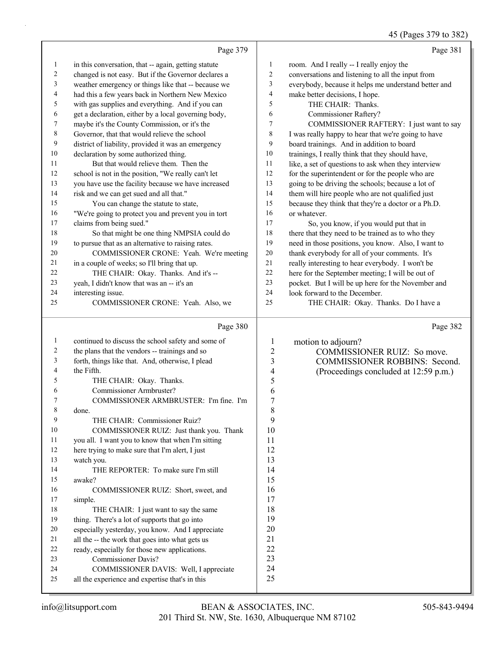# 45 (Pages 379 to 382)

|              | Page 379                                                                                    |                | Page 381                                                            |
|--------------|---------------------------------------------------------------------------------------------|----------------|---------------------------------------------------------------------|
|              | in this conversation, that -- again, getting statute                                        | 1              |                                                                     |
| 1            |                                                                                             | 2              | room. And I really -- I really enjoy the                            |
| 2            | changed is not easy. But if the Governor declares a                                         |                | conversations and listening to all the input from                   |
| 3            | weather emergency or things like that -- because we                                         | 3              | everybody, because it helps me understand better and                |
| 4            | had this a few years back in Northern New Mexico                                            | $\overline{4}$ | make better decisions, I hope.                                      |
| 5            | with gas supplies and everything. And if you can                                            | 5              | THE CHAIR: Thanks.                                                  |
| 6            | get a declaration, either by a local governing body,                                        | 6              | Commissioner Raftery?                                               |
| 7            | maybe it's the County Commission, or it's the                                               | 7              | COMMISSIONER RAFTERY: I just want to say                            |
| 8            | Governor, that that would relieve the school                                                | 8              | I was really happy to hear that we're going to have                 |
| 9            | district of liability, provided it was an emergency                                         | 9<br>10        | board trainings. And in addition to board                           |
| 10           | declaration by some authorized thing.                                                       | 11             | trainings, I really think that they should have,                    |
| 11<br>12     | But that would relieve them. Then the                                                       | 12             | like, a set of questions to ask when they interview                 |
| 13           | school is not in the position, "We really can't let                                         | 13             | for the superintendent or for the people who are                    |
|              | you have use the facility because we have increased                                         | 14             | going to be driving the schools; because a lot of                   |
| 14<br>15     | risk and we can get sued and all that."                                                     | 15             | them will hire people who are not qualified just                    |
| 16           | You can change the statute to state,<br>"We're going to protect you and prevent you in tort | 16             | because they think that they're a doctor or a Ph.D.<br>or whatever. |
| 17           | claims from being sued."                                                                    | 17             | So, you know, if you would put that in                              |
| 18           | So that might be one thing NMPSIA could do                                                  | 18             | there that they need to be trained as to who they                   |
| 19           | to pursue that as an alternative to raising rates.                                          | 19             | need in those positions, you know. Also, I want to                  |
| 20           | COMMISSIONER CRONE: Yeah. We're meeting                                                     | 20             | thank everybody for all of your comments. It's                      |
| 21           | in a couple of weeks; so I'll bring that up.                                                | 21             | really interesting to hear everybody. I won't be                    |
| 22           | THE CHAIR: Okay. Thanks. And it's --                                                        | 22             | here for the September meeting; I will be out of                    |
| 23           | yeah, I didn't know that was an -- it's an                                                  | 23             | pocket. But I will be up here for the November and                  |
| 24           | interesting issue.                                                                          | 24             | look forward to the December.                                       |
| 25           | COMMISSIONER CRONE: Yeah. Also, we                                                          | 25             | THE CHAIR: Okay. Thanks. Do I have a                                |
|              |                                                                                             |                |                                                                     |
|              | Page 380                                                                                    |                | Page 382                                                            |
| $\mathbf{1}$ | continued to discuss the school safety and some of                                          | 1              | motion to adjourn?                                                  |
| 2            | the plans that the vendors -- trainings and so                                              | $\overline{2}$ | COMMISSIONER RUIZ: So move.                                         |
| 3            | forth, things like that. And, otherwise, I plead                                            | 3              | <b>COMMISSIONER ROBBINS: Second.</b>                                |
| 4            | the Fifth.                                                                                  | 4              | (Proceedings concluded at 12:59 p.m.)                               |
| 5            | THE CHAIR: Okay. Thanks.                                                                    |                |                                                                     |
| 6            |                                                                                             | 5              |                                                                     |
|              | Commissioner Armbruster?                                                                    | 6              |                                                                     |
| 7            | COMMISSIONER ARMBRUSTER: I'm fine. I'm                                                      | 7              |                                                                     |
| 8            | done.                                                                                       | 8              |                                                                     |
| 9            | THE CHAIR: Commissioner Ruiz?                                                               | 9              |                                                                     |
| 10           | COMMISSIONER RUIZ: Just thank you. Thank                                                    | 10             |                                                                     |
| 11           | you all. I want you to know that when I'm sitting                                           | 11             |                                                                     |
| 12           | here trying to make sure that I'm alert, I just                                             | 12             |                                                                     |
| 13           | watch you.                                                                                  | 13             |                                                                     |
| 14           | THE REPORTER: To make sure I'm still                                                        | 14             |                                                                     |
| 15           | awake?                                                                                      | 15             |                                                                     |
| 16           | COMMISSIONER RUIZ: Short, sweet, and                                                        | 16             |                                                                     |
| 17           | simple.                                                                                     | 17             |                                                                     |
| 18           | THE CHAIR: I just want to say the same                                                      | 18             |                                                                     |
| 19           | thing. There's a lot of supports that go into                                               | 19             |                                                                     |
| 20           | especially yesterday, you know. And I appreciate                                            | 20             |                                                                     |
| 21           | all the -- the work that goes into what gets us                                             | 21             |                                                                     |
| 22           | ready, especially for those new applications.                                               | 22             |                                                                     |
| 23           | <b>Commissioner Davis?</b>                                                                  | 23             |                                                                     |
| 24<br>25     | COMMISSIONER DAVIS: Well, I appreciate<br>all the experience and expertise that's in this   | 24<br>25       |                                                                     |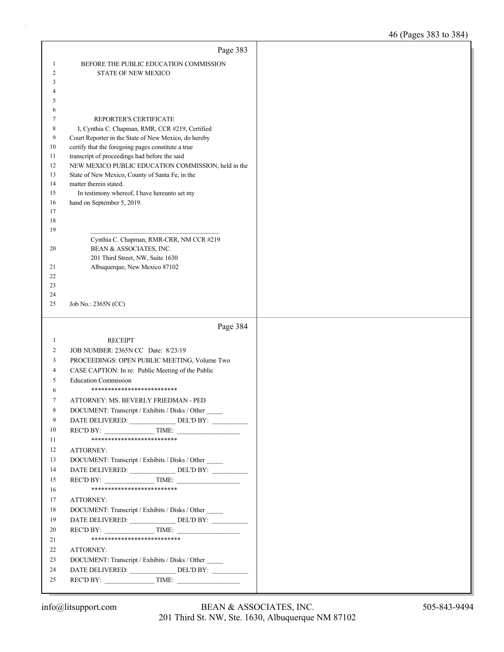|                | Page 383                                                                                                |  |
|----------------|---------------------------------------------------------------------------------------------------------|--|
| 1              | BEFORE THE PUBLIC EDUCATION COMMISSION                                                                  |  |
| $\mathfrak{2}$ | <b>STATE OF NEW MEXICO</b>                                                                              |  |
| 3              |                                                                                                         |  |
| 4              |                                                                                                         |  |
| 5              |                                                                                                         |  |
| 6              |                                                                                                         |  |
| 7<br>8         | REPORTER'S CERTIFICATE                                                                                  |  |
| 9              | I, Cynthia C. Chapman, RMR, CCR #219, Certified<br>Court Reporter in the State of New Mexico, do hereby |  |
| 10             | certify that the foregoing pages constitute a true                                                      |  |
| 11             | transcript of proceedings had before the said                                                           |  |
| 12             | NEW MEXICO PUBLIC EDUCATION COMMISSION, held in the                                                     |  |
| 13             | State of New Mexico, County of Santa Fe, in the                                                         |  |
| 14             | matter therein stated.                                                                                  |  |
| 15             | In testimony whereof, I have hereunto set my                                                            |  |
| 16<br>17       | hand on September 5, 2019.                                                                              |  |
| 18             |                                                                                                         |  |
| 19             |                                                                                                         |  |
|                | Cynthia C. Chapman, RMR-CRR, NM CCR #219                                                                |  |
| 20             | BEAN & ASSOCIATES, INC.                                                                                 |  |
|                | 201 Third Street, NW, Suite 1630                                                                        |  |
| 21             | Albuquerque, New Mexico 87102                                                                           |  |
| 22<br>23       |                                                                                                         |  |
| 24             |                                                                                                         |  |
| 25             | Job No.: 2365N (CC)                                                                                     |  |
|                |                                                                                                         |  |
|                |                                                                                                         |  |
|                | Page 384                                                                                                |  |
| $\mathbf{1}$   | <b>RECEIPT</b>                                                                                          |  |
| 2              | JOB NUMBER: 2365N CC Date: 8/23/19                                                                      |  |
| 3<br>4         | PROCEEDINGS: OPEN PUBLIC MEETING, Volume Two                                                            |  |
| 5              | CASE CAPTION: In re: Public Meeting of the Public<br><b>Education Commission</b>                        |  |
| 6              | **************************                                                                              |  |
| 7              | ATTORNEY: MS. BEVERLY FRIEDMAN - PED                                                                    |  |
| 8              | DOCUMENT: Transcript / Exhibits / Disks / Other                                                         |  |
| 9              | DATE DELIVERED: DEL'D BY:                                                                               |  |
| 10             | $RECD BY:$ TIME:                                                                                        |  |
| 11             | **************************                                                                              |  |
| 12             | ATTORNEY:                                                                                               |  |
| 13             | DOCUMENT: Transcript / Exhibits / Disks / Other                                                         |  |
| 14             | DATE DELIVERED: ______________________DEL'D BY: _________________________________                       |  |
| 15             | REC'D BY: TIME:<br>**************************                                                           |  |
| 16             |                                                                                                         |  |
| 17<br>18       | ATTORNEY:                                                                                               |  |
| 19             | DOCUMENT: Transcript / Exhibits / Disks / Other                                                         |  |
| 20             | REC'D BY: TIME:                                                                                         |  |
| 21             | ***************************                                                                             |  |
| 22             | ATTORNEY:                                                                                               |  |
| 23             | DOCUMENT: Transcript / Exhibits / Disks / Other                                                         |  |
| 24             |                                                                                                         |  |
| 25             |                                                                                                         |  |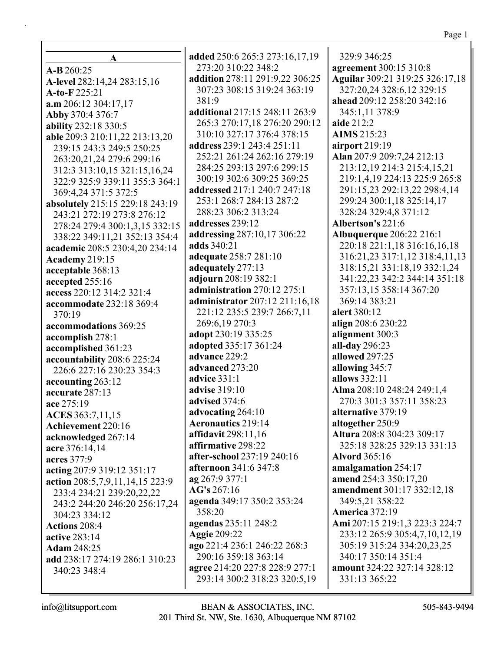| A                                                        | added 250:6 265:3 273:16,17,19             | 329:9 346:25                                                   |
|----------------------------------------------------------|--------------------------------------------|----------------------------------------------------------------|
| A-B 260:25                                               | 273:20 310:22 348:2                        | agreement 300:15 310:8                                         |
| A-level 282:14,24 283:15,16                              | addition 278:11 291:9,22 306:25            | Aguilar 309:21 319:25 326:17,18                                |
| $A-to-F 225:21$                                          | 307:23 308:15 319:24 363:19                | 327:20,24 328:6,12 329:15                                      |
| a.m 206:12 304:17,17                                     | 381:9                                      | ahead 209:12 258:20 342:16                                     |
| Abby 370:4 376:7                                         | additional 217:15 248:11 263:9             | 345:1,11 378:9                                                 |
| ability 232:18 330:5                                     | 265:3 270:17,18 276:20 290:12              | aide 212:2                                                     |
| able 209:3 210:11,22 213:13,20                           | 310:10 327:17 376:4 378:15                 | <b>AIMS</b> 215:23                                             |
| 239:15 243:3 249:5 250:25                                | address 239:1 243:4 251:11                 | airport 219:19                                                 |
| 263:20,21,24 279:6 299:16                                | 252:21 261:24 262:16 279:19                | Alan 207:9 209:7,24 212:13                                     |
| 312:3 313:10,15 321:15,16,24                             | 284:25 293:13 297:6 299:15                 | 213:12,19 214:3 215:4,15,21                                    |
| 322:9 325:9 339:11 355:3 364:1                           | 300:19 302:6 309:25 369:25                 | 219:1,4,19 224:13 225:9 265:8                                  |
| 369:4,24 371:5 372:5                                     | addressed 217:1 240:7 247:18               | 291:15,23 292:13,22 298:4,14                                   |
| absolutely 215:15 229:18 243:19                          | 253:1 268:7 284:13 287:2                   | 299:24 300:1,18 325:14,17                                      |
| 243:21 272:19 273:8 276:12                               | 288:23 306:2 313:24                        | 328:24 329:4,8 371:12                                          |
| 278:24 279:4 300:1,3,15 332:15                           | addresses 239:12                           | Albertson's 221:6                                              |
| 338:22 349:11,21 352:13 354:4                            | addressing 287:10,17 306:22<br>adds 340:21 | <b>Albuquerque 206:22 216:1</b>                                |
| academic 208:5 230:4,20 234:14                           | adequate 258:7 281:10                      | 220:18 221:1,18 316:16,16,18<br>316:21,23 317:1,12 318:4,11,13 |
| Academy 219:15                                           | adequately 277:13                          | 318:15,21 331:18,19 332:1,24                                   |
| acceptable 368:13                                        | adjourn 208:19 382:1                       | 341:22,23 342:2 344:14 351:18                                  |
| accepted 255:16                                          | administration 270:12 275:1                | 357:13,15 358:14 367:20                                        |
| access 220:12 314:2 321:4                                | administrator 207:12 211:16,18             | 369:14 383:21                                                  |
| accommodate 232:18 369:4                                 | 221:12 235:5 239:7 266:7,11                | alert 380:12                                                   |
| 370:19                                                   | 269:6,19 270:3                             | align 208:6 230:22                                             |
| accommodations 369:25                                    | adopt 230:19 335:25                        | alignment 300:3                                                |
| accomplish 278:1                                         | adopted 335:17 361:24                      | all-day 296:23                                                 |
| accomplished 361:23                                      | advance 229:2                              | allowed 297:25                                                 |
| accountability 208:6 225:24<br>226:6 227:16 230:23 354:3 | advanced 273:20                            | allowing 345:7                                                 |
|                                                          | advice 331:1                               | allows 332:11                                                  |
| accounting 263:12<br>accurate 287:13                     | advise 319:10                              | Alma 208:10 248:24 249:1,4                                     |
| ace 275:19                                               | advised 374:6                              | 270:3 301:3 357:11 358:23                                      |
| ACES 363:7,11,15                                         | advocating 264:10                          | alternative 379:19                                             |
| <b>Achievement 220:16</b>                                | <b>Aeronautics 219:14</b>                  | altogether 250:9                                               |
| acknowledged 267:14                                      | affidavit 298:11,16                        | Altura 208:8 304:23 309:17                                     |
| acre 376:14,14                                           | affirmative 298:22                         | 325:18 328:25 329:13 331:13                                    |
| acres 377:9                                              | after-school 237:19 240:16                 | <b>Alvord</b> 365:16                                           |
| acting 207:9 319:12 351:17                               | afternoon 341:6 347:8                      | amalgamation 254:17                                            |
| action 208:5,7,9,11,14,15 223:9                          | ag 267:9 377:1                             | amend 254:3 350:17,20                                          |
| 233:4 234:21 239:20,22,22                                | AG's 267:16                                | amendment 301:17 332:12,18                                     |
| 243:2 244:20 246:20 256:17,24                            | agenda 349:17 350:2 353:24                 | 349:5,21 358:22                                                |
| 304:23 334:12                                            | 358:20                                     | <b>America 372:19</b>                                          |
| <b>Actions 208:4</b>                                     | agendas 235:11 248:2                       | Ami 207:15 219:1,3 223:3 224:7                                 |
| active 283:14                                            | <b>Aggie 209:22</b>                        | 233:12 265:9 305:4,7,10,12,19                                  |
| <b>Adam 248:25</b>                                       | ago 221:4 236:1 246:22 268:3               | 305:19 315:24 334:20,23,25                                     |
| add 238:17 274:19 286:1 310:23                           | 290:16 359:18 363:14                       | 340:17 350:14 351:4                                            |
| 340:23 348:4                                             | agree 214:20 227:8 228:9 277:1             | amount 324:22 327:14 328:12                                    |
|                                                          | 293:14 300:2 318:23 320:5,19               | 331:13 365:22                                                  |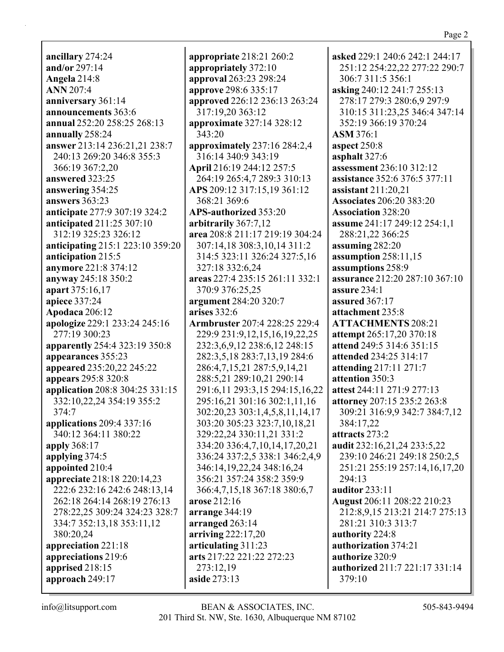**ancillary** 274:24 **and/or** 297:14 **Angela** 214:8 **ANN** 207:4 **anniversary** 361:14 **announcements** 363:6 **annual** 252:20 258:25 268:13 **annually** 258:24 **answer** 213:14 236:21,21 238:7 240:13 269:20 346:8 355:3 366:19 367:2,20 **answered** 323:25 **answering** 354:25 **answers** 363:23 **anticipate** 277:9 307:19 324:2 **anticipated** 211:25 307:10 312:19 325:23 326:12 **anticipating** 215:1 223:10 359:20 **anticipation** 215:5 **anymore** 221:8 374:12 **anyway** 245:18 350:2 **apart** 375:16,17 **apiece** 337:24 **Apodaca** 206:12 **apologize** 229:1 233:24 245:16 277:19 300:23 **apparently** 254:4 323:19 350:8 **appearances** 355:23 **appeared** 235:20,22 245:22 **appears** 295:8 320:8 **application** 208:8 304:25 331:15 332:10,22,24 354:19 355:2 374:7 **applications** 209:4 337:16 340:12 364:11 380:22 **apply** 368:17 **applying** 374:5 **appointed** 210:4 **appreciate** 218:18 220:14,23 222:6 232:16 242:6 248:13,14 262:18 264:14 268:19 276:13 278:22,25 309:24 324:23 328:7 334:7 352:13,18 353:11,12 380:20,24 **appreciation** 221:18 **appreciations** 219:6 **apprised** 218:15 **approach** 249:17

**appropriate** 218:21 260:2 **appropriately** 372:10 **approval** 263:23 298:24 **approve** 298:6 335:17 **approved** 226:12 236:13 263:24 317:19,20 363:12 **approximate** 327:14 328:12 343:20 **approximately** 237:16 284:2,4 316:14 340:9 343:19 **April** 216:19 244:12 257:5 264:19 265:4,7 289:3 310:13 **APS** 209:12 317:15,19 361:12 368:21 369:6 **APS-authorized** 353:20 **arbitrarily** 367:7,12 **area** 208:8 211:17 219:19 304:24 307:14,18 308:3,10,14 311:2 314:5 323:11 326:24 327:5,16 327:18 332:6,24 **areas** 227:4 235:15 261:11 332:1 370:9 376:25,25 **argument** 284:20 320:7 **arises** 332:6 **Armbruster** 207:4 228:25 229:4 229:9 231:9,12,15,16,19,22,25 232:3,6,9,12 238:6,12 248:15 282:3,5,18 283:7,13,19 284:6 286:4,7,15,21 287:5,9,14,21 288:5,21 289:10,21 290:14 291:6,11 293:3,15 294:15,16,22 295:16,21 301:16 302:1,11,16 302:20,23 303:1,4,5,8,11,14,17 303:20 305:23 323:7,10,18,21 329:22,24 330:11,21 331:2 334:20 336:4,7,10,14,17,20,21 336:24 337:2,5 338:1 346:2,4,9 346:14,19,22,24 348:16,24 356:21 357:24 358:2 359:9 366:4,7,15,18 367:18 380:6,7 **arose** 212:16 **arrange** 344:19 **arranged** 263:14 **arriving** 222:17,20 **articulating** 311:23 **arts** 217:22 221:22 272:23 273:12,19 **aside** 273:13

**asked** 229:1 240:6 242:1 244:17 251:12 254:22,22 277:22 290:7 306:7 311:5 356:1 **asking** 240:12 241:7 255:13 278:17 279:3 280:6,9 297:9 310:15 311:23,25 346:4 347:14 352:19 366:19 370:24 **ASM** 376:1 **aspect** 250:8 **asphalt** 327:6 **assessment** 236:10 312:12 **assistance** 352:6 376:5 377:11 **assistant** 211:20,21 **Associates** 206:20 383:20 **Association** 328:20 **assume** 241:17 249:12 254:1,1 288:21,22 366:25 **assuming** 282:20 **assumption** 258:11,15 **assumptions** 258:9 **assurance** 212:20 287:10 367:10 **assure** 234:1 **assured** 367:17 **attachment** 235:8 **ATTACHMENTS** 208:21 **attempt** 265:17,20 370:18 **attend** 249:5 314:6 351:15 **attended** 234:25 314:17 **attending** 217:11 271:7 **attention** 350:3 **attest** 244:11 271:9 277:13 **attorney** 207:15 235:2 263:8 309:21 316:9,9 342:7 384:7,12 384:17,22 **attracts** 273:2 **audit** 232:16,21,24 233:5,22 239:10 246:21 249:18 250:2,5 251:21 255:19 257:14,16,17,20 294:13 **auditor** 233:11 **August** 206:11 208:22 210:23 212:8,9,15 213:21 214:7 275:13 281:21 310:3 313:7 **authority** 224:8 **authorization** 374:21 **authorize** 320:9 **authorized** 211:7 221:17 331:14 379:10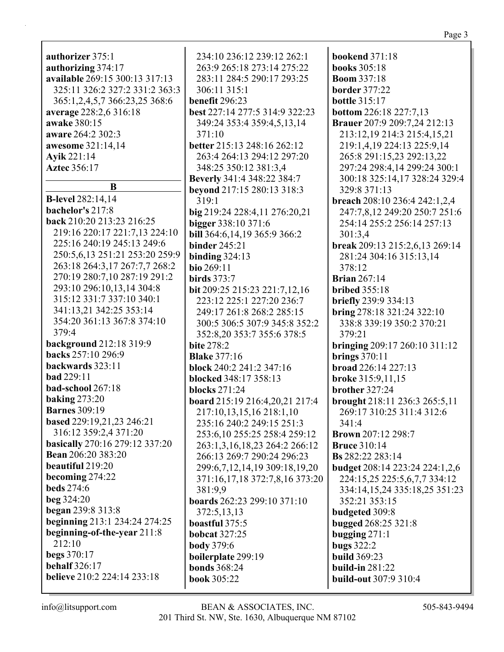|                                                        |                                | Page 3                                |
|--------------------------------------------------------|--------------------------------|---------------------------------------|
| authorizer 375:1                                       | 234:10 236:12 239:12 262:1     | <b>bookend</b> 371:18                 |
| authorizing 374:17                                     | 263:9 265:18 273:14 275:22     | <b>books</b> 305:18                   |
| available 269:15 300:13 317:13                         | 283:11 284:5 290:17 293:25     | <b>Boom 337:18</b>                    |
| 325:11 326:2 327:2 331:2 363:3                         | 306:11 315:1                   | <b>border</b> 377:22                  |
| 365:1,2,4,5,7 366:23,25 368:6                          | benefit 296:23                 | <b>bottle 315:17</b>                  |
| average 228:2,6 316:18                                 | best 227:14 277:5 314:9 322:23 | bottom 226:18 227:7,13                |
| awake 380:15                                           | 349:24 353:4 359:4,5,13,14     | <b>Brauer</b> 207:9 209:7,24 212:13   |
| aware 264:2 302:3                                      | 371:10                         | 213:12,19 214:3 215:4,15,21           |
|                                                        | better 215:13 248:16 262:12    | 219:1,4,19 224:13 225:9,14            |
| awesome 321:14,14                                      | 263:4 264:13 294:12 297:20     |                                       |
| Ayik 221:14<br><b>Aztec 356:17</b>                     |                                | 265:8 291:15,23 292:13,22             |
|                                                        | 348:25 350:12 381:3,4          | 297:24 298:4,14 299:24 300:1          |
| B                                                      | Beverly 341:4 348:22 384:7     | 300:18 325:14,17 328:24 329:4         |
| <b>B-level</b> 282:14,14                               | beyond 217:15 280:13 318:3     | 329:8 371:13                          |
| bachelor's 217:8                                       | 319:1                          | breach 208:10 236:4 242:1,2,4         |
| back 210:20 213:23 216:25                              | big 219:24 228:4,11 276:20,21  | 247:7,8,12 249:20 250:7 251:6         |
| 219:16 220:17 221:7,13 224:10                          | bigger 338:10 371:6            | 254:14 255:2 256:14 257:13            |
| 225:16 240:19 245:13 249:6                             | bill 364:6,14,19 365:9 366:2   | 301:3,4                               |
| 250:5,6,13 251:21 253:20 259:9                         | <b>binder</b> 245:21           | break 209:13 215:2,6,13 269:14        |
| 263:18 264:3,17 267:7,7 268:2                          | binding $324:13$               | 281:24 304:16 315:13,14               |
| 270:19 280:7,10 287:19 291:2                           | bio 269:11                     | 378:12                                |
|                                                        | <b>birds</b> 373:7             | <b>Brian 267:14</b>                   |
| 293:10 296:10,13,14 304:8<br>315:12 331:7 337:10 340:1 | bit 209:25 215:23 221:7,12,16  | <b>bribed</b> 355:18                  |
|                                                        | 223:12 225:1 227:20 236:7      | briefly 239:9 334:13                  |
| 341:13,21 342:25 353:14<br>354:20 361:13 367:8 374:10  | 249:17 261:8 268:2 285:15      | bring 278:18 321:24 322:10            |
| 379:4                                                  | 300:5 306:5 307:9 345:8 352:2  | 338:8 339:19 350:2 370:21             |
|                                                        | 352:8,20 353:7 355:6 378:5     | 379:21                                |
| background 212:18 319:9<br>backs 257:10 296:9          | <b>bite 278:2</b>              | bringing 209:17 260:10 311:12         |
|                                                        | <b>Blake</b> 377:16            | brings $370:11$                       |
| backwards 323:11                                       | block 240:2 241:2 347:16       | broad 226:14 227:13                   |
| <b>bad</b> 229:11                                      | blocked 348:17 358:13          | broke 315:9,11,15                     |
| bad-school 267:18                                      | <b>blocks</b> 271:24           | brother 327:24                        |
| <b>baking 273:20</b>                                   | board 215:19 216:4,20,21 217:4 | brought 218:11 236:3 265:5,11         |
| <b>Barnes</b> 309:19                                   | 217:10,13,15,16 218:1,10       | 269:17 310:25 311:4 312:6             |
| based 229:19,21,23 246:21                              | 235:16 240:2 249:15 251:3      | 341:4                                 |
| 316:12 359:2,4 371:20                                  | 253:6,10 255:25 258:4 259:12   | <b>Brown 207:12 298:7</b>             |
| basically 270:16 279:12 337:20                         | 263:1,3,16,18,23 264:2 266:12  | <b>Bruce</b> 310:14                   |
| <b>Bean</b> 206:20 383:20                              | 266:13 269:7 290:24 296:23     | <b>Bs</b> 282:22 283:14               |
| beautiful 219:20                                       | 299:6,7,12,14,19 309:18,19,20  | <b>budget</b> 208:14 223:24 224:1,2,6 |
| becoming $274:22$                                      | 371:16,17,18 372:7,8,16 373:20 | 224:15,25 225:5,6,7,7 334:12          |
| <b>beds</b> 274:6                                      | 381:9,9                        | 334:14,15,24 335:18,25 351:23         |
| <b>beg</b> 324:20                                      | boards 262:23 299:10 371:10    | 352:21 353:15                         |
| began 239:8 313:8                                      | 372:5,13,13                    | budgeted 309:8                        |
| beginning 213:1 234:24 274:25                          | boastful 375:5                 | <b>bugged</b> 268:25 321:8            |
| beginning-of-the-year 211:8                            | <b>bobcat</b> 327:25           | bugging $271:1$                       |
| 212:10                                                 | <b>body</b> 379:6              | <b>bugs</b> 322:2                     |
| begs 370:17                                            | boilerplate 299:19             | <b>build</b> 369:23                   |
| <b>behalf</b> 326:17                                   | <b>bonds</b> 368:24            | <b>build-in</b> 281:22                |
| <b>believe</b> 210:2 224:14 233:18                     | <b>book 305:22</b>             | build-out 307:9 310:4                 |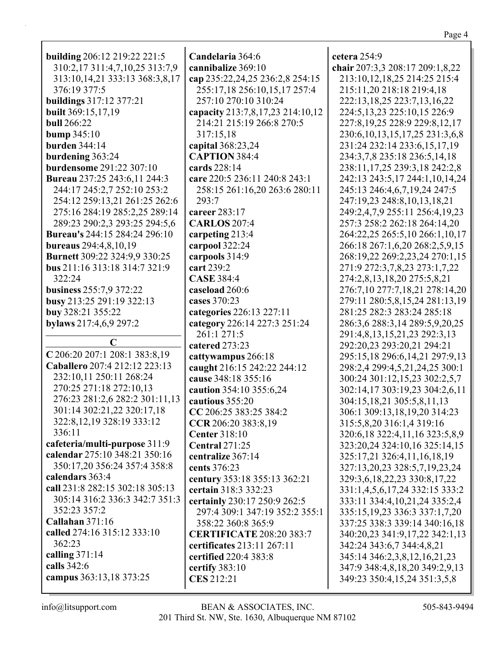| building 206:12 219:22 221:5            | Candelaria 364:6                 | cetera $254:9$                        |
|-----------------------------------------|----------------------------------|---------------------------------------|
| 310:2,17 311:4,7,10,25 313:7,9          | cannibalize 369:10               | chair 207:3,3 208:17 209:1,8,22       |
| 313:10, 14, 21 333:13 368:3, 8, 17      | cap 235:22,24,25 236:2,8 254:15  | 213:10,12,18,25 214:25 215:4          |
| 376:19 377:5                            | 255:17,18 256:10,15,17 257:4     | 215:11,20 218:18 219:4,18             |
| buildings 317:12 377:21                 | 257:10 270:10 310:24             | 222:13,18,25 223:7,13,16,22           |
| <b>built</b> 369:15,17,19               | capacity 213:7,8,17,23 214:10,12 | 224:5, 13, 23 225: 10, 15 226: 9      |
| <b>bull</b> 266:22                      | 214:21 215:19 266:8 270:5        | 227:8, 19, 25 228:9 229:8, 12, 17     |
| <b>bump</b> 345:10                      | 317:15,18                        | 230:6, 10, 13, 15, 17, 25 231:3, 6, 8 |
| <b>burden</b> 344:14                    | capital 368:23,24                | 231:24 232:14 233:6, 15, 17, 19       |
| burdening 363:24                        | <b>CAPTION 384:4</b>             | 234:3,7,8 235:18 236:5,14,18          |
| burdensome 291:22 307:10                | cards 228:14                     | 238:11, 17, 25 239:3, 18 242:2, 8     |
| Bureau 237:25 243:6,11 244:3            | care 220:5 236:11 240:8 243:1    | 242:13 243:5,17 244:1,10,14,24        |
| 244:17 245:2,7 252:10 253:2             | 258:15 261:16,20 263:6 280:11    | 245:13 246:4,6,7,19,24 247:5          |
| 254:12 259:13,21 261:25 262:6           | 293:7                            | 247:19,23 248:8,10,13,18,21           |
| 275:16 284:19 285:2,25 289:14           | career 283:17                    | 249:2,4,7,9 255:11 256:4,19,23        |
| 289:23 290:2,3 293:25 294:5,6           | <b>CARLOS</b> 207:4              | 257:3 258:2 262:18 264:14,20          |
| <b>Bureau's</b> 244:15 284:24 296:10    | carpeting 213:4                  | 264:22,25 265:5,10 266:1,10,17        |
| bureaus 294:4,8,10,19                   | carpool 322:24                   | 266:18 267:1,6,20 268:2,5,9,15        |
| <b>Burnett</b> 309:22 324:9,9 330:25    | carpools 314:9                   | 268:19,22 269:2,23,24 270:1,15        |
| bus 211:16 313:18 314:7 321:9           | cart 239:2                       | 271:9 272:3,7,8,23 273:1,7,22         |
| 322:24                                  | <b>CASE 384:4</b>                | 274:2,8,13,18,20 275:5,8,21           |
| business 255:7,9 372:22                 | caseload 260:6                   | 276:7,10 277:7,18,21 278:14,20        |
| busy 213:25 291:19 322:13               | cases 370:23                     | 279:11 280:5,8,15,24 281:13,19        |
| buy 328:21 355:22                       | categories 226:13 227:11         | 281:25 282:3 283:24 285:18            |
| bylaws 217:4,6,9 297:2                  | category 226:14 227:3 251:24     | 286:3,6 288:3,14 289:5,9,20,25        |
| $\mathbf C$                             | 261:1 271:5                      | 291:4,8,13,15,21,23 292:3,13          |
|                                         | catered 273:23                   | 292:20,23 293:20,21 294:21            |
| C 206:20 207:1 208:1 383:8,19           | cattywampus 266:18               | 295:15,18 296:6,14,21 297:9,13        |
| Caballero 207:4 212:12 223:13           | caught 216:15 242:22 244:12      | 298:2,4 299:4,5,21,24,25 300:1        |
| 232:10,11 250:11 268:24                 | cause 348:18 355:16              | 300:24 301:12,15,23 302:2,5,7         |
| 270:25 271:18 272:10,13                 | caution 354:10 355:6,24          | 302:14,17 303:19,23 304:2,6,11        |
| 276:23 281:2,6 282:2 301:11,13          | cautious 355:20                  | 304:15,18,21 305:5,8,11,13            |
| 301:14 302:21,22 320:17,18              | CC 206:25 383:25 384:2           | 306:1 309:13,18,19,20 314:23          |
| 322:8, 12, 19 328: 19 333: 12           | CCR 206:20 383:8,19              | 315:5,8,20 316:1,4 319:16             |
| 336:11<br>cafeteria/multi-purpose 311:9 | <b>Center 318:10</b>             | 320:6,18 322:4,11,16 323:5,8,9        |
| calendar 275:10 348:21 350:16           | <b>Central 271:25</b>            | 323:20,24 324:10,16 325:14,15         |
| 350:17,20 356:24 357:4 358:8            | centralize 367:14                | 325:17,21 326:4,11,16,18,19           |
| calendars 363:4                         | cents 376:23                     | 327:13,20,23 328:5,7,19,23,24         |
| call 231:8 282:15 302:18 305:13         | century 353:18 355:13 362:21     | 329:3,6,18,22,23 330:8,17,22          |
| 305:14 316:2 336:3 342:7 351:3          | certain 318:3 332:23             | 331:1,4,5,6,17,24 332:15 333:2        |
| 352:23 357:2                            | certainly 230:17 250:9 262:5     | 333:11 334:4, 10, 21, 24 335:2, 4     |
| <b>Callahan</b> 371:16                  | 297:4 309:1 347:19 352:2 355:1   | 335:15, 19, 23 336: 3 337: 1, 7, 20   |
| called 274:16 315:12 333:10             | 358:22 360:8 365:9               | 337:25 338:3 339:14 340:16,18         |
| 362:23                                  | <b>CERTIFICATE 208:20 383:7</b>  | 340:20,23 341:9,17,22 342:1,13        |
| calling $371:14$                        | certificates 213:11 267:11       | 342:24 343:6,7 344:4,8,21             |
| calls 342:6                             | certified 220:4 383:8            | 345:14 346:2,3,8,12,16,21,23          |
| campus 363:13,18 373:25                 | certify 383:10                   | 347:9 348:4,8,18,20 349:2,9,13        |
|                                         | CES 212:21                       | 349:23 350:4,15,24 351:3,5,8          |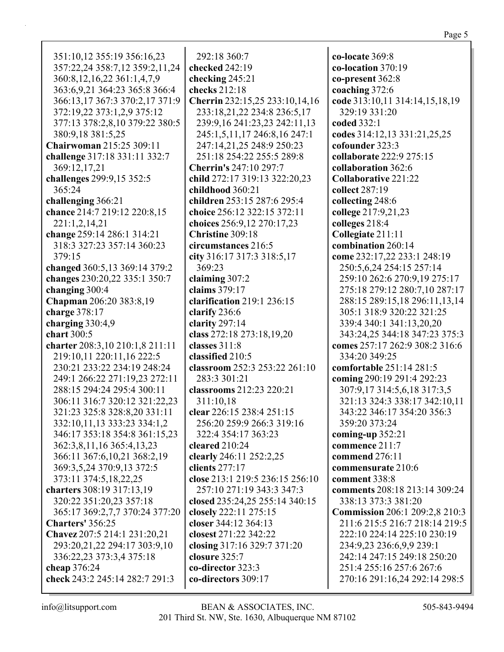| 351:10,12 355:19 356:16,23<br>357:22,24 358:7,12 359:2,11,24<br>360:8, 12, 16, 22 361:1, 4, 7, 9<br>363:6,9,21 364:23 365:8 366:4<br>366:13,17 367:3 370:2,17 371:9<br>372:19,22 373:1,2,9 375:12<br>377:13 378:2,8,10 379:22 380:5<br>380:9,18 381:5,25 | 292:18 360:7<br>checked 242:19<br>checking 245:21<br>checks 212:18<br>Cherrin 232:15,25 233:10,14,16<br>233:18,21,22 234:8 236:5,17<br>239:9,16 241:23,23 242:11,13<br>245:1,5,11,17 246:8,16 247:1 | co-locate 369:8<br>co-location 370:19<br>co-present 362:8<br>coaching 372:6<br>code 313:10,11 314:14,15,18,19<br>329:19 331:20<br>coded 332:1<br>codes 314:12,13 331:21,25,25 |
|----------------------------------------------------------------------------------------------------------------------------------------------------------------------------------------------------------------------------------------------------------|-----------------------------------------------------------------------------------------------------------------------------------------------------------------------------------------------------|-------------------------------------------------------------------------------------------------------------------------------------------------------------------------------|
| <b>Chairwoman 215:25 309:11</b>                                                                                                                                                                                                                          | 247:14,21,25 248:9 250:23                                                                                                                                                                           | cofounder 323:3                                                                                                                                                               |
| challenge 317:18 331:11 332:7                                                                                                                                                                                                                            | 251:18 254:22 255:5 289:8                                                                                                                                                                           | collaborate 222:9 275:15                                                                                                                                                      |
| 369:12,17,21                                                                                                                                                                                                                                             | <b>Cherrin's 247:10 297:7</b>                                                                                                                                                                       | collaboration 362:6                                                                                                                                                           |
| challenges 299:9,15 352:5<br>365:24                                                                                                                                                                                                                      | child 272:17 319:13 322:20,23                                                                                                                                                                       | <b>Collaborative 221:22</b>                                                                                                                                                   |
|                                                                                                                                                                                                                                                          | childhood 360:21                                                                                                                                                                                    | collect 287:19                                                                                                                                                                |
| challenging 366:21                                                                                                                                                                                                                                       | children 253:15 287:6 295:4                                                                                                                                                                         | collecting 248:6                                                                                                                                                              |
| chance 214:7 219:12 220:8,15                                                                                                                                                                                                                             | choice 256:12 322:15 372:11                                                                                                                                                                         | college 217:9,21,23                                                                                                                                                           |
| 221:1,2,14,21<br>change 259:14 286:1 314:21                                                                                                                                                                                                              | choices 256:9,12 270:17,23<br><b>Christine 309:18</b>                                                                                                                                               | colleges 218:4<br>Collegiate 211:11                                                                                                                                           |
| 318:3 327:23 357:14 360:23                                                                                                                                                                                                                               | circumstances 216:5                                                                                                                                                                                 | combination 260:14                                                                                                                                                            |
| 379:15                                                                                                                                                                                                                                                   | city 316:17 317:3 318:5,17                                                                                                                                                                          | come 232:17,22 233:1 248:19                                                                                                                                                   |
| changed 360:5,13 369:14 379:2                                                                                                                                                                                                                            | 369:23                                                                                                                                                                                              | 250:5,6,24 254:15 257:14                                                                                                                                                      |
| changes 230:20,22 335:1 350:7                                                                                                                                                                                                                            | claiming 307:2                                                                                                                                                                                      | 259:10 262:6 270:9,19 275:17                                                                                                                                                  |
| changing 300:4                                                                                                                                                                                                                                           | claims 379:17                                                                                                                                                                                       | 275:18 279:12 280:7,10 287:17                                                                                                                                                 |
| Chapman 206:20 383:8,19                                                                                                                                                                                                                                  | clarification 219:1 236:15                                                                                                                                                                          | 288:15 289:15,18 296:11,13,14                                                                                                                                                 |
| charge 378:17                                                                                                                                                                                                                                            | clarify 236:6                                                                                                                                                                                       | 305:1 318:9 320:22 321:25                                                                                                                                                     |
| charging 330:4,9                                                                                                                                                                                                                                         | clarity 297:14                                                                                                                                                                                      | 339:4 340:1 341:13,20,20                                                                                                                                                      |
| chart 300:5                                                                                                                                                                                                                                              | class 272:18 273:18,19,20                                                                                                                                                                           | 343:24,25 344:18 347:23 375:3                                                                                                                                                 |
| charter 208:3,10 210:1,8 211:11                                                                                                                                                                                                                          | classes 311:8                                                                                                                                                                                       | comes 257:17 262:9 308:2 316:6                                                                                                                                                |
| 219:10,11 220:11,16 222:5                                                                                                                                                                                                                                | classified 210:5                                                                                                                                                                                    | 334:20 349:25                                                                                                                                                                 |
| 230:21 233:22 234:19 248:24                                                                                                                                                                                                                              | classroom 252:3 253:22 261:10                                                                                                                                                                       | comfortable 251:14 281:5                                                                                                                                                      |
| 249:1 266:22 271:19,23 272:11                                                                                                                                                                                                                            | 283:3 301:21                                                                                                                                                                                        | coming 290:19 291:4 292:23                                                                                                                                                    |
| 288:15 294:24 295:4 300:11                                                                                                                                                                                                                               | classrooms 212:23 220:21                                                                                                                                                                            | 307:9,17 314:5,6,18 317:3,5                                                                                                                                                   |
| 306:11 316:7 320:12 321:22,23                                                                                                                                                                                                                            | 311:10,18                                                                                                                                                                                           | 321:13 324:3 338:17 342:10,11                                                                                                                                                 |
| 321:23 325:8 328:8,20 331:11                                                                                                                                                                                                                             | clear 226:15 238:4 251:15                                                                                                                                                                           | 343:22 346:17 354:20 356:3                                                                                                                                                    |
| 332:10,11,13 333:23 334:1,2                                                                                                                                                                                                                              | 256:20 259:9 266:3 319:16                                                                                                                                                                           | 359:20 373:24                                                                                                                                                                 |
| 346:17 353:18 354:8 361:15,23                                                                                                                                                                                                                            | 322:4 354:17 363:23                                                                                                                                                                                 | coming-up 352:21                                                                                                                                                              |
| 362:3,8,11,16 365:4,13,23                                                                                                                                                                                                                                | cleared 210:24                                                                                                                                                                                      | commence 211:7                                                                                                                                                                |
| 366:11 367:6,10,21 368:2,19                                                                                                                                                                                                                              | clearly 246:11 252:2,25                                                                                                                                                                             | commend 276:11                                                                                                                                                                |
| 369:3,5,24 370:9,13 372:5                                                                                                                                                                                                                                | clients $277:17$                                                                                                                                                                                    | commensurate 210:6                                                                                                                                                            |
| 373:11 374:5,18,22,25                                                                                                                                                                                                                                    | close 213:1 219:5 236:15 256:10                                                                                                                                                                     | comment 338:8                                                                                                                                                                 |
| charters 308:19 317:13,19                                                                                                                                                                                                                                | 257:10 271:19 343:3 347:3                                                                                                                                                                           | comments 208:18 213:14 309:24                                                                                                                                                 |
| 320:22 351:20,23 357:18                                                                                                                                                                                                                                  | closed 235:24,25 255:14 340:15                                                                                                                                                                      | 338:13 373:3 381:20                                                                                                                                                           |
| 365:17 369:2,7,7 370:24 377:20                                                                                                                                                                                                                           | closely 222:11 275:15                                                                                                                                                                               | <b>Commission</b> 206:1 209:2,8 210:3                                                                                                                                         |
| Charters' 356:25                                                                                                                                                                                                                                         | closer 344:12 364:13                                                                                                                                                                                | 211:6 215:5 216:7 218:14 219:5                                                                                                                                                |
| Chavez 207:5 214:1 231:20,21                                                                                                                                                                                                                             | closest 271:22 342:22                                                                                                                                                                               | 222:10 224:14 225:10 230:19                                                                                                                                                   |
| 293:20,21,22 294:17 303:9,10                                                                                                                                                                                                                             | closing 317:16 329:7 371:20                                                                                                                                                                         | 234:9,23 236:6,9,9 239:1                                                                                                                                                      |
| 336:22,23 373:3,4 375:18                                                                                                                                                                                                                                 | closure 325:7                                                                                                                                                                                       | 242:14 247:15 249:18 250:20                                                                                                                                                   |
| cheap 376:24                                                                                                                                                                                                                                             | co-director 323:3                                                                                                                                                                                   | 251:4 255:16 257:6 267:6                                                                                                                                                      |
| check 243:2 245:14 282:7 291:3                                                                                                                                                                                                                           | co-directors 309:17                                                                                                                                                                                 | 270:16 291:16,24 292:14 298:5                                                                                                                                                 |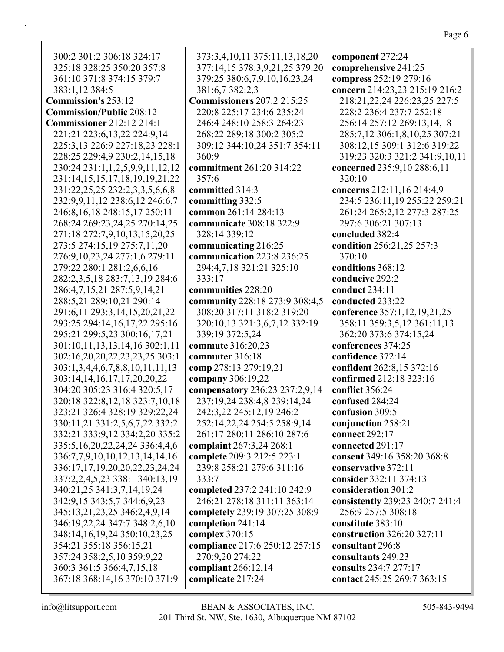300:2 301:2 306:18 324:17 325:18 328:25 350:20 357:8 361:10 371:8 374:15 379:7 383:1,12 384:5 **Commission's** 253:12 **Commission/Public** 208:12 **Commissioner** 212:12 214:1 221:21 223:6,13,22 224:9,14 225:3,13 226:9 227:18,23 228:1 228:25 229:4,9 230:2,14,15,18 230:24 231:1,1,2,5,9,9,11,12,12 231:14,15,15,17,18,19,19,21,22 231:22,25,25 232:2,3,3,5,6,6,8 232:9,9,11,12 238:6,12 246:6,7 246:8,16,18 248:15,17 250:11 268:24 269:23,24,25 270:14,25 271:18 272:7,9,10,13,15,20,25 273:5 274:15,19 275:7,11,20 276:9,10,23,24 277:1,6 279:11 279:22 280:1 281:2,6,6,16 282:2,3,5,18 283:7,13,19 284:6 286:4,7,15,21 287:5,9,14,21 288:5,21 289:10,21 290:14 291:6,11 293:3,14,15,20,21,22 293:25 294:14,16,17,22 295:16 295:21 299:5,23 300:16,17,21 301:10,11,13,13,14,16 302:1,11 302:16,20,20,22,23,23,25 303:1 303:1,3,4,4,6,7,8,8,10,11,11,13 303:14,14,16,17,17,20,20,22 304:20 305:23 316:4 320:5,17 320:18 322:8,12,18 323:7,10,18 323:21 326:4 328:19 329:22,24 330:11,21 331:2,5,6,7,22 332:2 332:21 333:9,12 334:2,20 335:2 335:5,16,20,22,24,24 336:4,4,6 336:7,7,9,10,10,12,13,14,14,16 336:17,17,19,20,20,22,23,24,24 337:2,2,4,5,23 338:1 340:13,19 340:21,25 341:3,7,14,19,24 342:9,15 343:5,7 344:6,9,23 345:13,21,23,25 346:2,4,9,14 346:19,22,24 347:7 348:2,6,10 348:14,16,19,24 350:10,23,25 354:21 355:18 356:15,21 357:24 358:2,5,10 359:9,22 360:3 361:5 366:4,7,15,18 367:18 368:14,16 370:10 371:9 **complicate** 217:24

373:3,4,10,11 375:11,13,18,20 377:14,15 378:3,9,21,25 379:20 379:25 380:6,7,9,10,16,23,24 381:6,7 382:2,3 **Commissioners** 207:2 215:25 220:8 225:17 234:6 235:24 246:4 248:10 258:3 264:23 268:22 289:18 300:2 305:2 309:12 344:10,24 351:7 354:11 360:9 **commitment** 261:20 314:22 357:6 **committed** 314:3 **committing** 332:5 **common** 261:14 284:13 **communicate** 308:18 322:9 328:14 339:12 **communicating** 216:25 **communication** 223:8 236:25 294:4,7,18 321:21 325:10 333:17 **communities** 228:20 **community** 228:18 273:9 308:4,5 308:20 317:11 318:2 319:20 320:10,13 321:3,6,7,12 332:19 339:19 372:5,24 **commute** 316:20,23 **commuter** 316:18 **comp** 278:13 279:19,21 **company** 306:19,22 **compensatory** 236:23 237:2,9,14 237:19,24 238:4,8 239:14,24 242:3,22 245:12,19 246:2 252:14,22,24 254:5 258:9,14 261:17 280:11 286:10 287:6 **complaint** 267:3,24 268:1 **complete** 209:3 212:5 223:1 239:8 258:21 279:6 311:16 333:7 **completed** 237:2 241:10 242:9 246:21 278:18 311:11 363:14 **completely** 239:19 307:25 308:9 **completion** 241:14 **complex** 370:15 **compliance** 217:6 250:12 257:15 270:9,20 274:22 **compliant** 266:12,14

**component** 272:24 **comprehensive** 241:25 **compress** 252:19 279:16 **concern** 214:23,23 215:19 216:2 218:21,22,24 226:23,25 227:5 228:2 236:4 237:7 252:18 256:14 257:12 269:13,14,18 285:7,12 306:1,8,10,25 307:21 308:12,15 309:1 312:6 319:22 319:23 320:3 321:2 341:9,10,11 **concerned** 235:9,10 288:6,11 320:10 **concerns** 212:11,16 214:4,9 234:5 236:11,19 255:22 259:21 261:24 265:2,12 277:3 287:25 297:6 306:21 307:13 **concluded** 382:4 **condition** 256:21,25 257:3 370:10 **conditions** 368:12 **conducive** 292:2 **conduct** 234:11 **conducted** 233:22 **conference** 357:1,12,19,21,25 358:11 359:3,5,12 361:11,13 362:20 373:6 374:15,24 **conferences** 374:25 **confidence** 372:14 **confident** 262:8,15 372:16 **confirmed** 212:18 323:16 **conflict** 356:24 **confused** 284:24 **confusion** 309:5 **conjunction** 258:21 **connect** 292:17 **connected** 291:17 **consent** 349:16 358:20 368:8 **conservative** 372:11 **consider** 332:11 374:13 **consideration** 301:2 **consistently** 239:23 240:7 241:4 256:9 257:5 308:18 **constitute** 383:10 **construction** 326:20 327:11 **consultant** 296:8 **consultants** 249:23 **consults** 234:7 277:17 **contact** 245:25 269:7 363:15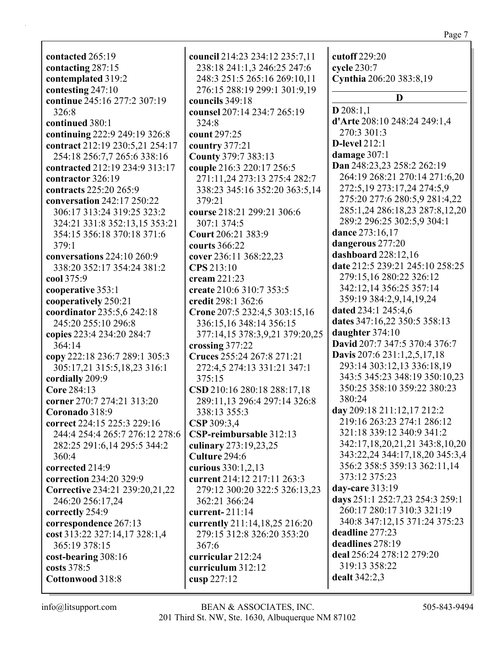**contacted** 265:19 **contacting** 287:15 **contemplated** 319:2 **contesting** 247:10 **continue** 245:16 277:2 307:19 326:8 **continued** 380:1 **continuing** 222:9 249:19 326:8 **contract** 212:19 230:5,21 254:17 254:18 256:7,7 265:6 338:16 **contracted** 212:19 234:9 313:17 **contractor** 326:19 **contracts** 225:20 265:9 **conversation** 242:17 250:22 306:17 313:24 319:25 323:2 324:21 331:8 352:13,15 353:21 354:15 356:18 370:18 371:6 379:1 **conversations** 224:10 260:9 338:20 352:17 354:24 381:2 **cool** 375:9 **cooperative** 353:1 **cooperatively** 250:21 **coordinator** 235:5,6 242:18 245:20 255:10 296:8 **copies** 223:4 234:20 284:7 364:14 **copy** 222:18 236:7 289:1 305:3 305:17,21 315:5,18,23 316:1 **cordially** 209:9 **Core** 284:13 **corner** 270:7 274:21 313:20 **Coronado** 318:9 **correct** 224:15 225:3 229:16 244:4 254:4 265:7 276:12 278:6 282:25 291:6,14 295:5 344:2 360:4 **corrected** 214:9 **correction** 234:20 329:9 **Corrective** 234:21 239:20,21,22 246:20 256:17,24 **correctly** 254:9 **correspondence** 267:13 **cost** 313:22 327:14,17 328:1,4 365:19 378:15 **cost-bearing** 308:16 **costs** 378:5 **Cottonwood** 318:8

**council** 214:23 234:12 235:7,11 238:18 241:1,3 246:25 247:6 248:3 251:5 265:16 269:10,11 276:15 288:19 299:1 301:9,19 **councils** 349:18 **counsel** 207:14 234:7 265:19 324:8 **count** 297:25 **country** 377:21 **County** 379:7 383:13 **couple** 216:3 220:17 256:5 271:11,24 273:13 275:4 282:7 338:23 345:16 352:20 363:5,14 379:21 **course** 218:21 299:21 306:6 307:1 374:5 **Court** 206:21 383:9 **courts** 366:22 **cover** 236:11 368:22,23 **CPS** 213:10 **cream** 221:23 **create** 210:6 310:7 353:5 **credit** 298:1 362:6 **Crone** 207:5 232:4,5 303:15,16 336:15,16 348:14 356:15 377:14,15 378:3,9,21 379:20,25 **crossing** 377:22 **Cruces** 255:24 267:8 271:21 272:4,5 274:13 331:21 347:1 375:15 **CSD** 210:16 280:18 288:17,18 289:11,13 296:4 297:14 326:8 338:13 355:3 **CSP** 309:3,4 **CSP-reimbursable** 312:13 **culinary** 273:19,23,25 **Culture** 294:6 **curious** 330:1,2,13 **current** 214:12 217:11 263:3 279:12 300:20 322:5 326:13,23 362:21 366:24 **current-** 211:14 **currently** 211:14,18,25 216:20 279:15 312:8 326:20 353:20 367:6 **curricular** 212:24 **curriculum** 312:12 **cusp** 227:12

**cutoff** 229:20 **cycle** 230:7 **Cynthia** 206:20 383:8,19 **D D** 208:1,1 **d'Arte** 208:10 248:24 249:1,4 270:3 301:3 **D-level** 212:1 **damage** 307:1 **Dan** 248:23,23 258:2 262:19 264:19 268:21 270:14 271:6,20 272:5,19 273:17,24 274:5,9 275:20 277:6 280:5,9 281:4,22 285:1,24 286:18,23 287:8,12,20 289:2 296:25 302:5,9 304:1 **dance** 273:16,17 **dangerous** 277:20 **dashboard** 228:12,16 **date** 212:5 239:21 245:10 258:25 279:15,16 280:22 326:12 342:12,14 356:25 357:14 359:19 384:2,9,14,19,24 **dated** 234:1 245:4,6 **dates** 347:16,22 350:5 358:13 **daughter** 374:10 **David** 207:7 347:5 370:4 376:7 **Davis** 207:6 231:1,2,5,17,18 293:14 303:12,13 336:18,19 343:5 345:23 348:19 350:10,23 350:25 358:10 359:22 380:23 380:24 **day** 209:18 211:12,17 212:2 219:16 263:23 274:1 286:12 321:18 339:12 340:9 341:2 342:17,18,20,21,21 343:8,10,20 343:22,24 344:17,18,20 345:3,4 356:2 358:5 359:13 362:11,14 373:12 375:23 **day-care** 313:19 **days** 251:1 252:7,23 254:3 259:1 260:17 280:17 310:3 321:19 340:8 347:12,15 371:24 375:23 **deadline** 277:23 **deadlines** 278:19 **deal** 256:24 278:12 279:20 319:13 358:22 **dealt** 342:2,3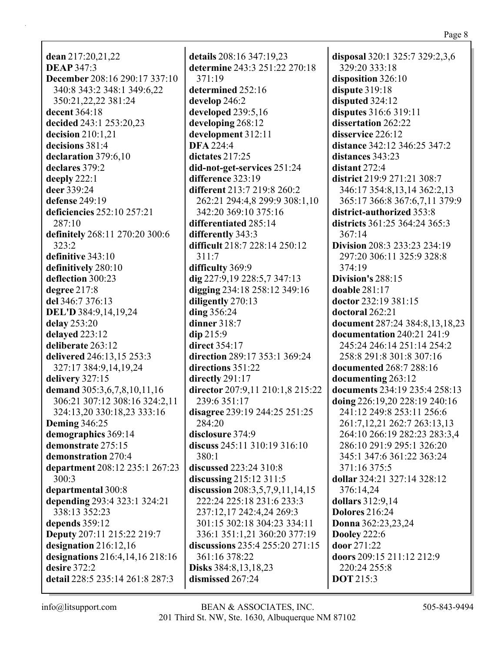**dean** 217:20,21,22 **DEAP** 347:3 **December** 208:16 290:17 337:10 340:8 343:2 348:1 349:6,22 350:21,22,22 381:24 **decent** 364:18 **decided** 243:1 253:20,23 **decision** 210:1,21 **decisions** 381:4 **declaration** 379:6,10 **declares** 379:2 **deeply** 222:1 **deer** 339:24 **defense** 249:19 **deficiencies** 252:10 257:21 287:10 **definitely** 268:11 270:20 300:6 323:2 **definitive** 343:10 **definitively** 280:10 **deflection** 300:23 **degree** 217:8 **del** 346:7 376:13 **DEL'D** 384:9,14,19,24 **delay** 253:20 **delayed** 223:12 **deliberate** 263:12 **delivered** 246:13,15 253:3 327:17 384:9,14,19,24 **delivery** 327:15 **demand** 305:3,6,7,8,10,11,16 306:21 307:12 308:16 324:2,11 324:13,20 330:18,23 333:16 **Deming** 346:25 **demographics** 369:14 **demonstrate** 275:15 **demonstration** 270:4 **department** 208:12 235:1 267:23 300:3 **departmental** 300:8 **depending** 293:4 323:1 324:21 338:13 352:23 **depends** 359:12 **Deputy** 207:11 215:22 219:7 **designation** 216:12,16 **designations** 216:4,14,16 218:16 **desire** 372:2 **detail** 228:5 235:14 261:8 287:3

**details** 208:16 347:19,23 **determine** 243:3 251:22 270:18 371:19 **determined** 252:16 **develop** 246:2 **developed** 239:5,16 **developing** 268:12 **development** 312:11 **DFA** 224:4 **dictates** 217:25 **did-not-get-services** 251:24 **difference** 323:19 **different** 213:7 219:8 260:2 262:21 294:4,8 299:9 308:1,10 342:20 369:10 375:16 **differentiated** 285:14 **differently** 343:3 **difficult** 218:7 228:14 250:12 311:7 **difficulty** 369:9 **dig** 227:9,19 228:5,7 347:13 **digging** 234:18 258:12 349:16 **diligently** 270:13 **ding** 356:24 **dinner** 318:7 **dip** 215:9 **direct** 354:17 **direction** 289:17 353:1 369:24 **directions** 351:22 **directly** 291:17 **director** 207:9,11 210:1,8 215:22 239:6 351:17 **disagree** 239:19 244:25 251:25 284:20 **disclosure** 374:9 **discuss** 245:11 310:19 316:10 380:1 **discussed** 223:24 310:8 **discussing** 215:12 311:5 **discussion** 208:3,5,7,9,11,14,15 222:24 225:18 231:6 233:3 237:12,17 242:4,24 269:3 301:15 302:18 304:23 334:11 336:1 351:1,21 360:20 377:19 **discussions** 235:4 255:20 271:15 361:16 378:22 **Disks** 384:8,13,18,23 **dismissed** 267:24

**disposal** 320:1 325:7 329:2,3,6 329:20 333:18 **disposition** 326:10 **dispute** 319:18 **disputed** 324:12 **disputes** 316:6 319:11 **dissertation** 262:22 **disservice** 226:12 **distance** 342:12 346:25 347:2 **distances** 343:23 **distant** 272:4 **district** 219:9 271:21 308:7 346:17 354:8,13,14 362:2,13 365:17 366:8 367:6,7,11 379:9 **district-authorized** 353:8 **districts** 361:25 364:24 365:3 367:14 **Division** 208:3 233:23 234:19 297:20 306:11 325:9 328:8 374:19 **Division's** 288:15 **doable** 281:17 **doctor** 232:19 381:15 **doctoral** 262:21 **document** 287:24 384:8,13,18,23 **documentation** 240:21 241:9 245:24 246:14 251:14 254:2 258:8 291:8 301:8 307:16 **documented** 268:7 288:16 **documenting** 263:12 **documents** 234:19 235:4 258:13 **doing** 226:19,20 228:19 240:16 241:12 249:8 253:11 256:6 261:7,12,21 262:7 263:13,13 264:10 266:19 282:23 283:3,4 286:10 291:9 295:1 326:20 345:1 347:6 361:22 363:24 371:16 375:5 **dollar** 324:21 327:14 328:12 376:14,24 **dollars** 312:9,14 **Dolores** 216:24 **Donna** 362:23,23,24 **Dooley** 222:6 **door** 271:22 **doors** 209:15 211:12 212:9 220:24 255:8 **DOT** 215:3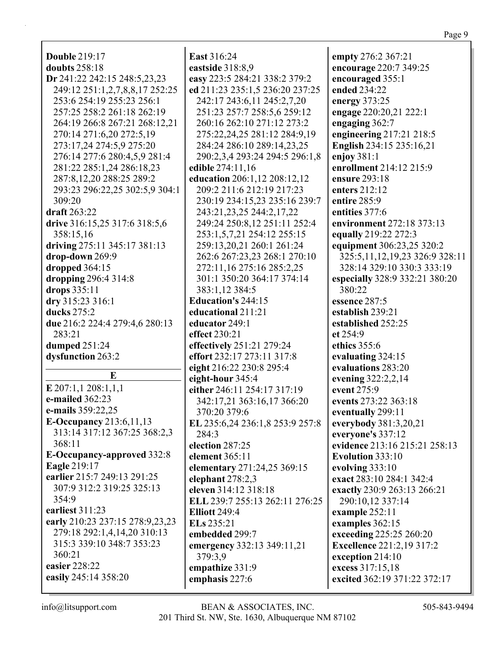**Double 219:17 doubts** 258:18 Dr 241:22 242:15 248:5,23,23 249:12 251:1,2,7,8,8,17 252:25 253:6 254:19 255:23 256:1 257:25 258:2 261:18 262:19 264:19 266:8 267:21 268:12.21 270:14 271:6,20 272:5,19 273:17,24 274:5,9 275:20 276:14 277:6 280:4,5,9 281:4 281:22 285:1,24 286:18,23 287:8,12,20 288:25 289:2 293:23 296:22,25 302:5,9 304:1 309:20  $$ drive 316:15,25 317:6 318:5,6 358:15.16 driving 275:11 345:17 381:13  $drop-down 269:9$ dropped  $364:15$ dropping 296:4 314:8 drops 335:11 dry 315:23 316:1 ducks 275:2 due 216:2 224:4 279:4,6 280:13 283:21 dumped 251:24 dysfunction 263:2  $E$  $E$  207:1,1 208:1,1,1 e-mailed  $362:23$ e-mails 359:22,25 **E-Occupancy** 213:6,11,13 313:14 317:12 367:25 368:2,3 368:11 **E-Occupancy-approved 332:8 Eagle 219:17** earlier 215:7 249:13 291:25 307:9 312:2 319:25 325:13 354:9 earliest  $311:23$ early 210:23 237:15 278:9,23,23 279:18 292:1,4,14,20 310:13 315:3 339:10 348:7 353:23  $360:21$ easier 228:22 easily 245:14 358:20

East 316:24 eastside 318:8,9 easy 223:5 284:21 338:2 379:2 ed 211:23 235:1,5 236:20 237:25 242:17 243:6,11 245:2,7,20 251:23 257:7 258:5,6 259:12 260:16 262:10 271:12 273:2 275:22,24,25 281:12 284:9,19 284:24 286:10 289:14,23,25 290:2,3,4 293:24 294:5 296:1,8 edible 274:11,16 education 206:1,12 208:12,12 209:2 211:6 212:19 217:23 230:19 234:15,23 235:16 239:7 243:21,23,25 244:2,17,22 249:24 250:8.12 251:11 252:4 253:1,5,7,21 254:12 255:15 259:13,20,21 260:1 261:24 262:6 267:23,23 268:1 270:10 272:11,16 275:16 285:2,25 301:1 350:20 364:17 374:14 383:1,12 384:5 Education's 244:15 educational 211:21 educator 249:1 effect 230:21 effectively 251:21 279:24 effort 232:17 273:11 317:8 eight 216:22 230:8 295:4 eight-hour  $345:4$ either 246:11 254:17 317:19 342:17,21 363:16,17 366:20 370:20 379:6 EL 235:6,24 236:1,8 253:9 257:8 284:3 election 287:25 element 365:11 elementary 271:24,25 369:15 elephant  $278:2,3$ eleven 314:12 318:18 ELL 239:7 255:13 262:11 276:25 **Elliott 249:4** ELs 235:21 embedded 299:7 emergency 332:13 349:11,21 379:3,9 empathize 331:9 emphasis 227:6

empty 276:2 367:21 encourage 220:7 349:25 encouraged 355:1 ended 234:22 energy  $373:25$ engage 220:20,21 222:1 engaging  $362:7$ engineering  $217:21218:5$ **English** 234:15 235:16,21 enjov  $381:1$ enrollment 214:12 215:9 ensure  $293:18$ enters  $212:12$ entire 285:9 entities 377:6 environment 272:18 373:13 equally 219:22 272:3 equipment 306:23,25 320:2 325:5, 11, 12, 19, 23 326: 9 328: 11 328:14 329:10 330:3 333:19 especially 328:9 332:21 380:20 380:22 essence 287:5 establish 239:21 established 252:25 et 254:9 ethics 355:6 evaluating  $324:15$ evaluations 283:20 evening 322:2,2,14 event 275:9 events 273:22 363:18 eventually 299:11 everybody 381:3,20,21 everyone's 337:12 evidence 213:16 215:21 258:13 Evolution 333:10 evolving  $333:10$ exact 283:10 284:1 342:4 exactly 230:9 263:13 266:21 290:10,12 337:14 example  $252:11$ examples 362:15 exceeding 225:25 260:20 **Excellence** 221:2,19 317:2 exception 214:10 excess 317:15,18 excited 362:19 371:22 372:17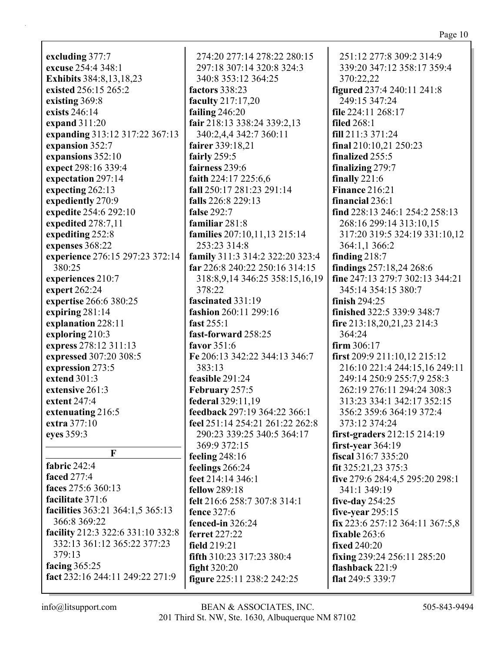| excluding 377:7                   | 274:20 277:14 278:22 280:15          | 251:12 277:8 309:2 314:9           |
|-----------------------------------|--------------------------------------|------------------------------------|
| excuse 254:4 348:1                | 297:18 307:14 320:8 324:3            | 339:20 347:12 358:17 359:4         |
| Exhibits 384:8,13,18,23           | 340:8 353:12 364:25                  | 370:22,22                          |
| existed 256:15 265:2              | factors 338:23                       | figured 237:4 240:11 241:8         |
| existing 369:8                    | faculty 217:17,20                    | 249:15 347:24                      |
| exists 246:14                     | failing $246:20$                     | file 224:11 268:17                 |
| expand 311:20                     | fair 218:13 338:24 339:2,13          | <b>filed</b> 268:1                 |
| expanding 313:12 317:22 367:13    | 340:2,4,4 342:7 360:11               | fill 211:3 371:24                  |
| expansion 352:7                   | fairer 339:18,21                     | final 210:10,21 250:23             |
| expansions 352:10                 | fairly 259:5                         | finalized 255:5                    |
| expect 298:16 339:4               | fairness 239:6                       | finalizing 279:7                   |
| expectation 297:14                | faith 224:17 225:6,6                 | finally $221:6$                    |
| expecting 262:13                  | fall 250:17 281:23 291:14            | <b>Finance 216:21</b>              |
| expediently 270:9                 | falls 226:8 229:13                   | financial 236:1                    |
| expedite 254:6 292:10             | false 292:7                          | find 228:13 246:1 254:2 258:13     |
| expedited 278:7,11                | familiar 281:8                       | 268:16 299:14 313:10,15            |
| expediting 252:8                  | families 207:10,11,13 215:14         | 317:20 319:5 324:19 331:10,12      |
| expenses 368:22                   | 253:23 314:8                         | 364:1,1 366:2                      |
| experience 276:15 297:23 372:14   | family 311:3 314:2 322:20 323:4      | finding $218:7$                    |
| 380:25                            | far 226:8 240:22 250:16 314:15       | findings 257:18,24 268:6           |
| experiences 210:7                 | 318:8, 9, 14 346: 25 358: 15, 16, 19 | fine 247:13 279:7 302:13 344:21    |
| expert 262:24                     | 378:22                               | 345:14 354:15 380:7                |
| expertise 266:6 380:25            | fascinated 331:19                    | finish 294:25                      |
| expiring $281:14$                 | fashion 260:11 299:16                | finished 322:5 339:9 348:7         |
| explanation 228:11                | fast $255:1$                         | fire $213:18,20,21,23$ 214:3       |
| exploring 210:3                   | fast-forward 258:25                  | 364:24                             |
| express 278:12 311:13             | favor 351:6                          | firm $306:17$                      |
| expressed 307:20 308:5            | Fe 206:13 342:22 344:13 346:7        | first 209:9 211:10,12 215:12       |
| expression 273:5                  | 383:13                               | 216:10 221:4 244:15,16 249:11      |
| extend 301:3                      | feasible 291:24                      | 249:14 250:9 255:7,9 258:3         |
| extensive 261:3                   | February 257:5                       | 262:19 276:11 294:24 308:3         |
| extent 247:4                      | federal 329:11,19                    | 313:23 334:1 342:17 352:15         |
| extenuating 216:5                 | feedback 297:19 364:22 366:1         | 356:2 359:6 364:19 372:4           |
| extra 377:10                      | feel 251:14 254:21 261:22 262:8      | 373:12 374:24                      |
| eyes 359:3                        | 290:23 339:25 340:5 364:17           | <b>first-graders</b> 212:15 214:19 |
|                                   | 369:9 372:15                         | first-year $364:19$                |
| $\mathbf F$                       | feeling $248:16$                     | fiscal 316:7 335:20                |
| fabric 242:4                      | feelings 266:24                      | fit 325:21,23 375:3                |
| faced 277:4                       | feet 214:14 346:1                    | five 279:6 284:4,5 295:20 298:1    |
| faces 275:6 360:13                | <b>fellow</b> 289:18                 | 341:1 349:19                       |
| facilitate 371:6                  | felt 216:6 258:7 307:8 314:1         | five-day 254:25                    |
| facilities 363:21 364:1,5 365:13  | fence 327:6                          | five-year $295:15$                 |
| 366:8 369:22                      | fenced-in 326:24                     | fix 223:6 257:12 364:11 367:5,8    |
| facility 212:3 322:6 331:10 332:8 | ferret 227:22                        | fixable $263:6$                    |
| 332:13 361:12 365:22 377:23       | field 219:21                         | <b>fixed 240:20</b>                |
| 379:13                            | fifth 310:23 317:23 380:4            | fixing 239:24 256:11 285:20        |
| facing $365:25$                   | <b>fight</b> 320:20                  | flashback 221:9                    |
| fact 232:16 244:11 249:22 271:9   | figure 225:11 238:2 242:25           | flat 249:5 339:7                   |
|                                   |                                      |                                    |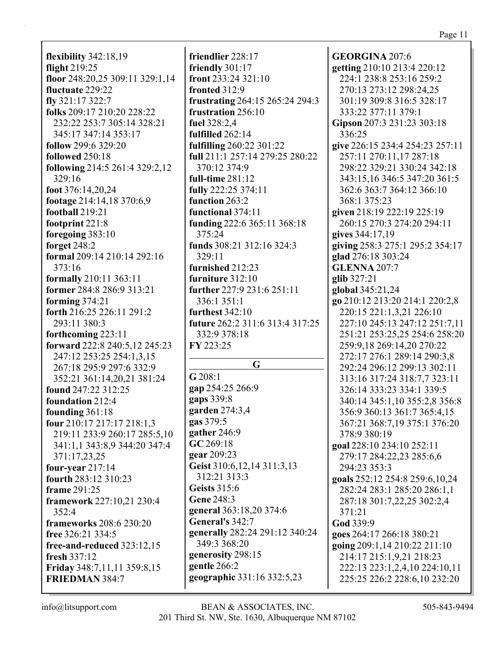**flight** 219:25 **floor** 248:20,25 309:11 329:1,14 **fluctuate** 229:22 **fly** 321:17 322:7 **folks** 209:17 210:20 228:22 232:22 253:7 305:14 328:21 345:17 347:14 353:17 **follow** 299:6 329:20 **followed** 250:18 **following** 214:5 261:4 329:2,12 329:16 **foot** 376:14,20,24 **footage** 214:14,18 370:6,9 **football** 219:21 **footprint** 221:8 **foregoing** 383:10 **forget** 248:2 **formal** 209:14 210:14 292:16 373:16 **formally** 210:11 363:11 **former** 284:8 286:9 313:21 **forming** 374:21 **forth** 216:25 226:11 291:2 293:11 380:3 **forthcoming** 223:11 **forward** 222:8 240:5,12 245:23 247:12 253:25 254:1,3,15 267:18 295:9 297:6 332:9 352:21 361:14,20,21 381:24 **found** 247:22 312:25 **foundation** 212:4 **founding** 361:18 **four** 210:17 217:17 218:1,3 219:11 233:9 260:17 285:5,10 341:1,1 343:8,9 344:20 347:4 371:17,23,25 **four-year** 217:14 **fourth** 283:12 310:23 **frame** 291:25 **framework** 227:10,21 230:4 352:4 **frameworks** 208:6 230:20 **free** 326:21 334:5 **free-and-reduced** 323:12,15 **fresh** 337:12

**flexibility** 342:18,19

**friendlier** 228:17 **friendly** 301:17 **front** 233:24 321:10 **fronted** 312:9 **frustrating** 264:15 265:24 294:3 **frustration** 256:10 **fuel** 328:2,4 **fulfilled** 262:14 **fulfilling** 260:22 301:22 **full** 211:1 257:14 279:25 280:22 370:12 374:9 **full-time** 281:12 **fully** 222:25 374:11 **function** 263:2 **functional** 374:11 **funding** 222:6 365:11 368:18 375:24 **funds** 308:21 312:16 324:3 329:11 **furnished** 212:23 **furniture** 312:10 **further** 227:9 231:6 251:11 336:1 351:1 **furthest** 342:10 **future** 262:2 311:6 313:4 317:25 332:9 378:18 **FY** 223:25 **G G** 208:1 **gap** 254:25 266:9 **gaps** 339:8 **garden** 274:3,4 **gas** 379:5 **gather** 246:9 **GC** 269:18 **gear** 209:23 **Geist** 310:6,12,14 311:3,13 312:21 313:3 **Geists** 315:6 **Gene** 248:3 **general** 363:18,20 374:6 **General's** 342:7 **generally** 282:24 291:12 340:24 349:3 368:20 **generosity** 298:15 **gentle** 266:2 **geographic** 331:16 332:5,23

**GEORGINA** 207:6 **getting** 210:10 213:4 220:12 224:1 238:8 253:16 259:2 270:13 273:12 298:24,25 301:19 309:8 316:5 328:17 333:22 377:11 379:1 **Gipson** 207:3 231:23 303:18 336:25 **give** 226:15 234:4 254:23 257:11 257:11 270:11,17 287:18 298:22 329:21 330:24 342:18 343:15,16 346:5 347:20 361:5 362:6 363:7 364:12 366:10 368:1 375:23 **given** 218:19 222:19 225:19 260:15 270:3 274:20 294:11 **gives** 344:17,19 **giving** 258:3 275:1 295:2 354:17 **glad** 276:18 303:24 **GLENNA** 207:7 **glib** 327:21 **global** 345:21,24 **go** 210:12 213:20 214:1 220:2,8 220:15 221:1,3,21 226:10 227:10 245:13 247:12 251:7,11 251:21 253:25,25 254:6 258:20 259:9,18 269:14,20 270:22 272:17 276:1 289:14 290:3,8 292:24 296:12 299:13 302:11 313:16 317:24 318:7,7 323:11 326:14 333:23 334:1 339:5 340:14 345:1,10 355:2,8 356:8 356:9 360:13 361:7 365:4,15 367:21 368:7,19 375:1 376:20 378:9 380:19 **goal** 228:10 234:10 252:11 279:17 284:22,23 285:6,6 294:23 353:3 **goals** 252:12 254:8 259:6,10,24 282:24 283:1 285:20 286:1,1 287:18 301:7,22,25 302:2,4 371:21 **God** 339:9 **goes** 264:17 266:18 380:21 **going** 209:1,14 210:22 211:10 214:17 215:1,9,21 218:23 222:13 223:1,2,4,10 224:10,11 225:25 226:2 228:6,10 232:20

**FRIEDMAN** 384:7

**Friday** 348:7,11,11 359:8,15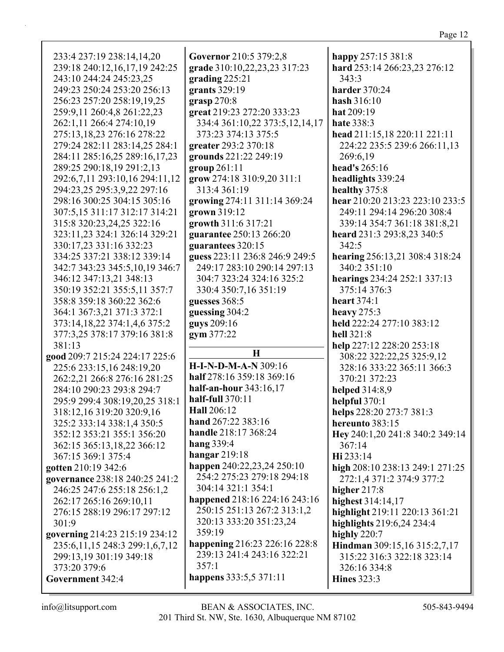| 233:4 237:19 238:14,14,20      | Governor 210:5 379:2,8         | happy 257:15 381:8              |
|--------------------------------|--------------------------------|---------------------------------|
| 239:18 240:12,16,17,19 242:25  | grade 310:10,22,23,23 317:23   | hard 253:14 266:23,23 276:12    |
| 243:10 244:24 245:23,25        | grading 225:21                 | 343:3                           |
| 249:23 250:24 253:20 256:13    | grants 329:19                  | <b>harder</b> 370:24            |
| 256:23 257:20 258:19,19,25     | grasp $270:8$                  | hash 316:10                     |
| 259:9,11 260:4,8 261:22,23     | great 219:23 272:20 333:23     | hat 209:19                      |
| 262:1,11 266:4 274:10,19       | 334:4 361:10,22 373:5,12,14,17 | hate 338:3                      |
| 275:13,18,23 276:16 278:22     | 373:23 374:13 375:5            | head 211:15,18 220:11 221:11    |
| 279:24 282:11 283:14,25 284:1  | greater 293:2 370:18           | 224:22 235:5 239:6 266:11,13    |
| 284:11 285:16,25 289:16,17,23  | grounds 221:22 249:19          | 269:6,19                        |
| 289:25 290:18,19 291:2,13      | group 261:11                   | head's 265:16                   |
| 292:6,7,11 293:10,16 294:11,12 | grow 274:18 310:9,20 311:1     | headlights 339:24               |
| 294:23,25 295:3,9,22 297:16    | 313:4 361:19                   | healthy 375:8                   |
| 298:16 300:25 304:15 305:16    | growing 274:11 311:14 369:24   | hear 210:20 213:23 223:10 233:5 |
| 307:5,15 311:17 312:17 314:21  | grown 319:12                   | 249:11 294:14 296:20 308:4      |
| 315:8 320:23,24,25 322:16      | growth 311:6 317:21            | 339:14 354:7 361:18 381:8,21    |
| 323:11,23 324:1 326:14 329:21  | guarantee 250:13 266:20        | heard 231:3 293:8,23 340:5      |
| 330:17,23 331:16 332:23        | guarantees 320:15              | 342:5                           |
| 334:25 337:21 338:12 339:14    | guess 223:11 236:8 246:9 249:5 | hearing 256:13,21 308:4 318:24  |
| 342:7 343:23 345:5,10,19 346:7 | 249:17 283:10 290:14 297:13    | 340:2 351:10                    |
| 346:12 347:13,21 348:13        | 304:7 323:24 324:16 325:2      | hearings 234:24 252:1 337:13    |
| 350:19 352:21 355:5,11 357:7   | 330:4 350:7,16 351:19          | 375:14 376:3                    |
| 358:8 359:18 360:22 362:6      | guesses 368:5                  | <b>heart</b> 374:1              |
| 364:1 367:3,21 371:3 372:1     | guessing 304:2                 | heavy $275:3$                   |
| 373:14,18,22 374:1,4,6 375:2   | guys 209:16                    | held 222:24 277:10 383:12       |
| 377:3,25 378:17 379:16 381:8   | gym 377:22                     | hell 321:8                      |
| 381:13                         |                                | help 227:12 228:20 253:18       |
| good 209:7 215:24 224:17 225:6 | $\bf H$                        | 308:22 322:22,25 325:9,12       |
| 225:6 233:15,16 248:19,20      | <b>H-I-N-D-M-A-N 309:16</b>    | 328:16 333:22 365:11 366:3      |
| 262:2,21 266:8 276:16 281:25   | half 278:16 359:18 369:16      | 370:21 372:23                   |
| 284:10 290:23 293:8 294:7      | half-an-hour 343:16,17         | helped 314:8,9                  |
| 295:9 299:4 308:19,20,25 318:1 | half-full 370:11               | helpful $370:1$                 |
| 318:12,16 319:20 320:9,16      | <b>Hall</b> 206:12             | helps 228:20 273:7 381:3        |
| 325:2 333:14 338:1,4 350:5     | hand 267:22 383:16             | hereunto 383:15                 |
| 352:12 353:21 355:1 356:20     | handle 218:17 368:24           | Hey 240:1,20 241:8 340:2 349:14 |
| 362:15 365:13,18,22 366:12     | hang 339:4                     | 367:14                          |
| 367:15 369:1 375:4             | hangar $219:18$                | Hi 233:14                       |
| gotten 210:19 342:6            | happen 240:22,23,24 250:10     | high 208:10 238:13 249:1 271:25 |
| governance 238:18 240:25 241:2 | 254:2 275:23 279:18 294:18     | 272:1,4 371:2 374:9 377:2       |
| 246:25 247:6 255:18 256:1,2    | 304:14 321:1 354:1             | higher $217:8$                  |
| 262:17 265:16 269:10,11        | happened 218:16 224:16 243:16  | highest 314:14,17               |
| 276:15 288:19 296:17 297:12    | 250:15 251:13 267:2 313:1,2    | highlight 219:11 220:13 361:21  |
| 301:9                          | 320:13 333:20 351:23,24        | highlights 219:6,24 234:4       |
| governing 214:23 215:19 234:12 | 359:19                         | highly $220:7$                  |
| 235:6,11,15 248:3 299:1,6,7,12 | happening 216:23 226:16 228:8  | Hindman 309:15,16 315:2,7,17    |
| 299:13,19 301:19 349:18        | 239:13 241:4 243:16 322:21     | 315:22 316:3 322:18 323:14      |
| 373:20 379:6                   | 357:1                          | 326:16 334:8                    |
| Government 342:4               | happens 333:5,5 371:11         | <b>Hines</b> 323:3              |
|                                |                                |                                 |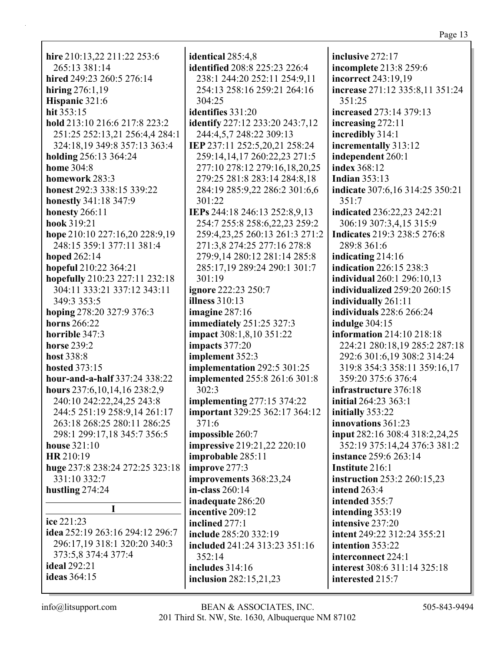**hire** 210:13,22 211:22 253:6 265:13 381:14 **hired** 249:23 260:5 276:14 **hiring** 276:1,19 **Hispanic** 321:6 **hit** 353:15 **hold** 213:10 216:6 217:8 223:2 251:25 252:13,21 256:4,4 284:1 324:18,19 349:8 357:13 363:4 **holding** 256:13 364:24 **home** 304:8 **homework** 283:3 **honest** 292:3 338:15 339:22 **honestly** 341:18 347:9 **honesty** 266:11 **hook** 319:21 **hope** 210:10 227:16,20 228:9,19 248:15 359:1 377:11 381:4 **hoped** 262:14 **hopeful** 210:22 364:21 **hopefully** 210:23 227:11 232:18 304:11 333:21 337:12 343:11 349:3 353:5 **hoping** 278:20 327:9 376:3 **horns** 266:22 **horrible** 347:3 **horse** 239:2 **host** 338:8 **hosted** 373:15 **hour-and-a-half** 337:24 338:22 **hours** 237:6,10,14,16 238:2,9 240:10 242:22,24,25 243:8 244:5 251:19 258:9,14 261:17 263:18 268:25 280:11 286:25 298:1 299:17,18 345:7 356:5 **house** 321:10 **HR** 210:19 **huge** 237:8 238:24 272:25 323:18 331:10 332:7 **hustling** 274:24 **I ice** 221:23 **idea** 252:19 263:16 294:12 296:7 296:17,19 318:1 320:20 340:3 373:5,8 374:4 377:4 **ideal** 292:21

**identical** 285:4,8 **identified** 208:8 225:23 226:4 238:1 244:20 252:11 254:9,11 254:13 258:16 259:21 264:16 304:25 **identifies** 331:20 **identify** 227:12 233:20 243:7,12 244:4,5,7 248:22 309:13 **IEP** 237:11 252:5,20,21 258:24 259:14,14,17 260:22,23 271:5 277:10 278:12 279:16,18,20,25 279:25 281:8 283:14 284:8,18 284:19 285:9,22 286:2 301:6,6 301:22 **IEPs** 244:18 246:13 252:8,9,13 254:7 255:8 258:6,22,23 259:2 259:4,23,25 260:13 261:3 271:2 271:3,8 274:25 277:16 278:8 279:9,14 280:12 281:14 285:8 285:17,19 289:24 290:1 301:7 301:19 **ignore** 222:23 250:7 **illness** 310:13 **imagine** 287:16 **immediately** 251:25 327:3 **impact** 308:1,8,10 351:22 **impacts** 377:20 **implement** 352:3 **implementation** 292:5 301:25 **implemented** 255:8 261:6 301:8 302:3 **implementing** 277:15 374:22 **important** 329:25 362:17 364:12 371:6 **impossible** 260:7 **impressive** 219:21,22 220:10 **improbable** 285:11 **improve** 277:3 **improvements** 368:23,24 **in-class** 260:14 **inadequate** 286:20 **incentive** 209:12 **inclined** 277:1 **include** 285:20 332:19 **included** 241:24 313:23 351:16 352:14 **includes** 314:16 **inclusion** 282:15,21,23

**inclusive** 272:17 **incomplete** 213:8 259:6 **incorrect** 243:19,19 **increase** 271:12 335:8,11 351:24 351:25 **increased** 273:14 379:13 **increasing** 272:11 **incredibly** 314:1 **incrementally** 313:12 **independent** 260:1 **index** 368:12 **Indian** 353:13 **indicate** 307:6,16 314:25 350:21 351:7 **indicated** 236:22,23 242:21 306:19 307:3,4,15 315:9 **Indicates** 219:3 238:5 276:8 289:8 361:6 **indicating** 214:16 **indication** 226:15 238:3 **individual** 260:1 296:10,13 **individualized** 259:20 260:15 **individually** 261:11 **individuals** 228:6 266:24 **indulge** 304:15 **information** 214:10 218:18 224:21 280:18,19 285:2 287:18 292:6 301:6,19 308:2 314:24 319:8 354:3 358:11 359:16,17 359:20 375:6 376:4 **infrastructure** 376:18 **initial** 264:23 363:1 **initially** 353:22 **innovations** 361:23 **input** 282:16 308:4 318:2,24,25 352:19 375:14,24 376:3 381:2 **instance** 259:6 263:14 **Institute** 216:1 **instruction** 253:2 260:15,23 **intend** 263:4 **intended** 355:7 **intending** 353:19 **intensive** 237:20 **intent** 249:22 312:24 355:21 **intention** 353:22 **interconnect** 224:1 **interest** 308:6 311:14 325:18 **interested** 215:7

**ideas** 364:15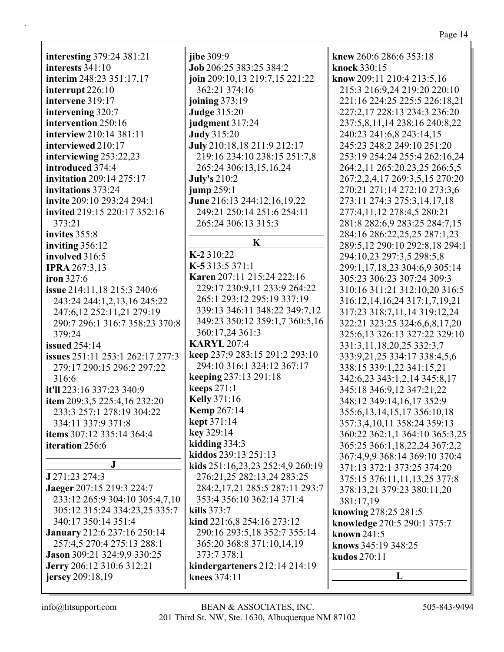**interesting** 379:24 381:21 **interests** 341:10 **interim** 248:23 351:17,17 **interrupt** 226:10 **intervene** 319:17 **intervening** 320:7 **intervention** 250:16 **interview** 210:14 381:11 **interviewed** 210:17 **interviewing** 253:22,23 **introduced** 374:4 **invitation** 209:14 275:17 **invitations** 373:24 **invite** 209:10 293:24 294:1 **invited** 219:15 220:17 352:16 373:21 **invites** 355:8 **inviting** 356:12 **involved** 316:5 **IPRA** 267:3,13 **iron** 327:6 **issue** 214:11,18 215:3 240:6 243:24 244:1,2,13,16 245:22 247:6,12 252:11,21 279:19 290:7 296:1 316:7 358:23 370:8 379:24 **issued** 254:14 **issues** 251:11 253:1 262:17 277:3 279:17 290:15 296:2 297:22 316:6 **it'll** 223:16 337:23 340:9 **item** 209:3,5 225:4,16 232:20 233:3 257:1 278:19 304:22 334:11 337:9 371:8 **items** 307:12 335:14 364:4 **iteration** 256:6 **J J** 271:23 274:3 **Jaeger** 207:15 219:3 224:7 233:12 265:9 304:10 305:4,7,10 305:12 315:24 334:23,25 335:7 340:17 350:14 351:4 **January** 212:6 237:16 250:14 257:4,5 270:4 275:13 288:1

**jibe** 309:9 **Job** 206:25 383:25 384:2 **join** 209:10,13 219:7,15 221:22 362:21 374:16 **joining** 373:19 **Judge** 315:20 **judgment** 317:24 **Judy** 315:20 **July** 210:18,18 211:9 212:17 219:16 234:10 238:15 251:7,8 265:24 306:13,15,16,24 **July's** 210:2 **jump** 259:1 **June** 216:13 244:12,16,19,22 249:21 250:14 251:6 254:11 265:24 306:13 315:3 **K K-2** 310:22 **K-5** 313:5 371:1 **Karen** 207:11 215:24 222:16 229:17 230:9,11 233:9 264:22 265:1 293:12 295:19 337:19 339:13 346:11 348:22 349:7,12 349:23 350:12 359:1,7 360:5,16 360:17,24 361:3 **KARYL** 207:4 **keep** 237:9 283:15 291:2 293:10 294:10 316:1 324:12 367:17 **keeping** 237:13 291:18 **keeps** 271:1 **Kelly** 371:16 **Kemp** 267:14 **kept** 371:14 **key** 329:14 **kidding** 334:3 **kiddos** 239:13 251:13 **kids** 251:16,23,23 252:4,9 260:19 276:21,25 282:13,24 283:25 284:2,17,21 285:5 287:11 293:7 353:4 356:10 362:14 371:4 **kills** 373:7 **kind** 221:6,8 254:16 273:12 290:16 293:5,18 352:7 355:14 365:20 368:8 371:10,14,19 373:7 378:1 **kindergarteners** 212:14 214:19 **knees** 374:11

**knew** 260:6 286:6 353:18 **knock** 330:15 **know** 209:11 210:4 213:5,16 215:3 216:9,24 219:20 220:10 221:16 224:25 225:5 226:18,21 227:2,17 228:13 234:3 236:20 237:5,8,11,14 238:16 240:8,22 240:23 241:6,8 243:14,15 245:23 248:2 249:10 251:20 253:19 254:24 255:4 262:16,24 264:2,11 265:20,23,25 266:5,5 267:2,2,4,17 269:3,5,15 270:20 270:21 271:14 272:10 273:3,6 273:11 274:3 275:3,14,17,18 277:4,11,12 278:4,5 280:21 281:8 282:6,9 283:25 284:7,15 284:16 286:22,25,25 287:1,23 289:5,12 290:10 292:8,18 294:1 294:10,23 297:3,5 298:5,8 299:1,17,18,23 304:6,9 305:14 305:23 306:23 307:24 309:3 310:16 311:21 312:10,20 316:5 316:12,14,16,24 317:1,7,19,21 317:23 318:7,11,14 319:12,24 322:21 323:25 324:6,6,8,17,20 325:6,13 326:13 327:22 329:10 331:3,11,18,20,25 332:3,7 333:9,21,25 334:17 338:4,5,6 338:15 339:1,22 341:15,21 342:6,23 343:1,2,14 345:8,17 345:18 346:9,12 347:21,22 348:12 349:14,16,17 352:9 355:6,13,14,15,17 356:10,18 357:3,4,10,11 358:24 359:13 360:22 362:1,1 364:10 365:3,25 365:25 366:1,18,22,24 367:2,2 367:4,9,9 368:14 369:10 370:4 371:13 372:1 373:25 374:20 375:15 376:11,11,13,25 377:8 378:13,21 379:23 380:11,20 381:17,19 **knowing** 278:25 281:5 **knowledge** 270:5 290:1 375:7 **known** 241:5 **knows** 345:19 348:25 **kudos** 270:11 **L**

**jersey** 209:18,19

**Jason** 309:21 324:9,9 330:25 **Jerry** 206:12 310:6 312:21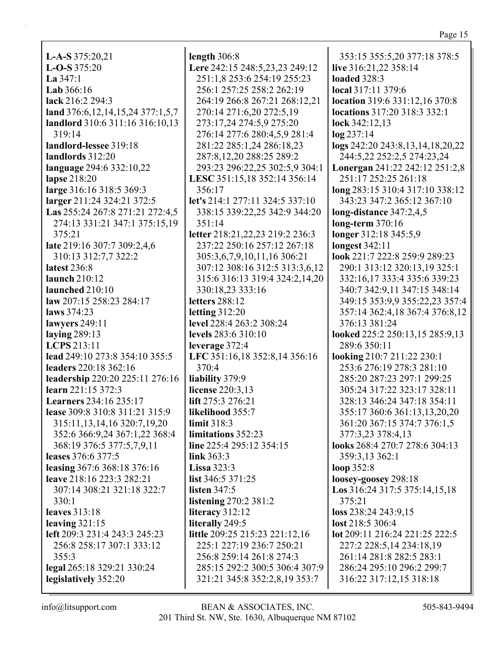**L-A-S**  $375:20,21$  $L-O-S 375:20$  $La 347:1$ **Lab**  $366:16$ lack 216:2 294:3 land 376:6,12,14,15,24 377:1,5,7 landlord 310:6 311:16 316:10,13  $319:14$ landlord-lessee 319:18 landlords  $312:20$ language 294:6 332:10,22 lapse 218:20 large 316:16 318:5 369:3 larger 211:24 324:21 372:5 Las 255:24 267:8 271:21 272:4,5 274:13 331:21 347:1 375:15,19 375:21 late 219:16 307:7 309:2,4,6 310:13 312:7,7 322:2 latest 236:8 launch  $210:12$ launched 210:10 law 207:15 258:23 284:17 laws 374:23 lawyers 249:11 laying  $289:13$ LCPS  $213:11$ lead 249:10 273:8 354:10 355:5 leaders 220:18 362:16 leadership 220:20 225:11 276:16 learn 221:15 372:3 **Learners** 234:16 235:17 lease 309:8 310:8 311:21 315:9 315:11, 13, 14, 16 320: 7, 19, 20 352:6 366:9,24 367:1,22 368:4 368:19 376:5 377:5,7,9,11 leases 376:6 377:5 leasing 367:6 368:18 376:16 leave 218:16 223:3 282:21 307:14 308:21 321:18 322:7  $330:1$ leaves 313:18 leaving  $321:15$ left 209:3 231:4 243:3 245:23 256:8 258:17 307:1 333:12  $355:3$ legal 265:18 329:21 330:24 legislatively 352:20

length  $306:8$ Lere 242:15 248:5,23,23 249:12 251:1,8 253:6 254:19 255:23 256:1 257:25 258:2 262:19 264:19 266:8 267:21 268:12,21 270:14 271:6,20 272:5,19 273:17,24 274:5,9 275:20 276:14 277:6 280:4,5,9 281:4 281:22 285:1.24 286:18.23 287:8, 12, 20 288: 25 289: 2 293:23 296:22,25 302:5,9 304:1 LESC 351:15,18 352:14 356:14 356:17 let's 214:1 277:11 324:5 337:10 338:15 339:22,25 342:9 344:20  $351:14$ **letter** 218:21,22,23 219:2 236:3 237:22 250:16 257:12 267:18 305:3,6,7,9,10,11,16 306:21 307:12 308:16 312:5 313:3,6,12 315:6 316:13 319:4 324:2,14,20 330:18,23 333:16 **letters** 288:12 letting  $312:20$ level 228:4 263:2 308:24 levels 283:6 310:10 leverage 372:4 LFC 351:16,18 352:8,14 356:16 370:4 liability 379:9 **license** 220:3.13 lift 275:3 276:21 likelihood 355:7  $\lim$  it 318:3 limitations 352:23 line 225:4 295:12 354:15 link  $363:3$ Lissa  $323:3$ list 346:5 371:25 listen  $347:5$ listening 270:2 381:2 literacy 312:12 literally 249:5 little 209:25 215:23 221:12,16 225:1 227:19 236:7 250:21 256:8 259:14 261:8 274:3 285:15 292:2 300:5 306:4 307:9 321:21 345:8 352:2,8,19 353:7

353:15 355:5.20 377:18 378:5 live 316:21,22 358:14 **loaded** 328:3 local 317:11 379:6 location 319:6 331:12,16 370:8 locations 317:20 318:3 332:1 lock 342:12,13  $log 237:14$ logs 242:20 243:8,13,14,18,20,22 244:5,22 252:2,5 274:23,24 Lonergan 241:22 242:12 251:2,8 251:17 252:25 261:18 long 283:15 310:4 317:10 338:12 343:23 347:2 365:12 367:10 long-distance  $347:2,4,5$  $long-term 370:16$ longer 312:18 345:5,9 **longest** 342:11 look 221:7 222:8 259:9 289:23 290:1 313:12 320:13,19 325:1 332:16,17 333:4 335:6 339:23 340:7 342:9,11 347:15 348:14 349:15 353:9,9 355:22,23 357:4 357:14 362:4,18 367:4 376:8,12 376:13 381:24 looked 225:2 250:13,15 285:9,13 289:6 350:11 looking 210:7 211:22 230:1 253:6 276:19 278:3 281:10 285:20 287:23 297:1 299:25 305:24 317:22 323:17 328:11 328:13 346:24 347:18 354:11 355:17 360:6 361:13,13,20,20 361:20 367:15 374:7 376:1,5 377:3,23 378:4,13 looks 268:4 270:7 278:6 304:13 359:3,13 362:1 loop 352:8 loosey-goosey 298:18 Los 316:24 317:5 375:14,15,18 375:21 loss 238:24 243:9,15  $\text{lost } 218:5 \, 306:4$ lot 209:11 216:24 221:25 222:5 227:2 228:5,14 234:18,19 261:14 281:8 282:5 283:1 286:24 295:10 296:2 299:7 316:22 317:12,15 318:18

 $info@$ litsupport.com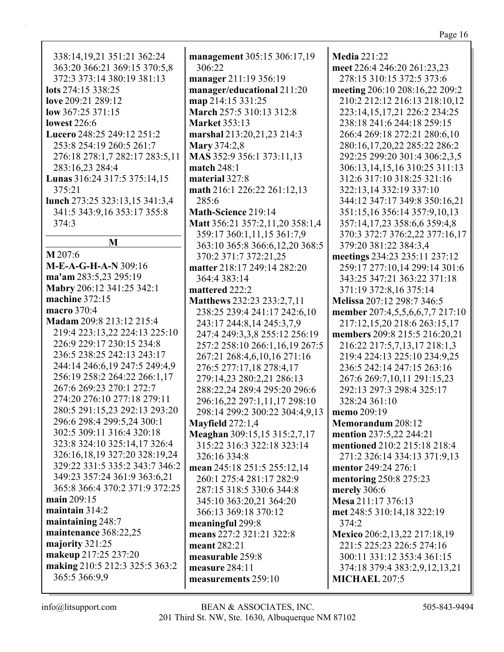| 338:14,19,21 351:21 362:24     | n           |
|--------------------------------|-------------|
|                                |             |
| 363:20 366:21 369:15 370:5,8   |             |
| 372:3 373:14 380:19 381:13     | n           |
| lots 274:15 338:25             | n           |
| love 209:21 289:12             | $\mathbf n$ |
| low $367:25371:15$             | N           |
| <b>lowest</b> 226:6            | N           |
| Lucero 248:25 249:12 251:2     | n           |
| 253:8 254:19 260:5 261:7       | N           |
| 276:18 278:1,7 282:17 283:5,11 | N           |
|                                |             |
| 283:16,23 284:4                | n           |
| Lunas 316:24 317:5 375:14,15   | n           |
| 375:21                         | n           |
| lunch 273:25 323:13,15 341:3,4 |             |
| 341:5 343:9,16 353:17 355:8    | N           |
| 374:3                          | N           |
|                                |             |
| M                              |             |
| M 207:6                        |             |
| M-E-A-G-H-A-N 309:16           | n           |
| ma'am 283:5,23 295:19          |             |
| Mabry 206:12 341:25 342:1      | n           |
| machine 372:15                 | N           |
| <b>macro</b> 370:4             |             |
| Madam 209:8 213:12 215:4       |             |
| 219:4 223:13,22 224:13 225:10  |             |
| 226:9 229:17 230:15 234:8      |             |
|                                |             |
| 236:5 238:25 242:13 243:17     |             |
| 244:14 246:6,19 247:5 249:4,9  |             |
| 256:19 258:2 264:22 266:1,17   |             |
| 267:6 269:23 270:1 272:7       |             |
| 274:20 276:10 277:18 279:11    |             |
| 280:5 291:15,23 292:13 293:20  |             |
| 296:6 298:4 299:5,24 300:1     |             |
| 302:5 309:11 316:4 320:18      | N           |
|                                | N           |
| 323:8 324:10 325:14,17 326:4   |             |
| 326:16,18,19 327:20 328:19,24  |             |
| 329:22 331:5 335:2 343:7 346:2 | n           |
| 349:23 357:24 361:9 363:6,21   |             |
| 365:8 366:4 370:2 371:9 372:25 |             |
| main 209:15                    |             |
| maintain 314:2                 |             |
| maintaining 248:7              |             |
| maintenance 368:22,25          | n           |
| majority 321:25                | n           |
| makeup 217:25 237:20           | n           |
| making 210:5 212:3 325:5 363:2 | n           |
|                                | n           |
| 365:5 366:9,9                  | n           |

**nanagement** 305:15 306:17,19 306:22 nanager 211:19 356:19 nanager/educational 211:20 nap 214:15 331:25 March 257:5 310:13 312:8 **Market 353:13** narshal 213:20,21,23 214:3 **Mary 374:2,8** MAS 352:9 356:1 373:11,13 natch 248:1 naterial 327:8 nath 216:1 226:22 261:12,13  $285:6$ **Math-Science 219:14** Matt 356:21 357:2,11,20 358:1,4 359:17 360:1,11,15 361:7,9 363:10 365:8 366:6,12,20 368:5 370:2 371:7 372:21,25 natter 218:17 249:14 282:20 364:4 383:14 nattered 222:2 Matthews 232:23 233:2,7,11 238:25 239:4 241:17 242:6,10 243:17 244:8,14 245:3,7,9 247:4 249:3,3,8 255:12 256:19 257:2 258:10 266:1,16,19 267:5 267:21 268:4,6,10,16 271:16 276:5 277:17,18 278:4,17 279:14,23 280:2,21 286:13 288:22,24 289:4 295:20 296:6 296:16,22 297:1,11,17 298:10 298:14 299:2 300:22 304:4,9,13 **Aayfield** 272:1,4 Meaghan 309:15,15 315:2,7,17 315:22 316:3 322:18 323:14 326:16 334:8 nean 245:18 251:5 255:12,14 260:1 275:4 281:17 282:9 287:15 318:5 330:6 344:8 345:10 363:20,21 364:20 366:13 369:18 370:12 neaningful 299:8 neans 227:2 321:21 322:8 neant 282:21 neasurable 259:8 neasure 284:11 neasurements 259:10

**Media 221:22** meet 226:4 246:20 261:23,23 278:15 310:15 372:5 373:6 meeting 206:10 208:16,22 209:2 210:2 212:12 216:13 218:10,12 223:14,15,17,21 226:2 234:25 238:18 241:6 244:18 259:15 266:4 269:18 272:21 280:6,10 280:16,17,20,22 285:22 286:2 292:25 299:20 301:4 306:2,3,5 306:13,14,15,16 310:25 311:13 312:6 317:10 318:25 321:16 322:13,14 332:19 337:10 344:12 347:17 349:8 350:16,21 351:15,16 356:14 357:9,10,13 357:14,17,23 358:6,6 359:4,8 370:3 372:7 376:2,22 377:16,17 379:20 381:22 384:3.4 meetings 234:23 235:11 237:12 259:17 277:10,14 299:14 301:6 343:25 347:21 363:22 371:18 371:19 372:8,16 375:14 Melissa 207:12 298:7 346:5 member 207:4,5,5,6,6,7,7 217:10 217:12.15.20 218:6 263:15.17 members 209:8 215:5 216:20,21 216:22 217:5,7,13,17 218:1,3 219:4 224:13 225:10 234:9,25 236:5 242:14 247:15 263:16 267:6 269:7,10,11 291:15,23 292:13 297:3 298:4 325:17 328:24 361:10 memo 209:19 **Memorandum** 208:12 mention 237:5,22 244:21 **mentioned** 210:2 215:18 218:4 271:2 326:14 334:13 371:9,13 mentor 249:24 276:1 **mentoring 250:8 275:23** merely 306:6 Mesa 211:17 376:13 met 248:5 310:14,18 322:19 374:2 Mexico 206:2,13,22 217:18,19 221:5 225:23 226:5 274:16 300:11 331:12 353:4 361:15 374:18 379:4 383:2,9,12,13,21 **MICHAEL 207:5**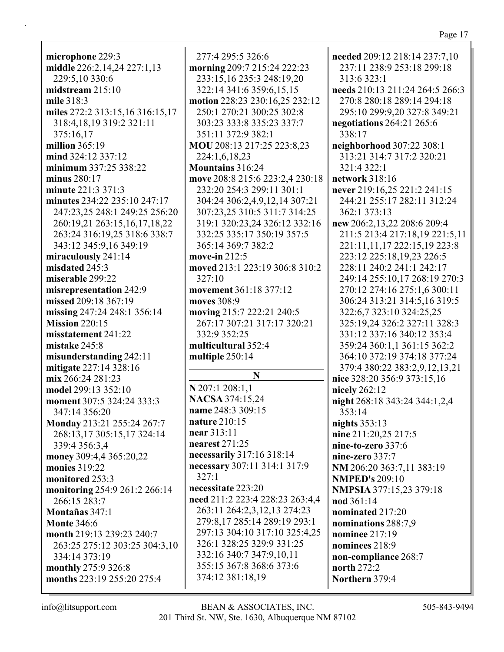**microphone** 229:3 **middle** 226:2,14,24 227:1,13 229:5,10 330:6 **midstream** 215:10 **mile** 318:3 **miles** 272:2 313:15,16 316:15,17 318:4,18,19 319:2 321:11 375:16,17 **million** 365:19 **mind** 324:12 337:12 **minimum** 337:25 338:22 **minus** 280:17 **minute** 221:3 371:3 **minutes** 234:22 235:10 247:17 247:23,25 248:1 249:25 256:20 260:19,21 263:15,16,17,18,22 263:24 316:19,25 318:6 338:7 343:12 345:9,16 349:19 **miraculously** 241:14 **misdated** 245:3 **miserable** 299:22 **misrepresentation** 242:9 **missed** 209:18 367:19 **missing** 247:24 248:1 356:14 **Mission** 220:15 **misstatement** 241:22 **mistake** 245:8 **misunderstanding** 242:11 **mitigate** 227:14 328:16 **mix** 266:24 281:23 **model** 299:13 352:10 **moment** 307:5 324:24 333:3 347:14 356:20 **Monday** 213:21 255:24 267:7 268:13,17 305:15,17 324:14 339:4 356:3,4 **money** 309:4,4 365:20,22 **monies** 319:22 **monitored** 253:3 **monitoring** 254:9 261:2 266:14 266:15 283:7 **Montañas** 347:1 **Monte** 346:6 **month** 219:13 239:23 240:7 263:25 275:12 303:25 304:3,10 334:14 373:19 **monthly** 275:9 326:8 **months** 223:19 255:20 275:4

277:4 295:5 326:6 **morning** 209:7 215:24 222:23 233:15,16 235:3 248:19,20 322:14 341:6 359:6,15,15 **motion** 228:23 230:16,25 232:12 250:1 270:21 300:25 302:8 303:23 333:8 335:23 337:7 351:11 372:9 382:1 **MOU** 208:13 217:25 223:8,23 224:1,6,18,23 **Mountains** 316:24 **move** 208:8 215:6 223:2,4 230:18 232:20 254:3 299:11 301:1 304:24 306:2,4,9,12,14 307:21 307:23,25 310:5 311:7 314:25 319:1 320:23,24 326:12 332:16 332:25 335:17 350:19 357:5 365:14 369:7 382:2 **move-in** 212:5 **moved** 213:1 223:19 306:8 310:2 327:10 **movement** 361:18 377:12 **moves** 308:9 **moving** 215:7 222:21 240:5 267:17 307:21 317:17 320:21 332:9 352:25 **multicultural** 352:4 **multiple** 250:14 **N N** 207:1 208:1,1 **NACSA** 374:15,24 **name** 248:3 309:15 **nature** 210:15 **near** 313:11 **nearest** 271:25 **necessarily** 317:16 318:14 **necessary** 307:11 314:1 317:9 327:1 **necessitate** 223:20 **need** 211:2 223:4 228:23 263:4,4 263:11 264:2,3,12,13 274:23 279:8,17 285:14 289:19 293:1 297:13 304:10 317:10 325:4,25 326:1 328:25 329:9 331:25 332:16 340:7 347:9,10,11 355:15 367:8 368:6 373:6 374:12 381:18,19

**needed** 209:12 218:14 237:7,10 237:11 238:9 253:18 299:18 313:6 323:1 **needs** 210:13 211:24 264:5 266:3 270:8 280:18 289:14 294:18 295:10 299:9,20 327:8 349:21 **negotiations** 264:21 265:6 338:17 **neighborhood** 307:22 308:1 313:21 314:7 317:2 320:21 321:4 322:1 **network** 318:16 **never** 219:16,25 221:2 241:15 244:21 255:17 282:11 312:24 362:1 373:13 **new** 206:2,13,22 208:6 209:4 211:5 213:4 217:18,19 221:5,11 221:11,11,17 222:15,19 223:8 223:12 225:18,19,23 226:5 228:11 240:2 241:1 242:17 249:14 255:10,17 268:19 270:3 270:12 274:16 275:1,6 300:11 306:24 313:21 314:5,16 319:5 322:6,7 323:10 324:25,25 325:19,24 326:2 327:11 328:3 331:12 337:16 340:12 353:4 359:24 360:1,1 361:15 362:2 364:10 372:19 374:18 377:24 379:4 380:22 383:2,9,12,13,21 **nice** 328:20 356:9 373:15,16 **nicely** 262:12 **night** 268:18 343:24 344:1,2,4 353:14 **nights** 353:13 **nine** 211:20,25 217:5 **nine-to-zero** 337:6 **nine-zero** 337:7 **NM** 206:20 363:7,11 383:19 **NMPED's** 209:10 **NMPSIA** 377:15,23 379:18 **nod** 361:14 **nominated** 217:20 **nominations** 288:7,9 **nominee** 217:19 **nominees** 218:9 **non-compliance** 268:7 **north** 272:2 **Northern** 379:4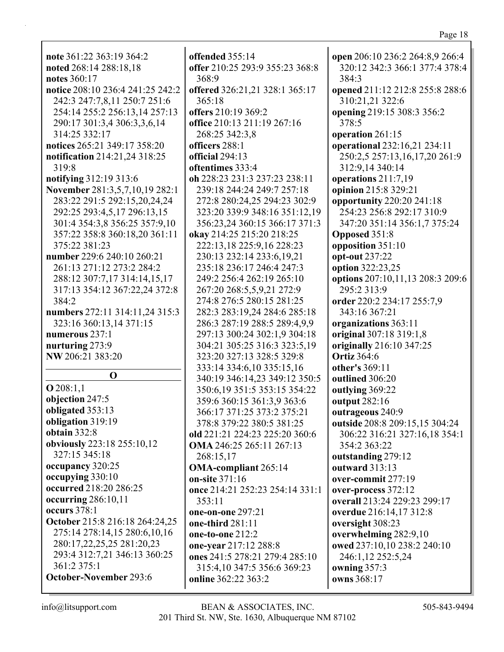**note** 361:22 363:19 364:2 **noted** 268:14 288:18,18 **notes** 360:17 **notice** 208:10 236:4 241:25 242:2 242:3 247:7,8,11 250:7 251:6 254:14 255:2 256:13,14 257:13 290:17 301:3,4 306:3,3,6,14 314:25 332:17 **notices** 265:21 349:17 358:20 **notification** 214:21,24 318:25 319:8 **notifying** 312:19 313:6 **November** 281:3,5,7,10,19 282:1 283:22 291:5 292:15,20,24,24 292:25 293:4,5,17 296:13,15 301:4 354:3,8 356:25 357:9,10 357:22 358:8 360:18,20 361:11 375:22 381:23 **number** 229:6 240:10 260:21 261:13 271:12 273:2 284:2 288:12 307:7,17 314:14,15,17 317:13 354:12 367:22,24 372:8 384:2 **numbers** 272:11 314:11,24 315:3 323:16 360:13,14 371:15 **numerous** 237:1 **nurturing** 273:9 **NW** 206:21 383:20 **O O** 208:1,1 **objection** 247:5 **obligated** 353:13 **obligation** 319:19 **obtain** 332:8 **obviously** 223:18 255:10,12 327:15 345:18 **occupancy** 320:25 **occupying** 330:10 **occurred** 218:20 286:25 **occurring** 286:10,11 **occurs** 378:1 **October** 215:8 216:18 264:24,25

**oftentimes** 333:4 **oh** 228:23 231:3 237:23 238:11 239:18 244:24 249:7 257:18 272:8 280:24,25 294:23 302:9 323:20 339:9 348:16 351:12,19 356:23,24 360:15 366:17 371:3 **okay** 214:25 215:20 218:25 222:13,18 225:9,16 228:23 230:13 232:14 233:6,19,21 235:18 236:17 246:4 247:3 249:2 256:4 262:19 265:10 267:20 268:5,5,9,21 272:9 274:8 276:5 280:15 281:25 282:3 283:19,24 284:6 285:18 286:3 287:19 288:5 289:4,9,9 297:13 300:24 302:1,9 304:18 304:21 305:25 316:3 323:5,19 323:20 327:13 328:5 329:8 333:14 334:6,10 335:15,16 340:19 346:14,23 349:12 350:5 350:6,19 351:5 353:15 354:22 359:6 360:15 361:3,9 363:6 366:17 371:25 373:2 375:21 378:8 379:22 380:5 381:25 **old** 221:21 224:23 225:20 360:6 **OMA** 246:25 265:11 267:13 268:15,17 **OMA-compliant** 265:14 **on-site** 371:16 **once** 214:21 252:23 254:14 331:1 353:11 **one-on-one** 297:21 **one-third** 281:11 **one-to-one** 212:2 **one-year** 217:12 288:8 **ones** 241:5 278:21 279:4 285:10 315:4,10 347:5 356:6 369:23 **online** 362:22 363:2

**offended** 355:14

**offers** 210:19 369:2

268:25 342:3,8 **officers** 288:1 **official** 294:13

368:9

365:18

**offer** 210:25 293:9 355:23 368:8

**offered** 326:21,21 328:1 365:17

**office** 210:13 211:19 267:16

**open** 206:10 236:2 264:8,9 266:4 320:12 342:3 366:1 377:4 378:4 384:3 **opened** 211:12 212:8 255:8 288:6 310:21,21 322:6 **opening** 219:15 308:3 356:2 378:5 **operation** 261:15 **operational** 232:16,21 234:11 250:2,5 257:13,16,17,20 261:9 312:9,14 340:14 **operations** 211:7,19 **opinion** 215:8 329:21 **opportunity** 220:20 241:18 254:23 256:8 292:17 310:9 347:20 351:14 356:1,7 375:24 **Opposed** 351:8 **opposition** 351:10 **opt-out** 237:22 **option** 322:23,25 **options** 207:10,11,13 208:3 209:6 295:2 313:9 **order** 220:2 234:17 255:7,9 343:16 367:21 **organizations** 363:11 **original** 307:18 319:1,8 **originally** 216:10 347:25 **Ortiz** 364:6 **other's** 369:11 **outlined** 306:20 **outlying** 369:22 **output** 282:16 **outrageous** 240:9 **outside** 208:8 209:15,15 304:24 306:22 316:21 327:16,18 354:1 354:2 363:22 **outstanding** 279:12 **outward** 313:13 **over-commit** 277:19 **over-process** 372:12 **overall** 213:24 229:23 299:17 **overdue** 216:14,17 312:8 **oversight** 308:23 **overwhelming** 282:9,10 **owed** 237:10,10 238:2 240:10 246:1,12 252:5,24 **owning** 357:3 **owns** 368:17

361:2 375:1

275:14 278:14,15 280:6,10,16 280:17,22,25,25 281:20,23 293:4 312:7,21 346:13 360:25

**October-November** 293:6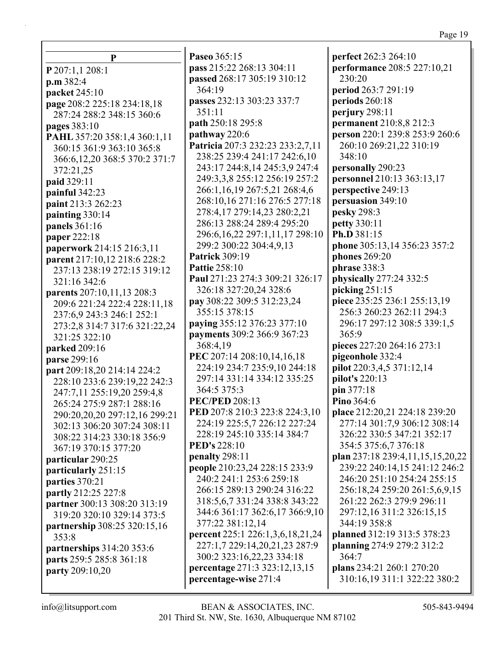| P                             | Paseo 365:15                            | perfect 262:3 264:10             |
|-------------------------------|-----------------------------------------|----------------------------------|
| P 207:1,1 208:1               | pass 215:22 268:13 304:11               | performance 208:5 227:10,21      |
| p.m 382:4                     | passed 268:17 305:19 310:12             | 230:20                           |
|                               | 364:19                                  | period 263:7 291:19              |
| packet 245:10                 | passes 232:13 303:23 337:7              | periods 260:18                   |
| page 208:2 225:18 234:18,18   | 351:11                                  | perjury $298:11$                 |
| 287:24 288:2 348:15 360:6     | path 250:18 295:8                       | permanent 210:8,8 212:3          |
| pages 383:10                  | pathway 220:6                           | person 220:1 239:8 253:9 260:6   |
| PAHL 357:20 358:1,4 360:1,11  | Patricia 207:3 232:23 233:2,7,11        | 260:10 269:21,22 310:19          |
| 360:15 361:9 363:10 365:8     | 238:25 239:4 241:17 242:6,10            | 348:10                           |
| 366:6,12,20 368:5 370:2 371:7 | 243:17 244:8,14 245:3,9 247:4           |                                  |
| 372:21,25                     |                                         | personally 290:23                |
| paid 329:11                   | 249:3,3,8 255:12 256:19 257:2           | personnel 210:13 363:13,17       |
| painful 342:23                | 266:1,16,19 267:5,21 268:4,6            | perspective 249:13               |
| paint 213:3 262:23            | 268:10,16 271:16 276:5 277:18           | persuasion 349:10                |
| painting 330:14               | 278:4,17 279:14,23 280:2,21             | pesky 298:3                      |
| panels 361:16                 | 286:13 288:24 289:4 295:20              | petty 330:11                     |
| paper 222:18                  | 296:6, 16, 22 297:1, 11, 17 298:10      | Ph.D 381:15                      |
| paperwork 214:15 216:3,11     | 299:2 300:22 304:4,9,13                 | phone 305:13,14 356:23 357:2     |
| parent 217:10,12 218:6 228:2  | <b>Patrick 309:19</b>                   | phones 269:20                    |
| 237:13 238:19 272:15 319:12   | <b>Pattie 258:10</b>                    | phrase 338:3                     |
| 321:16 342:6                  | Paul 271:23 274:3 309:21 326:17         | physically 277:24 332:5          |
| parents 207:10,11,13 208:3    | 326:18 327:20,24 328:6                  | picking $251:15$                 |
| 209:6 221:24 222:4 228:11,18  | pay 308:22 309:5 312:23,24              | piece 235:25 236:1 255:13,19     |
| 237:6,9 243:3 246:1 252:1     | 355:15 378:15                           | 256:3 260:23 262:11 294:3        |
| 273:2,8 314:7 317:6 321:22,24 | paying 355:12 376:23 377:10             | 296:17 297:12 308:5 339:1,5      |
| 321:25 322:10                 | payments 309:2 366:9 367:23             | 365:9                            |
| parked 209:16                 | 368:4,19                                | pieces 227:20 264:16 273:1       |
| parse 299:16                  | PEC 207:14 208:10,14,16,18              | pigeonhole 332:4                 |
| part 209:18,20 214:14 224:2   | 224:19 234:7 235:9,10 244:18            | pilot 220:3,4,5 371:12,14        |
| 228:10 233:6 239:19,22 242:3  | 297:14 331:14 334:12 335:25             | pilot's 220:13                   |
| 247:7,11 255:19,20 259:4,8    | 364:5 375:3                             | pin 377:18                       |
| 265:24 275:9 287:1 288:16     | <b>PEC/PED 208:13</b>                   | <b>Pino 364:6</b>                |
| 290:20,20,20 297:12,16 299:21 | PED 207:8 210:3 223:8 224:3,10          | place 212:20,21 224:18 239:20    |
| 302:13 306:20 307:24 308:11   | 224:19 225:5,7 226:12 227:24            | 277:14 301:7,9 306:12 308:14     |
| 308:22 314:23 330:18 356:9    | 228:19 245:10 335:14 384:7              | 326:22 330:5 347:21 352:17       |
|                               | <b>PED's 228:10</b>                     | 354:5 375:6,7 376:18             |
| 367:19 370:15 377:20          | penalty 298:11                          | plan 237:18 239:4,11,15,15,20,22 |
| particular 290:25             | people 210:23,24 228:15 233:9           | 239:22 240:14,15 241:12 246:2    |
| particularly 251:15           | 240:2 241:1 253:6 259:18                | 246:20 251:10 254:24 255:15      |
| parties 370:21                | 266:15 289:13 290:24 316:22             | 256:18,24 259:20 261:5,6,9,15    |
| partly 212:25 227:8           | 318:5,6,7 331:24 338:8 343:22           | 261:22 262:3 279:9 296:11        |
| partner 300:13 308:20 313:19  | 344:6 361:17 362:6,17 366:9,10          | 297:12,16 311:2 326:15,15        |
| 319:20 320:10 329:14 373:5    | 377:22 381:12,14                        | 344:19 358:8                     |
| partnership 308:25 320:15,16  |                                         |                                  |
| 353:8                         | <b>percent</b> 225:1 226:1,3,6,18,21,24 | planned 312:19 313:5 378:23      |
| partnerships 314:20 353:6     | 227:1,7 229:14,20,21,23 287:9           | planning 274:9 279:2 312:2       |
| parts 259:5 285:8 361:18      | 300:2 323:16,22,23 334:18               | 364:7                            |
| party 209:10,20               | percentage 271:3 323:12,13,15           | plans 234:21 260:1 270:20        |
|                               | percentage-wise 271:4                   | 310:16,19 311:1 322:22 380:2     |

Г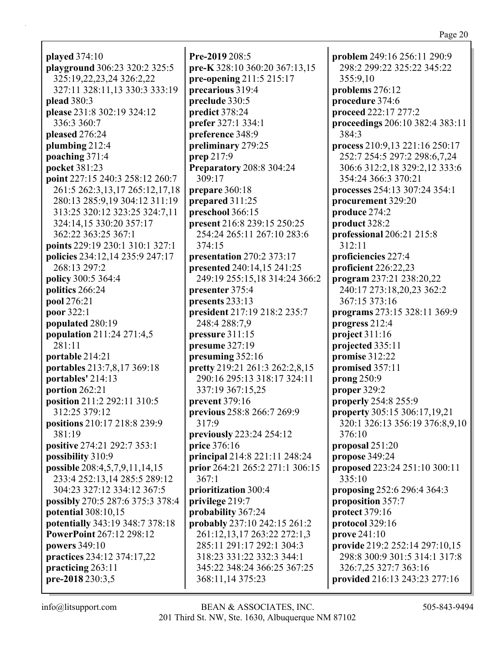**played** 374:10 **playground** 306:23 320:2 325:5 325:19,22,23,24 326:2,22 327:11 328:11,13 330:3 333:19 **plead** 380:3 **please** 231:8 302:19 324:12 336:3 360:7 **pleased** 276:24 **plumbing** 212:4 **poaching** 371:4 **pocket** 381:23 **point** 227:15 240:3 258:12 260:7 261:5 262:3,13,17 265:12,17,18 280:13 285:9,19 304:12 311:19 313:25 320:12 323:25 324:7,11 324:14,15 330:20 357:17 362:22 363:25 367:1 **points** 229:19 230:1 310:1 327:1 **policies** 234:12,14 235:9 247:17 268:13 297:2 **policy** 300:5 364:4 **politics** 266:24 **pool** 276:21 **poor** 322:1 **populated** 280:19 **population** 211:24 271:4,5 281:11 **portable** 214:21 **portables** 213:7,8,17 369:18 **portables'** 214:13 **portion** 262:21 **position** 211:2 292:11 310:5 312:25 379:12 **positions** 210:17 218:8 239:9 381:19 **positive** 274:21 292:7 353:1 **possibility** 310:9 **possible** 208:4,5,7,9,11,14,15 233:4 252:13,14 285:5 289:12 304:23 327:12 334:12 367:5 **possibly** 270:5 287:6 375:3 378:4 **potential** 308:10,15 **potentially** 343:19 348:7 378:18 **PowerPoint** 267:12 298:12 **powers** 349:10 **practices** 234:12 374:17,22 **practicing** 263:11 **pre-2018** 230:3,5

**Pre-2019** 208:5 **pre-K** 328:10 360:20 367:13,15 **pre-opening** 211:5 215:17 **precarious** 319:4 **preclude** 330:5 **predict** 378:24 **prefer** 327:1 334:1 **preference** 348:9 **preliminary** 279:25 **prep** 217:9 **Preparatory** 208:8 304:24 309:17 **prepare** 360:18 **prepared** 311:25 **preschool** 366:15 **present** 216:8 239:15 250:25 254:24 265:11 267:10 283:6 374:15 **presentation** 270:2 373:17 **presented** 240:14,15 241:25 249:19 255:15,18 314:24 366:2 **presenter** 375:4 **presents** 233:13 **president** 217:19 218:2 235:7 248:4 288:7,9 **pressure** 311:15 **presume** 327:19 **presuming** 352:16 **pretty** 219:21 261:3 262:2,8,15 290:16 295:13 318:17 324:11 337:19 367:15,25 **prevent** 379:16 **previous** 258:8 266:7 269:9 317:9 **previously** 223:24 254:12 **price** 376:16 **principal** 214:8 221:11 248:24 **prior** 264:21 265:2 271:1 306:15 367:1 **prioritization** 300:4 **privilege** 219:7 **probability** 367:24 **probably** 237:10 242:15 261:2 261:12,13,17 263:22 272:1,3 285:11 291:17 292:1 304:3 318:23 331:22 332:3 344:1 345:22 348:24 366:25 367:25 368:11,14 375:23

**problem** 249:16 256:11 290:9 298:2 299:22 325:22 345:22 355:9,10 **problems** 276:12 **procedure** 374:6 **proceed** 222:17 277:2 **proceedings** 206:10 382:4 383:11 384:3 **process** 210:9,13 221:16 250:17 252:7 254:5 297:2 298:6,7,24 306:6 312:2,18 329:2,12 333:6 354:24 366:3 370:21 **processes** 254:13 307:24 354:1 **procurement** 329:20 **produce** 274:2 **product** 328:2 **professional** 206:21 215:8 312:11 **proficiencies** 227:4 **proficient** 226:22,23 **program** 237:21 238:20,22 240:17 273:18,20,23 362:2 367:15 373:16 **programs** 273:15 328:11 369:9 **progress** 212:4 **project** 311:16 **projected** 335:11 **promise** 312:22 **promised** 357:11 **prong** 250:9 **proper** 329:2 **properly** 254:8 255:9 **property** 305:15 306:17,19,21 320:1 326:13 356:19 376:8,9,10 376:10 **proposal** 251:20 **propose** 349:24 **proposed** 223:24 251:10 300:11 335:10 **proposing** 252:6 296:4 364:3 **proposition** 357:7 **protect** 379:16 **protocol** 329:16 **prove** 241:10 **provide** 219:2 252:14 297:10,15 298:8 300:9 301:5 314:1 317:8 326:7,25 327:7 363:16 **provided** 216:13 243:23 277:16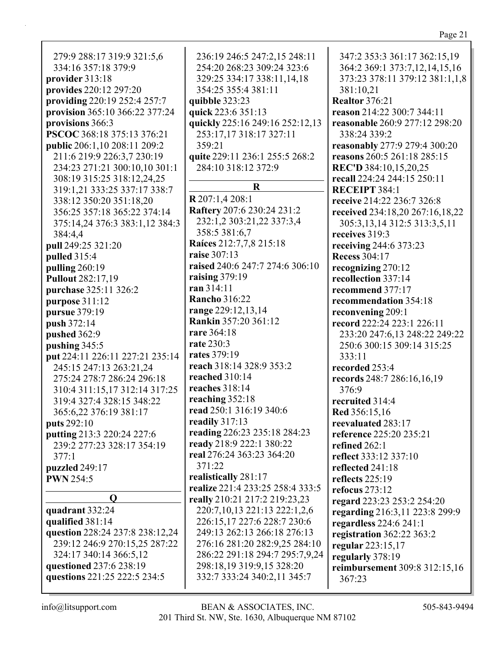279:9 288:17 319:9 321:5,6 334:16 357:18 379:9 provider 313:18 provides 220:12 297:20 providing 220:19 252:4 257:7 provision 365:10 366:22 377:24 provisions 366:3 PSCOC 368:18 375:13 376:21 **public** 206:1.10 208:11 209:2 211:6 219:9 226:3,7 230:19 234:23 271:21 300:10,10 301:1 308:19 315:25 318:12,24,25 319:1,21 333:25 337:17 338:7 338:12 350:20 351:18,20 356:25 357:18 365:22 374:14 375:14,24 376:3 383:1,12 384:3 384:4.4 pull 249:25 321:20 pulled  $315:4$ pulling  $260:19$ **Pullout** 282:17,19 purchase 325:11 326:2 purpose  $311:12$ pursue 379:19 push 372:14 pushed 362:9 pushing  $345:5$ put 224:11 226:11 227:21 235:14 245:15 247:13 263:21,24 275:24 278:7 286:24 296:18 310:4 311:15,17 312:14 317:25 319:4 327:4 328:15 348:22 365:6,22 376:19 381:17 puts  $292:10$ putting 213:3 220:24 227:6 239:2 277:23 328:17 354:19  $377:1$ puzzled 249:17 **PWN** 254:5  $\mathbf{O}$ quadrant 332:24 qualified 381:14 question 228:24 237:8 238:12,24 239:12 246:9 270:15,25 287:22 324:17 340:14 366:5,12 questioned 237:6 238:19

236:19 246:5 247:2.15 248:11 254:20 268:23 309:24 323:6 329:25 334:17 338:11,14,18 354:25 355:4 381:11 quibble 323:23 quick 223:6 351:13 quickly 225:16 249:16 252:12,13 253:17,17 318:17 327:11 359:21 quite 229:11 236:1 255:5 268:2 284:10 318:12 372:9

 $\mathbf R$  $R$  207:1,4 208:1 **Raftery** 207:6 230:24 231:2 232:1,2 303:21,22 337:3,4 358:5 381:6.7 Raíces 212:7,7,8 215:18 raise 307:13 raised 240:6 247:7 274:6 306:10 raising  $379:19$ ran 314:11 **Rancho 316:22** range 229:12,13,14 **Rankin 357:20 361:12** rare 364:18 **rate 230:3 rates** 379:19 reach 318:14 328:9 353:2 reached 310:14 reaches  $318:14$ reaching 352:18 read 250:1 316:19 340:6 readily 317:13 reading 226:23 235:18 284:23 ready 218:9 222:1 380:22 real 276:24 363:23 364:20 371:22 realistically 281:17 realize 221:4 233:25 258:4 333:5 really 210:21 217:2 219:23,23 220:7, 10, 13 221:13 222:1, 2, 6 226:15.17 227:6 228:7 230:6 249:13 262:13 266:18 276:13 276:16 281:20 282:9,25 284:10 286:22 291:18 294:7 295:7,9,24 298:18,19 319:9,15 328:20 332:7 333:24 340:2,11 345:7

347:2 353:3 361:17 362:15.19 364:2 369:1 373:7,12,14,15,16 373:23 378:11 379:12 381:1,1,8 381:10,21 **Realtor 376:21** reason 214:22 300:7 344:11 **reasonable** 260:9 277:12 298:20 338:24 339:2 reasonably 277:9 279:4 300:20 reasons 260:5 261:18 285:15 **REC'D 384:10,15,20,25** recall 224:24 244:15 250:11 **RECEIPT 384:1** receive 214:22 236:7 326:8 received 234:18,20 267:16,18,22 305:3,13,14 312:5 313:3,5,11 receives 319:3 receiving 244:6 373:23 **Recess 304:17** recognizing  $270:12$ recollection 337:14 recommend 377:17 recommendation 354:18 reconvening 209:1 record 222:24 223:1 226:11 233:20 247:6.13 248:22 249:22 250:6 300:15 309:14 315:25  $333:11$ recorded 253:4 records 248:7 286:16,16,19 376:9 recruited 314:4 Red 356:15,16 reevaluated 283:17 reference 225:20 235:21 refined  $262:1$ reflect 333:12 337:10 reflected 241:18 reflects  $225:19$ refocus  $273:12$ regard 223:23 253:2 254:20 regarding 216:3,11 223:8 299:9 regardless  $224:6241:1$ registration 362:22 363:2 regular 223:15,17 regularly 378:19 reimbursement 309:8 312:15,16 367:23

 $info@$ litsupport.com

questions 221:25 222:5 234:5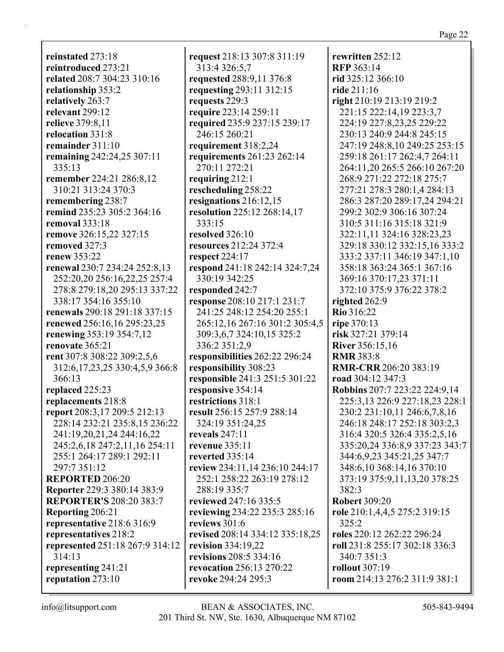**reinstated** 273:18 **reintroduced** 273:21 **related** 208:7 304:23 310:16 **relationship** 353:2 **relatively** 263:7 **relevant** 299:12 **relieve** 379:8,11 **relocation** 331:8 **remainder** 311:10 **remaining** 242:24,25 307:11 335:13 **remember** 224:21 286:8,12 310:21 313:24 370:3 **remembering** 238:7 **remind** 235:23 305:2 364:16 **removal** 333:18 **remove** 326:15,22 327:15 **removed** 327:3 **renew** 353:22 **renewal** 230:7 234:24 252:8,13 252:20,20 256:16,22,25 257:4 278:8 279:18,20 295:13 337:22 338:17 354:16 355:10 **renewals** 290:18 291:18 337:15 **renewed** 256:16,16 295:23,25 **renewing** 353:19 354:7,12 **renovate** 365:21 **rent** 307:8 308:22 309:2,5,6 312:6,17,23,25 330:4,5,9 366:8 366:13 **replaced** 225:23 **replacements** 218:8 **report** 208:3,17 209:5 212:13 228:14 232:21 235:8,15 236:22 241:19,20,21,24 244:16,22 245:2,6,18 247:2,11,16 254:11 255:1 264:17 289:1 292:11 297:7 351:12 **REPORTED** 206:20 **Reporter** 229:3 380:14 383:9 **REPORTER'S** 208:20 383:7 **Reporting** 206:21 **representative** 218:6 316:9 **representatives** 218:2 **represented** 251:18 267:9 314:12 314:13 **representing** 241:21 **reputation** 273:10

**request** 218:13 307:8 311:19 313:4 326:5,7 **requested** 288:9,11 376:8 **requesting** 293:11 312:15 **requests** 229:3 **require** 223:14 259:11 **required** 235:9 237:15 239:17 246:15 260:21 **requirement** 318:2,24 **requirements** 261:23 262:14 270:11 272:21 **requiring** 212:1 **rescheduling** 258:22 **resignations** 216:12,15 **resolution** 225:12 268:14,17 333:15 **resolved** 326:10 **resources** 212:24 372:4 **respect** 224:17 **respond** 241:18 242:14 324:7,24 330:19 342:25 **responded** 242:7 **response** 208:10 217:1 231:7 241:25 248:12 254:20 255:1 265:12,16 267:16 301:2 305:4,5 309:3,6,7 324:10,15 325:2 336:2 351:2,9 **responsibilities** 262:22 296:24 **responsibility** 308:23 **responsible** 241:3 251:5 301:22 **responsive** 354:14 **restrictions** 318:1 **result** 256:15 257:9 288:14 324:19 351:24,25 **reveals** 247:11 **revenue** 335:11 **reverted** 335:14 **review** 234:11,14 236:10 244:17 252:1 258:22 263:19 278:12 288:19 335:7 **reviewed** 247:16 335:5 **reviewing** 234:22 235:3 285:16 **reviews** 301:6 **revised** 208:14 334:12 335:18,25 **revision** 334:19,22 **revisions** 208:5 334:16 **revocation** 256:13 270:22 **revoke** 294:24 295:3

**rewritten** 252:12 **RFP** 363:14 **rid** 325:12 366:10 **ride** 211:16 **right** 210:19 213:19 219:2 221:15 222:14,19 223:3,7 224:19 227:8,23,25 229:22 230:13 240:9 244:8 245:15 247:19 248:8,10 249:25 253:15 259:18 261:17 262:4,7 264:11 264:11,20 265:5 266:10 267:20 268:9 271:22 272:18 275:7 277:21 278:3 280:1,4 284:13 286:3 287:20 289:17,24 294:21 299:2 302:9 306:16 307:24 310:5 311:16 315:18 321:9 322:11,11 324:16 328:23,23 329:18 330:12 332:15,16 333:2 333:2 337:11 346:19 347:1,10 358:18 363:24 365:1 367:16 369:16 370:17,23 371:11 372:10 375:9 376:22 378:2 **righted** 262:9 **Rio** 316:22 **ripe** 370:13 **risk** 327:21 379:14 **River** 356:15,16 **RMR** 383:8 **RMR-CRR** 206:20 383:19 **road** 304:12 347:3 **Robbins** 207:7 223:22 224:9,14 225:3,13 226:9 227:18,23 228:1 230:2 231:10,11 246:6,7,8,16 246:18 248:17 252:18 303:2,3 316:4 320:5 326:4 335:2,5,16 335:20,24 336:8,9 337:23 343:7 344:6,9,23 345:21,25 347:7 348:6,10 368:14,16 370:10 373:19 375:9,11,13,20 378:25 382:3 **Robert** 309:20 **role** 210:1,4,4,5 275:2 319:15 325:2 **roles** 220:12 262:22 296:24 **roll** 231:8 255:17 302:18 336:3 340:7 351:3 **rollout** 307:19 **room** 214:13 276:2 311:9 381:1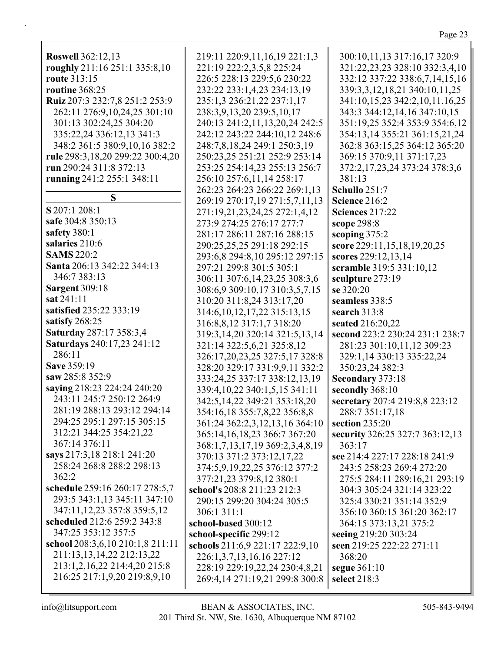| <b>Roswell</b> 362:12,13<br>roughly 211:16 251:1 335:8,10<br>route 313:15<br>routine 368:25<br>Ruiz 207:3 232:7,8 251:2 253:9<br>262:11 276:9,10,24,25 301:10<br>301:13 302:24,25 304:20<br>335:22,24 336:12,13 341:3 | 219:11 220:9,11,16,19 221:1,3<br>221:19 222:2,3,5,8 225:24<br>226:5 228:13 229:5,6 230:22<br>232:22 233:1,4,23 234:13,19<br>235:1,3 236:21,22 237:1,17<br>238:3,9,13,20 239:5,10,17<br>240:13 241:2,11,13,20,24 242:5<br>242:12 243:22 244:10,12 248:6 | 300:10,11,13 317:16,17 320:9<br>321:22,23,23 328:10 332:3,4,10<br>332:12 337:22 338:6,7,14,15,16<br>339:3,3,12,18,21 340:10,11,25<br>341:10,15,23 342:2,10,11,16,25<br>343:3 344:12,14,16 347:10,15<br>351:19,25 352:4 353:9 354:6,12<br>354:13,14 355:21 361:15,21,24 |
|-----------------------------------------------------------------------------------------------------------------------------------------------------------------------------------------------------------------------|--------------------------------------------------------------------------------------------------------------------------------------------------------------------------------------------------------------------------------------------------------|------------------------------------------------------------------------------------------------------------------------------------------------------------------------------------------------------------------------------------------------------------------------|
| 348:2 361:5 380:9,10,16 382:2<br>rule 298:3,18,20 299:22 300:4,20<br>run 290:24 311:8 372:13<br>running 241:2 255:1 348:11                                                                                            | 248:7,8,18,24 249:1 250:3,19<br>250:23,25 251:21 252:9 253:14<br>253:25 254:14,23 255:13 256:7<br>256:10 257:6,11,14 258:17<br>262:23 264:23 266:22 269:1,13                                                                                           | 362:8 363:15,25 364:12 365:20<br>369:15 370:9,11 371:17,23<br>372:2,17,23,24 373:24 378:3,6<br>381:13<br>Schullo 251:7                                                                                                                                                 |
| S                                                                                                                                                                                                                     | 269:19 270:17,19 271:5,7,11,13                                                                                                                                                                                                                         | Science 216:2                                                                                                                                                                                                                                                          |
| S 207:1 208:1                                                                                                                                                                                                         | 271:19,21,23,24,25 272:1,4,12                                                                                                                                                                                                                          | <b>Sciences 217:22</b>                                                                                                                                                                                                                                                 |
| safe 304:8 350:13                                                                                                                                                                                                     | 273:9 274:25 276:17 277:7                                                                                                                                                                                                                              | scope 298:8                                                                                                                                                                                                                                                            |
| safety 380:1                                                                                                                                                                                                          | 281:17 286:11 287:16 288:15                                                                                                                                                                                                                            | scoping 375:2                                                                                                                                                                                                                                                          |
| salaries 210:6                                                                                                                                                                                                        | 290:25,25,25 291:18 292:15                                                                                                                                                                                                                             | score 229:11,15,18,19,20,25                                                                                                                                                                                                                                            |
| <b>SAMS</b> 220:2                                                                                                                                                                                                     | 293:6,8 294:8,10 295:12 297:15                                                                                                                                                                                                                         | scores 229:12,13,14                                                                                                                                                                                                                                                    |
| Santa 206:13 342:22 344:13                                                                                                                                                                                            | 297:21 299:8 301:5 305:1                                                                                                                                                                                                                               | scramble 319:5 331:10,12                                                                                                                                                                                                                                               |
| 346:7 383:13                                                                                                                                                                                                          | 306:11 307:6,14,23,25 308:3,6                                                                                                                                                                                                                          | sculpture 273:19                                                                                                                                                                                                                                                       |
| <b>Sargent 309:18</b>                                                                                                                                                                                                 | 308:6,9 309:10,17 310:3,5,7,15                                                                                                                                                                                                                         | se 320:20                                                                                                                                                                                                                                                              |
| sat 241:11                                                                                                                                                                                                            | 310:20 311:8,24 313:17,20                                                                                                                                                                                                                              | seamless 338:5                                                                                                                                                                                                                                                         |
| satisfied 235:22 333:19                                                                                                                                                                                               | 314:6, 10, 12, 17, 22 315: 13, 15                                                                                                                                                                                                                      | search 313:8                                                                                                                                                                                                                                                           |
| satisfy 268:25                                                                                                                                                                                                        | 316:8,8,12 317:1,7 318:20                                                                                                                                                                                                                              | seated 216:20,22                                                                                                                                                                                                                                                       |
| Saturday 287:17 358:3,4                                                                                                                                                                                               | 319:3, 14, 20 320: 14 321: 5, 13, 14                                                                                                                                                                                                                   | second 223:2 230:24 231:1 238:7                                                                                                                                                                                                                                        |
| Saturdays 240:17,23 241:12                                                                                                                                                                                            | 321:14 322:5,6,21 325:8,12                                                                                                                                                                                                                             | 281:23 301:10,11,12 309:23                                                                                                                                                                                                                                             |
| 286:11                                                                                                                                                                                                                | 326:17,20,23,25 327:5,17 328:8                                                                                                                                                                                                                         | 329:1,14 330:13 335:22,24                                                                                                                                                                                                                                              |
| Save 359:19                                                                                                                                                                                                           | 328:20 329:17 331:9,9,11 332:2                                                                                                                                                                                                                         | 350:23,24 382:3                                                                                                                                                                                                                                                        |
| saw 285:8 352:9                                                                                                                                                                                                       | 333:24,25 337:17 338:12,13,19                                                                                                                                                                                                                          | Secondary 373:18                                                                                                                                                                                                                                                       |
| saying 218:23 224:24 240:20                                                                                                                                                                                           | 339:4, 10, 22 340: 1, 5, 15 341: 11                                                                                                                                                                                                                    | secondly 368:10                                                                                                                                                                                                                                                        |
| 243:11 245:7 250:12 264:9                                                                                                                                                                                             | 342:5,14,22 349:21 353:18,20                                                                                                                                                                                                                           | secretary 207:4 219:8,8 223:12                                                                                                                                                                                                                                         |
| 281:19 288:13 293:12 294:14                                                                                                                                                                                           | 354:16,18 355:7,8,22 356:8,8                                                                                                                                                                                                                           | 288:7 351:17,18                                                                                                                                                                                                                                                        |
| 294:25 295:1 297:15 305:15                                                                                                                                                                                            | 361:24 362:2,3,12,13,16 364:10                                                                                                                                                                                                                         | section 235:20                                                                                                                                                                                                                                                         |
| 312:21 344:25 354:21,22                                                                                                                                                                                               | 365:14, 16, 18, 23 366: 7 367: 20                                                                                                                                                                                                                      | security 326:25 327:7 363:12,13                                                                                                                                                                                                                                        |
| 367:14 376:11                                                                                                                                                                                                         | 368:1,7,13,17,19 369:2,3,4,8,19                                                                                                                                                                                                                        | 363:17                                                                                                                                                                                                                                                                 |
| says 217:3,18 218:1 241:20                                                                                                                                                                                            | 370:13 371:2 373:12,17,22                                                                                                                                                                                                                              | see 214:4 227:17 228:18 241:9                                                                                                                                                                                                                                          |
| 258:24 268:8 288:2 298:13                                                                                                                                                                                             | 374:5,9,19,22,25 376:12 377:2                                                                                                                                                                                                                          | 243:5 258:23 269:4 272:20                                                                                                                                                                                                                                              |
| 362:2                                                                                                                                                                                                                 | 377:21,23 379:8,12 380:1                                                                                                                                                                                                                               | 275:5 284:11 289:16,21 293:19                                                                                                                                                                                                                                          |
| schedule 259:16 260:17 278:5,7                                                                                                                                                                                        | school's 208:8 211:23 212:3                                                                                                                                                                                                                            | 304:3 305:24 321:14 323:22                                                                                                                                                                                                                                             |
| 293:5 343:1,13 345:11 347:10                                                                                                                                                                                          | 290:15 299:20 304:24 305:5                                                                                                                                                                                                                             | 325:4 330:21 351:14 352:9                                                                                                                                                                                                                                              |
| 347:11,12,23 357:8 359:5,12                                                                                                                                                                                           | 306:1 311:1                                                                                                                                                                                                                                            | 356:10 360:15 361:20 362:17                                                                                                                                                                                                                                            |
| scheduled 212:6 259:2 343:8                                                                                                                                                                                           | school-based 300:12                                                                                                                                                                                                                                    | 364:15 373:13,21 375:2                                                                                                                                                                                                                                                 |
| 347:25 353:12 357:5                                                                                                                                                                                                   | school-specific 299:12                                                                                                                                                                                                                                 | seeing 219:20 303:24                                                                                                                                                                                                                                                   |
| school 208:3,6,10 210:1,8 211:11                                                                                                                                                                                      | schools 211:6,9 221:17 222:9,10                                                                                                                                                                                                                        | seen 219:25 222:22 271:11                                                                                                                                                                                                                                              |
| 211:13, 13, 14, 22 212:13, 22                                                                                                                                                                                         | 226:1,3,7,13,16,16 227:12                                                                                                                                                                                                                              | 368:20                                                                                                                                                                                                                                                                 |
| 213:1,2,16,22 214:4,20 215:8                                                                                                                                                                                          | 228:19 229:19,22,24 230:4,8,21                                                                                                                                                                                                                         | segue $361:10$                                                                                                                                                                                                                                                         |
| 216:25 217:1,9,20 219:8,9,10                                                                                                                                                                                          | 269:4,14 271:19,21 299:8 300:8                                                                                                                                                                                                                         | select 218:3                                                                                                                                                                                                                                                           |
|                                                                                                                                                                                                                       |                                                                                                                                                                                                                                                        |                                                                                                                                                                                                                                                                        |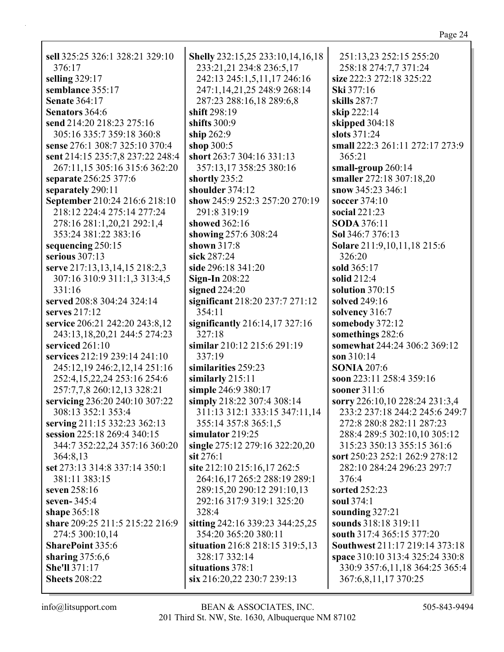| sell 325:25 326:1 328:21 329:10                             | Shelly 232:15,25 233:10,14,16,18              | 251:13,23 252:15 255:20                                          |
|-------------------------------------------------------------|-----------------------------------------------|------------------------------------------------------------------|
| 376:17                                                      | 233:21,21 234:8 236:5,17                      | 258:18 274:7,7 371:24                                            |
| selling 329:17                                              | 242:13 245:1,5,11,17 246:16                   | size 222:3 272:18 325:22                                         |
| semblance 355:17                                            | 247:1,14,21,25 248:9 268:14                   | Ski 377:16                                                       |
| <b>Senate 364:17</b>                                        | 287:23 288:16,18 289:6,8                      | skills 287:7                                                     |
| <b>Senators</b> 364:6                                       | shift 298:19                                  | skip 222:14                                                      |
| send 214:20 218:23 275:16                                   | shifts 300:9                                  | skipped 304:18                                                   |
| 305:16 335:7 359:18 360:8                                   | ship 262:9                                    | slots 371:24                                                     |
| sense 276:1 308:7 325:10 370:4                              | shop 300:5                                    | small 222:3 261:11 272:17 273:9                                  |
| sent 214:15 235:7,8 237:22 248:4                            | short 263:7 304:16 331:13                     | 365:21                                                           |
| 267:11,15 305:16 315:6 362:20                               | 357:13,17 358:25 380:16                       | small-group 260:14                                               |
| separate 256:25 377:6                                       | shortly 235:2                                 | smaller 272:18 307:18,20                                         |
| separately 290:11                                           | shoulder 374:12                               | snow 345:23 346:1                                                |
| September 210:24 216:6 218:10                               | show 245:9 252:3 257:20 270:19                | soccer 374:10                                                    |
| 218:12 224:4 275:14 277:24                                  | 291:8 319:19                                  | social 221:23                                                    |
| 278:16 281:1,20,21 292:1,4                                  | showed 362:16                                 | <b>SODA</b> 376:11                                               |
| 353:24 381:22 383:16                                        | showing 257:6 308:24                          | Sol 346:7 376:13                                                 |
| sequencing 250:15                                           | shown $317:8$                                 | Solare 211:9,10,11,18 215:6                                      |
| serious $307:13$                                            | sick 287:24                                   | 326:20                                                           |
| serve 217:13,13,14,15 218:2,3                               | side 296:18 341:20                            | sold 365:17                                                      |
| 307:16 310:9 311:1,3 313:4,5                                | <b>Sign-In 208:22</b>                         | solid 212:4                                                      |
| 331:16                                                      | signed $224:20$                               | solution 370:15                                                  |
| served 208:8 304:24 324:14                                  | significant 218:20 237:7 271:12               | solved 249:16                                                    |
| serves 217:12                                               | 354:11                                        | solvency 316:7                                                   |
| service 206:21 242:20 243:8,12                              |                                               | somebody 372:12                                                  |
| 243:13,18,20,21 244:5 274:23                                | significantly 216:14,17 327:16<br>327:18      | somethings 282:6                                                 |
| serviced 261:10                                             | similar 210:12 215:6 291:19                   | somewhat 244:24 306:2 369:12                                     |
| services 212:19 239:14 241:10                               | 337:19                                        | son 310:14                                                       |
| 245:12,19 246:2,12,14 251:16                                | similarities 259:23                           | <b>SONIA 207:6</b>                                               |
| 252:4,15,22,24 253:16 254:6                                 |                                               | soon 223:11 258:4 359:16                                         |
|                                                             | similarly $215:11$                            | sooner 311:6                                                     |
| 257:7,7,8 260:12,13 328:21                                  | simple 246:9 380:17                           |                                                                  |
| servicing 236:20 240:10 307:22                              | simply 218:22 307:4 308:14                    | sorry 226:10,10 228:24 231:3,4<br>233:2 237:18 244:2 245:6 249:7 |
| 308:13 352:1 353:4                                          | 311:13 312:1 333:15 347:11,14                 |                                                                  |
| serving 211:15 332:23 362:13<br>session 225:18 269:4 340:15 | 355:14 357:8 365:1,5<br>simulator 219:25      | 272:8 280:8 282:11 287:23                                        |
|                                                             |                                               | 288:4 289:5 302:10,10 305:12<br>315:23 350:13 355:15 361:6       |
| 344:7 352:22,24 357:16 360:20                               | single 275:12 279:16 322:20,20<br>sit $276:1$ |                                                                  |
| 364:8,13                                                    |                                               | sort 250:23 252:1 262:9 278:12<br>282:10 284:24 296:23 297:7     |
| set 273:13 314:8 337:14 350:1                               | site 212:10 215:16,17 262:5                   |                                                                  |
| 381:11 383:15                                               | 264:16,17 265:2 288:19 289:1                  | 376:4                                                            |
| seven 258:16                                                | 289:15,20 290:12 291:10,13                    | sorted 252:23                                                    |
| seven-345:4                                                 | 292:16 317:9 319:1 325:20                     | soul 374:1                                                       |
| shape 365:18                                                | 328:4                                         | sounding 327:21                                                  |
| share 209:25 211:5 215:22 216:9                             | sitting 242:16 339:23 344:25,25               | sounds 318:18 319:11                                             |
| 274:5 300:10,14                                             | 354:20 365:20 380:11                          | south 317:4 365:15 377:20                                        |
| <b>SharePoint 335:6</b>                                     | situation 216:8 218:15 319:5,13               | Southwest 211:17 219:14 373:18                                   |
| sharing $375:6,6$                                           | 328:17 332:14                                 | space 310:10 313:4 325:24 330:8                                  |
| <b>She'll 371:17</b>                                        | situations 378:1                              | 330:9 357:6,11,18 364:25 365:4                                   |
| <b>Sheets</b> 208:22                                        | six 216:20,22 230:7 239:13                    | 367:6,8,11,17 370:25                                             |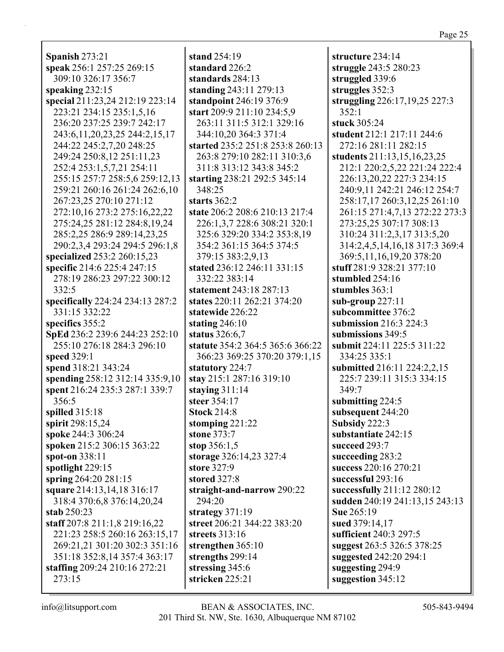**Spanish** 273:21 **speak** 256:1 257:25 269:15 309:10 326:17 356:7 **speaking** 232:15 **special** 211:23,24 212:19 223:14 223:21 234:15 235:1,5,16 236:20 237:25 239:7 242:17 243:6,11,20,23,25 244:2,15,17 244:22 245:2,7,20 248:25 249:24 250:8,12 251:11,23 252:4 253:1,5,7,21 254:11 255:15 257:7 258:5,6 259:12,13 259:21 260:16 261:24 262:6,10 267:23,25 270:10 271:12 272:10,16 273:2 275:16,22,22 275:24,25 281:12 284:8,19,24 285:2,25 286:9 289:14,23,25 290:2,3,4 293:24 294:5 296:1,8 **specialized** 253:2 260:15,23 **specific** 214:6 225:4 247:15 278:19 286:23 297:22 300:12 332:5 **specifically** 224:24 234:13 287:2 331:15 332:22 **specifics** 355:2 **SpEd** 236:2 239:6 244:23 252:10 255:10 276:18 284:3 296:10 **speed** 329:1 **spend** 318:21 343:24 **spending** 258:12 312:14 335:9,10 **spent** 216:24 235:3 287:1 339:7 356:5 **spilled** 315:18 **spirit** 298:15,24 **spoke** 244:3 306:24 **spoken** 215:2 306:15 363:22 **spot-on** 338:11 **spotlight** 229:15 **spring** 264:20 281:15 **square** 214:13,14,18 316:17 318:4 370:6,8 376:14,20,24 **stab** 250:23 **staff** 207:8 211:1,8 219:16,22 221:23 258:5 260:16 263:15,17 269:21,21 301:20 302:3 351:16 351:18 352:8,14 357:4 363:17 **staffing** 209:24 210:16 272:21 273:15

**stand** 254:19 **standard** 226:2 **standards** 284:13 **standing** 243:11 279:13 **standpoint** 246:19 376:9 **start** 209:9 211:10 234:5,9 263:11 311:5 312:1 329:16 344:10,20 364:3 371:4 **started** 235:2 251:8 253:8 260:13 263:8 279:10 282:11 310:3,6 311:8 313:12 343:8 345:2 **starting** 238:21 292:5 345:14 348:25 **starts** 362:2 **state** 206:2 208:6 210:13 217:4 226:1,3,7 228:6 308:21 320:1 325:6 329:20 334:2 353:8,19 354:2 361:15 364:5 374:5 379:15 383:2,9,13 **stated** 236:12 246:11 331:15 332:22 383:14 **statement** 243:18 287:13 **states** 220:11 262:21 374:20 **statewide** 226:22 **stating** 246:10 **status** 326:6,7 **statute** 354:2 364:5 365:6 366:22 366:23 369:25 370:20 379:1,15 **statutory** 224:7 **stay** 215:1 287:16 319:10 **staying** 311:14 **steer** 354:17 **Stock** 214:8 **stomping** 221:22 **stone** 373:7 **stop** 356:1,5 **storage** 326:14,23 327:4 **store** 327:9 **stored** 327:8 **straight-and-narrow** 290:22 294:20 **strategy** 371:19 **street** 206:21 344:22 383:20 **streets** 313:16 **strengthen** 365:10 **strengths** 299:14 **stressing** 345:6 **stricken** 225:21

**structure** 234:14 **struggle** 243:5 280:23 **struggled** 339:6 **struggles** 352:3 **struggling** 226:17,19,25 227:3 352:1 **stuck** 305:24 **student** 212:1 217:11 244:6 272:16 281:11 282:15 **students** 211:13,15,16,23,25 212:1 220:2,5,22 221:24 222:4 226:13,20,22 227:3 234:15 240:9,11 242:21 246:12 254:7 258:17,17 260:3,12,25 261:10 261:15 271:4,7,13 272:22 273:3 273:25,25 307:17 308:13 310:24 311:2,3,17 313:5,20 314:2,4,5,14,16,18 317:3 369:4 369:5,11,16,19,20 378:20 **stuff** 281:9 328:21 377:10 **stumbled** 254:16 **stumbles** 363:1 **sub-group** 227:11 **subcommittee** 376:2 **submission** 216:3 224:3 **submissions** 349:5 **submit** 224:11 225:5 311:22 334:25 335:1 **submitted** 216:11 224:2,2,15 225:7 239:11 315:3 334:15 349:7 **submitting** 224:5 **subsequent** 244:20 **Subsidy** 222:3 **substantiate** 242:15 **succeed** 293:7 **succeeding** 283:2 **success** 220:16 270:21 **successful** 293:16 **successfully** 211:12 280:12 **sudden** 240:19 241:13,15 243:13 **Sue** 265:19 **sued** 379:14,17 **sufficient** 240:3 297:5 **suggest** 263:5 326:5 378:25 **suggested** 242:20 294:1 **suggesting** 294:9 **suggestion** 345:12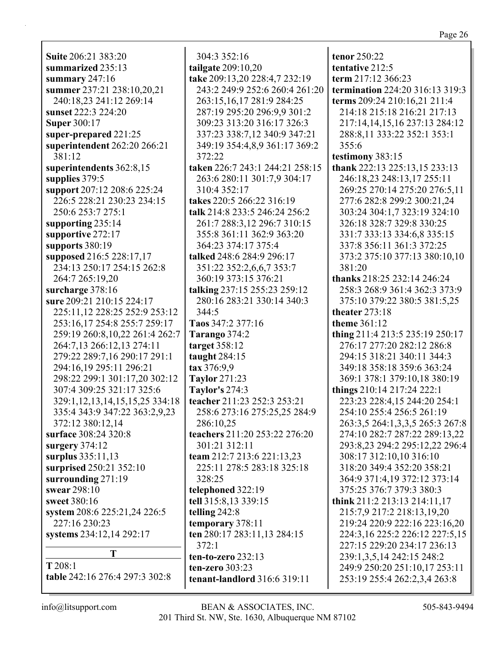**Suite** 206:21 383:20 **summarized** 235:13 **summary** 247:16 **summer** 237:21 238:10,20,21 240:18,23 241:12 269:14 **sunset** 222:3 224:20 **Super** 300:17 **super-prepared** 221:25 **superintendent** 262:20 266:21 381:12 **superintendents** 362:8,15 **supplies** 379:5 **support** 207:12 208:6 225:24 226:5 228:21 230:23 234:15 250:6 253:7 275:1 **supporting** 235:14 **supportive** 272:17 **supports** 380:19 **supposed** 216:5 228:17,17 234:13 250:17 254:15 262:8 264:7 265:19,20 **surcharge** 378:16 **sure** 209:21 210:15 224:17 225:11,12 228:25 252:9 253:12 253:16,17 254:8 255:7 259:17 259:19 260:8,10,22 261:4 262:7 264:7,13 266:12,13 274:11 279:22 289:7,16 290:17 291:1 294:16,19 295:11 296:21 298:22 299:1 301:17,20 302:12 307:4 309:25 321:17 325:6 329:1,12,13,14,15,15,25 334:18 335:4 343:9 347:22 363:2,9,23 372:12 380:12,14 **surface** 308:24 320:8 **surgery** 374:12 **surplus** 335:11,13 **surprised** 250:21 352:10 **surrounding** 271:19 **swear** 298:10 **sweet** 380:16 **system** 208:6 225:21,24 226:5 227:16 230:23 **systems** 234:12,14 292:17 **T T** 208:1 **table** 242:16 276:4 297:3 302:8

304:3 352:16 **tailgate** 209:10,20 **take** 209:13,20 228:4,7 232:19 243:2 249:9 252:6 260:4 261:20 263:15,16,17 281:9 284:25 287:19 295:20 296:9,9 301:2 309:23 313:20 316:17 326:3 337:23 338:7,12 340:9 347:21 349:19 354:4,8,9 361:17 369:2 372:22 **taken** 226:7 243:1 244:21 258:15 263:6 280:11 301:7,9 304:17 310:4 352:17 **takes** 220:5 266:22 316:19 **talk** 214:8 233:5 246:24 256:2 261:7 288:3,12 296:7 310:15 355:8 361:11 362:9 363:20 364:23 374:17 375:4 **talked** 248:6 284:9 296:17 351:22 352:2,6,6,7 353:7 360:19 373:15 376:21 **talking** 237:15 255:23 259:12 280:16 283:21 330:14 340:3 344:5 **Taos** 347:2 377:16 **Tarango** 374:2 **target** 358:12 **taught** 284:15 **tax** 376:9,9 **Taylor** 271:23 **Taylor's** 274:3 **teacher** 211:23 252:3 253:21 258:6 273:16 275:25,25 284:9 286:10,25 **teachers** 211:20 253:22 276:20 301:21 312:11 **team** 212:7 213:6 221:13,23 225:11 278:5 283:18 325:18 328:25 **telephoned** 322:19 **tell** 315:8,13 339:15 **telling** 242:8 **temporary** 378:11 **ten** 280:17 283:11,13 284:15 372:1 **ten-to-zero** 232:13 **ten-zero** 303:23 **tenant-landlord** 316:6 319:11

**tenor** 250:22 **tentative** 212:5 **term** 217:12 366:23 **termination** 224:20 316:13 319:3 **terms** 209:24 210:16,21 211:4 214:18 215:18 216:21 217:13 217:14,14,15,16 237:13 284:12 288:8,11 333:22 352:1 353:1 355:6 **testimony** 383:15 **thank** 222:13 225:13,15 233:13 246:18,23 248:13,17 255:11 269:25 270:14 275:20 276:5,11 277:6 282:8 299:2 300:21,24 303:24 304:1,7 323:19 324:10 326:18 328:7 329:8 330:25 331:7 333:13 334:6,8 335:15 337:8 356:11 361:3 372:25 373:2 375:10 377:13 380:10,10 381:20 **thanks** 218:25 232:14 246:24 258:3 268:9 361:4 362:3 373:9 375:10 379:22 380:5 381:5,25 **theater** 273:18 **theme** 361:12 **thing** 211:4 213:5 235:19 250:17 276:17 277:20 282:12 286:8 294:15 318:21 340:11 344:3 349:18 358:18 359:6 363:24 369:1 378:1 379:10,18 380:19 **things** 210:14 217:24 222:1 223:23 228:4,15 244:20 254:1 254:10 255:4 256:5 261:19 263:3,5 264:1,3,3,5 265:3 267:8 274:10 282:7 287:22 289:13,22 293:8,23 294:2 295:12,22 296:4 308:17 312:10,10 316:10 318:20 349:4 352:20 358:21 364:9 371:4,19 372:12 373:14 375:25 376:7 379:3 380:3 **think** 211:2 213:13 214:11,17 215:7,9 217:2 218:13,19,20 219:24 220:9 222:16 223:16,20 224:3,16 225:2 226:12 227:5,15 227:15 229:20 234:17 236:13 239:1,3,5,14 242:15 248:2 249:9 250:20 251:10,17 253:11 253:19 255:4 262:2,3,4 263:8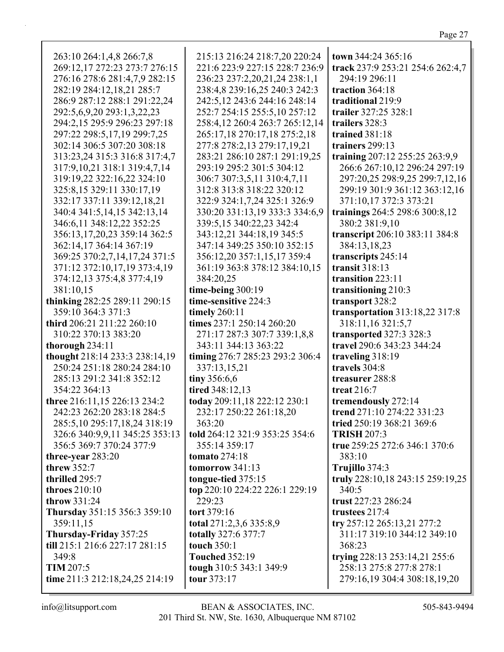| 263:10 264:1,4,8 266:7,8         | 215:13 216:24 218:7,20 220:24   | town 344:24 365:16               |
|----------------------------------|---------------------------------|----------------------------------|
| 269:12,17 272:23 273:7 276:15    | 221:6 223:9 227:15 228:7 236:9  | track 237:9 253:21 254:6 262:4,7 |
| 276:16 278:6 281:4,7,9 282:15    | 236:23 237:2,20,21,24 238:1,1   | 294:19 296:11                    |
| 282:19 284:12,18,21 285:7        | 238:4,8 239:16,25 240:3 242:3   | traction 364:18                  |
| 286:9 287:12 288:1 291:22,24     | 242:5,12 243:6 244:16 248:14    | traditional 219:9                |
| 292:5,6,9,20 293:1,3,22,23       | 252:7 254:15 255:5,10 257:12    | trailer 327:25 328:1             |
| 294:2,15 295:9 296:23 297:18     | 258:4,12 260:4 263:7 265:12,14  | trailers 328:3                   |
| 297:22 298:5,17,19 299:7,25      | 265:17,18 270:17,18 275:2,18    | trained 381:18                   |
| 302:14 306:5 307:20 308:18       | 277:8 278:2,13 279:17,19,21     | trainers 299:13                  |
| 313:23,24 315:3 316:8 317:4,7    | 283:21 286:10 287:1 291:19,25   | training 207:12 255:25 263:9,9   |
| 317:9, 10, 21 318:1 319:4, 7, 14 | 293:19 295:2 301:5 304:12       | 266:6 267:10,12 296:24 297:19    |
| 319:19,22 322:16,22 324:10       | 306:7 307:3,5,11 310:4,7,11     | 297:20,25 298:9,25 299:7,12,16   |
| 325:8,15 329:11 330:17,19        | 312:8 313:8 318:22 320:12       | 299:19 301:9 361:12 363:12,16    |
| 332:17 337:11 339:12,18,21       | 322:9 324:1,7,24 325:1 326:9    | 371:10,17 372:3 373:21           |
| 340:4 341:5, 14, 15 342: 13, 14  | 330:20 331:13,19 333:3 334:6,9  | trainings 264:5 298:6 300:8,12   |
| 346:6,11 348:12,22 352:25        | 339:5, 15 340:22, 23 342:4      | 380:2 381:9,10                   |
| 356:13,17,20,23 359:14 362:5     | 343:12,21 344:18,19 345:5       | transcript 206:10 383:11 384:8   |
| 362:14,17 364:14 367:19          | 347:14 349:25 350:10 352:15     | 384:13,18,23                     |
| 369:25 370:2,7,14,17,24 371:5    | 356:12,20 357:1,15,17 359:4     | transcripts 245:14               |
| 371:12 372:10,17,19 373:4,19     | 361:19 363:8 378:12 384:10,15   | transit $318:13$                 |
| 374:12,13 375:4,8 377:4,19       | 384:20,25                       | transition 223:11                |
| 381:10,15                        | time-being $300:19$             | transitioning 210:3              |
| thinking 282:25 289:11 290:15    | time-sensitive 224:3            | transport 328:2                  |
| 359:10 364:3 371:3               | timely $260:11$                 | transportation 313:18,22 317:8   |
| third 206:21 211:22 260:10       | times 237:1 250:14 260:20       | 318:11,16 321:5,7                |
| 310:22 370:13 383:20             | 271:17 287:3 307:7 339:1,8,8    | transported 327:3 328:3          |
| thorough 234:11                  | 343:11 344:13 363:22            | travel 290:6 343:23 344:24       |
| thought 218:14 233:3 238:14,19   | timing 276:7 285:23 293:2 306:4 | traveling 318:19                 |
| 250:24 251:18 280:24 284:10      | 337:13,15,21                    | travels 304:8                    |
| 285:13 291:2 341:8 352:12        | tiny $356:6,6$                  | treasurer 288:8                  |
| 354:22 364:13                    | tired 348:12,13                 | treat 216:7                      |
| three 216:11,15 226:13 234:2     | today 209:11,18 222:12 230:1    | tremendously 272:14              |
| 242:23 262:20 283:18 284:5       | 232:17 250:22 261:18,20         | trend 271:10 274:22 331:23       |
| 285:5,10 295:17,18,24 318:19     | 363:20                          | tried 250:19 368:21 369:6        |
| 326:6 340:9,9,11 345:25 353:13   | told 264:12 321:9 353:25 354:6  | <b>TRISH 207:3</b>               |
| 356:5 369:7 370:24 377:9         | 355:14 359:17                   | true 259:25 272:6 346:1 370:6    |
| three-year $283:20$              | <b>tomato</b> 274:18            | 383:10                           |
| threw 352:7                      | tomorrow $341:13$               | Trujillo 374:3                   |
| thrilled 295:7                   | tongue-tied 375:15              | truly 228:10,18 243:15 259:19,25 |
| throes $210:10$                  | top 220:10 224:22 226:1 229:19  | 340:5                            |
| throw 331:24                     | 229:23                          | trust 227:23 286:24              |
| Thursday 351:15 356:3 359:10     | tort 379:16                     | trustees 217:4                   |
| 359:11,15                        | total 271:2,3,6 335:8,9         | try 257:12 265:13,21 277:2       |
| Thursday-Friday 357:25           | totally 327:6 377:7             | 311:17 319:10 344:12 349:10      |
| till 215:1 216:6 227:17 281:15   | touch 350:1                     | 368:23                           |
| 349:8                            | <b>Touched 352:19</b>           | trying 228:13 253:14,21 255:6    |
| <b>TIM 207:5</b>                 | tough 310:5 343:1 349:9         | 258:13 275:8 277:8 278:1         |
| time 211:3 212:18,24,25 214:19   | tour 373:17                     | 279:16,19 304:4 308:18,19,20     |
|                                  |                                 |                                  |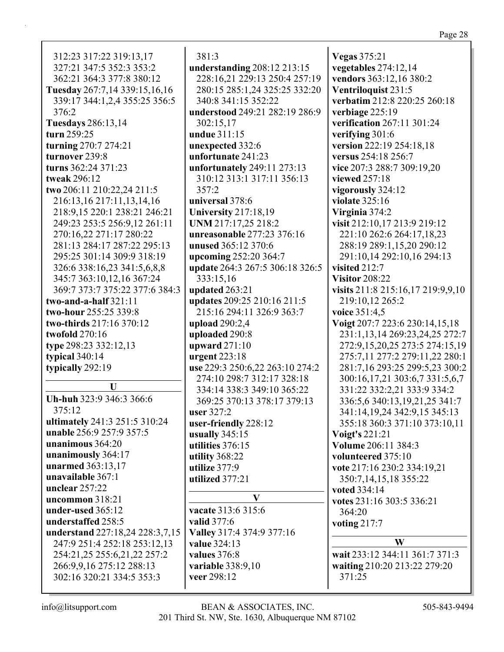312:23 317:22 319:13,17 327:21 347:5 352:3 353:2 362:21 364:3 377:8 380:12 **Tuesday** 267:7,14 339:15,16,16 339:17 344:1,2,4 355:25 356:5 376:2 **Tuesdays** 286:13,14 **turn** 259:25 **turning** 270:7 274:21 **turnover** 239:8 **turns** 362:24 371:23 **tweak** 296:12 **two** 206:11 210:22,24 211:5 216:13,16 217:11,13,14,16 218:9,15 220:1 238:21 246:21 249:23 253:5 256:9,12 261:11 270:16,22 271:17 280:22 281:13 284:17 287:22 295:13 295:25 301:14 309:9 318:19 326:6 338:16,23 341:5,6,8,8 345:7 363:10,12,16 367:24 369:7 373:7 375:22 377:6 384:3 **two-and-a-half** 321:11 **two-hour** 255:25 339:8 **two-thirds** 217:16 370:12 **twofold** 270:16 **type** 298:23 332:12,13 **typical** 340:14 **typically** 292:19 **U Uh-huh** 323:9 346:3 366:6 375:12 **ultimately** 241:3 251:5 310:24 **unable** 256:9 257:9 357:5 **unanimous** 364:20 **unanimously** 364:17 **unarmed** 363:13,17 **unavailable** 367:1 **unclear** 257:22 **uncommon** 318:21 **under-used** 365:12 **understaffed** 258:5 **understand** 227:18,24 228:3,7,15 247:9 251:4 252:18 253:12,13 254:21,25 255:6,21,22 257:2 266:9,9,16 275:12 288:13 302:16 320:21 334:5 353:3

381:3 **understanding** 208:12 213:15 228:16,21 229:13 250:4 257:19 280:15 285:1,24 325:25 332:20 340:8 341:15 352:22 **understood** 249:21 282:19 286:9 302:15,17 **undue** 311:15 **unexpected** 332:6 **unfortunate** 241:23 **unfortunately** 249:11 273:13 310:12 313:1 317:11 356:13 357:2 **universal** 378:6 **University** 217:18,19 **UNM** 217:17,25 218:2 **unreasonable** 277:23 376:16 **unused** 365:12 370:6 **upcoming** 252:20 364:7 **update** 264:3 267:5 306:18 326:5 333:15,16 **updated** 263:21 **updates** 209:25 210:16 211:5 215:16 294:11 326:9 363:7 **upload** 290:2,4 **uploaded** 290:8 **upward** 271:10 **urgent** 223:18 **use** 229:3 250:6,22 263:10 274:2 274:10 298:7 312:17 328:18 334:14 338:3 349:10 365:22 369:25 370:13 378:17 379:13 **user** 327:2 **user-friendly** 228:12 **usually** 345:15 **utilities** 376:15 **utility** 368:22 **utilize** 377:9 **utilized** 377:21 **V vacate** 313:6 315:6 **valid** 377:6 **Valley** 317:4 374:9 377:16 **value** 324:13 **values** 376:8 **variable** 338:9,10 **veer** 298:12

**Vegas** 375:21 **vegetables** 274:12,14 **vendors** 363:12,16 380:2 **Ventriloquist** 231:5 **verbatim** 212:8 220:25 260:18 **verbiage** 225:19 **verification** 267:11 301:24 **verifying** 301:6 **version** 222:19 254:18,18 **versus** 254:18 256:7 **vice** 207:3 288:7 309:19,20 **viewed** 257:18 **vigorously** 324:12 **violate** 325:16 **Virginia** 374:2 **visit** 212:10,17 213:9 219:12 221:10 262:6 264:17,18,23 288:19 289:1,15,20 290:12 291:10,14 292:10,16 294:13 **visited** 212:7 **Visitor** 208:22 **visits** 211:8 215:16,17 219:9,9,10 219:10,12 265:2 **voice** 351:4,5 **Voigt** 207:7 223:6 230:14,15,18 231:1,13,14 269:23,24,25 272:7 272:9,15,20,25 273:5 274:15,19 275:7,11 277:2 279:11,22 280:1 281:7,16 293:25 299:5,23 300:2 300:16,17,21 303:6,7 331:5,6,7 331:22 332:2,21 333:9 334:2 336:5,6 340:13,19,21,25 341:7 341:14,19,24 342:9,15 345:13 355:18 360:3 371:10 373:10,11 **Voigt's** 221:21 **Volume** 206:11 384:3 **volunteered** 375:10 **vote** 217:16 230:2 334:19,21 350:7,14,15,18 355:22 **voted** 334:14 **votes** 231:16 303:5 336:21 364:20 **voting** 217:7 **W wait** 233:12 344:11 361:7 371:3 **waiting** 210:20 213:22 279:20 371:25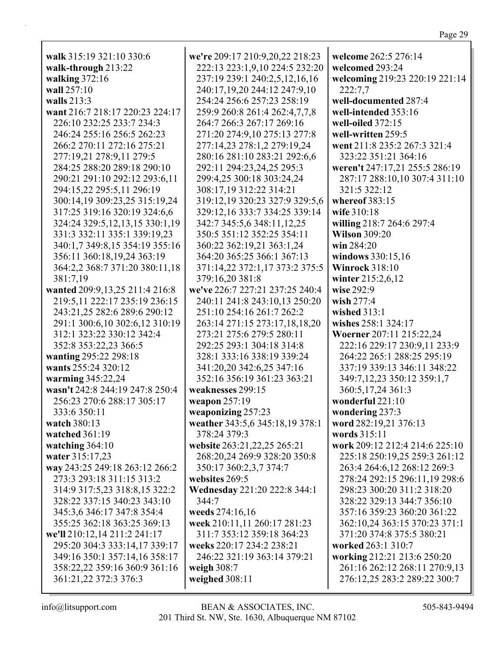| walk 315:19 321:10 330:6                                        | we're 209:17 210:9,20,22 218:23                             | welcome 262:5 276:14                                        |  |
|-----------------------------------------------------------------|-------------------------------------------------------------|-------------------------------------------------------------|--|
| walk-through 213:22                                             | 222:13 223:1,9,10 224:5 232:20<br>welcomed 293:24           |                                                             |  |
| walking $372:16$                                                | 237:19 239:1 240:2,5,12,16,16                               |                                                             |  |
| wall 257:10                                                     | 240:17,19,20 244:12 247:9,10                                | welcoming 219:23 220:19 221:14<br>222:7.7                   |  |
| walls 213:3                                                     | well-documented 287:4<br>254:24 256:6 257:23 258:19         |                                                             |  |
| want 216:7 218:17 220:23 224:17                                 | 259:9 260:8 261:4 262:4,7,7,8                               | well-intended 353:16                                        |  |
| 226:10 232:25 233:7 234:3                                       | 264:7 266:3 267:17 269:16                                   | well-oiled 372:15                                           |  |
| 246:24 255:16 256:5 262:23                                      | 271:20 274:9,10 275:13 277:8                                | well-written 259:5                                          |  |
| 266:2 270:11 272:16 275:21                                      | 277:14,23 278:1,2 279:19,24                                 | went 211:8 235:2 267:3 321:4                                |  |
| 277:19,21 278:9,11 279:5                                        | 280:16 281:10 283:21 292:6,6                                | 323:22 351:21 364:16                                        |  |
| 284:25 288:20 289:18 290:10                                     | 292:11 294:23,24,25 295:3                                   | weren't 247:17,21 255:5 286:19                              |  |
| 290:21 291:10 292:12 293:6,11                                   | 299:4,25 300:18 303:24,24                                   | 287:17 288:10,10 307:4 311:10                               |  |
| 294:15,22 295:5,11 296:19                                       | 308:17,19 312:22 314:21                                     | 321:5 322:12                                                |  |
| 300:14,19 309:23,25 315:19,24                                   | 319:12,19 320:23 327:9 329:5,6                              | whereof 383:15                                              |  |
| 317:25 319:16 320:19 324:6,6                                    | 329:12,16 333:7 334:25 339:14                               | wife 310:18                                                 |  |
| 324:24 329:5,12,13,15 330:1,19                                  | 342:7 345:5,6 348:11,12,25                                  | willing 218:7 264:6 297:4                                   |  |
| 331:3 332:11 335:1 339:19,23                                    | 350:5 351:12 352:25 354:11                                  | <b>Wilson 309:20</b>                                        |  |
| 340:1,7 349:8,15 354:19 355:16                                  | 360:22 362:19,21 363:1,24                                   | win 284:20                                                  |  |
| 356:11 360:18,19,24 363:19                                      | 364:20 365:25 366:1 367:13                                  | windows 330:15,16                                           |  |
| 364:2,2 368:7 371:20 380:11,18                                  |                                                             | Winrock 318:10                                              |  |
| 381:7,19                                                        | 371:14,22 372:1,17 373:2 375:5<br>379:16,20 381:8           |                                                             |  |
|                                                                 | we've 226:7 227:21 237:25 240:4                             | winter 215:2,6,12<br>wise 292:9                             |  |
| wanted 209:9,13,25 211:4 216:8<br>219:5,11 222:17 235:19 236:15 |                                                             | wish $277:4$                                                |  |
|                                                                 | 240:11 241:8 243:10,13 250:20<br>251:10 254:16 261:7 262:2  | wished $313:1$                                              |  |
| 243:21,25 282:6 289:6 290:12                                    |                                                             | wishes 258:1 324:17                                         |  |
| 291:1 300:6,10 302:6,12 310:19<br>312:1 323:22 330:12 342:4     | 263:14 271:15 273:17,18,18,20                               |                                                             |  |
|                                                                 | 273:21 275:6 279:5 280:11                                   | Woerner 207:11 215:22,24                                    |  |
| 352:8 353:22,23 366:5                                           | 292:25 293:1 304:18 314:8                                   | 222:16 229:17 230:9,11 233:9                                |  |
| wanting 295:22 298:18<br>wants 255:24 320:12                    | 328:1 333:16 338:19 339:24                                  | 264:22 265:1 288:25 295:19                                  |  |
|                                                                 | 341:20,20 342:6,25 347:16<br>352:16 356:19 361:23 363:21    | 337:19 339:13 346:11 348:22                                 |  |
| warming 345:22,24<br>wasn't 242:8 244:19 247:8 250:4            |                                                             | 349:7,12,23 350:12 359:1,7<br>360:5,17,24 361:3             |  |
| 256:23 270:6 288:17 305:17                                      | weaknesses 299:15                                           | wonderful 221:10                                            |  |
|                                                                 | weapon 257:19                                               |                                                             |  |
| 333:6 350:11                                                    | weaponizing 257:23                                          | wondering 237:3                                             |  |
| watch 380:13                                                    | weather 343:5,6 345:18,19 378:1                             | word 282:19,21 376:13                                       |  |
| watched 361:19                                                  | 378:24 379:3                                                | words 315:11<br>work 209:12 212:4 214:6 225:10              |  |
| watching 364:10                                                 | website 263:21,22,25 265:21<br>268:20,24 269:9 328:20 350:8 |                                                             |  |
| water 315:17,23                                                 |                                                             | 225:18 250:19,25 259:3 261:12                               |  |
| way 243:25 249:18 263:12 266:2                                  | 350:17 360:2,3,7 374:7<br>websites 269:5                    | 263:4 264:6,12 268:12 269:3                                 |  |
| 273:3 293:18 311:15 313:2                                       |                                                             | 278:24 292:15 296:11,19 298:6<br>298:23 300:20 311:2 318:20 |  |
| 314:9 317:5,23 318:8,15 322:2                                   | Wednesday 221:20 222:8 344:1                                |                                                             |  |
| 328:22 337:15 340:23 343:10                                     | 344:7                                                       | 328:22 329:13 344:7 356:10                                  |  |
| 345:3,6 346:17 347:8 354:4                                      | weeds 274:16,16                                             | 357:16 359:23 360:20 361:22                                 |  |
| 355:25 362:18 363:25 369:13                                     | week 210:11,11 260:17 281:23                                | 362:10,24 363:15 370:23 371:1                               |  |
| we'll 210:12,14 211:2 241:17                                    | 311:7 353:12 359:18 364:23                                  | 371:20 374:8 375:5 380:21                                   |  |
| 295:20 304:3 333:14,17 339:17                                   | weeks 220:17 234:2 238:21                                   | worked 263:1 310:7                                          |  |
| 349:16 350:1 357:14,16 358:17                                   | 246:22 321:19 363:14 379:21                                 | working 212:21 213:6 250:20                                 |  |
| 358:22,22 359:16 360:9 361:16                                   | weigh $308:7$                                               | 261:16 262:12 268:11 270:9,13                               |  |
| 361:21,22 372:3 376:3                                           | weighed $308:11$                                            | 276:12,25 283:2 289:22 300:7                                |  |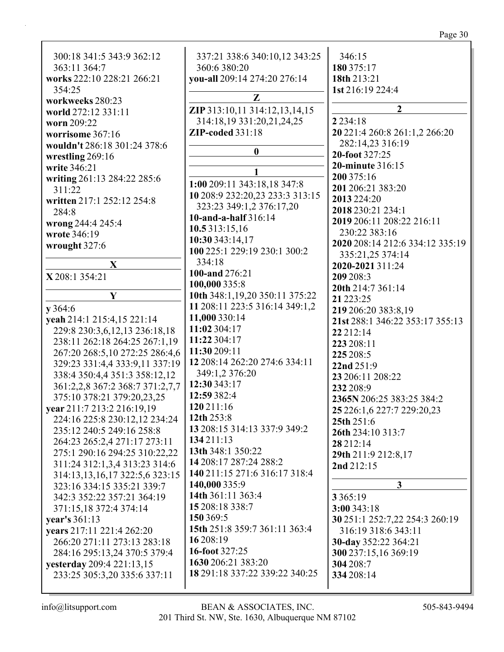Page 30

| 300:18 341:5 343:9 362:12       | 337:21 338:6 340:10,12 343:25   | 346:15                          |
|---------------------------------|---------------------------------|---------------------------------|
| 363:11 364:7                    | 360:6 380:20                    | 180 375:17                      |
| works 222:10 228:21 266:21      | you-all 209:14 274:20 276:14    | 18th 213:21                     |
|                                 |                                 |                                 |
| 354:25                          | Z                               | 1st 216:19 224:4                |
| workweeks 280:23                |                                 |                                 |
| world 272:12 331:11             | ZIP 313:10,11 314:12,13,14,15   | $\overline{2}$                  |
| worn 209:22                     | 314:18,19 331:20,21,24,25       | 2 2 3 4 : 18                    |
| worrisome 367:16                | <b>ZIP-coded 331:18</b>         | 20 221:4 260:8 261:1,2 266:20   |
| wouldn't 286:18 301:24 378:6    |                                 | 282:14,23 316:19                |
| wrestling 269:16                | $\boldsymbol{0}$                | 20-foot 327:25                  |
|                                 |                                 | 20-minute 316:15                |
| write 346:21                    | 1                               | 200 375:16                      |
| writing 261:13 284:22 285:6     | 1:00 209:11 343:18,18 347:8     |                                 |
| 311:22                          | 10 208:9 232:20,23 233:3 313:15 | 201 206:21 383:20               |
| written 217:1 252:12 254:8      |                                 | 2013 224:20                     |
| 284:8                           | 323:23 349:1,2 376:17,20        | 2018 230:21 234:1               |
| wrong 244:4 245:4               | 10-and-a-half 316:14            | 2019 206:11 208:22 216:11       |
| wrote 346:19                    | 10.5313:15,16                   | 230:22 383:16                   |
|                                 | 10:30 343:14,17                 | 2020 208:14 212:6 334:12 335:19 |
| wrought 327:6                   | 100 225:1 229:19 230:1 300:2    | 335:21,25 374:14                |
| $\mathbf X$                     | 334:18                          |                                 |
|                                 | 100-and 276:21                  | 2020-2021 311:24                |
| X 208:1 354:21                  | 100,000 335:8                   | 209 208:3                       |
|                                 |                                 | 20th 214:7 361:14               |
| Y                               | 10th 348:1,19,20 350:11 375:22  | 21 223:25                       |
| y 364:6                         | 11 208:11 223:5 316:14 349:1,2  | 219 206:20 383:8,19             |
| yeah 214:1 215:4,15 221:14      | 11,000 330:14                   | 21st 288:1 346:22 353:17 355:13 |
| 229:8 230:3,6,12,13 236:18,18   | 11:02 304:17                    | 22 212:14                       |
| 238:11 262:18 264:25 267:1,19   | 11:22 304:17                    | 223 208:11                      |
| 267:20 268:5,10 272:25 286:4,6  | 11:30 209:11                    |                                 |
| 329:23 331:4,4 333:9,11 337:19  | 12 208:14 262:20 274:6 334:11   | 225 208:5                       |
|                                 | 349:1,2 376:20                  | 22nd 251:9                      |
| 338:4 350:4,4 351:3 358:12,12   |                                 | 23 206:11 208:22                |
| 361:2,2,8 367:2 368:7 371:2,7,7 | 12:30 343:17                    | 232 208:9                       |
| 375:10 378:21 379:20,23,25      | 12:59 382:4                     | 2365N 206:25 383:25 384:2       |
| year 211:7 213:2 216:19,19      | 120 211:16                      | 25 226:1,6 227:7 229:20,23      |
| 224:16 225:8 230:12,12 234:24   | 12th 253:8                      | 25th 251:6                      |
| 235:12 240:5 249:16 258:8       | 13 208:15 314:13 337:9 349:2    | 26th 234:10 313:7               |
| 264:23 265:2,4 271:17 273:11    | 134 211:13                      | 28 212:14                       |
| 275:1 290:16 294:25 310:22,22   | 13th 348:1 350:22               |                                 |
|                                 | 14 208:17 287:24 288:2          | 29th 211:9 212:8,17             |
| 311:24 312:1,3,4 313:23 314:6   |                                 | 2nd 212:15                      |
| 314:13,13,16,17 322:5,6 323:15  | 140 211:15 271:6 316:17 318:4   |                                 |
| 323:16 334:15 335:21 339:7      | 140,000 335:9                   | $\mathbf{3}$                    |
| 342:3 352:22 357:21 364:19      | 14th 361:11 363:4               | 3 3 6 5 : 19                    |
| 371:15,18 372:4 374:14          | 15 208:18 338:7                 | 3:00 343:18                     |
| year's 361:13                   | 150 369:5                       | 30 251:1 252:7,22 254:3 260:19  |
| years 217:11 221:4 262:20       | 15th 251:8 359:7 361:11 363:4   | 316:19 318:6 343:11             |
| 266:20 271:11 273:13 283:18     | 16 208:19                       | 30-day 352:22 364:21            |
|                                 | 16-foot 327:25                  |                                 |
| 284:16 295:13,24 370:5 379:4    |                                 | 300 237:15,16 369:19            |
| yesterday 209:4 221:13,15       | 1630 206:21 383:20              | 304 208:7                       |
| 233:25 305:3,20 335:6 337:11    | 18 291:18 337:22 339:22 340:25  | 334 208:14                      |
|                                 |                                 |                                 |